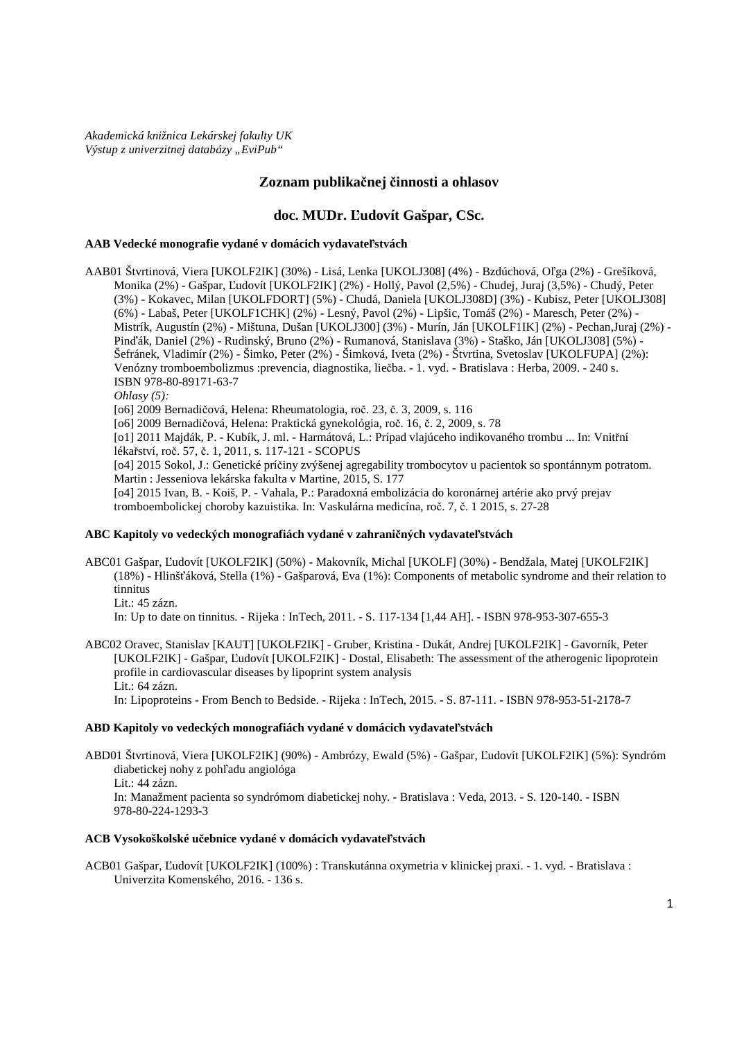*Akademická knižnica Lekárskej fakulty UK Výstup z univerzitnej databázy "EviPub"* 

# **Zoznam publikačnej činnosti a ohlasov**

# **doc. MUDr. Ľudovít Gašpar, CSc.**

#### **AAB Vedecké monografie vydané v domácich vydavateľstvách**

AAB01 Štvrtinová, Viera [UKOLF2IK] (30%) - Lisá, Lenka [UKOLJ308] (4%) - Bzdúchová, Oľga (2%) - Grešíková, Monika (2%) - Gašpar, Ľudovít [UKOLF2IK] (2%) - Hollý, Pavol (2,5%) - Chudej, Juraj (3,5%) - Chudý, Peter (3%) - Kokavec, Milan [UKOLFDORT] (5%) - Chudá, Daniela [UKOLJ308D] (3%) - Kubisz, Peter [UKOLJ308] (6%) - Labaš, Peter [UKOLF1CHK] (2%) - Lesný, Pavol (2%) - Lipšic, Tomáš (2%) - Maresch, Peter (2%) - Mistrík, Augustín (2%) - Mištuna, Dušan [UKOLJ300] (3%) - Murín, Ján [UKOLF1IK] (2%) - Pechan,Juraj (2%) - Pinďák, Daniel (2%) - Rudinský, Bruno (2%) - Rumanová, Stanislava (3%) - Staško, Ján [UKOLJ308] (5%) - Šefránek, Vladimír (2%) - Šimko, Peter (2%) - Šimková, Iveta (2%) - Štvrtina, Svetoslav [UKOLFUPA] (2%): Venózny tromboembolizmus :prevencia, diagnostika, liečba. - 1. vyd. - Bratislava : Herba, 2009. - 240 s. ISBN 978-80-89171-63-7 *Ohlasy (5):* [o6] 2009 Bernadičová, Helena: Rheumatologia, roč. 23, č. 3, 2009, s. 116 [o6] 2009 Bernadičová, Helena: Praktická gynekológia, roč. 16, č. 2, 2009, s. 78 [o1] 2011 Majdák, P. - Kubík, J. ml. - Harmátová, L.: Prípad vlajúceho indikovaného trombu ... In: Vnitřní

lékařství, roč. 57, č. 1, 2011, s. 117-121 - SCOPUS [o4] 2015 Sokol, J.: Genetické príčiny zvýšenej agregability trombocytov u pacientok so spontánnym potratom. Martin : Jesseniova lekárska fakulta v Martine, 2015, S. 177

[o4] 2015 Ivan, B. - Koiš, P. - Vahala, P.: Paradoxná embolizácia do koronárnej artérie ako prvý prejav tromboembolickej choroby kazuistika. In: Vaskulárna medicína, roč. 7, č. 1 2015, s. 27-28

#### **ABC Kapitoly vo vedeckých monografiách vydané v zahraničných vydavateľstvách**

ABC01 Gašpar, Ľudovít [UKOLF2IK] (50%) - Makovník, Michal [UKOLF] (30%) - Bendžala, Matej [UKOLF2IK] (18%) - Hlinšťáková, Stella (1%) - Gašparová, Eva (1%): Components of metabolic syndrome and their relation to tinnitus Lit.: 45 zázn.

In: Up to date on tinnitus. - Rijeka : InTech, 2011. - S. 117-134 [1,44 AH]. - ISBN 978-953-307-655-3

ABC02 Oravec, Stanislav [KAUT] [UKOLF2IK] - Gruber, Kristina - Dukát, Andrej [UKOLF2IK] - Gavorník, Peter [UKOLF2IK] - Gašpar, Ľudovít [UKOLF2IK] - Dostal, Elisabeth: The assessment of the atherogenic lipoprotein profile in cardiovascular diseases by lipoprint system analysis Lit.: 64 zázn.

In: Lipoproteins - From Bench to Bedside. - Rijeka : InTech, 2015. - S. 87-111. - ISBN 978-953-51-2178-7

#### **ABD Kapitoly vo vedeckých monografiách vydané v domácich vydavateľstvách**

ABD01 Štvrtinová, Viera [UKOLF2IK] (90%) - Ambrózy, Ewald (5%) - Gašpar, Ľudovít [UKOLF2IK] (5%): Syndróm diabetickej nohy z pohľadu angiológa

Lit.: 44 zázn.

In: Manažment pacienta so syndrómom diabetickej nohy. - Bratislava : Veda, 2013. - S. 120-140. - ISBN 978-80-224-1293-3

#### **ACB Vysokoškolské učebnice vydané v domácich vydavateľstvách**

ACB01 Gašpar, Ľudovít [UKOLF2IK] (100%) : Transkutánna oxymetria v klinickej praxi. - 1. vyd. - Bratislava : Univerzita Komenského, 2016. - 136 s.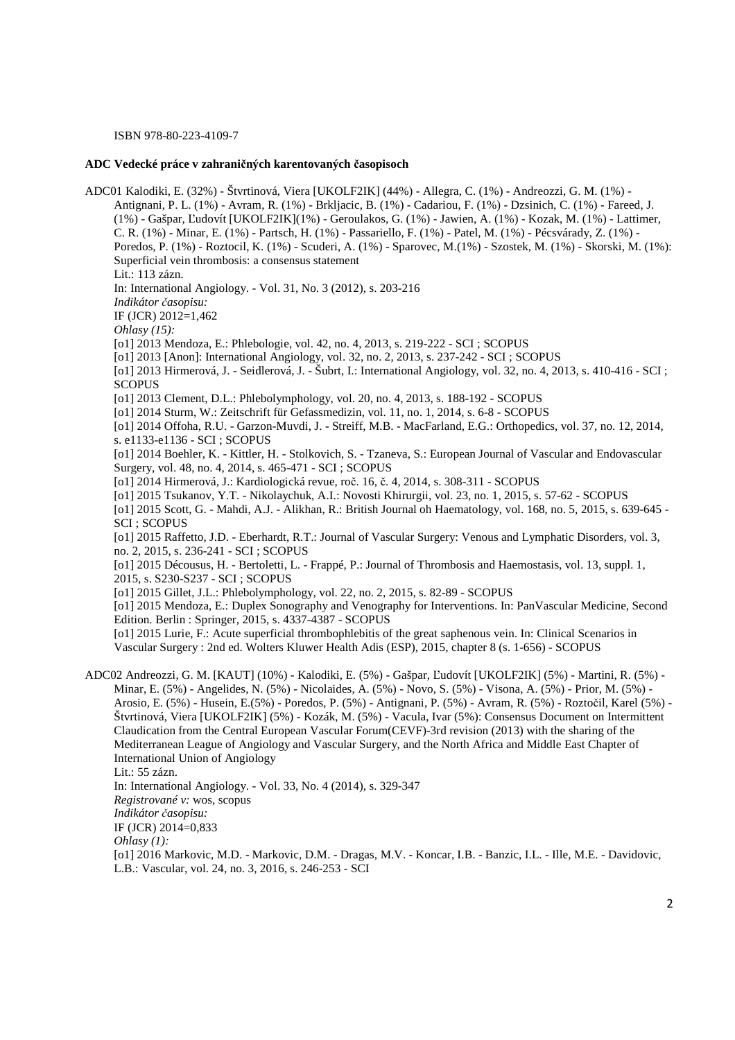ISBN 978-80-223-4109-7

#### **ADC Vedecké práce v zahraničných karentovaných časopisoch**

ADC01 Kalodiki, E. (32%) - Štvrtinová, Viera [UKOLF2IK] (44%) - Allegra, C. (1%) - Andreozzi, G. M. (1%) - Antignani, P. L. (1%) - Avram, R. (1%) - Brkljacic, B. (1%) - Cadariou, F. (1%) - Dzsinich, C. (1%) - Fareed, J. (1%) - Gašpar, Ľudovít [UKOLF2IK](1%) - Geroulakos, G. (1%) - Jawien, A. (1%) - Kozak, M. (1%) - Lattimer, C. R. (1%) - Minar, E. (1%) - Partsch, H. (1%) - Passariello, F. (1%) - Patel, M. (1%) - Pécsvárady, Z. (1%) - Poredos, P. (1%) - Roztocil, K. (1%) - Scuderi, A. (1%) - Sparovec, M.(1%) - Szostek, M. (1%) - Skorski, M. (1%): Superficial vein thrombosis: a consensus statement Lit.: 113 zázn. In: International Angiology. - Vol. 31, No. 3 (2012), s. 203-216 *Indikátor časopisu:* IF (JCR) 2012=1,462 *Ohlasy (15):* [o1] 2013 Mendoza, E.: Phlebologie, vol. 42, no. 4, 2013, s. 219-222 - SCI ; SCOPUS [o1] 2013 [Anon]: International Angiology, vol. 32, no. 2, 2013, s. 237-242 - SCI ; SCOPUS [o1] 2013 Hirmerová, J. - Seidlerová, J. - Šubrt, I.: International Angiology, vol. 32, no. 4, 2013, s. 410-416 - SCI ; **SCOPUS** [o1] 2013 Clement, D.L.: Phlebolymphology, vol. 20, no. 4, 2013, s. 188-192 - SCOPUS [o1] 2014 Sturm, W.: Zeitschrift für Gefassmedizin, vol. 11, no. 1, 2014, s. 6-8 - SCOPUS [o1] 2014 Offoha, R.U. - Garzon-Muvdi, J. - Streiff, M.B. - MacFarland, E.G.: Orthopedics, vol. 37, no. 12, 2014, s. e1133-e1136 - SCI ; SCOPUS [o1] 2014 Boehler, K. - Kittler, H. - Stolkovich, S. - Tzaneva, S.: European Journal of Vascular and Endovascular Surgery, vol. 48, no. 4, 2014, s. 465-471 - SCI ; SCOPUS [o1] 2014 Hirmerová, J.: Kardiologická revue, roč. 16, č. 4, 2014, s. 308-311 - SCOPUS [o1] 2015 Tsukanov, Y.T. - Nikolaychuk, A.I.: Novosti Khirurgii, vol. 23, no. 1, 2015, s. 57-62 - SCOPUS [o1] 2015 Scott, G. - Mahdi, A.J. - Alikhan, R.: British Journal oh Haematology, vol. 168, no. 5, 2015, s. 639-645 - SCI ; SCOPUS [o1] 2015 Raffetto, J.D. - Eberhardt, R.T.: Journal of Vascular Surgery: Venous and Lymphatic Disorders, vol. 3, no. 2, 2015, s. 236-241 - SCI ; SCOPUS [o1] 2015 Décousus, H. - Bertoletti, L. - Frappé, P.: Journal of Thrombosis and Haemostasis, vol. 13, suppl. 1, 2015, s. S230-S237 - SCI ; SCOPUS [o1] 2015 Gillet, J.L.: Phlebolymphology, vol. 22, no. 2, 2015, s. 82-89 - SCOPUS [o1] 2015 Mendoza, E.: Duplex Sonography and Venography for Interventions. In: PanVascular Medicine, Second Edition. Berlin : Springer, 2015, s. 4337-4387 - SCOPUS [o1] 2015 Lurie, F.: Acute superficial thrombophlebitis of the great saphenous vein. In: Clinical Scenarios in Vascular Surgery : 2nd ed. Wolters Kluwer Health Adis (ESP), 2015, chapter 8 (s. 1-656) - SCOPUS ADC02 Andreozzi, G. M. [KAUT] (10%) - Kalodiki, E. (5%) - Gašpar, Ľudovít [UKOLF2IK] (5%) - Martini, R. (5%) - Minar, E. (5%) - Angelides, N. (5%) - Nicolaides, A. (5%) - Novo, S. (5%) - Visona, A. (5%) - Prior, M. (5%) - Arosio, E. (5%) - Husein, E.(5%) - Poredos, P. (5%) - Antignani, P. (5%) - Avram, R. (5%) - Roztočil, Karel (5%) - Štvrtinová, Viera [UKOLF2IK] (5%) - Kozák, M. (5%) - Vacula, Ivar (5%): Consensus Document on Intermittent Claudication from the Central European Vascular Forum(CEVF)-3rd revision (2013) with the sharing of the Mediterranean League of Angiology and Vascular Surgery, and the North Africa and Middle East Chapter of International Union of Angiology Lit.: 55 zázn. In: International Angiology. - Vol. 33, No. 4 (2014), s. 329-347 *Registrované v:* wos, scopus *Indikátor časopisu:* IF (JCR) 2014=0,833 *Ohlasy (1):* [o1] 2016 Markovic, M.D. - Markovic, D.M. - Dragas, M.V. - Koncar, I.B. - Banzic, I.L. - Ille, M.E. - Davidovic, L.B.: Vascular, vol. 24, no. 3, 2016, s. 246-253 - SCI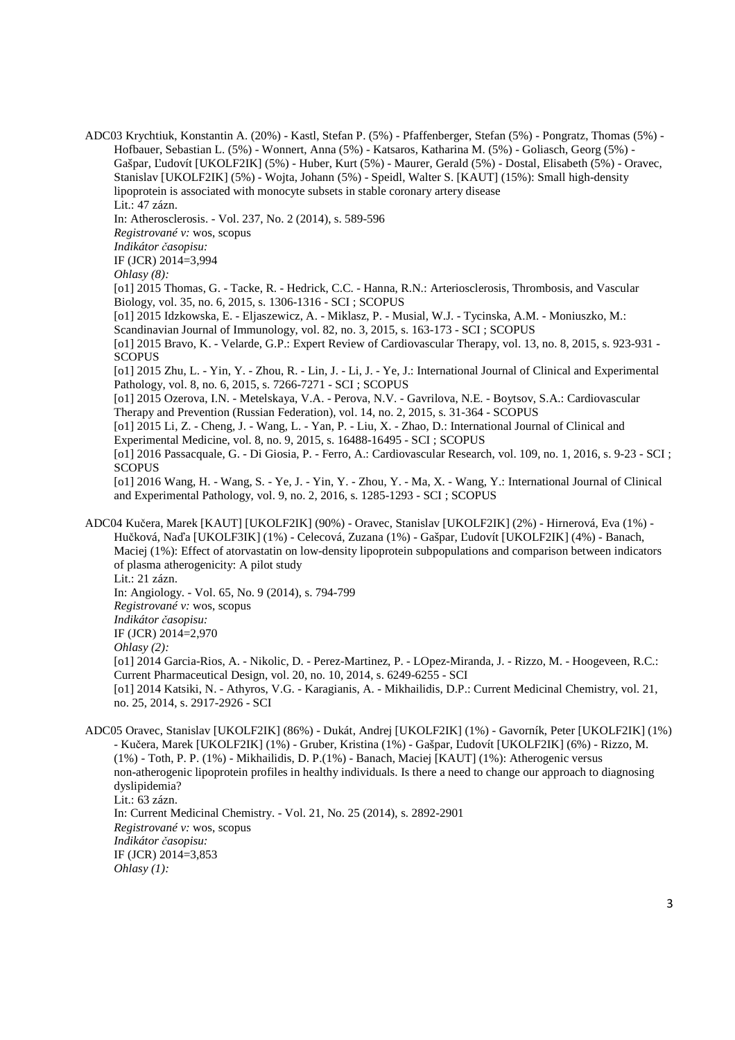ADC03 Krychtiuk, Konstantin A. (20%) - Kastl, Stefan P. (5%) - Pfaffenberger, Stefan (5%) - Pongratz, Thomas (5%) - Hofbauer, Sebastian L. (5%) - Wonnert, Anna (5%) - Katsaros, Katharina M. (5%) - Goliasch, Georg (5%) - Gašpar, Ľudovít [UKOLF2IK] (5%) - Huber, Kurt (5%) - Maurer, Gerald (5%) - Dostal, Elisabeth (5%) - Oravec, Stanislav [UKOLF2IK] (5%) - Wojta, Johann (5%) - Speidl, Walter S. [KAUT] (15%): Small high-density lipoprotein is associated with monocyte subsets in stable coronary artery disease Lit.: 47 zázn. In: Atherosclerosis. - Vol. 237, No. 2 (2014), s. 589-596 *Registrované v:* wos, scopus *Indikátor časopisu:* IF (JCR) 2014=3,994 *Ohlasy (8):* [o1] 2015 Thomas, G. - Tacke, R. - Hedrick, C.C. - Hanna, R.N.: Arteriosclerosis, Thrombosis, and Vascular Biology, vol. 35, no. 6, 2015, s. 1306-1316 - SCI ; SCOPUS [o1] 2015 Idzkowska, E. - Eljaszewicz, A. - Miklasz, P. - Musial, W.J. - Tycinska, A.M. - Moniuszko, M.: Scandinavian Journal of Immunology, vol. 82, no. 3, 2015, s. 163-173 - SCI ; SCOPUS [o1] 2015 Bravo, K. - Velarde, G.P.: Expert Review of Cardiovascular Therapy, vol. 13, no. 8, 2015, s. 923-931 -**SCOPUS** [o1] 2015 Zhu, L. - Yin, Y. - Zhou, R. - Lin, J. - Li, J. - Ye, J.: International Journal of Clinical and Experimental Pathology, vol. 8, no. 6, 2015, s. 7266-7271 - SCI ; SCOPUS [o1] 2015 Ozerova, I.N. - Metelskaya, V.A. - Perova, N.V. - Gavrilova, N.E. - Boytsov, S.A.: Cardiovascular Therapy and Prevention (Russian Federation), vol. 14, no. 2, 2015, s. 31-364 - SCOPUS [o1] 2015 Li, Z. - Cheng, J. - Wang, L. - Yan, P. - Liu, X. - Zhao, D.: International Journal of Clinical and Experimental Medicine, vol. 8, no. 9, 2015, s. 16488-16495 - SCI ; SCOPUS [o1] 2016 Passacquale, G. - Di Giosia, P. - Ferro, A.: Cardiovascular Research, vol. 109, no. 1, 2016, s. 9-23 - SCI ; **SCOPUS** [o1] 2016 Wang, H. - Wang, S. - Ye, J. - Yin, Y. - Zhou, Y. - Ma, X. - Wang, Y.: International Journal of Clinical and Experimental Pathology, vol. 9, no. 2, 2016, s. 1285-1293 - SCI ; SCOPUS ADC04 Kučera, Marek [KAUT] [UKOLF2IK] (90%) - Oravec, Stanislav [UKOLF2IK] (2%) - Hirnerová, Eva (1%) - Hučková, Naďa [UKOLF3IK] (1%) - Celecová, Zuzana (1%) - Gašpar, Ľudovít [UKOLF2IK] (4%) - Banach, Maciej (1%): Effect of atorvastatin on low-density lipoprotein subpopulations and comparison between indicators of plasma atherogenicity: A pilot study Lit.: 21 zázn. In: Angiology. - Vol. 65, No. 9 (2014), s. 794-799 *Registrované v:* wos, scopus *Indikátor časopisu:*

IF (JCR) 2014=2,970 *Ohlasy (2):* [o1] 2014 Garcia-Rios, A. - Nikolic, D. - Perez-Martinez, P. - LOpez-Miranda, J. - Rizzo, M. - Hoogeveen, R.C.: Current Pharmaceutical Design, vol. 20, no. 10, 2014, s. 6249-6255 - SCI [o1] 2014 Katsiki, N. - Athyros, V.G. - Karagianis, A. - Mikhailidis, D.P.: Current Medicinal Chemistry, vol. 21, no. 25, 2014, s. 2917-2926 - SCI

ADC05 Oravec, Stanislav [UKOLF2IK] (86%) - Dukát, Andrej [UKOLF2IK] (1%) - Gavorník, Peter [UKOLF2IK] (1%) - Kučera, Marek [UKOLF2IK] (1%) - Gruber, Kristina (1%) - Gašpar, Ľudovít [UKOLF2IK] (6%) - Rizzo, M. (1%) - Toth, P. P. (1%) - Mikhailidis, D. P.(1%) - Banach, Maciej [KAUT] (1%): Atherogenic versus non-atherogenic lipoprotein profiles in healthy individuals. Is there a need to change our approach to diagnosing dyslipidemia? Lit.: 63 zázn. In: Current Medicinal Chemistry. - Vol. 21, No. 25 (2014), s. 2892-2901 *Registrované v:* wos, scopus *Indikátor časopisu:* IF (JCR) 2014=3,853 *Ohlasy (1):*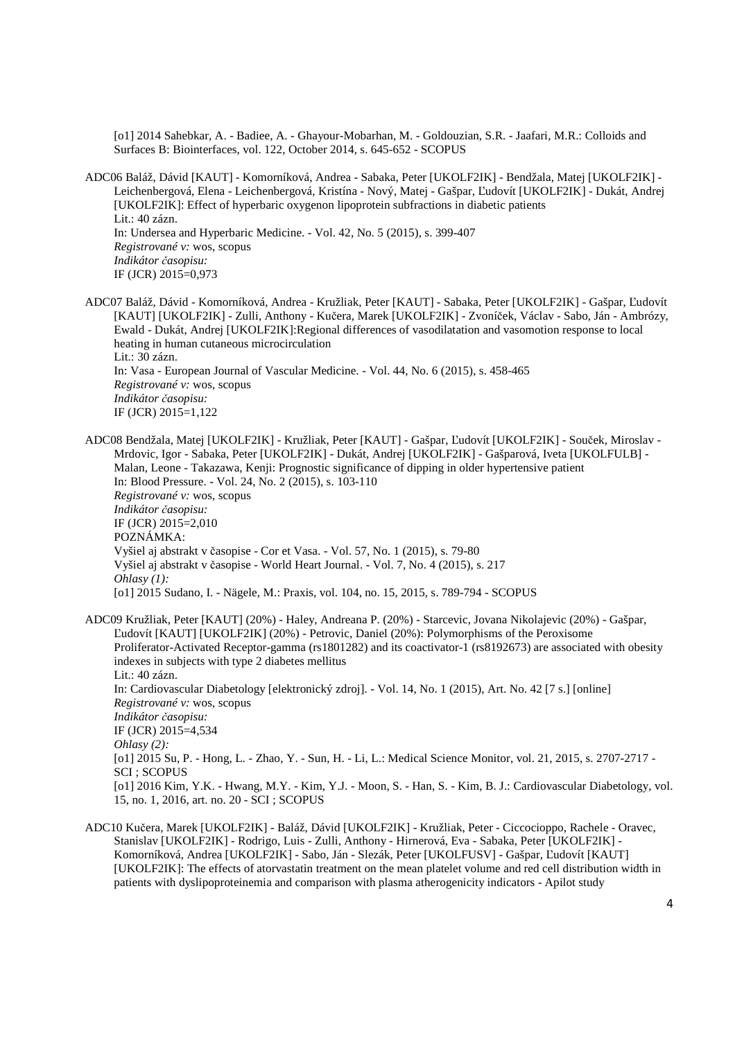[o1] 2014 Sahebkar, A. - Badiee, A. - Ghayour-Mobarhan, M. - Goldouzian, S.R. - Jaafari, M.R.: Colloids and Surfaces B: Biointerfaces, vol. 122, October 2014, s. 645-652 - SCOPUS

ADC06 Baláž, Dávid [KAUT] - Komorníková, Andrea - Sabaka, Peter [UKOLF2IK] - Bendžala, Matej [UKOLF2IK] - Leichenbergová, Elena - Leichenbergová, Kristína - Nový, Matej - Gašpar, Ľudovít [UKOLF2IK] - Dukát, Andrej [UKOLF2IK]: Effect of hyperbaric oxygenon lipoprotein subfractions in diabetic patients Lit.: 40 zázn. In: Undersea and Hyperbaric Medicine. - Vol. 42, No. 5 (2015), s. 399-407 *Registrované v:* wos, scopus *Indikátor časopisu:* IF (JCR) 2015=0,973

ADC07 Baláž, Dávid - Komorníková, Andrea - Kružliak, Peter [KAUT] - Sabaka, Peter [UKOLF2IK] - Gašpar, Ľudovít [KAUT] [UKOLF2IK] - Zulli, Anthony - Kučera, Marek [UKOLF2IK] - Zvoníček, Václav - Sabo, Ján - Ambrózy, Ewald - Dukát, Andrej [UKOLF2IK]:Regional differences of vasodilatation and vasomotion response to local heating in human cutaneous microcirculation Lit.: 30 zázn. In: Vasa - European Journal of Vascular Medicine. - Vol. 44, No. 6 (2015), s. 458-465 *Registrované v:* wos, scopus *Indikátor časopisu:* IF (JCR) 2015=1,122

ADC08 Bendžala, Matej [UKOLF2IK] - Kružliak, Peter [KAUT] - Gašpar, Ľudovít [UKOLF2IK] - Souček, Miroslav - Mrdovic, Igor - Sabaka, Peter [UKOLF2IK] - Dukát, Andrej [UKOLF2IK] - Gašparová, Iveta [UKOLFULB] - Malan, Leone - Takazawa, Kenji: Prognostic significance of dipping in older hypertensive patient In: Blood Pressure. - Vol. 24, No. 2 (2015), s. 103-110 *Registrované v:* wos, scopus *Indikátor časopisu:* IF (JCR) 2015=2,010 POZNÁMKA: Vyšiel aj abstrakt v časopise - Cor et Vasa. - Vol. 57, No. 1 (2015), s. 79-80 Vyšiel aj abstrakt v časopise - World Heart Journal. - Vol. 7, No. 4 (2015), s. 217 *Ohlasy (1):*

[o1] 2015 Sudano, I. - Nägele, M.: Praxis, vol. 104, no. 15, 2015, s. 789-794 - SCOPUS

ADC09 Kružliak, Peter [KAUT] (20%) - Haley, Andreana P. (20%) - Starcevic, Jovana Nikolajevic (20%) - Gašpar, Ľudovít [KAUT] [UKOLF2IK] (20%) - Petrovic, Daniel (20%): Polymorphisms of the Peroxisome Proliferator-Activated Receptor-gamma (rs1801282) and its coactivator-1 (rs8192673) are associated with obesity indexes in subjects with type 2 diabetes mellitus Lit.: 40 zázn. In: Cardiovascular Diabetology [elektronický zdroj]. - Vol. 14, No. 1 (2015), Art. No. 42 [7 s.] [online] *Registrované v:* wos, scopus *Indikátor časopisu:* IF (JCR) 2015=4,534 *Ohlasy (2):* [o1] 2015 Su, P. - Hong, L. - Zhao, Y. - Sun, H. - Li, L.: Medical Science Monitor, vol. 21, 2015, s. 2707-2717 - SCI ; SCOPUS [o1] 2016 Kim, Y.K. - Hwang, M.Y. - Kim, Y.J. - Moon, S. - Han, S. - Kim, B. J.: Cardiovascular Diabetology, vol. 15, no. 1, 2016, art. no. 20 - SCI ; SCOPUS

ADC10 Kučera, Marek [UKOLF2IK] - Baláž, Dávid [UKOLF2IK] - Kružliak, Peter - Ciccocioppo, Rachele - Oravec, Stanislav [UKOLF2IK] - Rodrigo, Luis - Zulli, Anthony - Hirnerová, Eva - Sabaka, Peter [UKOLF2IK] - Komorníková, Andrea [UKOLF2IK] - Sabo, Ján - Slezák, Peter [UKOLFUSV] - Gašpar, Ľudovít [KAUT] [UKOLF2IK]: The effects of atorvastatin treatment on the mean platelet volume and red cell distribution width in patients with dyslipoproteinemia and comparison with plasma atherogenicity indicators - Apilot study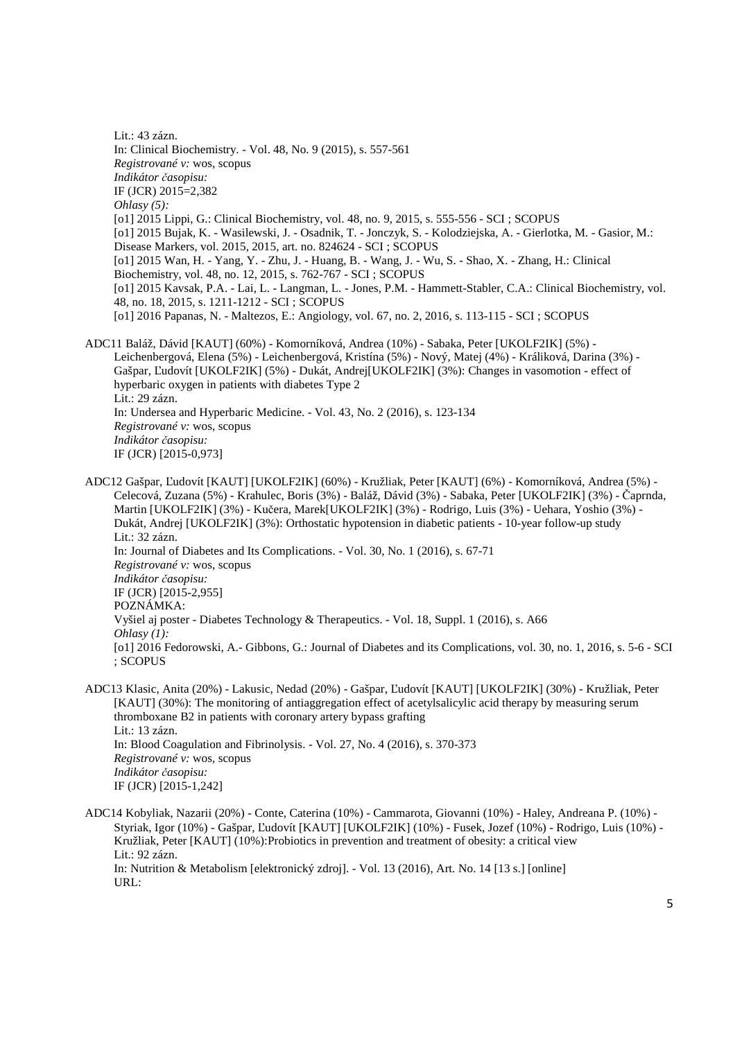Lit.: 43 zázn. In: Clinical Biochemistry. - Vol. 48, No. 9 (2015), s. 557-561 *Registrované v:* wos, scopus *Indikátor časopisu:* IF (JCR) 2015=2,382 *Ohlasy (5):* [o1] 2015 Lippi, G.: Clinical Biochemistry, vol. 48, no. 9, 2015, s. 555-556 - SCI ; SCOPUS [o1] 2015 Bujak, K. - Wasilewski, J. - Osadnik, T. - Jonczyk, S. - Kolodziejska, A. - Gierlotka, M. - Gasior, M.: Disease Markers, vol. 2015, 2015, art. no. 824624 - SCI ; SCOPUS [o1] 2015 Wan, H. - Yang, Y. - Zhu, J. - Huang, B. - Wang, J. - Wu, S. - Shao, X. - Zhang, H.: Clinical Biochemistry, vol. 48, no. 12, 2015, s. 762-767 - SCI ; SCOPUS [o1] 2015 Kavsak, P.A. - Lai, L. - Langman, L. - Jones, P.M. - Hammett-Stabler, C.A.: Clinical Biochemistry, vol. 48, no. 18, 2015, s. 1211-1212 - SCI ; SCOPUS [o1] 2016 Papanas, N. - Maltezos, E.: Angiology, vol. 67, no. 2, 2016, s. 113-115 - SCI ; SCOPUS ADC11 Baláž, Dávid [KAUT] (60%) - Komorníková, Andrea (10%) - Sabaka, Peter [UKOLF2IK] (5%) - Leichenbergová, Elena (5%) - Leichenbergová, Kristína (5%) - Nový, Matej (4%) - Králiková, Darina (3%) - Gašpar, Ľudovít [UKOLF2IK] (5%) - Dukát, Andrej[UKOLF2IK] (3%): Changes in vasomotion - effect of hyperbaric oxygen in patients with diabetes Type 2 Lit.: 29 zázn. In: Undersea and Hyperbaric Medicine. - Vol. 43, No. 2 (2016), s. 123-134 *Registrované v:* wos, scopus *Indikátor časopisu:* IF (JCR) [2015-0,973] ADC12 Gašpar, Ľudovít [KAUT] [UKOLF2IK] (60%) - Kružliak, Peter [KAUT] (6%) - Komorníková, Andrea (5%) - Celecová, Zuzana (5%) - Krahulec, Boris (3%) - Baláž, Dávid (3%) - Sabaka, Peter [UKOLF2IK] (3%) - Čaprnda, Martin [UKOLF2IK] (3%) - Kučera, Marek[UKOLF2IK] (3%) - Rodrigo, Luis (3%) - Uehara, Yoshio (3%) - Dukát, Andrej [UKOLF2IK] (3%): Orthostatic hypotension in diabetic patients - 10-year follow-up study Lit.: 32 zázn. In: Journal of Diabetes and Its Complications. - Vol. 30, No. 1 (2016), s. 67-71 *Registrované v:* wos, scopus *Indikátor časopisu:* IF (JCR) [2015-2,955] POZNÁMKA: Vyšiel aj poster - Diabetes Technology & Therapeutics. - Vol. 18, Suppl. 1 (2016), s. A66 *Ohlasy (1):* [o1] 2016 Fedorowski, A.- Gibbons, G.: Journal of Diabetes and its Complications, vol. 30, no. 1, 2016, s. 5-6 - SCI ; SCOPUS

- ADC13 Klasic, Anita (20%) Lakusic, Nedad (20%) Gašpar, Ľudovít [KAUT] [UKOLF2IK] (30%) Kružliak, Peter [KAUT] (30%): The monitoring of antiaggregation effect of acetylsalicylic acid therapy by measuring serum thromboxane B2 in patients with coronary artery bypass grafting Lit.: 13 zázn. In: Blood Coagulation and Fibrinolysis. - Vol. 27, No. 4 (2016), s. 370-373 *Registrované v:* wos, scopus *Indikátor časopisu:* IF (JCR) [2015-1,242]
- ADC14 Kobyliak, Nazarii (20%) Conte, Caterina (10%) Cammarota, Giovanni (10%) Haley, Andreana P. (10%) Styriak, Igor (10%) - Gašpar, Ľudovít [KAUT] [UKOLF2IK] (10%) - Fusek, Jozef (10%) - Rodrigo, Luis (10%) - Kružliak, Peter [KAUT] (10%):Probiotics in prevention and treatment of obesity: a critical view Lit.: 92 zázn. In: Nutrition & Metabolism [elektronický zdroj]. - Vol. 13 (2016), Art. No. 14 [13 s.] [online] URL: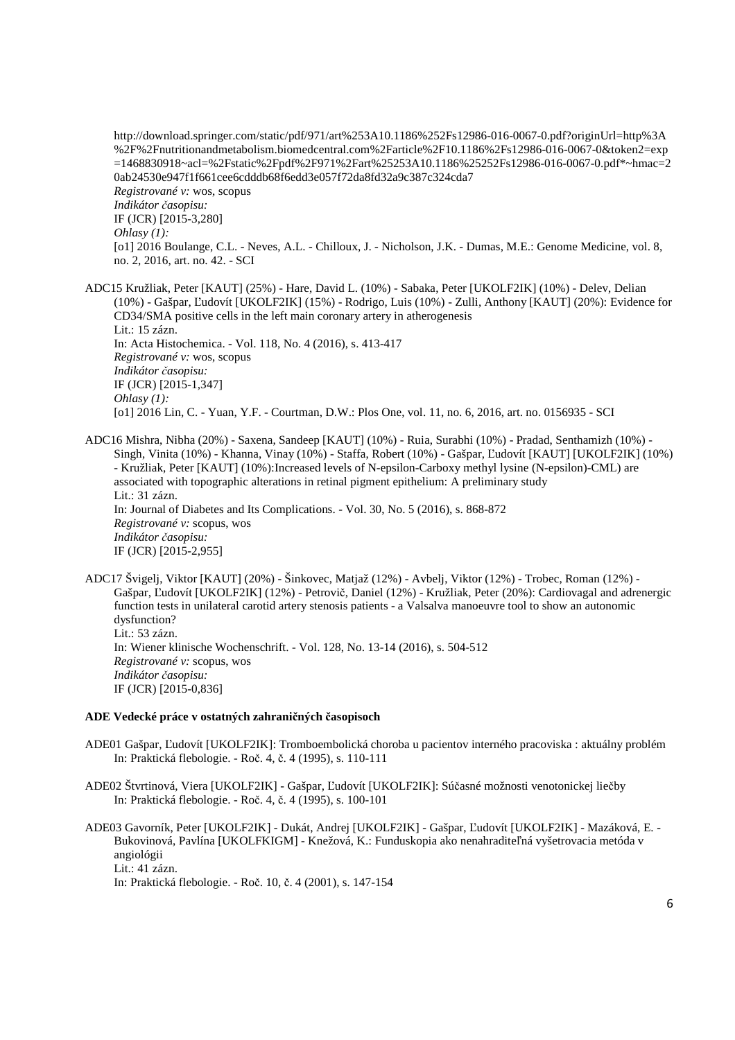http://download.springer.com/static/pdf/971/art%253A10.1186%252Fs12986-016-0067-0.pdf?originUrl=http%3A %2F%2Fnutritionandmetabolism.biomedcentral.com%2Farticle%2F10.1186%2Fs12986-016-0067-0&token2=exp =1468830918~acl=%2Fstatic%2Fpdf%2F971%2Fart%25253A10.1186%25252Fs12986-016-0067-0.pdf\*~hmac=2 0ab24530e947f1f661cee6cdddb68f6edd3e057f72da8fd32a9c387c324cda7 *Registrované v:* wos, scopus *Indikátor časopisu:* IF (JCR) [2015-3,280] *Ohlasy (1):* [o1] 2016 Boulange, C.L. - Neves, A.L. - Chilloux, J. - Nicholson, J.K. - Dumas, M.E.: Genome Medicine, vol. 8, no. 2, 2016, art. no. 42. - SCI

ADC15 Kružliak, Peter [KAUT] (25%) - Hare, David L. (10%) - Sabaka, Peter [UKOLF2IK] (10%) - Delev, Delian (10%) - Gašpar, Ľudovít [UKOLF2IK] (15%) - Rodrigo, Luis (10%) - Zulli, Anthony [KAUT] (20%): Evidence for CD34/SMA positive cells in the left main coronary artery in atherogenesis Lit.: 15 zázn. In: Acta Histochemica. - Vol. 118, No. 4 (2016), s. 413-417 *Registrované v:* wos, scopus *Indikátor časopisu:* IF (JCR) [2015-1,347] *Ohlasy (1):* [o1] 2016 Lin, C. - Yuan, Y.F. - Courtman, D.W.: Plos One, vol. 11, no. 6, 2016, art. no. 0156935 - SCI

ADC16 Mishra, Nibha (20%) - Saxena, Sandeep [KAUT] (10%) - Ruia, Surabhi (10%) - Pradad, Senthamizh (10%) - Singh, Vinita (10%) - Khanna, Vinay (10%) - Staffa, Robert (10%) - Gašpar, Ľudovít [KAUT] [UKOLF2IK] (10%) - Kružliak, Peter [KAUT] (10%):Increased levels of N-epsilon-Carboxy methyl lysine (N-epsilon)-CML) are associated with topographic alterations in retinal pigment epithelium: A preliminary study Lit.: 31 zázn. In: Journal of Diabetes and Its Complications. - Vol. 30, No. 5 (2016), s. 868-872 *Registrované v:* scopus, wos *Indikátor časopisu:* IF (JCR) [2015-2,955]

ADC17 Švigelj, Viktor [KAUT] (20%) - Šinkovec, Matjaž (12%) - Avbelj, Viktor (12%) - Trobec, Roman (12%) - Gašpar, Ľudovít [UKOLF2IK] (12%) - Petrovič, Daniel (12%) - Kružliak, Peter (20%): Cardiovagal and adrenergic function tests in unilateral carotid artery stenosis patients - a Valsalva manoeuvre tool to show an autonomic dysfunction? Lit.: 53 zázn. In: Wiener klinische Wochenschrift. - Vol. 128, No. 13-14 (2016), s. 504-512 *Registrované v:* scopus, wos *Indikátor časopisu:* IF (JCR) [2015-0,836]

### **ADE Vedecké práce v ostatných zahraničných časopisoch**

- ADE01 Gašpar, Ľudovít [UKOLF2IK]: Tromboembolická choroba u pacientov interného pracoviska : aktuálny problém In: Praktická flebologie. - Roč. 4, č. 4 (1995), s. 110-111
- ADE02 Štvrtinová, Viera [UKOLF2IK] Gašpar, Ľudovít [UKOLF2IK]: Súčasné možnosti venotonickej liečby In: Praktická flebologie. - Roč. 4, č. 4 (1995), s. 100-101
- ADE03 Gavorník, Peter [UKOLF2IK] Dukát, Andrej [UKOLF2IK] Gašpar, Ľudovít [UKOLF2IK] Mazáková, E. Bukovinová, Pavlína [UKOLFKIGM] - Knežová, K.: Funduskopia ako nenahraditeľná vyšetrovacia metóda v angiológii Lit.: 41 zázn. In: Praktická flebologie. - Roč. 10, č. 4 (2001), s. 147-154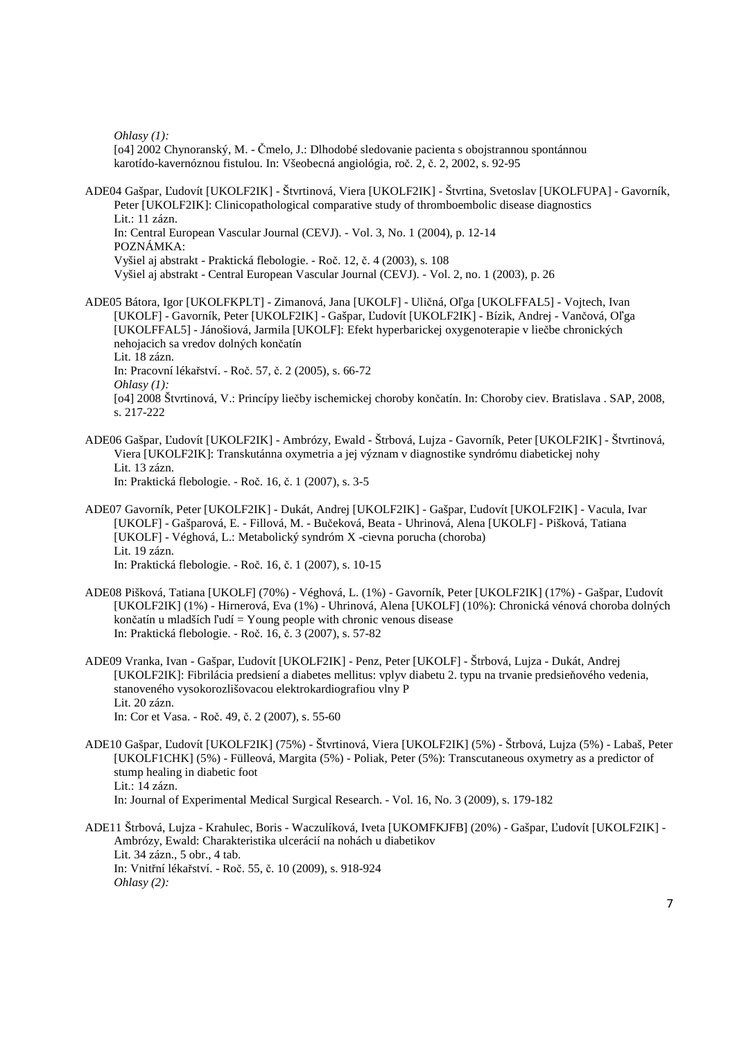*Ohlasy (1):*

[o4] 2002 Chynoranský, M. - Čmelo, J.: Dlhodobé sledovanie pacienta s obojstrannou spontánnou karotído-kavernóznou fistulou. In: Všeobecná angiológia, roč. 2, č. 2, 2002, s. 92-95

ADE04 Gašpar, Ľudovít [UKOLF2IK] - Štvrtinová, Viera [UKOLF2IK] - Štvrtina, Svetoslav [UKOLFUPA] - Gavorník, Peter [UKOLF2IK]: Clinicopathological comparative study of thromboembolic disease diagnostics Lit.: 11 zázn. In: Central European Vascular Journal (CEVJ). - Vol. 3, No. 1 (2004), p. 12-14 POZNÁMKA: Vyšiel aj abstrakt - Praktická flebologie. - Roč. 12, č. 4 (2003), s. 108 Vyšiel aj abstrakt - Central European Vascular Journal (CEVJ). - Vol. 2, no. 1 (2003), p. 26

ADE05 Bátora, Igor [UKOLFKPLT] - Zimanová, Jana [UKOLF] - Uličná, Oľga [UKOLFFAL5] - Vojtech, Ivan [UKOLF] - Gavorník, Peter [UKOLF2IK] - Gašpar, Ľudovít [UKOLF2IK] - Bízik, Andrej - Vančová, Oľga [UKOLFFAL5] - Jánošiová, Jarmila [UKOLF]: Efekt hyperbarickej oxygenoterapie v liečbe chronických nehojacich sa vredov dolných končatín Lit. 18 zázn. In: Pracovní lékařství. - Roč. 57, č. 2 (2005), s. 66-72 *Ohlasy (1):* [o4] 2008 Štvrtinová, V.: Princípy liečby ischemickej choroby končatín. In: Choroby ciev. Bratislava . SAP, 2008, s. 217-222

- ADE06 Gašpar, Ľudovít [UKOLF2IK] Ambrózy, Ewald Štrbová, Lujza Gavorník, Peter [UKOLF2IK] Štvrtinová, Viera [UKOLF2IK]: Transkutánna oxymetria a jej význam v diagnostike syndrómu diabetickej nohy Lit. 13 zázn. In: Praktická flebologie. - Roč. 16, č. 1 (2007), s. 3-5
- ADE07 Gavorník, Peter [UKOLF2IK] Dukát, Andrej [UKOLF2IK] Gašpar, Ľudovít [UKOLF2IK] Vacula, Ivar [UKOLF] - Gašparová, E. - Fillová, M. - Bučeková, Beata - Uhrinová, Alena [UKOLF] - Pišková, Tatiana [UKOLF] - Véghová, L.: Metabolický syndróm X -cievna porucha (choroba) Lit. 19 zázn.

In: Praktická flebologie. - Roč. 16, č. 1 (2007), s. 10-15

- ADE08 Pišková, Tatiana [UKOLF] (70%) Véghová, L. (1%) Gavorník, Peter [UKOLF2IK] (17%) Gašpar, Ľudovít [UKOLF2IK] (1%) - Hirnerová, Eva (1%) - Uhrinová, Alena [UKOLF] (10%): Chronická vénová choroba dolných končatín u mladších ľudí = Young people with chronic venous disease In: Praktická flebologie. - Roč. 16, č. 3 (2007), s. 57-82
- ADE09 Vranka, Ivan Gašpar, Ľudovít [UKOLF2IK] Penz, Peter [UKOLF] Štrbová, Lujza Dukát, Andrej [UKOLF2IK]: Fibrilácia predsiení a diabetes mellitus: vplyv diabetu 2. typu na trvanie predsieňového vedenia, stanoveného vysokorozlišovacou elektrokardiografiou vlny P Lit. 20 zázn. In: Cor et Vasa. - Roč. 49, č. 2 (2007), s. 55-60
- ADE10 Gašpar, Ľudovít [UKOLF2IK] (75%) Štvrtinová, Viera [UKOLF2IK] (5%) Štrbová, Lujza (5%) Labaš, Peter [UKOLF1CHK] (5%) - Fülleová, Margita (5%) - Poliak, Peter (5%): Transcutaneous oxymetry as a predictor of stump healing in diabetic foot Lit.: 14 zázn. In: Journal of Experimental Medical Surgical Research. - Vol. 16, No. 3 (2009), s. 179-182
- ADE11 Štrbová, Lujza Krahulec, Boris Waczulíková, Iveta [UKOMFKJFB] (20%) Gašpar, Ľudovít [UKOLF2IK] Ambrózy, Ewald: Charakteristika ulcerácií na nohách u diabetikov Lit. 34 zázn., 5 obr., 4 tab. In: Vnitřní lékařství. - Roč. 55, č. 10 (2009), s. 918-924 *Ohlasy (2):*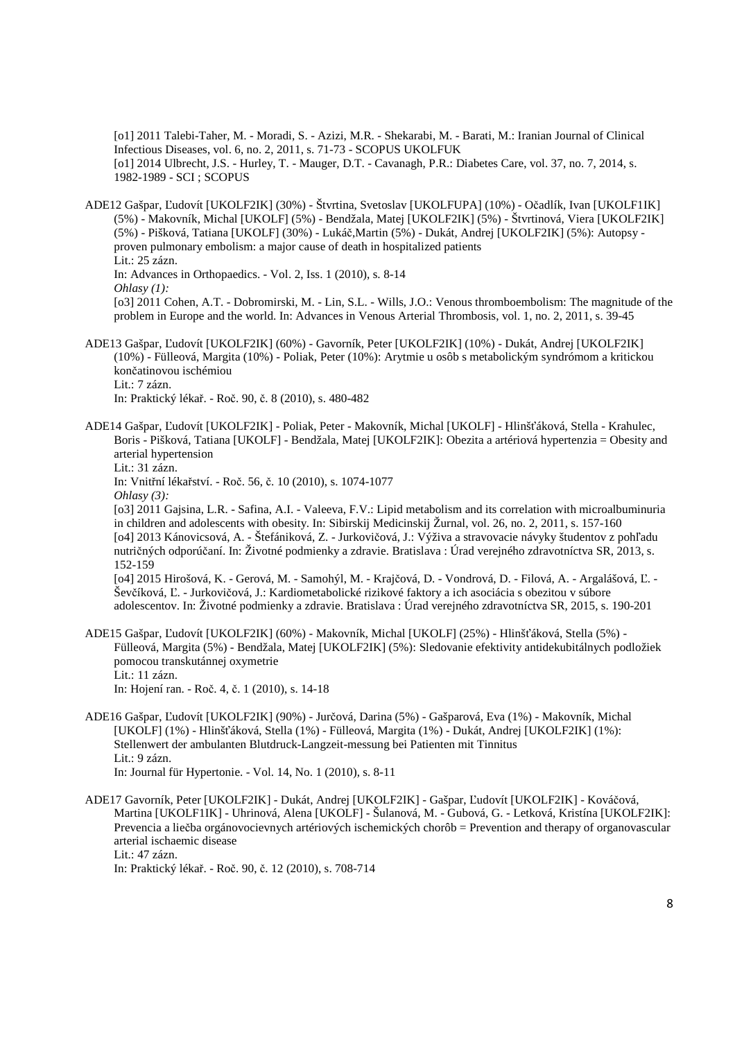[o1] 2011 Talebi-Taher, M. - Moradi, S. - Azizi, M.R. - Shekarabi, M. - Barati, M.: Iranian Journal of Clinical Infectious Diseases, vol. 6, no. 2, 2011, s. 71-73 - SCOPUS UKOLFUK [o1] 2014 Ulbrecht, J.S. - Hurley, T. - Mauger, D.T. - Cavanagh, P.R.: Diabetes Care, vol. 37, no. 7, 2014, s. 1982-1989 - SCI ; SCOPUS

- ADE12 Gašpar, Ľudovít [UKOLF2IK] (30%) Štvrtina, Svetoslav [UKOLFUPA] (10%) Očadlík, Ivan [UKOLF1IK] (5%) - Makovník, Michal [UKOLF] (5%) - Bendžala, Matej [UKOLF2IK] (5%) - Štvrtinová, Viera [UKOLF2IK] (5%) - Pišková, Tatiana [UKOLF] (30%) - Lukáč,Martin (5%) - Dukát, Andrej [UKOLF2IK] (5%): Autopsy proven pulmonary embolism: a major cause of death in hospitalized patients Lit.: 25 zázn. In: Advances in Orthopaedics. - Vol. 2, Iss. 1 (2010), s. 8-14 *Ohlasy (1):* [o3] 2011 Cohen, A.T. - Dobromirski, M. - Lin, S.L. - Wills, J.O.: Venous thromboembolism: The magnitude of the problem in Europe and the world. In: Advances in Venous Arterial Thrombosis, vol. 1, no. 2, 2011, s. 39-45
- ADE13 Gašpar, Ľudovít [UKOLF2IK] (60%) Gavorník, Peter [UKOLF2IK] (10%) Dukát, Andrej [UKOLF2IK] (10%) - Fülleová, Margita (10%) - Poliak, Peter (10%): Arytmie u osôb s metabolickým syndrómom a kritickou končatinovou ischémiou Lit.: 7 zázn.

In: Praktický lékař. - Roč. 90, č. 8 (2010), s. 480-482

ADE14 Gašpar, Ľudovít [UKOLF2IK] - Poliak, Peter - Makovník, Michal [UKOLF] - Hlinšťáková, Stella - Krahulec, Boris - Pišková, Tatiana [UKOLF] - Bendžala, Matej [UKOLF2IK]: Obezita a artériová hypertenzia = Obesity and arterial hypertension Lit.: 31 zázn.

In: Vnitřní lékařství. - Roč. 56, č. 10 (2010), s. 1074-1077

*Ohlasy (3):*

[o3] 2011 Gajsina, L.R. - Safina, A.I. - Valeeva, F.V.: Lipid metabolism and its correlation with microalbuminuria in children and adolescents with obesity. In: Sibirskij Medicinskij Žurnal, vol. 26, no. 2, 2011, s. 157-160 [o4] 2013 Kánovicsová, A. - Štefániková, Z. - Jurkovičová, J.: Výživa a stravovacie návyky študentov z pohľadu nutričných odporúčaní. In: Životné podmienky a zdravie. Bratislava : Úrad verejného zdravotníctva SR, 2013, s. 152-159

[o4] 2015 Hirošová, K. - Gerová, M. - Samohýl, M. - Krajčová, D. - Vondrová, D. - Filová, A. - Argalášová, Ľ. - Ševčíková, Ľ. - Jurkovičová, J.: Kardiometabolické rizikové faktory a ich asociácia s obezitou v súbore adolescentov. In: Životné podmienky a zdravie. Bratislava : Úrad verejného zdravotníctva SR, 2015, s. 190-201

ADE15 Gašpar, Ľudovít [UKOLF2IK] (60%) - Makovník, Michal [UKOLF] (25%) - Hlinšťáková, Stella (5%) - Fülleová, Margita (5%) - Bendžala, Matej [UKOLF2IK] (5%): Sledovanie efektivity antidekubitálnych podložiek pomocou transkutánnej oxymetrie Lit.: 11 zázn.

In: Hojení ran. - Roč. 4, č. 1 (2010), s. 14-18

- ADE16 Gašpar, Ľudovít [UKOLF2IK] (90%) Jurčová, Darina (5%) Gašparová, Eva (1%) Makovník, Michal [UKOLF] (1%) - Hlinšťáková, Stella (1%) - Fülleová, Margita (1%) - Dukát, Andrej [UKOLF2IK] (1%): Stellenwert der ambulanten Blutdruck-Langzeit-messung bei Patienten mit Tinnitus Lit.: 9 zázn. In: Journal für Hypertonie. - Vol. 14, No. 1 (2010), s. 8-11
- ADE17 Gavorník, Peter [UKOLF2IK] Dukát, Andrej [UKOLF2IK] Gašpar, Ľudovít [UKOLF2IK] Kováčová, Martina [UKOLF1IK] - Uhrinová, Alena [UKOLF] - Šulanová, M. - Gubová, G. - Letková, Kristína [UKOLF2IK]: Prevencia a liečba orgánovocievnych artériových ischemických chorôb = Prevention and therapy of organovascular arterial ischaemic disease Lit.: 47 zázn.

In: Praktický lékař. - Roč. 90, č. 12 (2010), s. 708-714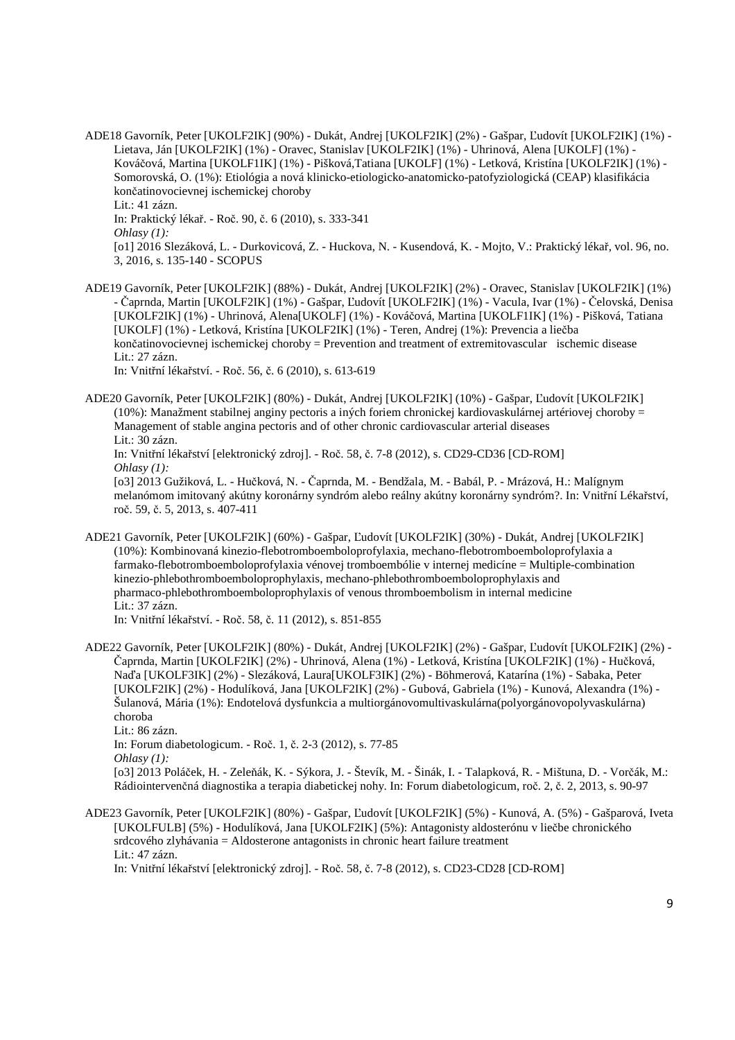ADE18 Gavorník, Peter [UKOLF2IK] (90%) - Dukát, Andrej [UKOLF2IK] (2%) - Gašpar, Ľudovít [UKOLF2IK] (1%) - Lietava, Ján [UKOLF2IK] (1%) - Oravec, Stanislav [UKOLF2IK] (1%) - Uhrinová, Alena [UKOLF] (1%) - Kováčová, Martina [UKOLF1IK] (1%) - Pišková,Tatiana [UKOLF] (1%) - Letková, Kristína [UKOLF2IK] (1%) - Somorovská, O. (1%): Etiológia a nová klinicko-etiologicko-anatomicko-patofyziologická (CEAP) klasifikácia končatinovocievnej ischemickej choroby Lit.: 41 zázn. In: Praktický lékař. - Roč. 90, č. 6 (2010), s. 333-341 *Ohlasy (1):* [o1] 2016 Slezáková, L. - Durkovicová, Z. - Huckova, N. - Kusendová, K. - Mojto, V.: Praktický lékař, vol. 96, no. 3, 2016, s. 135-140 - SCOPUS

ADE19 Gavorník, Peter [UKOLF2IK] (88%) - Dukát, Andrej [UKOLF2IK] (2%) - Oravec, Stanislav [UKOLF2IK] (1%) - Čaprnda, Martin [UKOLF2IK] (1%) - Gašpar, Ľudovít [UKOLF2IK] (1%) - Vacula, Ivar (1%) - Čelovská, Denisa [UKOLF2IK] (1%) - Uhrinová, Alena[UKOLF] (1%) - Kováčová, Martina [UKOLF1IK] (1%) - Pišková, Tatiana [UKOLF] (1%) - Letková, Kristína [UKOLF2IK] (1%) - Teren, Andrej (1%): Prevencia a liečba končatinovocievnej ischemickej choroby = Prevention and treatment of extremitovascular ischemic disease Lit $\cdot$  27 zázn.

In: Vnitřní lékařství. - Roč. 56, č. 6 (2010), s. 613-619

- ADE20 Gavorník, Peter [UKOLF2IK] (80%) Dukát, Andrej [UKOLF2IK] (10%) Gašpar, Ľudovít [UKOLF2IK] (10%): Manažment stabilnej anginy pectoris a iných foriem chronickej kardiovaskulárnej artériovej choroby = Management of stable angina pectoris and of other chronic cardiovascular arterial diseases Lit.: 30 zázn. In: Vnitřní lékařství [elektronický zdroj]. - Roč. 58, č. 7-8 (2012), s. CD29-CD36 [CD-ROM] *Ohlasy (1):* [o3] 2013 Gužiková, L. - Hučková, N. - Čaprnda, M. - Bendžala, M. - Babál, P. - Mrázová, H.: Malígnym melanómom imitovaný akútny koronárny syndróm alebo reálny akútny koronárny syndróm?. In: Vnitřní Lékařství, roč. 59, č. 5, 2013, s. 407-411
- ADE21 Gavorník, Peter [UKOLF2IK] (60%) Gašpar, Ľudovít [UKOLF2IK] (30%) Dukát, Andrej [UKOLF2IK] (10%): Kombinovaná kinezio-flebotromboemboloprofylaxia, mechano-flebotromboemboloprofylaxia a farmako-flebotromboemboloprofylaxia vénovej tromboembólie v internej medicíne = Multiple-combination kinezio-phlebothromboemboloprophylaxis, mechano-phlebothromboemboloprophylaxis and pharmaco-phlebothromboemboloprophylaxis of venous thromboembolism in internal medicine Lit.: 37 zázn.

In: Vnitřní lékařství. - Roč. 58, č. 11 (2012), s. 851-855

ADE22 Gavorník, Peter [UKOLF2IK] (80%) - Dukát, Andrej [UKOLF2IK] (2%) - Gašpar, Ľudovít [UKOLF2IK] (2%) - Čaprnda, Martin [UKOLF2IK] (2%) - Uhrinová, Alena (1%) - Letková, Kristína [UKOLF2IK] (1%) - Hučková, Naďa [UKOLF3IK] (2%) - Slezáková, Laura[UKOLF3IK] (2%) - Böhmerová, Katarína (1%) - Sabaka, Peter [UKOLF2IK] (2%) - Hodulíková, Jana [UKOLF2IK] (2%) - Gubová, Gabriela (1%) - Kunová, Alexandra (1%) - Šulanová, Mária (1%): Endotelová dysfunkcia a multiorgánovomultivaskulárna(polyorgánovopolyvaskulárna) choroba

Lit.: 86 zázn. In: Forum diabetologicum. - Roč. 1, č. 2-3 (2012), s. 77-85 *Ohlasy (1):*

[o3] 2013 Poláček, H. - Zeleňák, K. - Sýkora, J. - Števík, M. - Šinák, I. - Talapková, R. - Mištuna, D. - Vorčák, M.: Rádiointervenčná diagnostika a terapia diabetickej nohy. In: Forum diabetologicum, roč. 2, č. 2, 2013, s. 90-97

ADE23 Gavorník, Peter [UKOLF2IK] (80%) - Gašpar, Ľudovít [UKOLF2IK] (5%) - Kunová, A. (5%) - Gašparová, Iveta [UKOLFULB] (5%) - Hodulíková, Jana [UKOLF2IK] (5%): Antagonisty aldosterónu v liečbe chronického srdcového zlyhávania = Aldosterone antagonists in chronic heart failure treatment Lit.: 47 zázn.

In: Vnitřní lékařství [elektronický zdroj]. - Roč. 58, č. 7-8 (2012), s. CD23-CD28 [CD-ROM]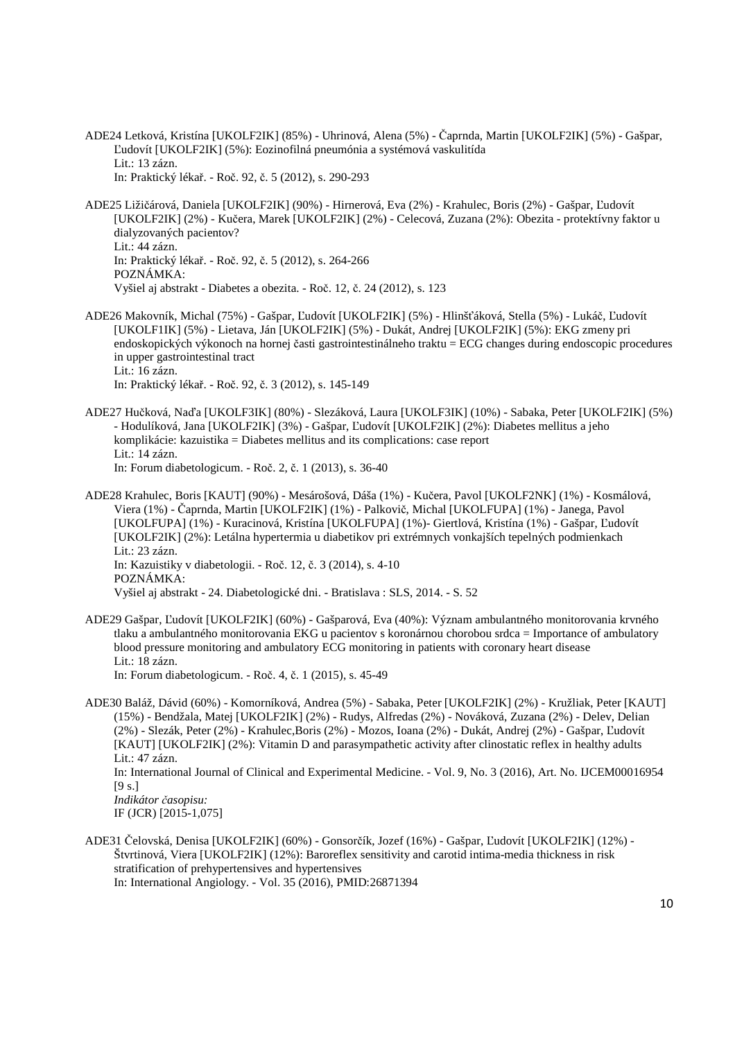ADE24 Letková, Kristína [UKOLF2IK] (85%) - Uhrinová, Alena (5%) - Čaprnda, Martin [UKOLF2IK] (5%) - Gašpar, Ľudovít [UKOLF2IK] (5%): Eozinofilná pneumónia a systémová vaskulitída Lit.: 13 zázn. In: Praktický lékař. - Roč. 92, č. 5 (2012), s. 290-293

ADE25 Ližičárová, Daniela [UKOLF2IK] (90%) - Hirnerová, Eva (2%) - Krahulec, Boris (2%) - Gašpar, Ľudovít [UKOLF2IK] (2%) - Kučera, Marek [UKOLF2IK] (2%) - Celecová, Zuzana (2%): Obezita - protektívny faktor u dialyzovaných pacientov? Lit.: 44 zázn. In: Praktický lékař. - Roč. 92, č. 5 (2012), s. 264-266 POZNÁMKA: Vyšiel aj abstrakt - Diabetes a obezita. - Roč. 12, č. 24 (2012), s. 123

ADE26 Makovník, Michal (75%) - Gašpar, Ľudovít [UKOLF2IK] (5%) - Hlinšťáková, Stella (5%) - Lukáč, Ľudovít [UKOLF1IK] (5%) - Lietava, Ján [UKOLF2IK] (5%) - Dukát, Andrej [UKOLF2IK] (5%): EKG zmeny pri endoskopických výkonoch na hornej časti gastrointestinálneho traktu = ECG changes during endoscopic procedures in upper gastrointestinal tract Lit.: 16 zázn.

In: Praktický lékař. - Roč. 92, č. 3 (2012), s. 145-149

ADE27 Hučková, Naďa [UKOLF3IK] (80%) - Slezáková, Laura [UKOLF3IK] (10%) - Sabaka, Peter [UKOLF2IK] (5%) - Hodulíková, Jana [UKOLF2IK] (3%) - Gašpar, Ľudovít [UKOLF2IK] (2%): Diabetes mellitus a jeho komplikácie: kazuistika = Diabetes mellitus and its complications: case report Lit.: 14 zázn. In: Forum diabetologicum. - Roč. 2, č. 1 (2013), s. 36-40

ADE28 Krahulec, Boris [KAUT] (90%) - Mesárošová, Dáša (1%) - Kučera, Pavol [UKOLF2NK] (1%) - Kosmálová, Viera (1%) - Čaprnda, Martin [UKOLF2IK] (1%) - Palkovič, Michal [UKOLFUPA] (1%) - Janega, Pavol [UKOLFUPA] (1%) - Kuracinová, Kristína [UKOLFUPA] (1%)- Giertlová, Kristína (1%) - Gašpar, Ľudovít [UKOLF2IK] (2%): Letálna hypertermia u diabetikov pri extrémnych vonkajších tepelných podmienkach Lit.: 23 zázn. In: Kazuistiky v diabetologii. - Roč. 12, č. 3 (2014), s. 4-10 POZNÁMKA: Vyšiel aj abstrakt - 24. Diabetologické dni. - Bratislava : SLS, 2014. - S. 52

ADE29 Gašpar, Ľudovít [UKOLF2IK] (60%) - Gašparová, Eva (40%): Význam ambulantného monitorovania krvného tlaku a ambulantného monitorovania EKG u pacientov s koronárnou chorobou srdca = Importance of ambulatory blood pressure monitoring and ambulatory ECG monitoring in patients with coronary heart disease Lit.: 18 zázn.

In: Forum diabetologicum. - Roč. 4, č. 1 (2015), s. 45-49

ADE30 Baláž, Dávid (60%) - Komorníková, Andrea (5%) - Sabaka, Peter [UKOLF2IK] (2%) - Kružliak, Peter [KAUT] (15%) - Bendžala, Matej [UKOLF2IK] (2%) - Rudys, Alfredas (2%) - Nováková, Zuzana (2%) - Delev, Delian (2%) - Slezák, Peter (2%) - Krahulec,Boris (2%) - Mozos, Ioana (2%) - Dukát, Andrej (2%) - Gašpar, Ľudovít [KAUT] [UKOLF2IK] (2%): Vitamin D and parasympathetic activity after clinostatic reflex in healthy adults Lit.: 47 zázn.

In: International Journal of Clinical and Experimental Medicine. - Vol. 9, No. 3 (2016), Art. No. IJCEM00016954 [9 s.]

*Indikátor časopisu:* IF (JCR) [2015-1,075]

ADE31 Čelovská, Denisa [UKOLF2IK] (60%) - Gonsorčík, Jozef (16%) - Gašpar, Ľudovít [UKOLF2IK] (12%) - Štvrtinová, Viera [UKOLF2IK] (12%): Baroreflex sensitivity and carotid intima-media thickness in risk stratification of prehypertensives and hypertensives In: International Angiology. - Vol. 35 (2016), PMID:26871394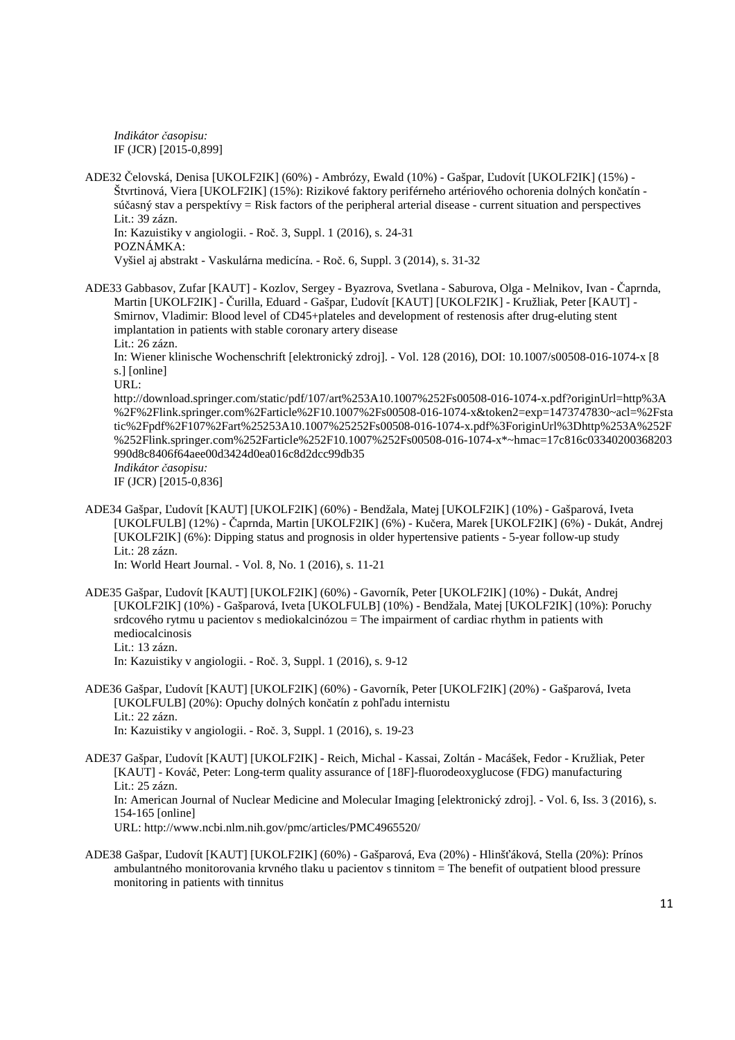*Indikátor časopisu:* IF (JCR) [2015-0,899]

ADE32 Čelovská, Denisa [UKOLF2IK] (60%) - Ambrózy, Ewald (10%) - Gašpar, Ľudovít [UKOLF2IK] (15%) - Štvrtinová, Viera [UKOLF2IK] (15%): Rizikové faktory periférneho artériového ochorenia dolných končatín súčasný stav a perspektívy = Risk factors of the peripheral arterial disease - current situation and perspectives Lit.: 39 zázn. In: Kazuistiky v angiologii. - Roč. 3, Suppl. 1 (2016), s. 24-31 POZNÁMKA: Vyšiel aj abstrakt - Vaskulárna medicína. - Roč. 6, Suppl. 3 (2014), s. 31-32

ADE33 Gabbasov, Zufar [KAUT] - Kozlov, Sergey - Byazrova, Svetlana - Saburova, Olga - Melnikov, Ivan - Čaprnda, Martin [UKOLF2IK] - Čurilla, Eduard - Gašpar, Ľudovít [KAUT] [UKOLF2IK] - Kružliak, Peter [KAUT] - Smirnov, Vladimir: Blood level of CD45+plateles and development of restenosis after drug-eluting stent implantation in patients with stable coronary artery disease Lit.: 26 zázn.

In: Wiener klinische Wochenschrift [elektronický zdroj]. - Vol. 128 (2016), DOI: 10.1007/s00508-016-1074-x [8 s.] [online]

URL:

http://download.springer.com/static/pdf/107/art%253A10.1007%252Fs00508-016-1074-x.pdf?originUrl=http%3A %2F%2Flink.springer.com%2Farticle%2F10.1007%2Fs00508-016-1074-x&token2=exp=1473747830~acl=%2Fsta tic%2Fpdf%2F107%2Fart%25253A10.1007%25252Fs00508-016-1074-x.pdf%3ForiginUrl%3Dhttp%253A%252F %252Flink.springer.com%252Farticle%252F10.1007%252Fs00508-016-1074-x\*~hmac=17c816c03340200368203 990d8c8406f64aee00d3424d0ea016c8d2dcc99db35 *Indikátor časopisu:* IF (JCR) [2015-0,836]

ADE34 Gašpar, Ľudovít [KAUT] [UKOLF2IK] (60%) - Bendžala, Matej [UKOLF2IK] (10%) - Gašparová, Iveta [UKOLFULB] (12%) - Čaprnda, Martin [UKOLF2IK] (6%) - Kučera, Marek [UKOLF2IK] (6%) - Dukát, Andrej [UKOLF2IK] (6%): Dipping status and prognosis in older hypertensive patients - 5-year follow-up study Lit.: 28 zázn.

In: World Heart Journal. - Vol. 8, No. 1 (2016), s. 11-21

ADE35 Gašpar, Ľudovít [KAUT] [UKOLF2IK] (60%) - Gavorník, Peter [UKOLF2IK] (10%) - Dukát, Andrej [UKOLF2IK] (10%) - Gašparová, Iveta [UKOLFULB] (10%) - Bendžala, Matej [UKOLF2IK] (10%): Poruchy srdcového rytmu u pacientov s mediokalcinózou = The impairment of cardiac rhythm in patients with mediocalcinosis Lit.: 13 zázn.

In: Kazuistiky v angiologii. - Roč. 3, Suppl. 1 (2016), s. 9-12

ADE36 Gašpar, Ľudovít [KAUT] [UKOLF2IK] (60%) - Gavorník, Peter [UKOLF2IK] (20%) - Gašparová, Iveta [UKOLFULB] (20%): Opuchy dolných končatín z pohľadu internistu Lit.: 22 zázn. In: Kazuistiky v angiologii. - Roč. 3, Suppl. 1 (2016), s. 19-23

ADE37 Gašpar, Ľudovít [KAUT] [UKOLF2IK] - Reich, Michal - Kassai, Zoltán - Macášek, Fedor - Kružliak, Peter [KAUT] - Kováč, Peter: Long-term quality assurance of [18F]-fluorodeoxyglucose (FDG) manufacturing Lit.: 25 zázn. In: American Journal of Nuclear Medicine and Molecular Imaging [elektronický zdroj]. - Vol. 6, Iss. 3 (2016), s. 154-165 [online]

URL: http://www.ncbi.nlm.nih.gov/pmc/articles/PMC4965520/

ADE38 Gašpar, Ľudovít [KAUT] [UKOLF2IK] (60%) - Gašparová, Eva (20%) - Hlinšťáková, Stella (20%): Prínos ambulantného monitorovania krvného tlaku u pacientov s tinnitom = The benefit of outpatient blood pressure monitoring in patients with tinnitus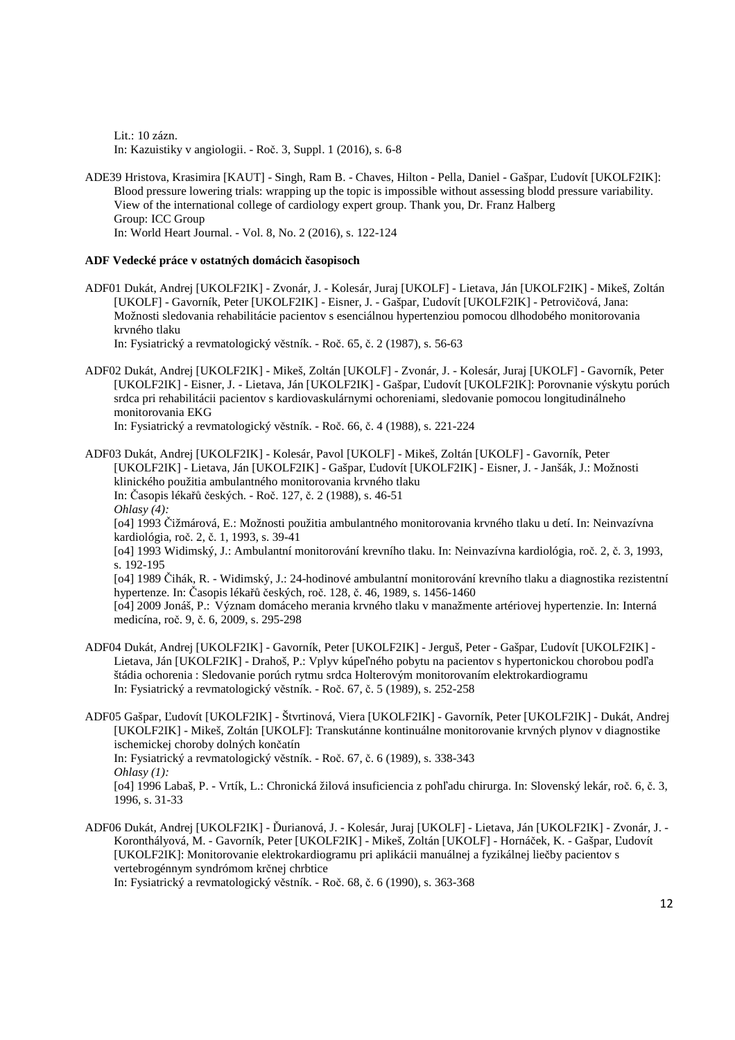Lit.: 10 zázn. In: Kazuistiky v angiologii. - Roč. 3, Suppl. 1 (2016), s. 6-8

ADE39 Hristova, Krasimira [KAUT] - Singh, Ram B. - Chaves, Hilton - Pella, Daniel - Gašpar, Ľudovít [UKOLF2IK]: Blood pressure lowering trials: wrapping up the topic is impossible without assessing blodd pressure variability. View of the international college of cardiology expert group. Thank you, Dr. Franz Halberg Group: ICC Group In: World Heart Journal. - Vol. 8, No. 2 (2016), s. 122-124

## **ADF Vedecké práce v ostatných domácich časopisoch**

ADF01 Dukát, Andrej [UKOLF2IK] - Zvonár, J. - Kolesár, Juraj [UKOLF] - Lietava, Ján [UKOLF2IK] - Mikeš, Zoltán [UKOLF] - Gavorník, Peter [UKOLF2IK] - Eisner, J. - Gašpar, Ľudovít [UKOLF2IK] - Petrovičová, Jana: Možnosti sledovania rehabilitácie pacientov s esenciálnou hypertenziou pomocou dlhodobého monitorovania krvného tlaku

In: Fysiatrický a revmatologický věstník. - Roč. 65, č. 2 (1987), s. 56-63

ADF02 Dukát, Andrej [UKOLF2IK] - Mikeš, Zoltán [UKOLF] - Zvonár, J. - Kolesár, Juraj [UKOLF] - Gavorník, Peter [UKOLF2IK] - Eisner, J. - Lietava, Ján [UKOLF2IK] - Gašpar, Ľudovít [UKOLF2IK]: Porovnanie výskytu porúch srdca pri rehabilitácii pacientov s kardiovaskulárnymi ochoreniami, sledovanie pomocou longitudinálneho monitorovania EKG

In: Fysiatrický a revmatologický věstník. - Roč. 66, č. 4 (1988), s. 221-224

ADF03 Dukát, Andrej [UKOLF2IK] - Kolesár, Pavol [UKOLF] - Mikeš, Zoltán [UKOLF] - Gavorník, Peter [UKOLF2IK] - Lietava, Ján [UKOLF2IK] - Gašpar, Ľudovít [UKOLF2IK] - Eisner, J. - Janšák, J.: Možnosti klinického použitia ambulantného monitorovania krvného tlaku In: Časopis lékařů českých. - Roč. 127, č. 2 (1988), s. 46-51 *Ohlasy (4):*

[o4] 1993 Čižmárová, E.: Možnosti použitia ambulantného monitorovania krvného tlaku u detí. In: Neinvazívna kardiológia, roč. 2, č. 1, 1993, s. 39-41

[o4] 1993 Widimský, J.: Ambulantní monitorování krevního tlaku. In: Neinvazívna kardiológia, roč. 2, č. 3, 1993, s. 192-195

[o4] 1989 Čihák, R. - Widimský, J.: 24-hodinové ambulantní monitorování krevního tlaku a diagnostika rezistentní hypertenze. In: Časopis lékařů českých, roč. 128, č. 46, 1989, s. 1456-1460

[o4] 2009 Jonáš, P.: Význam domáceho merania krvného tlaku v manažmente artériovej hypertenzie. In: Interná medicína, roč. 9, č. 6, 2009, s. 295-298

- ADF04 Dukát, Andrej [UKOLF2IK] Gavorník, Peter [UKOLF2IK] Jerguš, Peter Gašpar, Ľudovít [UKOLF2IK] Lietava, Ján [UKOLF2IK] - Drahoš, P.: Vplyv kúpeľného pobytu na pacientov s hypertonickou chorobou podľa štádia ochorenia : Sledovanie porúch rytmu srdca Holterovým monitorovaním elektrokardiogramu In: Fysiatrický a revmatologický věstník. - Roč. 67, č. 5 (1989), s. 252-258
- ADF05 Gašpar, Ľudovít [UKOLF2IK] Štvrtinová, Viera [UKOLF2IK] Gavorník, Peter [UKOLF2IK] Dukát, Andrej [UKOLF2IK] - Mikeš, Zoltán [UKOLF]: Transkutánne kontinuálne monitorovanie krvných plynov v diagnostike ischemickej choroby dolných končatín In: Fysiatrický a revmatologický věstník. - Roč. 67, č. 6 (1989), s. 338-343

*Ohlasy (1):*

[o4] 1996 Labaš, P. - Vrtík, L.: Chronická žilová insuficiencia z pohľadu chirurga. In: Slovenský lekár, roč. 6, č. 3, 1996, s. 31-33

ADF06 Dukát, Andrej [UKOLF2IK] - Ďurianová, J. - Kolesár, Juraj [UKOLF] - Lietava, Ján [UKOLF2IK] - Zvonár, J. - Koronthályová, M. - Gavorník, Peter [UKOLF2IK] - Mikeš, Zoltán [UKOLF] - Hornáček, K. - Gašpar, Ľudovít [UKOLF2IK]: Monitorovanie elektrokardiogramu pri aplikácii manuálnej a fyzikálnej liečby pacientov s vertebrogénnym syndrómom krčnej chrbtice In: Fysiatrický a revmatologický věstník. - Roč. 68, č. 6 (1990), s. 363-368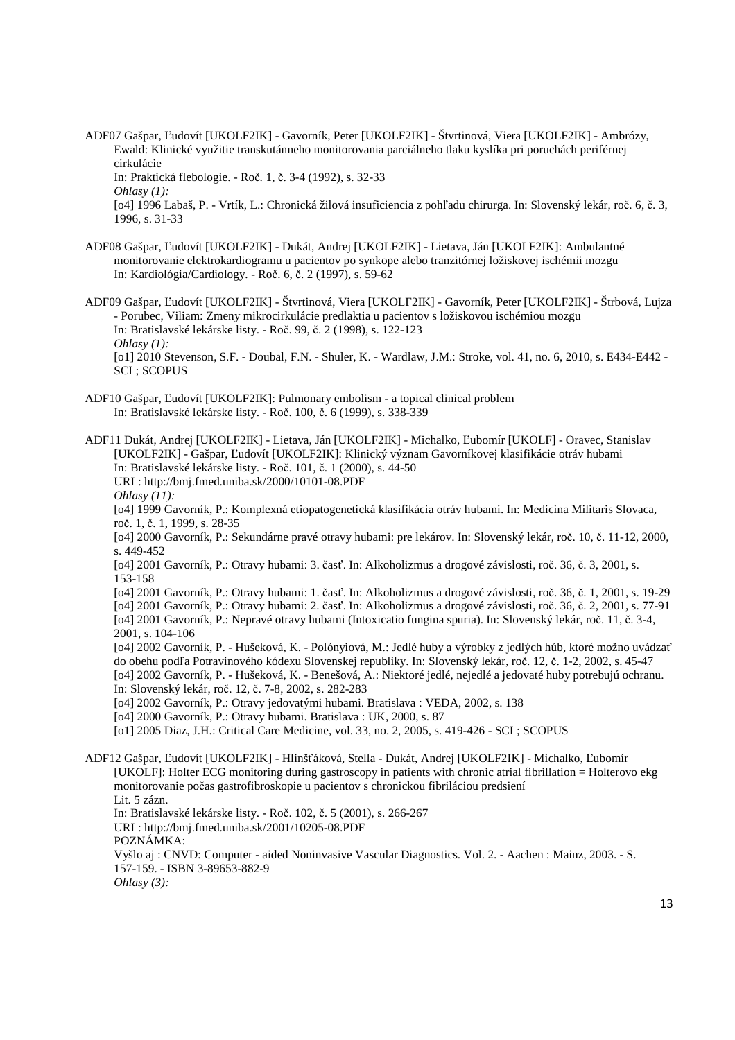ADF07 Gašpar, Ľudovít [UKOLF2IK] - Gavorník, Peter [UKOLF2IK] - Štvrtinová, Viera [UKOLF2IK] - Ambrózy, Ewald: Klinické využitie transkutánneho monitorovania parciálneho tlaku kyslíka pri poruchách periférnej cirkulácie In: Praktická flebologie. - Roč. 1, č. 3-4 (1992), s. 32-33 *Ohlasy (1):*

[o4] 1996 Labaš, P. - Vrtík, L.: Chronická žilová insuficiencia z pohľadu chirurga. In: Slovenský lekár, roč. 6, č. 3, 1996, s. 31-33

- ADF08 Gašpar, Ľudovít [UKOLF2IK] Dukát, Andrej [UKOLF2IK] Lietava, Ján [UKOLF2IK]: Ambulantné monitorovanie elektrokardiogramu u pacientov po synkope alebo tranzitórnej ložiskovej ischémii mozgu In: Kardiológia/Cardiology. - Roč. 6, č. 2 (1997), s. 59-62
- ADF09 Gašpar, Ľudovít [UKOLF2IK] Štvrtinová, Viera [UKOLF2IK] Gavorník, Peter [UKOLF2IK] Štrbová, Lujza - Porubec, Viliam: Zmeny mikrocirkulácie predlaktia u pacientov s ložiskovou ischémiou mozgu In: Bratislavské lekárske listy. - Roč. 99, č. 2 (1998), s. 122-123 *Ohlasy (1):* [o1] 2010 Stevenson, S.F. - Doubal, F.N. - Shuler, K. - Wardlaw, J.M.: Stroke, vol. 41, no. 6, 2010, s. E434-E442 - SCI ; SCOPUS
- ADF10 Gašpar, Ľudovít [UKOLF2IK]: Pulmonary embolism a topical clinical problem In: Bratislavské lekárske listy. - Roč. 100, č. 6 (1999), s. 338-339

ADF11 Dukát, Andrej [UKOLF2IK] - Lietava, Ján [UKOLF2IK] - Michalko, Ľubomír [UKOLF] - Oravec, Stanislav [UKOLF2IK] - Gašpar, Ľudovít [UKOLF2IK]: Klinický význam Gavorníkovej klasifikácie otráv hubami In: Bratislavské lekárske listy. - Roč. 101, č. 1 (2000), s. 44-50 URL: http://bmj.fmed.uniba.sk/2000/10101-08.PDF *Ohlasy (11):* [o4] 1999 Gavorník, P.: Komplexná etiopatogenetická klasifikácia otráv hubami. In: Medicina Militaris Slovaca, roč. 1, č. 1, 1999, s. 28-35 [o4] 2000 Gavorník, P.: Sekundárne pravé otravy hubami: pre lekárov. In: Slovenský lekár, roč. 10, č. 11-12, 2000, s. 449-452 [o4] 2001 Gavorník, P.: Otravy hubami: 3. časť. In: Alkoholizmus a drogové závislosti, roč. 36, č. 3, 2001, s. 153-158 [o4] 2001 Gavorník, P.: Otravy hubami: 1. časť. In: Alkoholizmus a drogové závislosti, roč. 36, č. 1, 2001, s. 19-29 [o4] 2001 Gavorník, P.: Otravy hubami: 2. časť. In: Alkoholizmus a drogové závislosti, roč. 36, č. 2, 2001, s. 77-91 [o4] 2001 Gavorník, P.: Nepravé otravy hubami (Intoxicatio fungina spuria). In: Slovenský lekár, roč. 11, č. 3-4, 2001, s. 104-106 [o4] 2002 Gavorník, P. - Hušeková, K. - Polónyiová, M.: Jedlé huby a výrobky z jedlých húb, ktoré možno uvádzať do obehu podľa Potravinového kódexu Slovenskej republiky. In: Slovenský lekár, roč. 12, č. 1-2, 2002, s. 45-47 [o4] 2002 Gavorník, P. - Hušeková, K. - Benešová, A.: Niektoré jedlé, nejedlé a jedovaté huby potrebujú ochranu. In: Slovenský lekár, roč. 12, č. 7-8, 2002, s. 282-283 [o4] 2002 Gavorník, P.: Otravy jedovatými hubami. Bratislava : VEDA, 2002, s. 138 [o4] 2000 Gavorník, P.: Otravy hubami. Bratislava : UK, 2000, s. 87 [o1] 2005 Diaz, J.H.: Critical Care Medicine, vol. 33, no. 2, 2005, s. 419-426 - SCI ; SCOPUS ADF12 Gašpar, Ľudovít [UKOLF2IK] - Hlinšťáková, Stella - Dukát, Andrej [UKOLF2IK] - Michalko, Ľubomír [UKOLF]: Holter ECG monitoring during gastroscopy in patients with chronic atrial fibrillation = Holterovo ekg monitorovanie počas gastrofibroskopie u pacientov s chronickou fibriláciou predsiení Lit. 5 zázn.

In: Bratislavské lekárske listy. - Roč. 102, č. 5 (2001), s. 266-267

URL: http://bmj.fmed.uniba.sk/2001/10205-08.PDF

POZNÁMKA:

Vyšlo aj : CNVD: Computer - aided Noninvasive Vascular Diagnostics. Vol. 2. - Aachen : Mainz, 2003. - S. 157-159. - ISBN 3-89653-882-9

*Ohlasy (3):*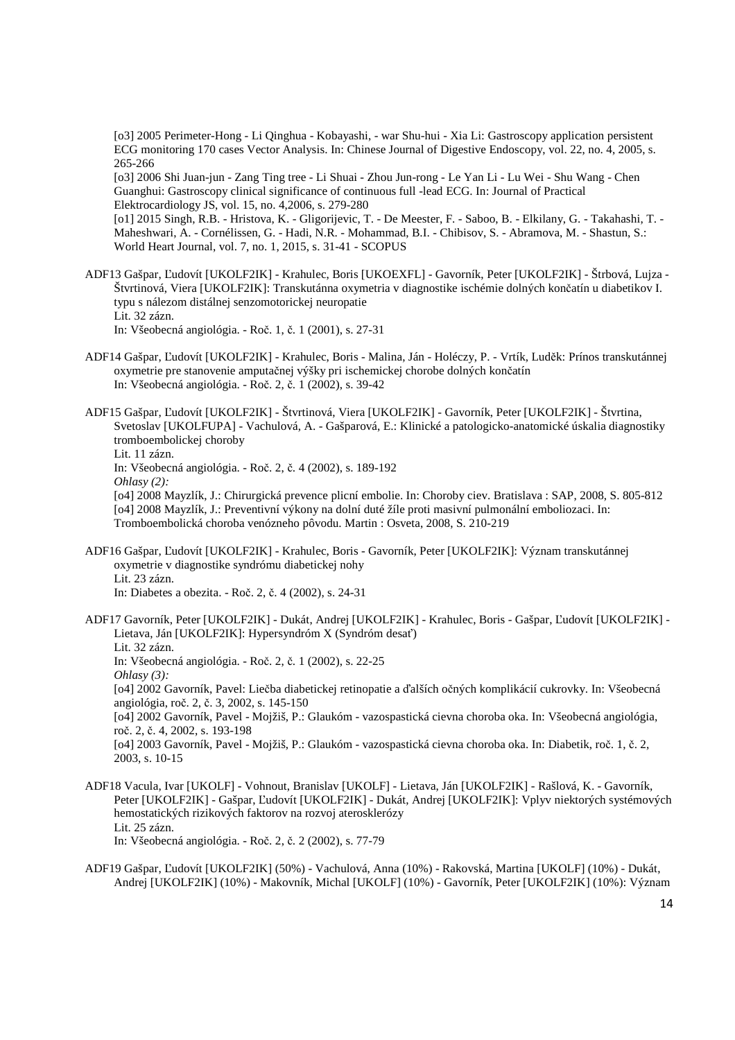[o3] 2005 Perimeter-Hong - Li Qinghua - Kobayashi, - war Shu-hui - Xia Li: Gastroscopy application persistent ECG monitoring 170 cases Vector Analysis. In: Chinese Journal of Digestive Endoscopy, vol. 22, no. 4, 2005, s. 265-266

[o3] 2006 Shi Juan-jun - Zang Ting tree - Li Shuai - Zhou Jun-rong - Le Yan Li - Lu Wei - Shu Wang - Chen Guanghui: Gastroscopy clinical significance of continuous full -lead ECG. In: Journal of Practical Elektrocardiology JS, vol. 15, no. 4,2006, s. 279-280

[o1] 2015 Singh, R.B. - Hristova, K. - Gligorijevic, T. - De Meester, F. - Saboo, B. - Elkilany, G. - Takahashi, T. - Maheshwari, A. - Cornélissen, G. - Hadi, N.R. - Mohammad, B.I. - Chibisov, S. - Abramova, M. - Shastun, S.: World Heart Journal, vol. 7, no. 1, 2015, s. 31-41 - SCOPUS

ADF13 Gašpar, Ľudovít [UKOLF2IK] - Krahulec, Boris [UKOEXFL] - Gavorník, Peter [UKOLF2IK] - Štrbová, Lujza - Štvrtinová, Viera [UKOLF2IK]: Transkutánna oxymetria v diagnostike ischémie dolných končatín u diabetikov I. typu s nálezom distálnej senzomotorickej neuropatie Lit. 32 zázn.

In: Všeobecná angiológia. - Roč. 1, č. 1 (2001), s. 27-31

- ADF14 Gašpar, Ľudovít [UKOLF2IK] Krahulec, Boris Malina, Ján Holéczy, P. Vrtík, Luděk: Prínos transkutánnej oxymetrie pre stanovenie amputačnej výšky pri ischemickej chorobe dolných končatín In: Všeobecná angiológia. - Roč. 2, č. 1 (2002), s. 39-42
- ADF15 Gašpar, Ľudovít [UKOLF2IK] Štvrtinová, Viera [UKOLF2IK] Gavorník, Peter [UKOLF2IK] Štvrtina, Svetoslav [UKOLFUPA] - Vachulová, A. - Gašparová, E.: Klinické a patologicko-anatomické úskalia diagnostiky tromboembolickej choroby

Lit. 11 zázn.

In: Všeobecná angiológia. - Roč. 2, č. 4 (2002), s. 189-192

*Ohlasy (2):*

[o4] 2008 Mayzlík, J.: Chirurgická prevence plicní embolie. In: Choroby ciev. Bratislava : SAP, 2008, S. 805-812 [o4] 2008 Mayzlík, J.: Preventivní výkony na dolní duté žíle proti masivní pulmonální emboliozaci. In: Tromboembolická choroba venózneho pôvodu. Martin : Osveta, 2008, S. 210-219

ADF16 Gašpar, Ľudovít [UKOLF2IK] - Krahulec, Boris - Gavorník, Peter [UKOLF2IK]: Význam transkutánnej oxymetrie v diagnostike syndrómu diabetickej nohy Lit. 23 zázn.

In: Diabetes a obezita. - Roč. 2, č. 4 (2002), s. 24-31

- ADF17 Gavorník, Peter [UKOLF2IK] Dukát, Andrej [UKOLF2IK] Krahulec, Boris Gašpar, Ľudovít [UKOLF2IK] Lietava, Ján [UKOLF2IK]: Hypersyndróm X (Syndróm desať) Lit. 32 zázn. In: Všeobecná angiológia. - Roč. 2, č. 1 (2002), s. 22-25 *Ohlasy (3):* [o4] 2002 Gavorník, Pavel: Liečba diabetickej retinopatie a ďalších očných komplikácií cukrovky. In: Všeobecná angiológia, roč. 2, č. 3, 2002, s. 145-150 [o4] 2002 Gavorník, Pavel - Mojžiš, P.: Glaukóm - vazospastická cievna choroba oka. In: Všeobecná angiológia, roč. 2, č. 4, 2002, s. 193-198 [o4] 2003 Gavorník, Pavel - Mojžiš, P.: Glaukóm - vazospastická cievna choroba oka. In: Diabetik, roč. 1, č. 2, 2003, s. 10-15
- ADF18 Vacula, Ivar [UKOLF] Vohnout, Branislav [UKOLF] Lietava, Ján [UKOLF2IK] Rašlová, K. Gavorník, Peter [UKOLF2IK] - Gašpar, Ľudovít [UKOLF2IK] - Dukát, Andrej [UKOLF2IK]: Vplyv niektorých systémových hemostatických rizikových faktorov na rozvoj aterosklerózy Lit. 25 zázn. In: Všeobecná angiológia. - Roč. 2, č. 2 (2002), s. 77-79
- ADF19 Gašpar, Ľudovít [UKOLF2IK] (50%) Vachulová, Anna (10%) Rakovská, Martina [UKOLF] (10%) Dukát, Andrej [UKOLF2IK] (10%) - Makovník, Michal [UKOLF] (10%) - Gavorník, Peter [UKOLF2IK] (10%): Význam

14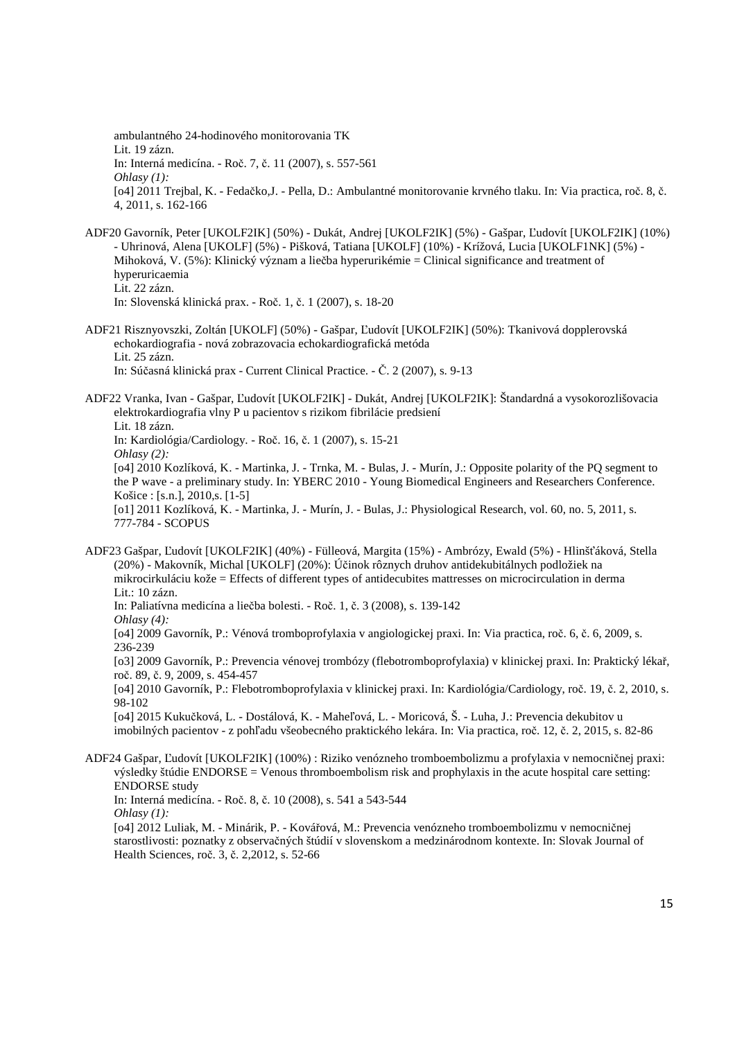ambulantného 24-hodinového monitorovania TK Lit. 19 zázn. In: Interná medicína. - Roč. 7, č. 11 (2007), s. 557-561 *Ohlasy (1):* [o4] 2011 Trejbal, K. - Fedačko,J. - Pella, D.: Ambulantné monitorovanie krvného tlaku. In: Via practica, roč. 8, č. 4, 2011, s. 162-166

- ADF20 Gavorník, Peter [UKOLF2IK] (50%) Dukát, Andrej [UKOLF2IK] (5%) Gašpar, Ľudovít [UKOLF2IK] (10%) - Uhrinová, Alena [UKOLF] (5%) - Pišková, Tatiana [UKOLF] (10%) - Krížová, Lucia [UKOLF1NK] (5%) - Mihoková, V. (5%): Klinický význam a liečba hyperurikémie = Clinical significance and treatment of hyperuricaemia Lit. 22 zázn. In: Slovenská klinická prax. - Roč. 1, č. 1 (2007), s. 18-20
- ADF21 Risznyovszki, Zoltán [UKOLF] (50%) Gašpar, Ľudovít [UKOLF2IK] (50%): Tkanivová dopplerovská echokardiografia - nová zobrazovacia echokardiografická metóda Lit. 25 zázn. In: Súčasná klinická prax - Current Clinical Practice. - Č. 2 (2007), s. 9-13
- ADF22 Vranka, Ivan Gašpar, Ľudovít [UKOLF2IK] Dukát, Andrej [UKOLF2IK]: Štandardná a vysokorozlišovacia elektrokardiografia vlny P u pacientov s rizikom fibrilácie predsiení Lit. 18 zázn. In: Kardiológia/Cardiology. - Roč. 16, č. 1 (2007), s. 15-21 *Ohlasy (2):* [o4] 2010 Kozlíková, K. - Martinka, J. - Trnka, M. - Bulas, J. - Murín, J.: Opposite polarity of the PQ segment to

the P wave - a preliminary study. In: YBERC 2010 - Young Biomedical Engineers and Researchers Conference. Košice : [s.n.], 2010,s. [1-5]

- [o1] 2011 Kozlíková, K. Martinka, J. Murín, J. Bulas, J.: Physiological Research, vol. 60, no. 5, 2011, s. 777-784 - SCOPUS
- ADF23 Gašpar, Ľudovít [UKOLF2IK] (40%) Fülleová, Margita (15%) Ambrózy, Ewald (5%) Hlinšťáková, Stella (20%) - Makovník, Michal [UKOLF] (20%): Účinok rôznych druhov antidekubitálnych podložiek na mikrocirkuláciu kože = Effects of different types of antidecubites mattresses on microcirculation in derma Lit.: 10 zázn.
	- In: Paliatívna medicína a liečba bolesti. Roč. 1, č. 3 (2008), s. 139-142
	- *Ohlasy (4):*

[o4] 2009 Gavorník, P.: Vénová tromboprofylaxia v angiologickej praxi. In: Via practica, roč. 6, č. 6, 2009, s. 236-239

[o3] 2009 Gavorník, P.: Prevencia vénovej trombózy (flebotromboprofylaxia) v klinickej praxi. In: Praktický lékař, roč. 89, č. 9, 2009, s. 454-457

[o4] 2010 Gavorník, P.: Flebotromboprofylaxia v klinickej praxi. In: Kardiológia/Cardiology, roč. 19, č. 2, 2010, s. 98-102

[o4] 2015 Kukučková, L. - Dostálová, K. - Maheľová, L. - Moricová, Š. - Luha, J.: Prevencia dekubitov u imobilných pacientov - z pohľadu všeobecného praktického lekára. In: Via practica, roč. 12, č. 2, 2015, s. 82-86

ADF24 Gašpar, Ľudovít [UKOLF2IK] (100%) : Riziko venózneho tromboembolizmu a profylaxia v nemocničnej praxi: výsledky štúdie ENDORSE = Venous thromboembolism risk and prophylaxis in the acute hospital care setting: ENDORSE study In: Interná medicína. - Roč. 8, č. 10 (2008), s. 541 a 543-544

*Ohlasy (1):*

[o4] 2012 Luliak, M. - Minárik, P. - Kovářová, M.: Prevencia venózneho tromboembolizmu v nemocničnej starostlivosti: poznatky z observačných štúdií v slovenskom a medzinárodnom kontexte. In: Slovak Journal of Health Sciences, roč. 3, č. 2,2012, s. 52-66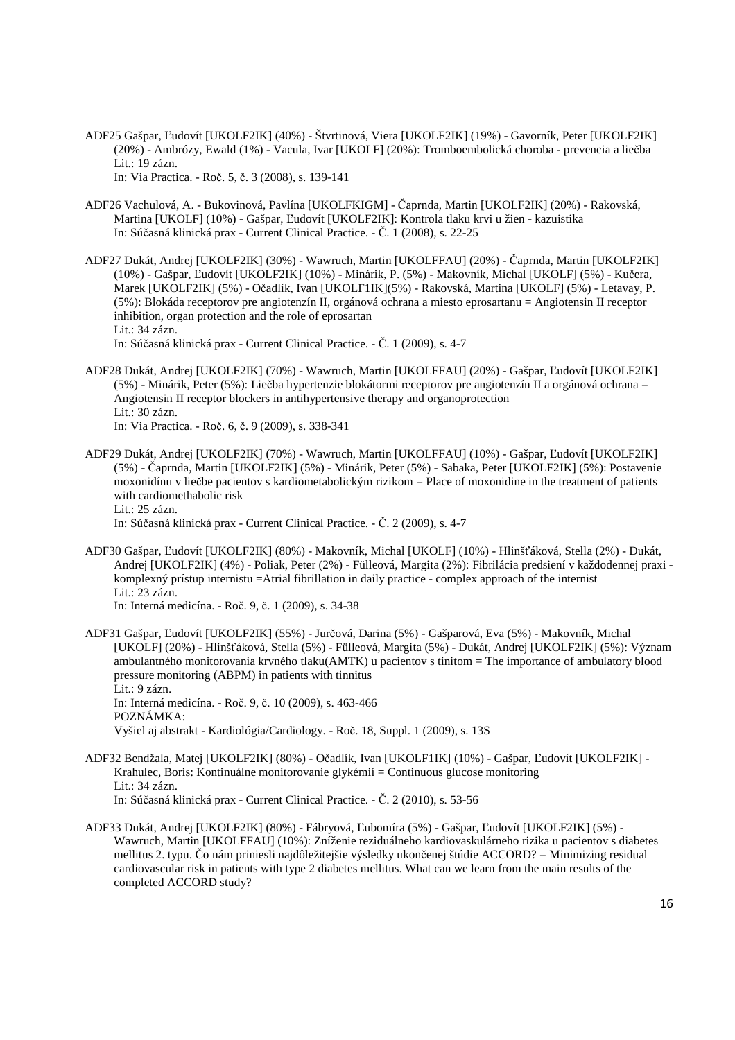ADF25 Gašpar, Ľudovít [UKOLF2IK] (40%) - Štvrtinová, Viera [UKOLF2IK] (19%) - Gavorník, Peter [UKOLF2IK] (20%) - Ambrózy, Ewald (1%) - Vacula, Ivar [UKOLF] (20%): Tromboembolická choroba - prevencia a liečba Lit.: 19 zázn.

In: Via Practica. - Roč. 5, č. 3 (2008), s. 139-141

- ADF26 Vachulová, A. Bukovinová, Pavlína [UKOLFKIGM] Čaprnda, Martin [UKOLF2IK] (20%) Rakovská, Martina [UKOLF] (10%) - Gašpar, Ľudovít [UKOLF2IK]: Kontrola tlaku krvi u žien - kazuistika In: Súčasná klinická prax - Current Clinical Practice. - Č. 1 (2008), s. 22-25
- ADF27 Dukát, Andrej [UKOLF2IK] (30%) Wawruch, Martin [UKOLFFAU] (20%) Čaprnda, Martin [UKOLF2IK] (10%) - Gašpar, Ľudovít [UKOLF2IK] (10%) - Minárik, P. (5%) - Makovník, Michal [UKOLF] (5%) - Kučera, Marek [UKOLF2IK] (5%) - Očadlík, Ivan [UKOLF1IK](5%) - Rakovská, Martina [UKOLF] (5%) - Letavay, P. (5%): Blokáda receptorov pre angiotenzín II, orgánová ochrana a miesto eprosartanu = Angiotensin II receptor inhibition, organ protection and the role of eprosartan Lit.: 34 zázn.

In: Súčasná klinická prax - Current Clinical Practice. - Č. 1 (2009), s. 4-7

- ADF28 Dukát, Andrej [UKOLF2IK] (70%) Wawruch, Martin [UKOLFFAU] (20%) Gašpar, Ľudovít [UKOLF2IK] (5%) - Minárik, Peter (5%): Liečba hypertenzie blokátormi receptorov pre angiotenzín II a orgánová ochrana = Angiotensin II receptor blockers in antihypertensive therapy and organoprotection Lit.: 30 zázn. In: Via Practica. - Roč. 6, č. 9 (2009), s. 338-341
- ADF29 Dukát, Andrej [UKOLF2IK] (70%) Wawruch, Martin [UKOLFFAU] (10%) Gašpar, Ľudovít [UKOLF2IK] (5%) - Čaprnda, Martin [UKOLF2IK] (5%) - Minárik, Peter (5%) - Sabaka, Peter [UKOLF2IK] (5%): Postavenie moxonidínu v liečbe pacientov s kardiometabolickým rizikom = Place of moxonidine in the treatment of patients with cardiomethabolic risk Lit.: 25 zázn.

In: Súčasná klinická prax - Current Clinical Practice. - Č. 2 (2009), s. 4-7

ADF30 Gašpar, Ľudovít [UKOLF2IK] (80%) - Makovník, Michal [UKOLF] (10%) - Hlinšťáková, Stella (2%) - Dukát, Andrej [UKOLF2IK] (4%) - Poliak, Peter (2%) - Fülleová, Margita (2%): Fibrilácia predsiení v každodennej praxi komplexný prístup internistu =Atrial fibrillation in daily practice - complex approach of the internist Lit.: 23 zázn. In: Interná medicína. - Roč. 9, č. 1 (2009), s. 34-38

ADF31 Gašpar, Ľudovít [UKOLF2IK] (55%) - Jurčová, Darina (5%) - Gašparová, Eva (5%) - Makovník, Michal [UKOLF] (20%) - Hlinšťáková, Stella (5%) - Fülleová, Margita (5%) - Dukát, Andrej [UKOLF2IK] (5%): Význam ambulantného monitorovania krvného tlaku(AMTK) u pacientov s tinitom = The importance of ambulatory blood

pressure monitoring (ABPM) in patients with tinnitus Lit.: 9 zázn. In: Interná medicína. - Roč. 9, č. 10 (2009), s. 463-466 POZNÁMKA: Vyšiel aj abstrakt - Kardiológia/Cardiology. - Roč. 18, Suppl. 1 (2009), s. 13S

- ADF32 Bendžala, Matej [UKOLF2IK] (80%) Očadlík, Ivan [UKOLF1IK] (10%) Gašpar, Ľudovít [UKOLF2IK] Krahulec, Boris: Kontinuálne monitorovanie glykémií = Continuous glucose monitoring Lit.: 34 zázn. In: Súčasná klinická prax - Current Clinical Practice. - Č. 2 (2010), s. 53-56
- ADF33 Dukát, Andrej [UKOLF2IK] (80%) Fábryová, Ľubomíra (5%) Gašpar, Ľudovít [UKOLF2IK] (5%) Wawruch, Martin [UKOLFFAU] (10%): Zníženie reziduálneho kardiovaskulárneho rizika u pacientov s diabetes mellitus 2. typu. Čo nám priniesli najdôležitejšie výsledky ukončenej štúdie ACCORD? = Minimizing residual cardiovascular risk in patients with type 2 diabetes mellitus. What can we learn from the main results of the completed ACCORD study?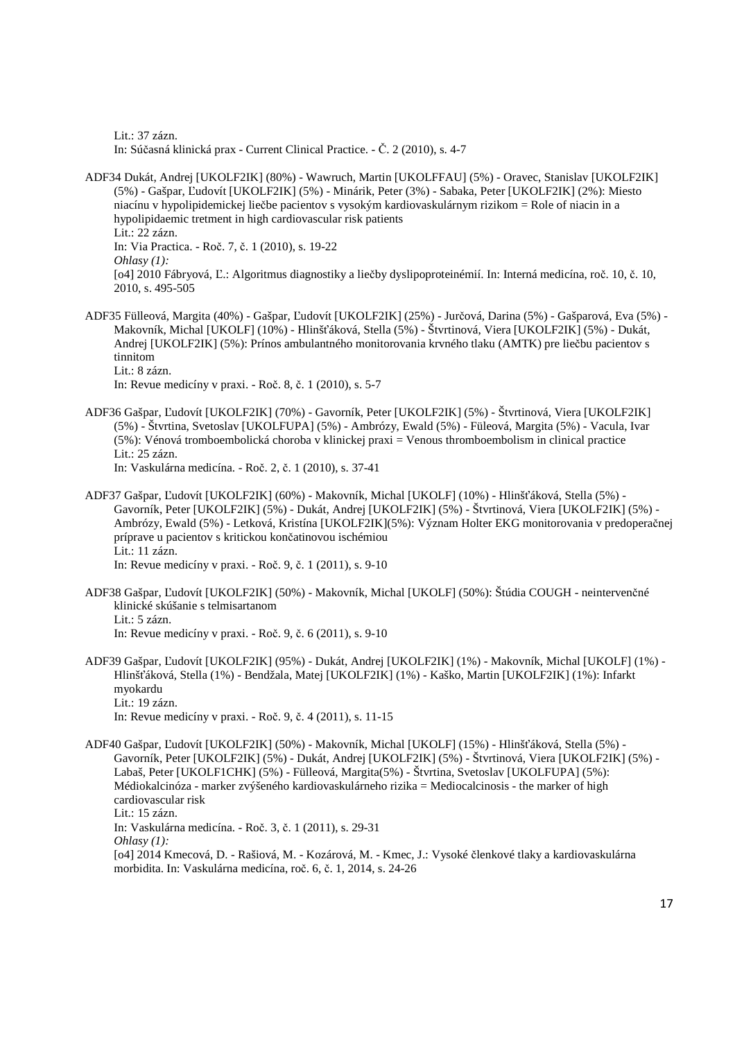Lit.: 37 zázn. In: Súčasná klinická prax - Current Clinical Practice. - Č. 2 (2010), s. 4-7

- ADF34 Dukát, Andrej [UKOLF2IK] (80%) Wawruch, Martin [UKOLFFAU] (5%) Oravec, Stanislav [UKOLF2IK] (5%) - Gašpar, Ľudovít [UKOLF2IK] (5%) - Minárik, Peter (3%) - Sabaka, Peter [UKOLF2IK] (2%): Miesto niacínu v hypolipidemickej liečbe pacientov s vysokým kardiovaskulárnym rizikom = Role of niacin in a hypolipidaemic tretment in high cardiovascular risk patients Lit.: 22 zázn. In: Via Practica. - Roč. 7, č. 1 (2010), s. 19-22 *Ohlasy (1):* [o4] 2010 Fábryová, Ľ.: Algoritmus diagnostiky a liečby dyslipoproteinémií. In: Interná medicína, roč. 10, č. 10, 2010, s. 495-505
- ADF35 Fülleová, Margita (40%) Gašpar, Ľudovít [UKOLF2IK] (25%) Jurčová, Darina (5%) Gašparová, Eva (5%) Makovník, Michal [UKOLF] (10%) - Hlinšťáková, Stella (5%) - Štvrtinová, Viera [UKOLF2IK] (5%) - Dukát, Andrej [UKOLF2IK] (5%): Prínos ambulantného monitorovania krvného tlaku (AMTK) pre liečbu pacientov s tinnitom Lit.: 8 zázn.

In: Revue medicíny v praxi. - Roč. 8, č. 1 (2010), s. 5-7

- ADF36 Gašpar, Ľudovít [UKOLF2IK] (70%) Gavorník, Peter [UKOLF2IK] (5%) Štvrtinová, Viera [UKOLF2IK] (5%) - Štvrtina, Svetoslav [UKOLFUPA] (5%) - Ambrózy, Ewald (5%) - Füleová, Margita (5%) - Vacula, Ivar (5%): Vénová tromboembolická choroba v klinickej praxi = Venous thromboembolism in clinical practice Lit.: 25 zázn. In: Vaskulárna medicína. - Roč. 2, č. 1 (2010), s. 37-41
- ADF37 Gašpar, Ľudovít [UKOLF2IK] (60%) Makovník, Michal [UKOLF] (10%) Hlinšťáková, Stella (5%) Gavorník, Peter [UKOLF2IK] (5%) - Dukát, Andrej [UKOLF2IK] (5%) - Štvrtinová, Viera [UKOLF2IK] (5%) - Ambrózy, Ewald (5%) - Letková, Kristína [UKOLF2IK](5%): Význam Holter EKG monitorovania v predoperačnej príprave u pacientov s kritickou končatinovou ischémiou Lit.: 11 zázn.

In: Revue medicíny v praxi. - Roč. 9, č. 1 (2011), s. 9-10

- ADF38 Gašpar, Ľudovít [UKOLF2IK] (50%) Makovník, Michal [UKOLF] (50%): Štúdia COUGH neintervenčné klinické skúšanie s telmisartanom Lit.: 5 zázn. In: Revue medicíny v praxi. - Roč. 9, č. 6 (2011), s. 9-10
- ADF39 Gašpar, Ľudovít [UKOLF2IK] (95%) Dukát, Andrej [UKOLF2IK] (1%) Makovník, Michal [UKOLF] (1%) Hlinšťáková, Stella (1%) - Bendžala, Matej [UKOLF2IK] (1%) - Kaško, Martin [UKOLF2IK] (1%): Infarkt myokardu Lit.: 19 zázn.

In: Revue medicíny v praxi. - Roč. 9, č. 4 (2011), s. 11-15

ADF40 Gašpar, Ľudovít [UKOLF2IK] (50%) - Makovník, Michal [UKOLF] (15%) - Hlinšťáková, Stella (5%) - Gavorník, Peter [UKOLF2IK] (5%) - Dukát, Andrej [UKOLF2IK] (5%) - Štvrtinová, Viera [UKOLF2IK] (5%) - Labaš, Peter [UKOLF1CHK] (5%) - Fülleová, Margita(5%) - Štvrtina, Svetoslav [UKOLFUPA] (5%): Médiokalcinóza - marker zvýšeného kardiovaskulárneho rizika = Mediocalcinosis - the marker of high cardiovascular risk Lit.: 15 zázn. In: Vaskulárna medicína. - Roč. 3, č. 1 (2011), s. 29-31 *Ohlasy (1):* [o4] 2014 Kmecová, D. - Rašiová, M. - Kozárová, M. - Kmec, J.: Vysoké členkové tlaky a kardiovaskulárna

morbidita. In: Vaskulárna medicína, roč. 6, č. 1, 2014, s. 24-26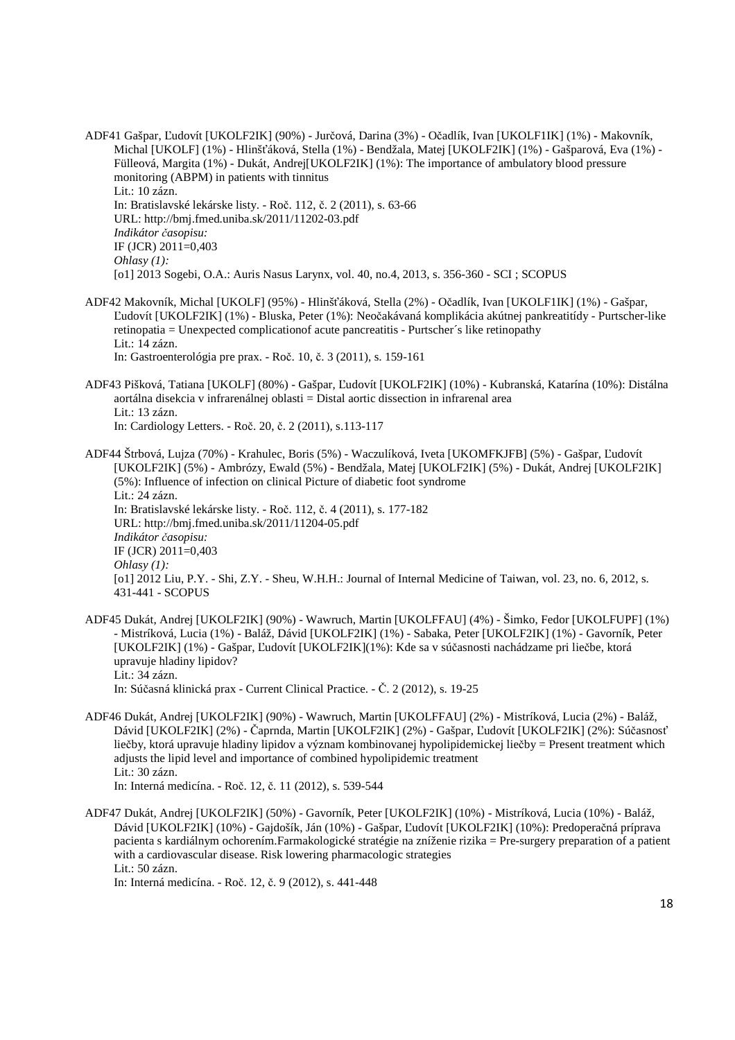ADF41 Gašpar, Ľudovít [UKOLF2IK] (90%) - Jurčová, Darina (3%) - Očadlík, Ivan [UKOLF1IK] (1%) - Makovník, Michal [UKOLF] (1%) - Hlinšťáková, Stella (1%) - Bendžala, Matej [UKOLF2IK] (1%) - Gašparová, Eva (1%) - Fülleová, Margita (1%) - Dukát, Andrej[UKOLF2IK] (1%): The importance of ambulatory blood pressure monitoring (ABPM) in patients with tinnitus Lit.: 10 zázn. In: Bratislavské lekárske listy. - Roč. 112, č. 2 (2011), s. 63-66 URL: http://bmj.fmed.uniba.sk/2011/11202-03.pdf *Indikátor časopisu:* IF (JCR) 2011=0,403 *Ohlasy (1):* [o1] 2013 Sogebi, O.A.: Auris Nasus Larynx, vol. 40, no.4, 2013, s. 356-360 - SCI ; SCOPUS

- ADF42 Makovník, Michal [UKOLF] (95%) Hlinšťáková, Stella (2%) Očadlík, Ivan [UKOLF1IK] (1%) Gašpar, Ľudovít [UKOLF2IK] (1%) - Bluska, Peter (1%): Neočakávaná komplikácia akútnej pankreatitídy - Purtscher-like retinopatia = Unexpected complicationof acute pancreatitis - Purtscher´s like retinopathy Lit.: 14 zázn. In: Gastroenterológia pre prax. - Roč. 10, č. 3 (2011), s. 159-161
- ADF43 Pišková, Tatiana [UKOLF] (80%) Gašpar, Ľudovít [UKOLF2IK] (10%) Kubranská, Katarína (10%): Distálna aortálna disekcia v infrarenálnej oblasti = Distal aortic dissection in infrarenal area Lit.: 13 zázn. In: Cardiology Letters. - Roč. 20, č. 2 (2011), s.113-117
- ADF44 Štrbová, Lujza (70%) Krahulec, Boris (5%) Waczulíková, Iveta [UKOMFKJFB] (5%) Gašpar, Ľudovít [UKOLF2IK] (5%) - Ambrózy, Ewald (5%) - Bendžala, Matej [UKOLF2IK] (5%) - Dukát, Andrej [UKOLF2IK] (5%): Influence of infection on clinical Picture of diabetic foot syndrome Lit.: 24 zázn. In: Bratislavské lekárske listy. - Roč. 112, č. 4 (2011), s. 177-182 URL: http://bmj.fmed.uniba.sk/2011/11204-05.pdf *Indikátor časopisu:*  IF (JCR) 2011=0,403 *Ohlasy (1):* [o1] 2012 Liu, P.Y. - Shi, Z.Y. - Sheu, W.H.H.: Journal of Internal Medicine of Taiwan, vol. 23, no. 6, 2012, s. 431-441 - SCOPUS
- ADF45 Dukát, Andrej [UKOLF2IK] (90%) Wawruch, Martin [UKOLFFAU] (4%) Šimko, Fedor [UKOLFUPF] (1%) - Mistríková, Lucia (1%) - Baláž, Dávid [UKOLF2IK] (1%) - Sabaka, Peter [UKOLF2IK] (1%) - Gavorník, Peter [UKOLF2IK] (1%) - Gašpar, Ľudovít [UKOLF2IK](1%): Kde sa v súčasnosti nachádzame pri liečbe, ktorá upravuje hladiny lipidov? Lit.: 34 zázn. In: Súčasná klinická prax - Current Clinical Practice. - Č. 2 (2012), s. 19-25
- ADF46 Dukát, Andrej [UKOLF2IK] (90%) Wawruch, Martin [UKOLFFAU] (2%) Mistríková, Lucia (2%) Baláž, Dávid [UKOLF2IK] (2%) - Čaprnda, Martin [UKOLF2IK] (2%) - Gašpar, Ľudovít [UKOLF2IK] (2%): Súčasnosť liečby, ktorá upravuje hladiny lipidov a význam kombinovanej hypolipidemickej liečby = Present treatment which adjusts the lipid level and importance of combined hypolipidemic treatment Lit.: 30 zázn. In: Interná medicína. - Roč. 12, č. 11 (2012), s. 539-544
- ADF47 Dukát, Andrej [UKOLF2IK] (50%) Gavorník, Peter [UKOLF2IK] (10%) Mistríková, Lucia (10%) Baláž, Dávid [UKOLF2IK] (10%) - Gajdošík, Ján (10%) - Gašpar, Ľudovít [UKOLF2IK] (10%): Predoperačná príprava pacienta s kardiálnym ochorením.Farmakologické stratégie na zníženie rizika = Pre-surgery preparation of a patient with a cardiovascular disease. Risk lowering pharmacologic strategies Lit.: 50 zázn. In: Interná medicína. - Roč. 12, č. 9 (2012), s. 441-448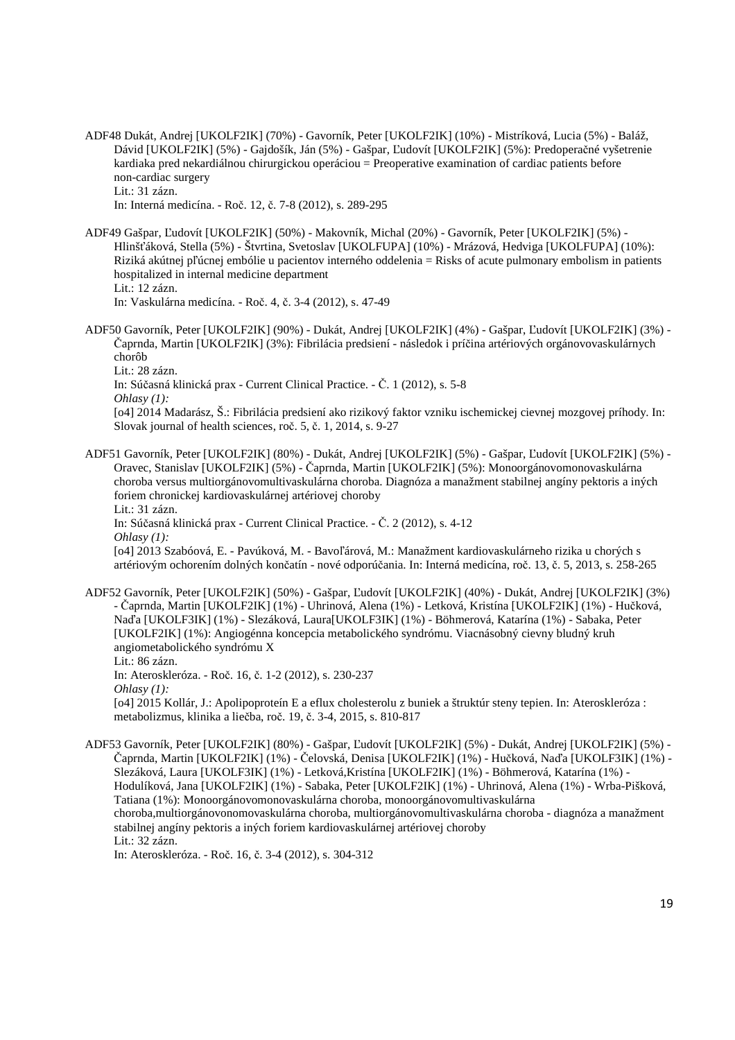ADF48 Dukát, Andrej [UKOLF2IK] (70%) - Gavorník, Peter [UKOLF2IK] (10%) - Mistríková, Lucia (5%) - Baláž, Dávid [UKOLF2IK] (5%) - Gajdošík, Ján (5%) - Gašpar, Ľudovít [UKOLF2IK] (5%): Predoperačné vyšetrenie kardiaka pred nekardiálnou chirurgickou operáciou = Preoperative examination of cardiac patients before non-cardiac surgery Lit.: 31 zázn.

In: Interná medicína. - Roč. 12, č. 7-8 (2012), s. 289-295

ADF49 Gašpar, Ľudovít [UKOLF2IK] (50%) - Makovník, Michal (20%) - Gavorník, Peter [UKOLF2IK] (5%) - Hlinšťáková, Stella (5%) - Štvrtina, Svetoslav [UKOLFUPA] (10%) - Mrázová, Hedviga [UKOLFUPA] (10%): Riziká akútnej pľúcnej embólie u pacientov interného oddelenia = Risks of acute pulmonary embolism in patients hospitalized in internal medicine department Lit.: 12 zázn.

In: Vaskulárna medicína. - Roč. 4, č. 3-4 (2012), s. 47-49

ADF50 Gavorník, Peter [UKOLF2IK] (90%) - Dukát, Andrej [UKOLF2IK] (4%) - Gašpar, Ľudovít [UKOLF2IK] (3%) - Čaprnda, Martin [UKOLF2IK] (3%): Fibrilácia predsiení - následok i príčina artériových orgánovovaskulárnych chorôb Lit.: 28 zázn.

In: Súčasná klinická prax - Current Clinical Practice. - Č. 1 (2012), s. 5-8 *Ohlasy (1):*

[o4] 2014 Madarász, Š.: Fibrilácia predsiení ako rizikový faktor vzniku ischemickej cievnej mozgovej príhody. In: Slovak journal of health sciences, roč. 5, č. 1, 2014, s. 9-27

ADF51 Gavorník, Peter [UKOLF2IK] (80%) - Dukát, Andrej [UKOLF2IK] (5%) - Gašpar, Ľudovít [UKOLF2IK] (5%) - Oravec, Stanislav [UKOLF2IK] (5%) - Čaprnda, Martin [UKOLF2IK] (5%): Monoorgánovomonovaskulárna choroba versus multiorgánovomultivaskulárna choroba. Diagnóza a manažment stabilnej angíny pektoris a iných foriem chronickej kardiovaskulárnej artériovej choroby Lit.: 31 zázn. In: Súčasná klinická prax - Current Clinical Practice. - Č. 2 (2012), s. 4-12 *Ohlasy (1):* [o4] 2013 Szabóová, E. - Pavúková, M. - Bavoľárová, M.: Manažment kardiovaskulárneho rizika u chorých s artériovým ochorením dolných končatín - nové odporúčania. In: Interná medicína, roč. 13, č. 5, 2013, s. 258-265

ADF52 Gavorník, Peter [UKOLF2IK] (50%) - Gašpar, Ľudovít [UKOLF2IK] (40%) - Dukát, Andrej [UKOLF2IK] (3%) - Čaprnda, Martin [UKOLF2IK] (1%) - Uhrinová, Alena (1%) - Letková, Kristína [UKOLF2IK] (1%) - Hučková, Naďa [UKOLF3IK] (1%) - Slezáková, Laura[UKOLF3IK] (1%) - Böhmerová, Katarína (1%) - Sabaka, Peter [UKOLF2IK] (1%): Angiogénna koncepcia metabolického syndrómu. Viacnásobný cievny bludný kruh angiometabolického syndrómu X Lit.: 86 zázn. In: Ateroskleróza. - Roč. 16, č. 1-2 (2012), s. 230-237

*Ohlasy (1):*

[o4] 2015 Kollár, J.: Apolipoproteín E a eflux cholesterolu z buniek a štruktúr steny tepien. In: Ateroskleróza : metabolizmus, klinika a liečba, roč. 19, č. 3-4, 2015, s. 810-817

ADF53 Gavorník, Peter [UKOLF2IK] (80%) - Gašpar, Ľudovít [UKOLF2IK] (5%) - Dukát, Andrej [UKOLF2IK] (5%) - Čaprnda, Martin [UKOLF2IK] (1%) - Čelovská, Denisa [UKOLF2IK] (1%) - Hučková, Naďa [UKOLF3IK] (1%) - Slezáková, Laura [UKOLF3IK] (1%) - Letková,Kristína [UKOLF2IK] (1%) - Böhmerová, Katarína (1%) - Hodulíková, Jana [UKOLF2IK] (1%) - Sabaka, Peter [UKOLF2IK] (1%) - Uhrinová, Alena (1%) - Wrba-Pišková, Tatiana (1%): Monoorgánovomonovaskulárna choroba, monoorgánovomultivaskulárna choroba,multiorgánovonomovaskulárna choroba, multiorgánovomultivaskulárna choroba - diagnóza a manažment stabilnej angíny pektoris a iných foriem kardiovaskulárnej artériovej choroby Lit.: 32 zázn. In: Ateroskleróza. - Roč. 16, č. 3-4 (2012), s. 304-312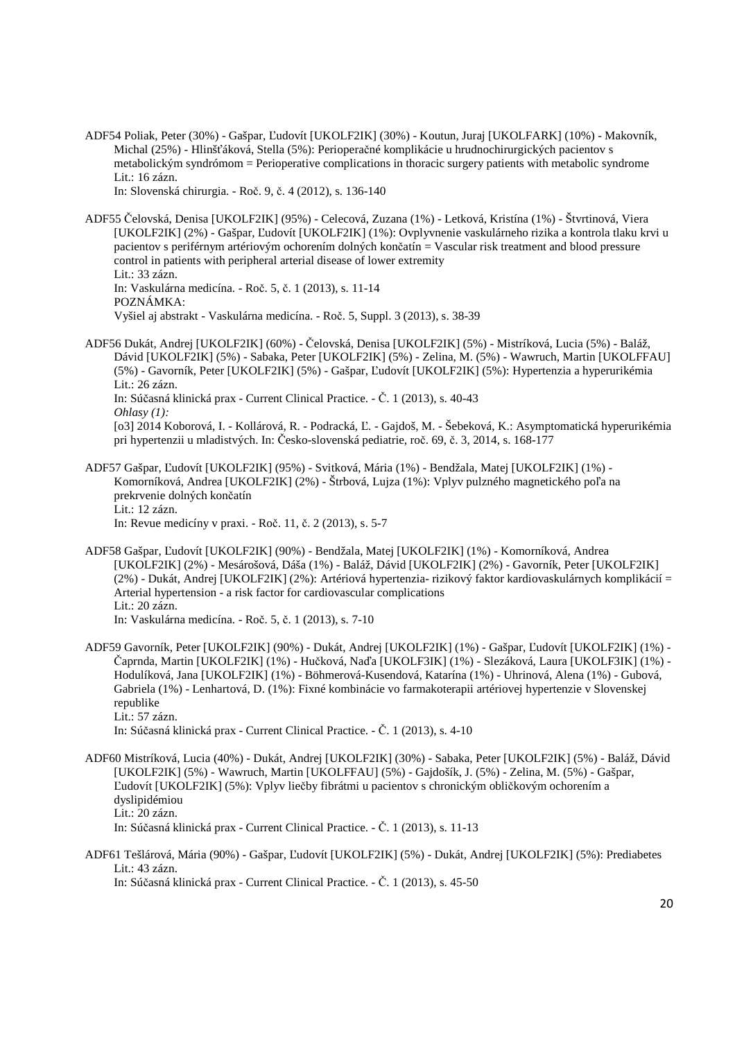ADF54 Poliak, Peter (30%) - Gašpar, Ľudovít [UKOLF2IK] (30%) - Koutun, Juraj [UKOLFARK] (10%) - Makovník, Michal (25%) - Hlinšťáková, Stella (5%): Perioperačné komplikácie u hrudnochirurgických pacientov s metabolickým syndrómom = Perioperative complications in thoracic surgery patients with metabolic syndrome Lit.: 16 zázn.

In: Slovenská chirurgia. - Roč. 9, č. 4 (2012), s. 136-140

ADF55 Čelovská, Denisa [UKOLF2IK] (95%) - Celecová, Zuzana (1%) - Letková, Kristína (1%) - Štvrtinová, Viera [UKOLF2IK] (2%) - Gašpar, Ľudovít [UKOLF2IK] (1%): Ovplyvnenie vaskulárneho rizika a kontrola tlaku krvi u pacientov s periférnym artériovým ochorením dolných končatín = Vascular risk treatment and blood pressure control in patients with peripheral arterial disease of lower extremity Lit.: 33 zázn. In: Vaskulárna medicína. - Roč. 5, č. 1 (2013), s. 11-14 POZNÁMKA: Vyšiel aj abstrakt - Vaskulárna medicína. - Roč. 5, Suppl. 3 (2013), s. 38-39

ADF56 Dukát, Andrej [UKOLF2IK] (60%) - Čelovská, Denisa [UKOLF2IK] (5%) - Mistríková, Lucia (5%) - Baláž, Dávid [UKOLF2IK] (5%) - Sabaka, Peter [UKOLF2IK] (5%) - Zelina, M. (5%) - Wawruch, Martin [UKOLFFAU] (5%) - Gavorník, Peter [UKOLF2IK] (5%) - Gašpar, Ľudovít [UKOLF2IK] (5%): Hypertenzia a hyperurikémia Lit.: 26 zázn. In: Súčasná klinická prax - Current Clinical Practice. - Č. 1 (2013), s. 40-43 *Ohlasy (1):*

[o3] 2014 Koborová, I. - Kollárová, R. - Podracká, Ľ. - Gajdoš, M. - Šebeková, K.: Asymptomatická hyperurikémia pri hypertenzii u mladistvých. In: Česko-slovenská pediatrie, roč. 69, č. 3, 2014, s. 168-177

ADF57 Gašpar, Ľudovít [UKOLF2IK] (95%) - Svitková, Mária (1%) - Bendžala, Matej [UKOLF2IK] (1%) - Komorníková, Andrea [UKOLF2IK] (2%) - Štrbová, Lujza (1%): Vplyv pulzného magnetického poľa na prekrvenie dolných končatín Lit.: 12 zázn.

In: Revue medicíny v praxi. - Roč. 11, č. 2 (2013), s. 5-7

- ADF58 Gašpar, Ľudovít [UKOLF2IK] (90%) Bendžala, Matej [UKOLF2IK] (1%) Komorníková, Andrea [UKOLF2IK] (2%) - Mesárošová, Dáša (1%) - Baláž, Dávid [UKOLF2IK] (2%) - Gavorník, Peter [UKOLF2IK] (2%) - Dukát, Andrej [UKOLF2IK] (2%): Artériová hypertenzia- rizikový faktor kardiovaskulárnych komplikácií = Arterial hypertension - a risk factor for cardiovascular complications Lit.: 20 zázn. In: Vaskulárna medicína. - Roč. 5, č. 1 (2013), s. 7-10
- ADF59 Gavorník, Peter [UKOLF2IK] (90%) Dukát, Andrej [UKOLF2IK] (1%) Gašpar, Ľudovít [UKOLF2IK] (1%) Čaprnda, Martin [UKOLF2IK] (1%) - Hučková, Naďa [UKOLF3IK] (1%) - Slezáková, Laura [UKOLF3IK] (1%) - Hodulíková, Jana [UKOLF2IK] (1%) - Böhmerová-Kusendová, Katarína (1%) - Uhrinová, Alena (1%) - Gubová, Gabriela (1%) - Lenhartová, D. (1%): Fixné kombinácie vo farmakoterapii artériovej hypertenzie v Slovenskej republike Lit.: 57 zázn.

In: Súčasná klinická prax - Current Clinical Practice. - Č. 1 (2013), s. 4-10

- ADF60 Mistríková, Lucia (40%) Dukát, Andrej [UKOLF2IK] (30%) Sabaka, Peter [UKOLF2IK] (5%) Baláž, Dávid [UKOLF2IK] (5%) - Wawruch, Martin [UKOLFFAU] (5%) - Gajdošík, J. (5%) - Zelina, M. (5%) - Gašpar, Ľudovít [UKOLF2IK] (5%): Vplyv liečby fibrátmi u pacientov s chronickým obličkovým ochorením a dyslipidémiou Lit.: 20 zázn. In: Súčasná klinická prax - Current Clinical Practice. - Č. 1 (2013), s. 11-13
- ADF61 Tešlárová, Mária (90%) Gašpar, Ľudovít [UKOLF2IK] (5%) Dukát, Andrej [UKOLF2IK] (5%): Prediabetes Lit.: 43 zázn.

In: Súčasná klinická prax - Current Clinical Practice. - Č. 1 (2013), s. 45-50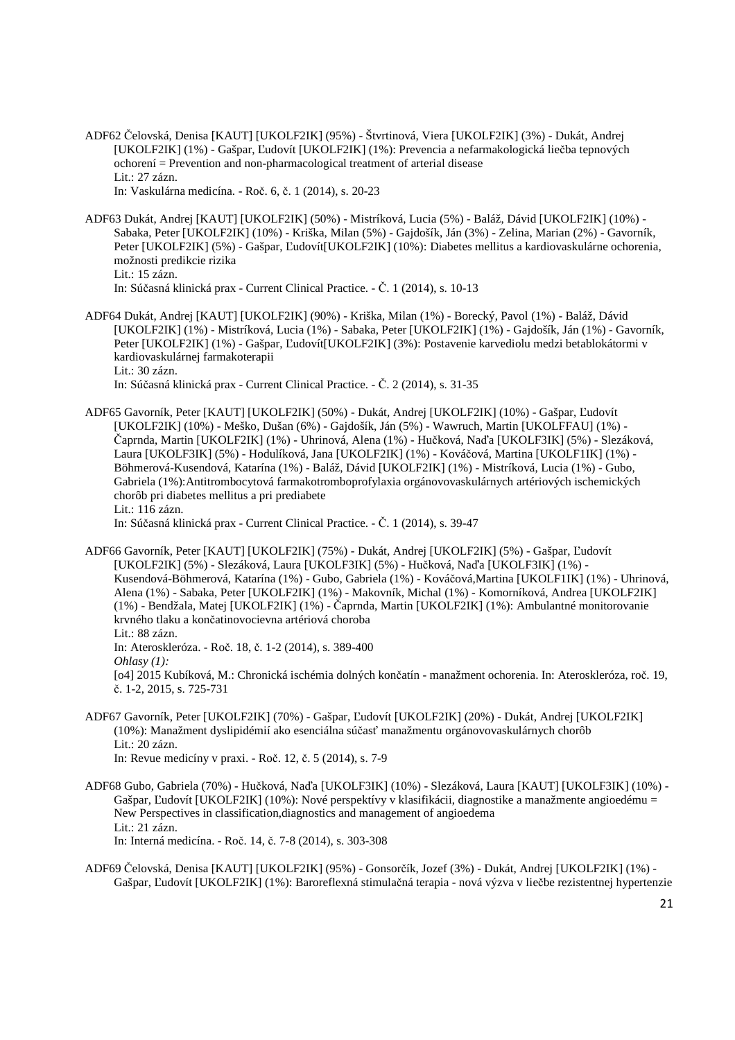ADF62 Čelovská, Denisa [KAUT] [UKOLF2IK] (95%) - Štvrtinová, Viera [UKOLF2IK] (3%) - Dukát, Andrej [UKOLF2IK] (1%) - Gašpar, Ľudovít [UKOLF2IK] (1%): Prevencia a nefarmakologická liečba tepnových ochorení = Prevention and non-pharmacological treatment of arterial disease Lit.: 27 zázn. In: Vaskulárna medicína. - Roč. 6, č. 1 (2014), s. 20-23

ADF63 Dukát, Andrej [KAUT] [UKOLF2IK] (50%) - Mistríková, Lucia (5%) - Baláž, Dávid [UKOLF2IK] (10%) - Sabaka, Peter [UKOLF2IK] (10%) - Kriška, Milan (5%) - Gajdošík, Ján (3%) - Zelina, Marian (2%) - Gavorník, Peter [UKOLF2IK] (5%) - Gašpar, Ľudovít[UKOLF2IK] (10%): Diabetes mellitus a kardiovaskulárne ochorenia, možnosti predikcie rizika

In: Súčasná klinická prax - Current Clinical Practice. - Č. 1 (2014), s. 10-13

- ADF64 Dukát, Andrej [KAUT] [UKOLF2IK] (90%) Kriška, Milan (1%) Borecký, Pavol (1%) Baláž, Dávid [UKOLF2IK] (1%) - Mistríková, Lucia (1%) - Sabaka, Peter [UKOLF2IK] (1%) - Gajdošík, Ján (1%) - Gavorník, Peter [UKOLF2IK] (1%) - Gašpar, Ľudovít[UKOLF2IK] (3%): Postavenie karvediolu medzi betablokátormi v kardiovaskulárnej farmakoterapii Lit.: 30 zázn. In: Súčasná klinická prax - Current Clinical Practice. - Č. 2 (2014), s. 31-35
- ADF65 Gavorník, Peter [KAUT] [UKOLF2IK] (50%) Dukát, Andrej [UKOLF2IK] (10%) Gašpar, Ľudovít [UKOLF2IK] (10%) - Meško, Dušan (6%) - Gajdošík, Ján (5%) - Wawruch, Martin [UKOLFFAU] (1%) - Čaprnda, Martin [UKOLF2IK] (1%) - Uhrinová, Alena (1%) - Hučková, Naďa [UKOLF3IK] (5%) - Slezáková, Laura [UKOLF3IK] (5%) - Hodulíková, Jana [UKOLF2IK] (1%) - Kováčová, Martina [UKOLF1IK] (1%) - Böhmerová-Kusendová, Katarína (1%) - Baláž, Dávid [UKOLF2IK] (1%) - Mistríková, Lucia (1%) - Gubo, Gabriela (1%):Antitrombocytová farmakotromboprofylaxia orgánovovaskulárnych artériových ischemických chorôb pri diabetes mellitus a pri prediabete Lit.: 116 zázn.

In: Súčasná klinická prax - Current Clinical Practice. - Č. 1 (2014), s. 39-47

ADF66 Gavorník, Peter [KAUT] [UKOLF2IK] (75%) - Dukát, Andrej [UKOLF2IK] (5%) - Gašpar, Ľudovít [UKOLF2IK] (5%) - Slezáková, Laura [UKOLF3IK] (5%) - Hučková, Naďa [UKOLF3IK] (1%) - Kusendová-Böhmerová, Katarína (1%) - Gubo, Gabriela (1%) - Kováčová,Martina [UKOLF1IK] (1%) - Uhrinová, Alena (1%) - Sabaka, Peter [UKOLF2IK] (1%) - Makovník, Michal (1%) - Komorníková, Andrea [UKOLF2IK] (1%) - Bendžala, Matej [UKOLF2IK] (1%) - Čaprnda, Martin [UKOLF2IK] (1%): Ambulantné monitorovanie krvného tlaku a končatinovocievna artériová choroba Lit.: 88 zázn. In: Ateroskleróza. - Roč. 18, č. 1-2 (2014), s. 389-400 *Ohlasy (1):* [o4] 2015 Kubíková, M.: Chronická ischémia dolných končatín - manažment ochorenia. In: Ateroskleróza, roč. 19, č. 1-2, 2015, s. 725-731

ADF67 Gavorník, Peter [UKOLF2IK] (70%) - Gašpar, Ľudovít [UKOLF2IK] (20%) - Dukát, Andrej [UKOLF2IK] (10%): Manažment dyslipidémií ako esenciálna súčasť manažmentu orgánovovaskulárnych chorôb Lit.:  $20$  zázn. In: Revue medicíny v praxi. - Roč. 12, č. 5 (2014), s. 7-9

ADF68 Gubo, Gabriela (70%) - Hučková, Naďa [UKOLF3IK] (10%) - Slezáková, Laura [KAUT] [UKOLF3IK] (10%) - Gašpar, Ľudovít [UKOLF2IK] (10%): Nové perspektívy v klasifikácii, diagnostike a manažmente angioedému = New Perspectives in classification,diagnostics and management of angioedema Lit.: 21 zázn. In: Interná medicína. - Roč. 14, č. 7-8 (2014), s. 303-308

ADF69 Čelovská, Denisa [KAUT] [UKOLF2IK] (95%) - Gonsorčík, Jozef (3%) - Dukát, Andrej [UKOLF2IK] (1%) - Gašpar, Ľudovít [UKOLF2IK] (1%): Baroreflexná stimulačná terapia - nová výzva v liečbe rezistentnej hypertenzie

Lit.: 15 zázn.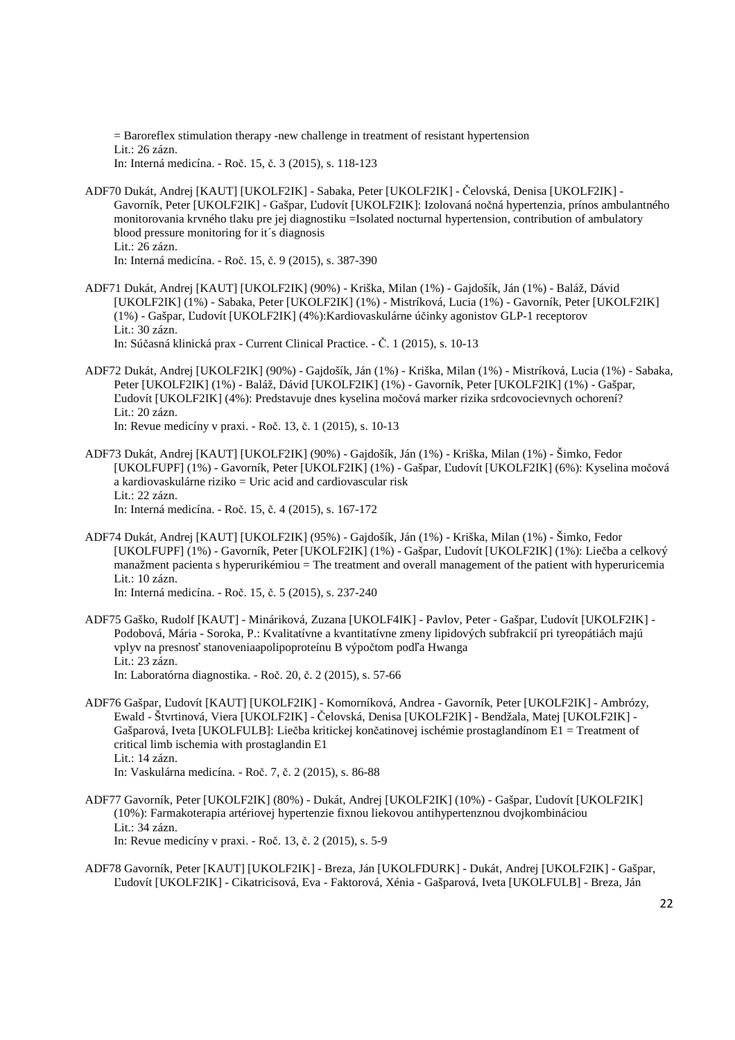$=$  Baroreflex stimulation therapy -new challenge in treatment of resistant hypertension Lit.: 26 zázn. In: Interná medicína. - Roč. 15, č. 3 (2015), s. 118-123

- ADF70 Dukát, Andrej [KAUT] [UKOLF2IK] Sabaka, Peter [UKOLF2IK] Čelovská, Denisa [UKOLF2IK] Gavorník, Peter [UKOLF2IK] - Gašpar, Ľudovít [UKOLF2IK]: Izolovaná nočná hypertenzia, prínos ambulantného monitorovania krvného tlaku pre jej diagnostiku =Isolated nocturnal hypertension, contribution of ambulatory blood pressure monitoring for it´s diagnosis Lit.: 26 zázn. In: Interná medicína. - Roč. 15, č. 9 (2015), s. 387-390
- ADF71 Dukát, Andrej [KAUT] [UKOLF2IK] (90%) Kriška, Milan (1%) Gajdošík, Ján (1%) Baláž, Dávid [UKOLF2IK] (1%) - Sabaka, Peter [UKOLF2IK] (1%) - Mistríková, Lucia (1%) - Gavorník, Peter [UKOLF2IK] (1%) - Gašpar, Ľudovít [UKOLF2IK] (4%):Kardiovaskulárne účinky agonistov GLP-1 receptorov Lit $\cdot$  30 zázn.

In: Súčasná klinická prax - Current Clinical Practice. - Č. 1 (2015), s. 10-13

ADF72 Dukát, Andrej [UKOLF2IK] (90%) - Gajdošík, Ján (1%) - Kriška, Milan (1%) - Mistríková, Lucia (1%) - Sabaka, Peter [UKOLF2IK] (1%) - Baláž, Dávid [UKOLF2IK] (1%) - Gavorník, Peter [UKOLF2IK] (1%) - Gašpar, Ľudovít [UKOLF2IK] (4%): Predstavuje dnes kyselina močová marker rizika srdcovocievnych ochorení? Lit.: 20 zázn.

In: Revue medicíny v praxi. - Roč. 13, č. 1 (2015), s. 10-13

- ADF73 Dukát, Andrej [KAUT] [UKOLF2IK] (90%) Gajdošík, Ján (1%) Kriška, Milan (1%) Šimko, Fedor [UKOLFUPF] (1%) - Gavorník, Peter [UKOLF2IK] (1%) - Gašpar, Ľudovít [UKOLF2IK] (6%): Kyselina močová a kardiovaskulárne riziko = Uric acid and cardiovascular risk Lit.: 22 zázn. In: Interná medicína. - Roč. 15, č. 4 (2015), s. 167-172
- ADF74 Dukát, Andrej [KAUT] [UKOLF2IK] (95%) Gajdošík, Ján (1%) Kriška, Milan (1%) Šimko, Fedor [UKOLFUPF] (1%) - Gavorník, Peter [UKOLF2IK] (1%) - Gašpar, Ľudovít [UKOLF2IK] (1%): Liečba a celkový manažment pacienta s hyperurikémiou = The treatment and overall management of the patient with hyperuricemia Lit.: 10 zázn.

In: Interná medicína. - Roč. 15, č. 5 (2015), s. 237-240

- ADF75 Gaško, Rudolf [KAUT] Mináriková, Zuzana [UKOLF4IK] Pavlov, Peter Gašpar, Ľudovít [UKOLF2IK] Podobová, Mária - Soroka, P.: Kvalitatívne a kvantitatívne zmeny lipidových subfrakcií pri tyreopátiách majú vplyv na presnosť stanoveniaapolipoproteínu B výpočtom podľa Hwanga Lit.: 23 zázn.
	- In: Laboratórna diagnostika. Roč. 20, č. 2 (2015), s. 57-66
- ADF76 Gašpar, Ľudovít [KAUT] [UKOLF2IK] Komorníková, Andrea Gavorník, Peter [UKOLF2IK] Ambrózy, Ewald - Štvrtinová, Viera [UKOLF2IK] - Čelovská, Denisa [UKOLF2IK] - Bendžala, Matej [UKOLF2IK] - Gašparová, Iveta [UKOLFULB]: Liečba kritickej končatinovej ischémie prostaglandínom E1 = Treatment of critical limb ischemia with prostaglandin E1 Lit.: 14 zázn. In: Vaskulárna medicína. - Roč. 7, č. 2 (2015), s. 86-88
	-
- ADF77 Gavorník, Peter [UKOLF2IK] (80%) Dukát, Andrej [UKOLF2IK] (10%) Gašpar, Ľudovít [UKOLF2IK] (10%): Farmakoterapia artériovej hypertenzie fixnou liekovou antihypertenznou dvojkombináciou Lit.: 34 zázn. In: Revue medicíny v praxi. - Roč. 13, č. 2 (2015), s. 5-9
- ADF78 Gavorník, Peter [KAUT] [UKOLF2IK] Breza, Ján [UKOLFDURK] Dukát, Andrej [UKOLF2IK] Gašpar, Ľudovít [UKOLF2IK] - Cikatricisová, Eva - Faktorová, Xénia - Gašparová, Iveta [UKOLFULB] - Breza, Ján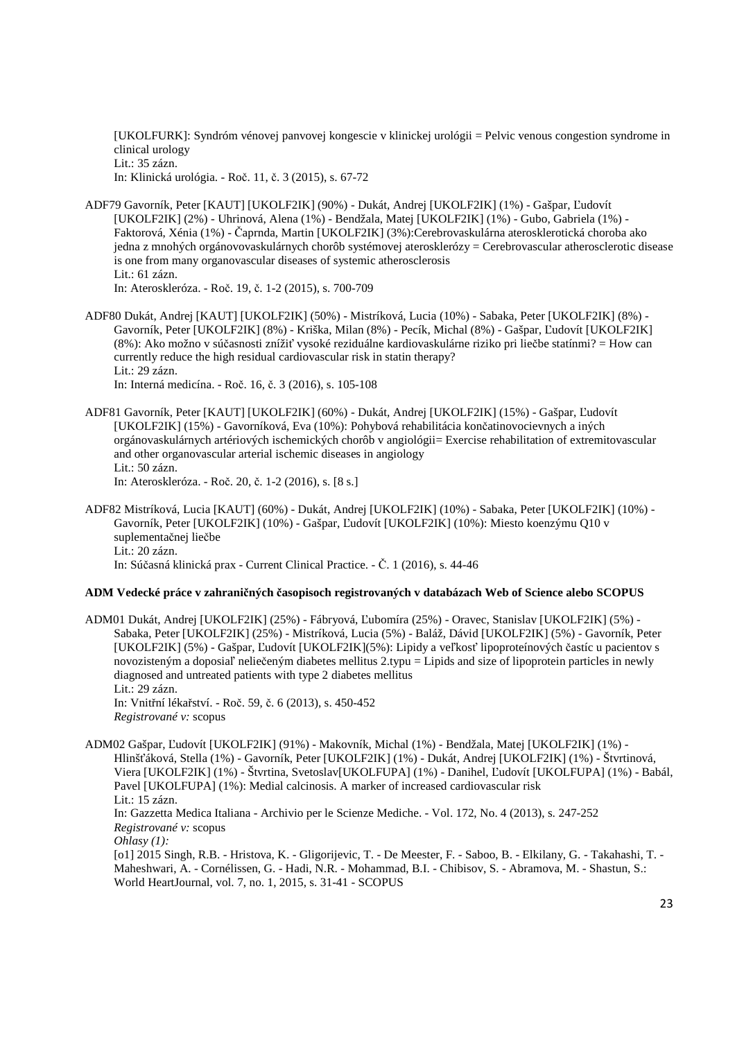[UKOLFURK]: Syndróm vénovej panvovej kongescie v klinickej urológii = Pelvic venous congestion syndrome in clinical urology Lit.: 35 zázn.

In: Klinická urológia. - Roč. 11, č. 3 (2015), s. 67-72

- ADF79 Gavorník, Peter [KAUT] [UKOLF2IK] (90%) Dukát, Andrej [UKOLF2IK] (1%) Gašpar, Ľudovít [UKOLF2IK] (2%) - Uhrinová, Alena (1%) - Bendžala, Matej [UKOLF2IK] (1%) - Gubo, Gabriela (1%) - Faktorová, Xénia (1%) - Čaprnda, Martin [UKOLF2IK] (3%):Cerebrovaskulárna aterosklerotická choroba ako jedna z mnohých orgánovovaskulárnych chorôb systémovej aterosklerózy = Cerebrovascular atherosclerotic disease is one from many organovascular diseases of systemic atherosclerosis Lit.: 61 zázn. In: Ateroskleróza. - Roč. 19, č. 1-2 (2015), s. 700-709
- ADF80 Dukát, Andrej [KAUT] [UKOLF2IK] (50%) Mistríková, Lucia (10%) Sabaka, Peter [UKOLF2IK] (8%) Gavorník, Peter [UKOLF2IK] (8%) - Kriška, Milan (8%) - Pecík, Michal (8%) - Gašpar, Ľudovít [UKOLF2IK] (8%): Ako možno v súčasnosti znížiť vysoké reziduálne kardiovaskulárne riziko pri liečbe statínmi? = How can currently reduce the high residual cardiovascular risk in statin therapy? Lit.: 29 zázn.

In: Interná medicína. - Roč. 16, č. 3 (2016), s. 105-108

- ADF81 Gavorník, Peter [KAUT] [UKOLF2IK] (60%) Dukát, Andrej [UKOLF2IK] (15%) Gašpar, Ľudovít [UKOLF2IK] (15%) - Gavorníková, Eva (10%): Pohybová rehabilitácia končatinovocievnych a iných orgánovaskulárnych artériových ischemických chorôb v angiológii= Exercise rehabilitation of extremitovascular and other organovascular arterial ischemic diseases in angiology Lit.: 50 zázn. In: Ateroskleróza. - Roč. 20, č. 1-2 (2016), s. [8 s.]
- ADF82 Mistríková, Lucia [KAUT] (60%) Dukát, Andrej [UKOLF2IK] (10%) Sabaka, Peter [UKOLF2IK] (10%) Gavorník, Peter [UKOLF2IK] (10%) - Gašpar, Ľudovít [UKOLF2IK] (10%): Miesto koenzýmu Q10 v suplementačnej liečbe Lit.: 20 zázn. In: Súčasná klinická prax - Current Clinical Practice. - Č. 1 (2016), s. 44-46

#### **ADM Vedecké práce v zahraničných časopisoch registrovaných v databázach Web of Science alebo SCOPUS**

ADM01 Dukát, Andrej [UKOLF2IK] (25%) - Fábryová, Ľubomíra (25%) - Oravec, Stanislav [UKOLF2IK] (5%) - Sabaka, Peter [UKOLF2IK] (25%) - Mistríková, Lucia (5%) - Baláž, Dávid [UKOLF2IK] (5%) - Gavorník, Peter [UKOLF2IK] (5%) - Gašpar, Ľudovít [UKOLF2IK](5%): Lipidy a veľkosť lipoproteínových častíc u pacientov s novozisteným a doposiaľ neliečeným diabetes mellitus 2.typu = Lipids and size of lipoprotein particles in newly diagnosed and untreated patients with type 2 diabetes mellitus Lit.: 29 zázn. In: Vnitřní lékařství. - Roč. 59, č. 6 (2013), s. 450-452 *Registrované v:* scopus

ADM02 Gašpar, Ľudovít [UKOLF2IK] (91%) - Makovník, Michal (1%) - Bendžala, Matej [UKOLF2IK] (1%) - Hlinšťáková, Stella (1%) - Gavorník, Peter [UKOLF2IK] (1%) - Dukát, Andrej [UKOLF2IK] (1%) - Štvrtinová, Viera [UKOLF2IK] (1%) - Štvrtina, Svetoslav[UKOLFUPA] (1%) - Danihel, Ľudovít [UKOLFUPA] (1%) - Babál, Pavel [UKOLFUPA] (1%): Medial calcinosis. A marker of increased cardiovascular risk Lit.: 15 zázn. In: Gazzetta Medica Italiana - Archivio per le Scienze Mediche. - Vol. 172, No. 4 (2013), s. 247-252 *Registrované v:* scopus *Ohlasy (1):* [o1] 2015 Singh, R.B. - Hristova, K. - Gligorijevic, T. - De Meester, F. - Saboo, B. - Elkilany, G. - Takahashi, T. - Maheshwari, A. - Cornélissen, G. - Hadi, N.R. - Mohammad, B.I. - Chibisov, S. - Abramova, M. - Shastun, S.:

World HeartJournal, vol. 7, no. 1, 2015, s. 31-41 - SCOPUS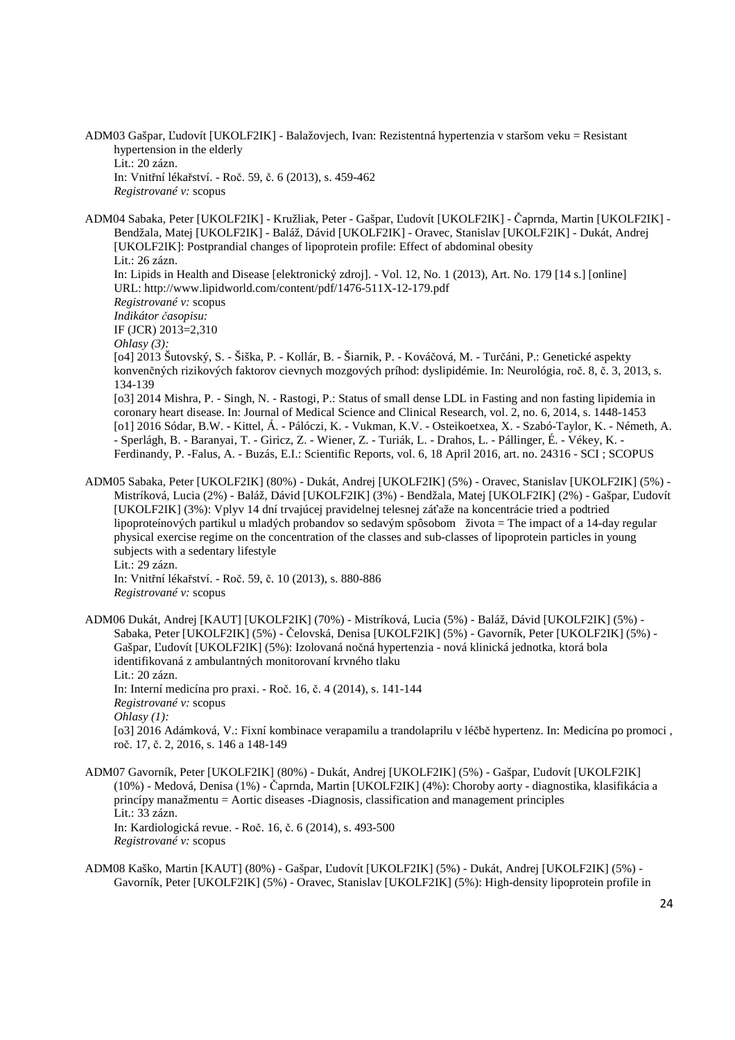ADM03 Gašpar, Ľudovít [UKOLF2IK] - Balažovjech, Ivan: Rezistentná hypertenzia v staršom veku = Resistant hypertension in the elderly Lit.: 20 zázn. In: Vnitřní lékařství. - Roč. 59, č. 6 (2013), s. 459-462 *Registrované v:* scopus

ADM04 Sabaka, Peter [UKOLF2IK] - Kružliak, Peter - Gašpar, Ľudovít [UKOLF2IK] - Čaprnda, Martin [UKOLF2IK] - Bendžala, Matej [UKOLF2IK] - Baláž, Dávid [UKOLF2IK] - Oravec, Stanislav [UKOLF2IK] - Dukát, Andrej [UKOLF2IK]: Postprandial changes of lipoprotein profile: Effect of abdominal obesity Lit.: 26 zázn. In: Lipids in Health and Disease [elektronický zdroj]. - Vol. 12, No. 1 (2013), Art. No. 179 [14 s.] [online] URL: http://www.lipidworld.com/content/pdf/1476-511X-12-179.pdf *Registrované v:* scopus *Indikátor časopisu:* IF (JCR) 2013=2,310 *Ohlasy (3):* [o4] 2013 Šutovský, S. - Šiška, P. - Kollár, B. - Šiarnik, P. - Kováčová, M. - Turčáni, P.: Genetické aspekty konvenčných rizikových faktorov cievnych mozgových príhod: dyslipidémie. In: Neurológia, roč. 8, č. 3, 2013, s. 134-139 [o3] 2014 Mishra, P. - Singh, N. - Rastogi, P.: Status of small dense LDL in Fasting and non fasting lipidemia in coronary heart disease. In: Journal of Medical Science and Clinical Research, vol. 2, no. 6, 2014, s. 1448-1453 [o1] 2016 Sódar, B.W. - Kittel, Á. - Pálóczi, K. - Vukman, K.V. - Osteikoetxea, X. - Szabó-Taylor, K. - Németh, A. - Sperlágh, B. - Baranyai, T. - Giricz, Z. - Wiener, Z. - Turiák, L. - Drahos, L. - Pállinger, É. - Vékey, K. - Ferdinandy, P. -Falus, A. - Buzás, E.I.: Scientific Reports, vol. 6, 18 April 2016, art. no. 24316 - SCI ; SCOPUS

ADM05 Sabaka, Peter [UKOLF2IK] (80%) - Dukát, Andrej [UKOLF2IK] (5%) - Oravec, Stanislav [UKOLF2IK] (5%) - Mistríková, Lucia (2%) - Baláž, Dávid [UKOLF2IK] (3%) - Bendžala, Matej [UKOLF2IK] (2%) - Gašpar, Ľudovít [UKOLF2IK] (3%): Vplyv 14 dní trvajúcej pravidelnej telesnej záťaže na koncentrácie tried a podtried lipoproteínových partikul u mladých probandov so sedavým spôsobom života = The impact of a 14-day regular physical exercise regime on the concentration of the classes and sub-classes of lipoprotein particles in young subjects with a sedentary lifestyle Lit.: 29 zázn. In: Vnitřní lékařství. - Roč. 59, č. 10 (2013), s. 880-886

*Registrované v:* scopus

ADM06 Dukát, Andrej [KAUT] [UKOLF2IK] (70%) - Mistríková, Lucia (5%) - Baláž, Dávid [UKOLF2IK] (5%) - Sabaka, Peter [UKOLF2IK] (5%) - Čelovská, Denisa [UKOLF2IK] (5%) - Gavorník, Peter [UKOLF2IK] (5%) - Gašpar, Ľudovít [UKOLF2IK] (5%): Izolovaná nočná hypertenzia - nová klinická jednotka, ktorá bola identifikovaná z ambulantných monitorovaní krvného tlaku Lit.: 20 zázn. In: Interní medicína pro praxi. - Roč. 16, č. 4 (2014), s. 141-144 *Registrované v:* scopus *Ohlasy (1):* [o3] 2016 Adámková, V.: Fixní kombinace verapamilu a trandolaprilu v léčbě hypertenz. In: Medicína po promoci , roč. 17, č. 2, 2016, s. 146 a 148-149

- ADM07 Gavorník, Peter [UKOLF2IK] (80%) Dukát, Andrej [UKOLF2IK] (5%) Gašpar, Ľudovít [UKOLF2IK] (10%) - Medová, Denisa (1%) - Čaprnda, Martin [UKOLF2IK] (4%): Choroby aorty - diagnostika, klasifikácia a princípy manažmentu = Aortic diseases -Diagnosis, classification and management principles Lit.: 33 zázn. In: Kardiologická revue. - Roč. 16, č. 6 (2014), s. 493-500 *Registrované v:* scopus
- ADM08 Kaško, Martin [KAUT] (80%) Gašpar, Ľudovít [UKOLF2IK] (5%) Dukát, Andrej [UKOLF2IK] (5%) Gavorník, Peter [UKOLF2IK] (5%) - Oravec, Stanislav [UKOLF2IK] (5%): High-density lipoprotein profile in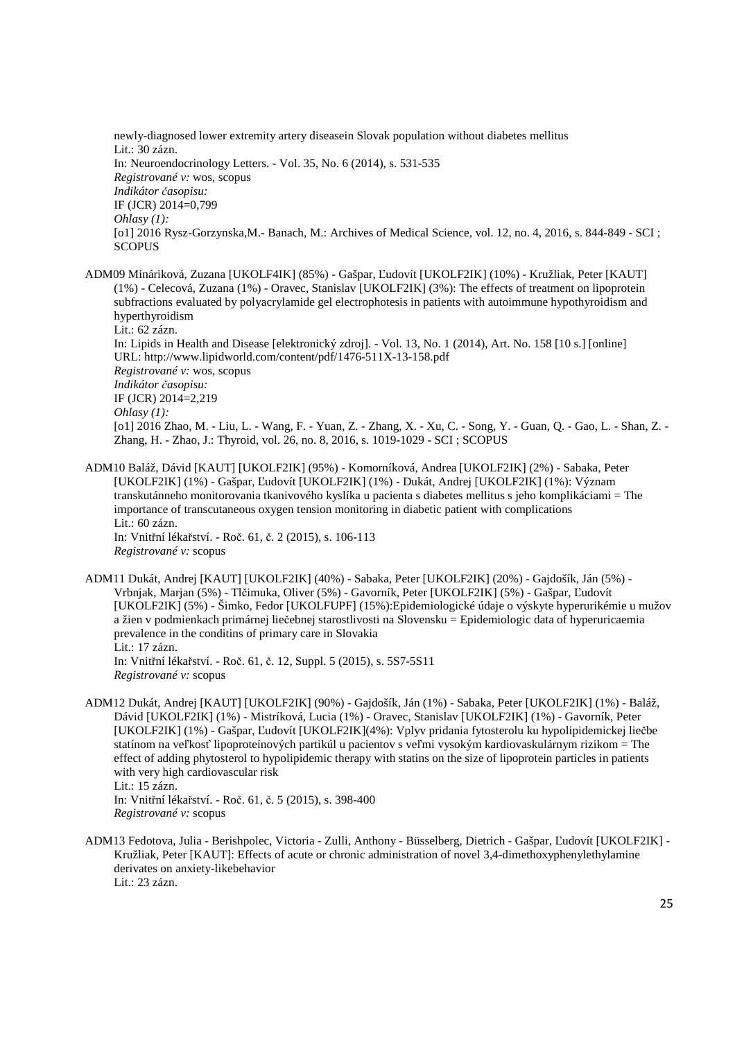newly-diagnosed lower extremity artery diseasein Slovak population without diabetes mellitus Lit.: 30 zázn. In: Neuroendocrinology Letters. - Vol. 35, No. 6 (2014), s. 531-535 *Registrované v:* wos, scopus *Indikátor časopisu:* IF (JCR) 2014=0,799 *Ohlasy (1):* [o1] 2016 Rysz-Gorzynska,M.- Banach, M.: Archives of Medical Science, vol. 12, no. 4, 2016, s. 844-849 - SCI ; **SCOPUS** 

- ADM09 Mináriková, Zuzana [UKOLF4IK] (85%) Gašpar, Ľudovít [UKOLF2IK] (10%) Kružliak, Peter [KAUT] (1%) - Celecová, Zuzana (1%) - Oravec, Stanislav [UKOLF2IK] (3%): The effects of treatment on lipoprotein subfractions evaluated by polyacrylamide gel electrophotesis in patients with autoimmune hypothyroidism and hyperthyroidism
	- Lit.: 62 zázn.

In: Lipids in Health and Disease [elektronický zdroj]. - Vol. 13, No. 1 (2014), Art. No. 158 [10 s.] [online] URL: http://www.lipidworld.com/content/pdf/1476-511X-13-158.pdf *Registrované v:* wos, scopus *Indikátor časopisu:* IF (JCR) 2014=2,219 *Ohlasy (1):* [o1] 2016 Zhao, M. - Liu, L. - Wang, F. - Yuan, Z. - Zhang, X. - Xu, C. - Song, Y. - Guan, Q. - Gao, L. - Shan, Z. - Zhang, H. - Zhao, J.: Thyroid, vol. 26, no. 8, 2016, s. 1019-1029 - SCI ; SCOPUS

- ADM10 Baláž, Dávid [KAUT] [UKOLF2IK] (95%) Komorníková, Andrea [UKOLF2IK] (2%) Sabaka, Peter [UKOLF2IK] (1%) - Gašpar, Ľudovít [UKOLF2IK] (1%) - Dukát, Andrej [UKOLF2IK] (1%): Význam transkutánneho monitorovania tkanivového kyslíka u pacienta s diabetes mellitus s jeho komplikáciami = The importance of transcutaneous oxygen tension monitoring in diabetic patient with complications Lit.: 60 zázn. In: Vnitřní lékařství. - Roč. 61, č. 2 (2015), s. 106-113 *Registrované v:* scopus
- ADM11 Dukát, Andrej [KAUT] [UKOLF2IK] (40%) Sabaka, Peter [UKOLF2IK] (20%) Gajdošík, Ján (5%) Vrbnjak, Marjan (5%) - Tlčimuka, Oliver (5%) - Gavorník, Peter [UKOLF2IK] (5%) - Gašpar, Ľudovít [UKOLF2IK] (5%) - Šimko, Fedor [UKOLFUPF] (15%):Epidemiologické údaje o výskyte hyperurikémie u mužov a žien v podmienkach primárnej liečebnej starostlivosti na Slovensku = Epidemiologic data of hyperuricaemia prevalence in the conditins of primary care in Slovakia Lit.: 17 zázn. In: Vnitřní lékařství. - Roč. 61, č. 12, Suppl. 5 (2015), s. 5S7-5S11 *Registrované v:* scopus
- ADM12 Dukát, Andrej [KAUT] [UKOLF2IK] (90%) Gajdošík, Ján (1%) Sabaka, Peter [UKOLF2IK] (1%) Baláž, Dávid [UKOLF2IK] (1%) - Mistríková, Lucia (1%) - Oravec, Stanislav [UKOLF2IK] (1%) - Gavorník, Peter [UKOLF2IK] (1%) - Gašpar, Ľudovít [UKOLF2IK](4%): Vplyv pridania fytosterolu ku hypolipidemickej liečbe statínom na veľkosť lipoproteínových partikúl u pacientov s veľmi vysokým kardiovaskulárnym rizikom = The effect of adding phytosterol to hypolipidemic therapy with statins on the size of lipoprotein particles in patients with very high cardiovascular risk Lit.: 15 zázn.

In: Vnitřní lékařství. - Roč. 61, č. 5 (2015), s. 398-400 *Registrované v:* scopus

ADM13 Fedotova, Julia - Berishpolec, Victoria - Zulli, Anthony - Büsselberg, Dietrich - Gašpar, Ľudovít [UKOLF2IK] - Kružliak, Peter [KAUT]: Effects of acute or chronic administration of novel 3,4-dimethoxyphenylethylamine derivates on anxiety-likebehavior Lit.: 23 zázn.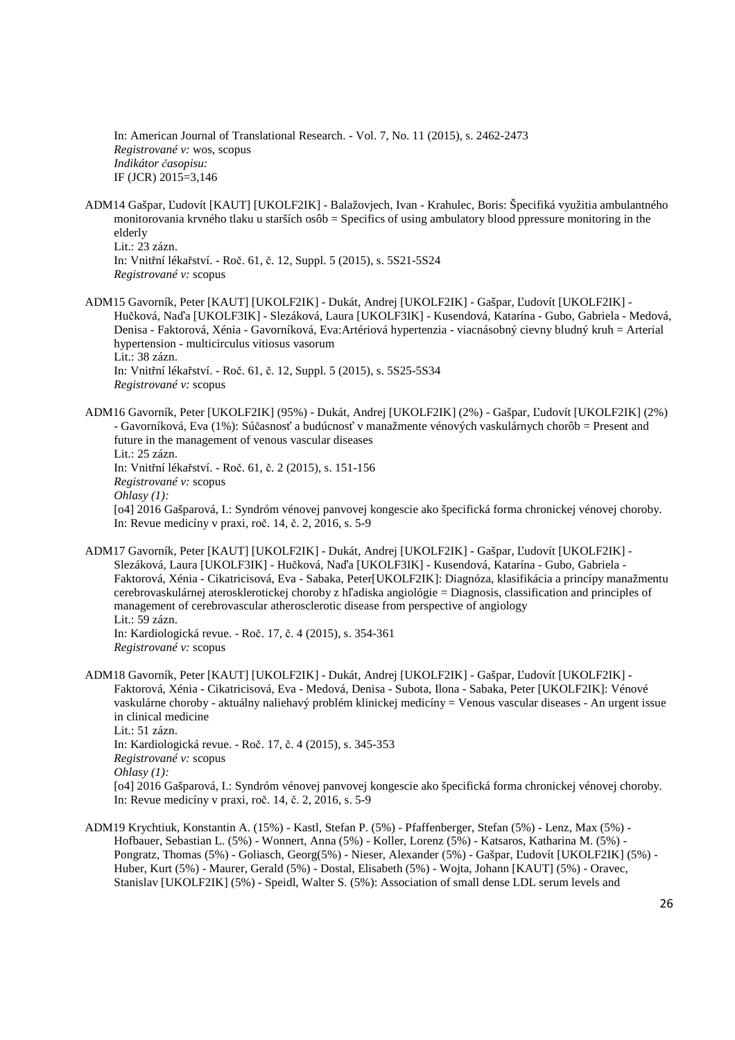In: American Journal of Translational Research. - Vol. 7, No. 11 (2015), s. 2462-2473 *Registrované v:* wos, scopus *Indikátor časopisu:* IF (JCR) 2015=3,146

- ADM14 Gašpar, Ľudovít [KAUT] [UKOLF2IK] Balažovjech, Ivan Krahulec, Boris: Špecifiká využitia ambulantného monitorovania krvného tlaku u starších osôb = Specifics of using ambulatory blood ppressure monitoring in the elderly Lit.: 23 zázn. In: Vnitřní lékařství. - Roč. 61, č. 12, Suppl. 5 (2015), s. 5S21-5S24
	- *Registrované v:* scopus
- ADM15 Gavorník, Peter [KAUT] [UKOLF2IK] Dukát, Andrej [UKOLF2IK] Gašpar, Ľudovít [UKOLF2IK] Hučková, Naďa [UKOLF3IK] - Slezáková, Laura [UKOLF3IK] - Kusendová, Katarína - Gubo, Gabriela - Medová, Denisa - Faktorová, Xénia - Gavorníková, Eva:Artériová hypertenzia - viacnásobný cievny bludný kruh = Arterial hypertension - multicirculus vitiosus vasorum Lit.: 38 zázn. In: Vnitřní lékařství. - Roč. 61, č. 12, Suppl. 5 (2015), s. 5S25-5S34 *Registrované v:* scopus
- ADM16 Gavorník, Peter [UKOLF2IK] (95%) Dukát, Andrej [UKOLF2IK] (2%) Gašpar, Ľudovít [UKOLF2IK] (2%) - Gavorníková, Eva (1%): Súčasnosť a budúcnosť v manažmente vénových vaskulárnych chorôb = Present and future in the management of venous vascular diseases Lit.: 25 zázn. In: Vnitřní lékařství. - Roč. 61, č. 2 (2015), s. 151-156 *Registrované v:* scopus *Ohlasy (1):* [o4] 2016 Gašparová, I.: Syndróm vénovej panvovej kongescie ako špecifická forma chronickej vénovej choroby.

In: Revue medicíny v praxi, roč. 14, č. 2, 2016, s. 5-9

- ADM17 Gavorník, Peter [KAUT] [UKOLF2IK] Dukát, Andrej [UKOLF2IK] Gašpar, Ľudovít [UKOLF2IK] Slezáková, Laura [UKOLF3IK] - Hučková, Naďa [UKOLF3IK] - Kusendová, Katarína - Gubo, Gabriela - Faktorová, Xénia - Cikatricisová, Eva - Sabaka, Peter[UKOLF2IK]: Diagnóza, klasifikácia a princípy manažmentu cerebrovaskulárnej aterosklerotickej choroby z hľadiska angiológie = Diagnosis, classification and principles of management of cerebrovascular atherosclerotic disease from perspective of angiology Lit.: 59 zázn. In: Kardiologická revue. - Roč. 17, č. 4 (2015), s. 354-361 *Registrované v:* scopus
- ADM18 Gavorník, Peter [KAUT] [UKOLF2IK] Dukát, Andrej [UKOLF2IK] Gašpar, Ľudovít [UKOLF2IK] Faktorová, Xénia - Cikatricisová, Eva - Medová, Denisa - Subota, Ilona - Sabaka, Peter [UKOLF2IK]: Vénové vaskulárne choroby - aktuálny naliehavý problém klinickej medicíny = Venous vascular diseases - An urgent issue in clinical medicine Lit.: 51 zázn. In: Kardiologická revue. - Roč. 17, č. 4 (2015), s. 345-353 *Registrované v:* scopus *Ohlasy (1):*

[o4] 2016 Gašparová, I.: Syndróm vénovej panvovej kongescie ako špecifická forma chronickej vénovej choroby. In: Revue medicíny v praxi, roč. 14, č. 2, 2016, s. 5-9

ADM19 Krychtiuk, Konstantin A. (15%) - Kastl, Stefan P. (5%) - Pfaffenberger, Stefan (5%) - Lenz, Max (5%) - Hofbauer, Sebastian L. (5%) - Wonnert, Anna (5%) - Koller, Lorenz (5%) - Katsaros, Katharina M. (5%) - Pongratz, Thomas (5%) - Goliasch, Georg(5%) - Nieser, Alexander (5%) - Gašpar, Ľudovít [UKOLF2IK] (5%) - Huber, Kurt (5%) - Maurer, Gerald (5%) - Dostal, Elisabeth (5%) - Wojta, Johann [KAUT] (5%) - Oravec, Stanislav [UKOLF2IK] (5%) - Speidl, Walter S. (5%): Association of small dense LDL serum levels and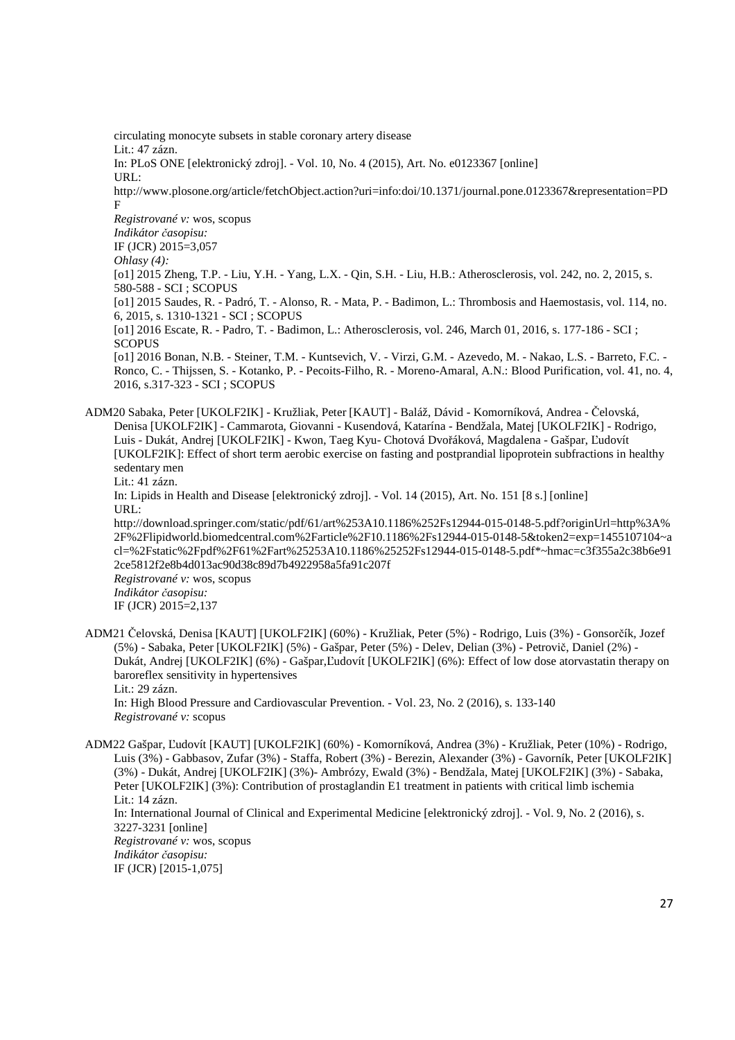circulating monocyte subsets in stable coronary artery disease Lit.: 47 zázn. In: PLoS ONE [elektronický zdroj]. - Vol. 10, No. 4 (2015), Art. No. e0123367 [online] URL: http://www.plosone.org/article/fetchObject.action?uri=info:doi/10.1371/journal.pone.0123367&representation=PD F *Registrované v:* wos, scopus *Indikátor časopisu:* IF (JCR) 2015=3,057 *Ohlasy (4):* [o1] 2015 Zheng, T.P. - Liu, Y.H. - Yang, L.X. - Qin, S.H. - Liu, H.B.: Atherosclerosis, vol. 242, no. 2, 2015, s. 580-588 - SCI ; SCOPUS [o1] 2015 Saudes, R. - Padró, T. - Alonso, R. - Mata, P. - Badimon, L.: Thrombosis and Haemostasis, vol. 114, no. 6, 2015, s. 1310-1321 - SCI ; SCOPUS [o1] 2016 Escate, R. - Padro, T. - Badimon, L.: Atherosclerosis, vol. 246, March 01, 2016, s. 177-186 - SCI ; **SCOPUS** [o1] 2016 Bonan, N.B. - Steiner, T.M. - Kuntsevich, V. - Virzi, G.M. - Azevedo, M. - Nakao, L.S. - Barreto, F.C. - Ronco, C. - Thijssen, S. - Kotanko, P. - Pecoits-Filho, R. - Moreno-Amaral, A.N.: Blood Purification, vol. 41, no. 4, 2016, s.317-323 - SCI ; SCOPUS

ADM20 Sabaka, Peter [UKOLF2IK] - Kružliak, Peter [KAUT] - Baláž, Dávid - Komorníková, Andrea - Čelovská, Denisa [UKOLF2IK] - Cammarota, Giovanni - Kusendová, Katarína - Bendžala, Matej [UKOLF2IK] - Rodrigo, Luis - Dukát, Andrej [UKOLF2IK] - Kwon, Taeg Kyu- Chotová Dvořáková, Magdalena - Gašpar, Ľudovít [UKOLF2IK]: Effect of short term aerobic exercise on fasting and postprandial lipoprotein subfractions in healthy sedentary men

Lit.: 41 zázn.

In: Lipids in Health and Disease [elektronický zdroj]. - Vol. 14 (2015), Art. No. 151 [8 s.] [online] URL:

http://download.springer.com/static/pdf/61/art%253A10.1186%252Fs12944-015-0148-5.pdf?originUrl=http%3A% 2F%2Flipidworld.biomedcentral.com%2Farticle%2F10.1186%2Fs12944-015-0148-5&token2=exp=1455107104~a cl=%2Fstatic%2Fpdf%2F61%2Fart%25253A10.1186%25252Fs12944-015-0148-5.pdf\*~hmac=c3f355a2c38b6e91 2ce5812f2e8b4d013ac90d38c89d7b4922958a5fa91c207f *Registrované v:* wos, scopus *Indikátor časopisu:*

IF (JCR) 2015=2,137

ADM21 Čelovská, Denisa [KAUT] [UKOLF2IK] (60%) - Kružliak, Peter (5%) - Rodrigo, Luis (3%) - Gonsorčík, Jozef (5%) - Sabaka, Peter [UKOLF2IK] (5%) - Gašpar, Peter (5%) - Delev, Delian (3%) - Petrovič, Daniel (2%) - Dukát, Andrej [UKOLF2IK] (6%) - Gašpar,Ľudovít [UKOLF2IK] (6%): Effect of low dose atorvastatin therapy on baroreflex sensitivity in hypertensives Lit.: 29 zázn.

In: High Blood Pressure and Cardiovascular Prevention. - Vol. 23, No. 2 (2016), s. 133-140 *Registrované v:* scopus

ADM22 Gašpar, Ľudovít [KAUT] [UKOLF2IK] (60%) - Komorníková, Andrea (3%) - Kružliak, Peter (10%) - Rodrigo, Luis (3%) - Gabbasov, Zufar (3%) - Staffa, Robert (3%) - Berezin, Alexander (3%) - Gavorník, Peter [UKOLF2IK] (3%) - Dukát, Andrej [UKOLF2IK] (3%)- Ambrózy, Ewald (3%) - Bendžala, Matej [UKOLF2IK] (3%) - Sabaka, Peter [UKOLF2IK] (3%): Contribution of prostaglandin E1 treatment in patients with critical limb ischemia Lit.: 14 zázn. In: International Journal of Clinical and Experimental Medicine [elektronický zdroj]. - Vol. 9, No. 2 (2016), s. 3227-3231 [online] *Registrované v:* wos, scopus *Indikátor časopisu:* IF (JCR) [2015-1,075]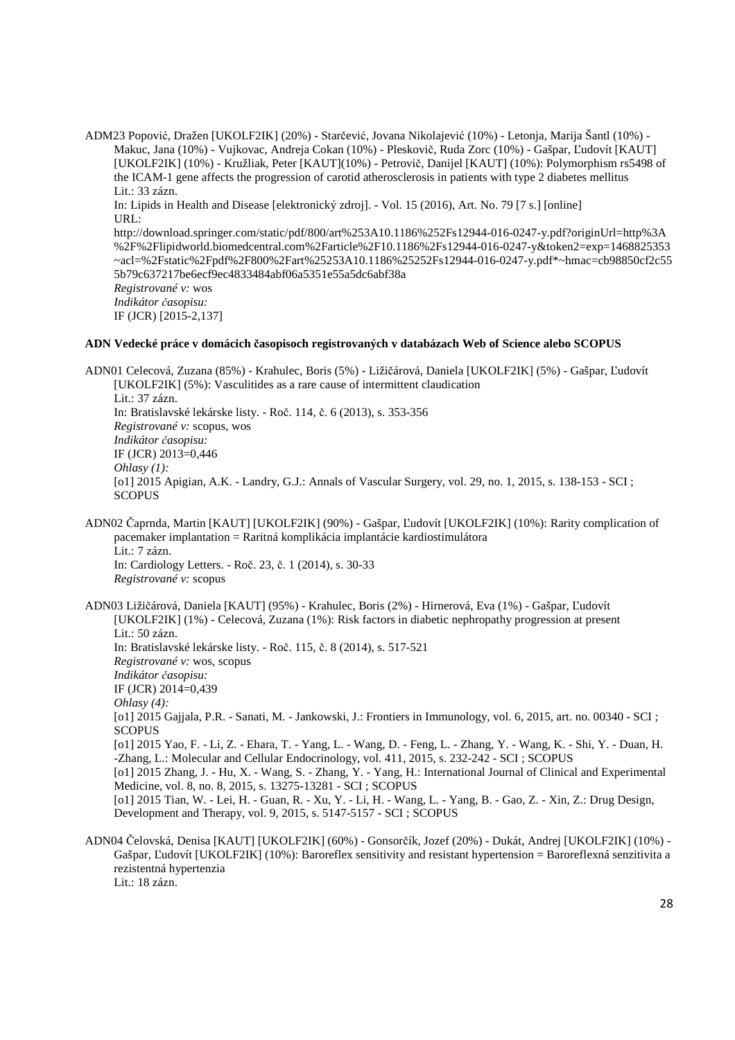ADM23 Popović, Dražen [UKOLF2IK] (20%) - Starčević, Jovana Nikolajević (10%) - Letonja, Marija Šantl (10%) - Makuc, Jana (10%) - Vujkovac, Andreja Cokan (10%) - Pleskovič, Ruda Zorc (10%) - Gašpar, Ľudovít [KAUT] [UKOLF2IK] (10%) - Kružliak, Peter [KAUT](10%) - Petrovič, Danijel [KAUT] (10%): Polymorphism rs5498 of the ICAM-1 gene affects the progression of carotid atherosclerosis in patients with type 2 diabetes mellitus Lit.: 33 zázn. In: Lipids in Health and Disease [elektronický zdroj]. - Vol. 15 (2016), Art. No. 79 [7 s.] [online] URL: http://download.springer.com/static/pdf/800/art%253A10.1186%252Fs12944-016-0247-y.pdf?originUrl=http%3A %2F%2Flipidworld.biomedcentral.com%2Farticle%2F10.1186%2Fs12944-016-0247-y&token2=exp=1468825353 ~acl=%2Fstatic%2Fpdf%2F800%2Fart%25253A10.1186%25252Fs12944-016-0247-y.pdf\*~hmac=cb98850cf2c55 5b79c637217be6ecf9ec4833484abf06a5351e55a5dc6abf38a *Registrované v:* wos *Indikátor časopisu:* IF (JCR) [2015-2,137]

## **ADN Vedecké práce v domácich časopisoch registrovaných v databázach Web of Science alebo SCOPUS**

ADN01 Celecová, Zuzana (85%) - Krahulec, Boris (5%) - Ližičárová, Daniela [UKOLF2IK] (5%) - Gašpar, Ľudovít [UKOLF2IK] (5%): Vasculitides as a rare cause of intermittent claudication Lit.: 37 zázn. In: Bratislavské lekárske listy. - Roč. 114, č. 6 (2013), s. 353-356 *Registrované v:* scopus, wos *Indikátor časopisu:* IF (JCR) 2013=0,446 *Ohlasy (1):* [o1] 2015 Apigian, A.K. - Landry, G.J.: Annals of Vascular Surgery, vol. 29, no. 1, 2015, s. 138-153 - SCI ; **SCOPUS** 

ADN02 Čaprnda, Martin [KAUT] [UKOLF2IK] (90%) - Gašpar, Ľudovít [UKOLF2IK] (10%): Rarity complication of pacemaker implantation = Raritná komplikácia implantácie kardiostimulátora Lit.: 7 zázn. In: Cardiology Letters. - Roč. 23, č. 1 (2014), s. 30-33 *Registrované v:* scopus

ADN03 Ližičárová, Daniela [KAUT] (95%) - Krahulec, Boris (2%) - Hirnerová, Eva (1%) - Gašpar, Ľudovít [UKOLF2IK] (1%) - Celecová, Zuzana (1%): Risk factors in diabetic nephropathy progression at present Lit.: 50 zázn. In: Bratislavské lekárske listy. - Roč. 115, č. 8 (2014), s. 517-521 *Registrované v:* wos, scopus *Indikátor časopisu:* IF (JCR) 2014=0,439 *Ohlasy (4):* [o1] 2015 Gajjala, P.R. - Sanati, M. - Jankowski, J.: Frontiers in Immunology, vol. 6, 2015, art. no. 00340 - SCI ; **SCOPUS** [o1] 2015 Yao, F. - Li, Z. - Ehara, T. - Yang, L. - Wang, D. - Feng, L. - Zhang, Y. - Wang, K. - Shi, Y. - Duan, H. -Zhang, L.: Molecular and Cellular Endocrinology, vol. 411, 2015, s. 232-242 - SCI ; SCOPUS [o1] 2015 Zhang, J. - Hu, X. - Wang, S. - Zhang, Y. - Yang, H.: International Journal of Clinical and Experimental Medicine, vol. 8, no. 8, 2015, s. 13275-13281 - SCI ; SCOPUS [o1] 2015 Tian, W. - Lei, H. - Guan, R. - Xu, Y. - Li, H. - Wang, L. - Yang, B. - Gao, Z. - Xin, Z.: Drug Design, Development and Therapy, vol. 9, 2015, s. 5147-5157 - SCI ; SCOPUS

ADN04 Čelovská, Denisa [KAUT] [UKOLF2IK] (60%) - Gonsorčík, Jozef (20%) - Dukát, Andrej [UKOLF2IK] (10%) - Gašpar, Ľudovít [UKOLF2IK] (10%): Baroreflex sensitivity and resistant hypertension = Baroreflexná senzitivita a rezistentná hypertenzia

Lit.: 18 zázn.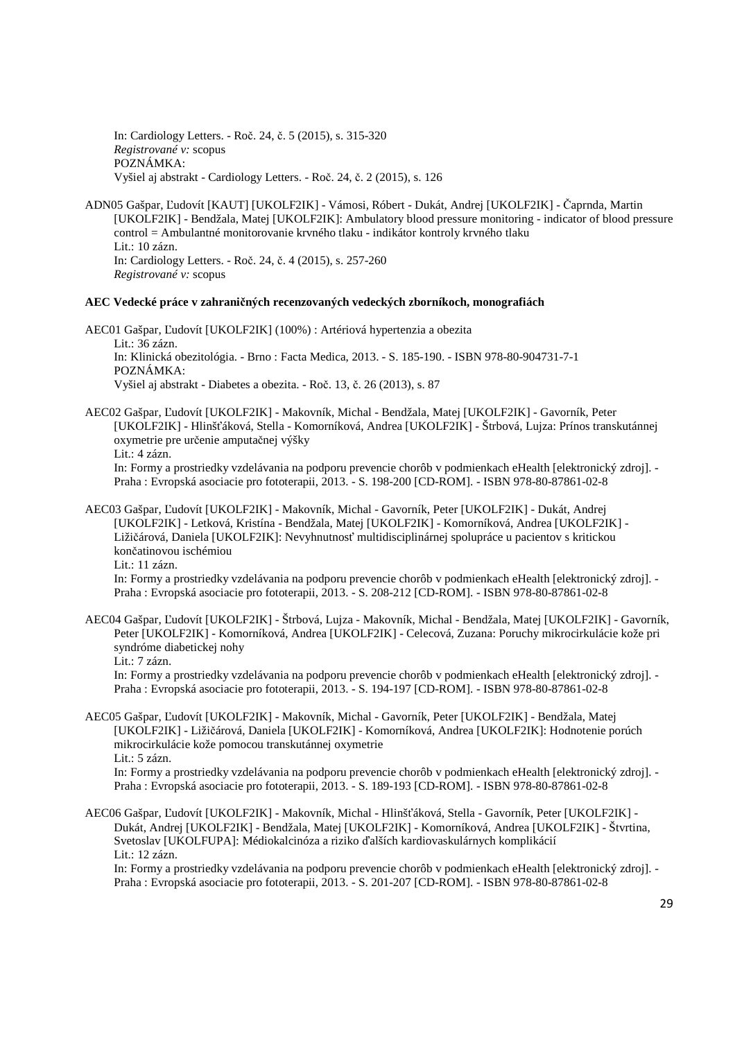In: Cardiology Letters. - Roč. 24, č. 5 (2015), s. 315-320 *Registrované v:* scopus POZNÁMKA: Vyšiel aj abstrakt - Cardiology Letters. - Roč. 24, č. 2 (2015), s. 126

ADN05 Gašpar, Ľudovít [KAUT] [UKOLF2IK] - Vámosi, Róbert - Dukát, Andrej [UKOLF2IK] - Čaprnda, Martin [UKOLF2IK] - Bendžala, Matej [UKOLF2IK]: Ambulatory blood pressure monitoring - indicator of blood pressure control = Ambulantné monitorovanie krvného tlaku - indikátor kontroly krvného tlaku Lit.: 10 zázn. In: Cardiology Letters. - Roč. 24, č. 4 (2015), s. 257-260 *Registrované v:* scopus

## **AEC Vedecké práce v zahraničných recenzovaných vedeckých zborníkoch, monografiách**

AEC01 Gašpar, Ľudovít [UKOLF2IK] (100%) : Artériová hypertenzia a obezita Lit.: 36 zázn. In: Klinická obezitológia. - Brno : Facta Medica, 2013. - S. 185-190. - ISBN 978-80-904731-7-1 POZNÁMKA: Vyšiel aj abstrakt - Diabetes a obezita. - Roč. 13, č. 26 (2013), s. 87

AEC02 Gašpar, Ľudovít [UKOLF2IK] - Makovník, Michal - Bendžala, Matej [UKOLF2IK] - Gavorník, Peter [UKOLF2IK] - Hlinšťáková, Stella - Komorníková, Andrea [UKOLF2IK] - Štrbová, Lujza: Prínos transkutánnej oxymetrie pre určenie amputačnej výšky Lit.: 4 zázn.

In: Formy a prostriedky vzdelávania na podporu prevencie chorôb v podmienkach eHealth [elektronický zdroj]. - Praha : Evropská asociacie pro fototerapii, 2013. - S. 198-200 [CD-ROM]. - ISBN 978-80-87861-02-8

AEC03 Gašpar, Ľudovít [UKOLF2IK] - Makovník, Michal - Gavorník, Peter [UKOLF2IK] - Dukát, Andrej [UKOLF2IK] - Letková, Kristína - Bendžala, Matej [UKOLF2IK] - Komorníková, Andrea [UKOLF2IK] - Ližičárová, Daniela [UKOLF2IK]: Nevyhnutnosť multidisciplinárnej spolupráce u pacientov s kritickou končatinovou ischémiou

Lit.: 11 zázn.

In: Formy a prostriedky vzdelávania na podporu prevencie chorôb v podmienkach eHealth [elektronický zdroj]. - Praha : Evropská asociacie pro fototerapii, 2013. - S. 208-212 [CD-ROM]. - ISBN 978-80-87861-02-8

AEC04 Gašpar, Ľudovít [UKOLF2IK] - Štrbová, Lujza - Makovník, Michal - Bendžala, Matej [UKOLF2IK] - Gavorník, Peter [UKOLF2IK] - Komorníková, Andrea [UKOLF2IK] - Celecová, Zuzana: Poruchy mikrocirkulácie kože pri syndróme diabetickej nohy Lit.: 7 zázn.

In: Formy a prostriedky vzdelávania na podporu prevencie chorôb v podmienkach eHealth [elektronický zdroj]. - Praha : Evropská asociacie pro fototerapii, 2013. - S. 194-197 [CD-ROM]. - ISBN 978-80-87861-02-8

AEC05 Gašpar, Ľudovít [UKOLF2IK] - Makovník, Michal - Gavorník, Peter [UKOLF2IK] - Bendžala, Matej [UKOLF2IK] - Ližičárová, Daniela [UKOLF2IK] - Komorníková, Andrea [UKOLF2IK]: Hodnotenie porúch mikrocirkulácie kože pomocou transkutánnej oxymetrie Lit.: 5 zázn. In: Formy a prostriedky vzdelávania na podporu prevencie chorôb v podmienkach eHealth [elektronický zdroj]. -

Praha : Evropská asociacie pro fototerapii, 2013. - S. 189-193 [CD-ROM]. - ISBN 978-80-87861-02-8

AEC06 Gašpar, Ľudovít [UKOLF2IK] - Makovník, Michal - Hlinšťáková, Stella - Gavorník, Peter [UKOLF2IK] - Dukát, Andrej [UKOLF2IK] - Bendžala, Matej [UKOLF2IK] - Komorníková, Andrea [UKOLF2IK] - Štvrtina, Svetoslav [UKOLFUPA]: Médiokalcinóza a riziko ďalších kardiovaskulárnych komplikácií Lit.: 12 zázn.

In: Formy a prostriedky vzdelávania na podporu prevencie chorôb v podmienkach eHealth [elektronický zdroj]. - Praha : Evropská asociacie pro fototerapii, 2013. - S. 201-207 [CD-ROM]. - ISBN 978-80-87861-02-8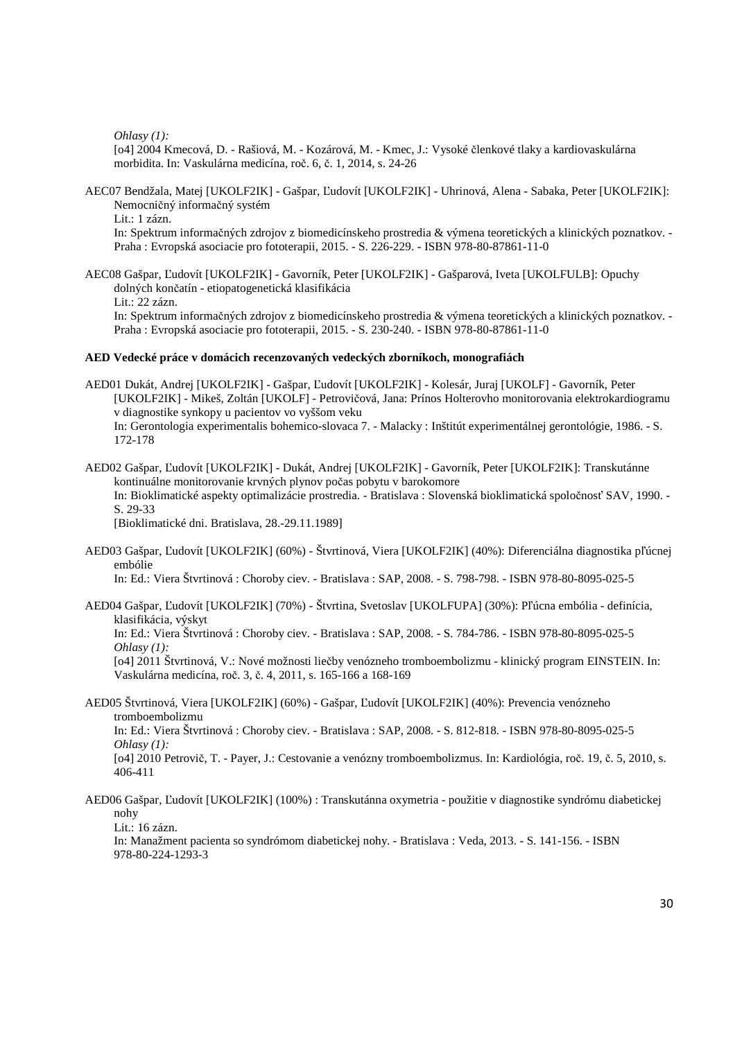*Ohlasy (1):*

[o4] 2004 Kmecová, D. - Rašiová, M. - Kozárová, M. - Kmec, J.: Vysoké členkové tlaky a kardiovaskulárna morbidita. In: Vaskulárna medicína, roč. 6, č. 1, 2014, s. 24-26

AEC07 Bendžala, Matej [UKOLF2IK] - Gašpar, Ľudovít [UKOLF2IK] - Uhrinová, Alena - Sabaka, Peter [UKOLF2IK]: Nemocničný informačný systém

Lit.: 1 zázn.

In: Spektrum informačných zdrojov z biomedicínskeho prostredia & výmena teoretických a klinických poznatkov. - Praha : Evropská asociacie pro fototerapii, 2015. - S. 226-229. - ISBN 978-80-87861-11-0

AEC08 Gašpar, Ľudovít [UKOLF2IK] - Gavorník, Peter [UKOLF2IK] - Gašparová, Iveta [UKOLFULB]: Opuchy dolných končatín - etiopatogenetická klasifikácia Lit.: 22 zázn.

In: Spektrum informačných zdrojov z biomedicínskeho prostredia & výmena teoretických a klinických poznatkov. - Praha : Evropská asociacie pro fototerapii, 2015. - S. 230-240. - ISBN 978-80-87861-11-0

## **AED Vedecké práce v domácich recenzovaných vedeckých zborníkoch, monografiách**

- AED01 Dukát, Andrej [UKOLF2IK] Gašpar, Ľudovít [UKOLF2IK] Kolesár, Juraj [UKOLF] Gavorník, Peter [UKOLF2IK] - Mikeš, Zoltán [UKOLF] - Petrovičová, Jana: Prínos Holterovho monitorovania elektrokardiogramu v diagnostike synkopy u pacientov vo vyššom veku In: Gerontologia experimentalis bohemico-slovaca 7. - Malacky : Inštitút experimentálnej gerontológie, 1986. - S. 172-178
- AED02 Gašpar, Ľudovít [UKOLF2IK] Dukát, Andrej [UKOLF2IK] Gavorník, Peter [UKOLF2IK]: Transkutánne kontinuálne monitorovanie krvných plynov počas pobytu v barokomore In: Bioklimatické aspekty optimalizácie prostredia. - Bratislava : Slovenská bioklimatická spoločnosť SAV, 1990. - S. 29-33

[Bioklimatické dni. Bratislava, 28.-29.11.1989]

AED03 Gašpar, Ľudovít [UKOLF2IK] (60%) - Štvrtinová, Viera [UKOLF2IK] (40%): Diferenciálna diagnostika pľúcnej embólie

In: Ed.: Viera Štvrtinová : Choroby ciev. - Bratislava : SAP, 2008. - S. 798-798. - ISBN 978-80-8095-025-5

AED04 Gašpar, Ľudovít [UKOLF2IK] (70%) - Štvrtina, Svetoslav [UKOLFUPA] (30%): Pľúcna embólia - definícia, klasifikácia, výskyt

In: Ed.: Viera Štvrtinová : Choroby ciev. - Bratislava : SAP, 2008. - S. 784-786. - ISBN 978-80-8095-025-5 *Ohlasy (1):*

[o4] 2011 Štvrtinová, V.: Nové možnosti liečby venózneho tromboembolizmu - klinický program EINSTEIN. In: Vaskulárna medicína, roč. 3, č. 4, 2011, s. 165-166 a 168-169

AED05 Štvrtinová, Viera [UKOLF2IK] (60%) - Gašpar, Ľudovít [UKOLF2IK] (40%): Prevencia venózneho tromboembolizmu

In: Ed.: Viera Štvrtinová : Choroby ciev. - Bratislava : SAP, 2008. - S. 812-818. - ISBN 978-80-8095-025-5 *Ohlasy (1):*

[o4] 2010 Petrovič, T. - Payer, J.: Cestovanie a venózny tromboembolizmus. In: Kardiológia, roč. 19, č. 5, 2010, s. 406-411

AED06 Gašpar, Ľudovít [UKOLF2IK] (100%) : Transkutánna oxymetria - použitie v diagnostike syndrómu diabetickej nohy

Lit.: 16 zázn.

In: Manažment pacienta so syndrómom diabetickej nohy. - Bratislava : Veda, 2013. - S. 141-156. - ISBN 978-80-224-1293-3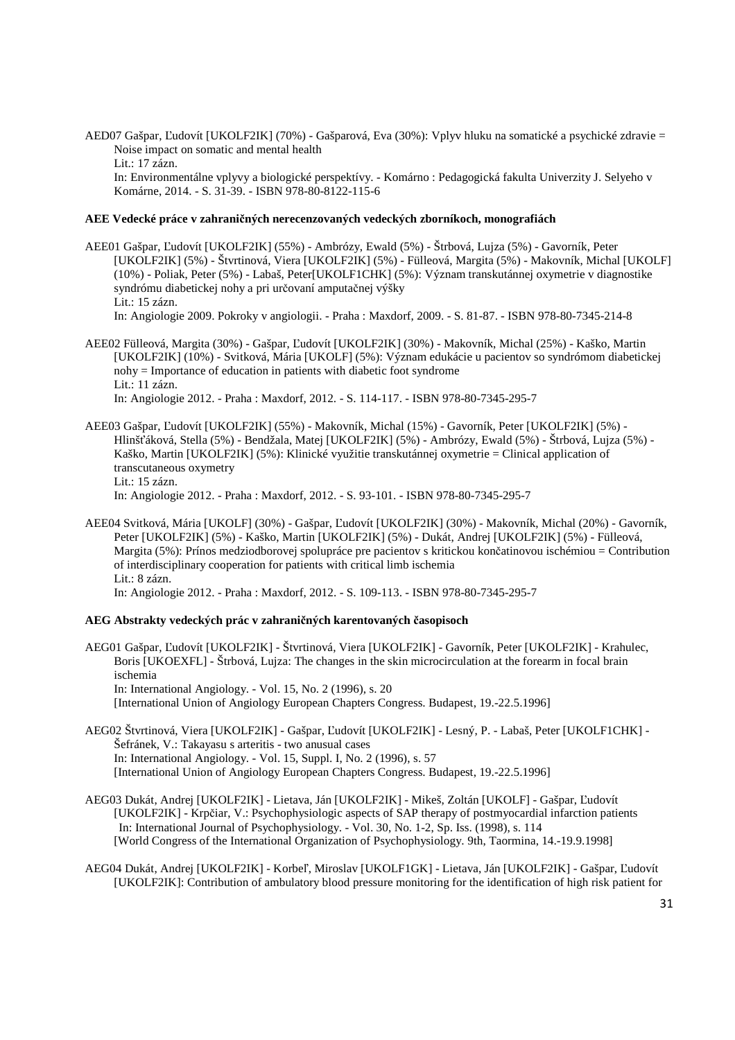AED07 Gašpar, Ľudovít [UKOLF2IK] (70%) - Gašparová, Eva (30%): Vplyv hluku na somatické a psychické zdravie = Noise impact on somatic and mental health Lit.: 17 zázn. In: Environmentálne vplyvy a biologické perspektívy. - Komárno : Pedagogická fakulta Univerzity J. Selyeho v Komárne, 2014. - S. 31-39. - ISBN 978-80-8122-115-6

#### **AEE Vedecké práce v zahraničných nerecenzovaných vedeckých zborníkoch, monografiách**

AEE01 Gašpar, Ľudovít [UKOLF2IK] (55%) - Ambrózy, Ewald (5%) - Štrbová, Lujza (5%) - Gavorník, Peter [UKOLF2IK] (5%) - Štvrtinová, Viera [UKOLF2IK] (5%) - Fülleová, Margita (5%) - Makovník, Michal [UKOLF] (10%) - Poliak, Peter (5%) - Labaš, Peter[UKOLF1CHK] (5%): Význam transkutánnej oxymetrie v diagnostike syndrómu diabetickej nohy a pri určovaní amputačnej výšky Lit.: 15 zázn. In: Angiologie 2009. Pokroky v angiologii. - Praha : Maxdorf, 2009. - S. 81-87. - ISBN 978-80-7345-214-8

- AEE02 Fülleová, Margita (30%) Gašpar, Ľudovít [UKOLF2IK] (30%) Makovník, Michal (25%) Kaško, Martin [UKOLF2IK] (10%) - Svitková, Mária [UKOLF] (5%): Význam edukácie u pacientov so syndrómom diabetickej nohy = Importance of education in patients with diabetic foot syndrome Lit.: 11 zázn. In: Angiologie 2012. - Praha : Maxdorf, 2012. - S. 114-117. - ISBN 978-80-7345-295-7
- AEE03 Gašpar, Ľudovít [UKOLF2IK] (55%) Makovník, Michal (15%) Gavorník, Peter [UKOLF2IK] (5%) Hlinšťáková, Stella (5%) - Bendžala, Matej [UKOLF2IK] (5%) - Ambrózy, Ewald (5%) - Štrbová, Lujza (5%) - Kaško, Martin [UKOLF2IK] (5%): Klinické využitie transkutánnej oxymetrie = Clinical application of transcutaneous oxymetry Lit.: 15 zázn. In: Angiologie 2012. - Praha : Maxdorf, 2012. - S. 93-101. - ISBN 978-80-7345-295-7
- AEE04 Svitková, Mária [UKOLF] (30%) Gašpar, Ľudovít [UKOLF2IK] (30%) Makovník, Michal (20%) Gavorník, Peter [UKOLF2IK] (5%) - Kaško, Martin [UKOLF2IK] (5%) - Dukát, Andrej [UKOLF2IK] (5%) - Fülleová, Margita (5%): Prínos medziodborovej spolupráce pre pacientov s kritickou končatinovou ischémiou = Contribution of interdisciplinary cooperation for patients with critical limb ischemia Lit.: 8 zázn. In: Angiologie 2012. - Praha : Maxdorf, 2012. - S. 109-113. - ISBN 978-80-7345-295-7

#### **AEG Abstrakty vedeckých prác v zahraničných karentovaných časopisoch**

AEG01 Gašpar, Ľudovít [UKOLF2IK] - Štvrtinová, Viera [UKOLF2IK] - Gavorník, Peter [UKOLF2IK] - Krahulec, Boris [UKOEXFL] - Štrbová, Lujza: The changes in the skin microcirculation at the forearm in focal brain ischemia In: International Angiology. - Vol. 15, No. 2 (1996), s. 20 [International Union of Angiology European Chapters Congress. Budapest, 19.-22.5.1996]

- AEG02 Štvrtinová, Viera [UKOLF2IK] Gašpar, Ľudovít [UKOLF2IK] Lesný, P. Labaš, Peter [UKOLF1CHK] Šefránek, V.: Takayasu s arteritis - two anusual cases In: International Angiology. - Vol. 15, Suppl. I, No. 2 (1996), s. 57 [International Union of Angiology European Chapters Congress. Budapest, 19.-22.5.1996]
- AEG03 Dukát, Andrej [UKOLF2IK] Lietava, Ján [UKOLF2IK] Mikeš, Zoltán [UKOLF] Gašpar, Ľudovít [UKOLF2IK] - Krpčiar, V.: Psychophysiologic aspects of SAP therapy of postmyocardial infarction patients In: International Journal of Psychophysiology. - Vol. 30, No. 1-2, Sp. Iss. (1998), s. 114 [World Congress of the International Organization of Psychophysiology. 9th, Taormina, 14.-19.9.1998]
- AEG04 Dukát, Andrej [UKOLF2IK] Korbeľ, Miroslav [UKOLF1GK] Lietava, Ján [UKOLF2IK] Gašpar, Ľudovít [UKOLF2IK]: Contribution of ambulatory blood pressure monitoring for the identification of high risk patient for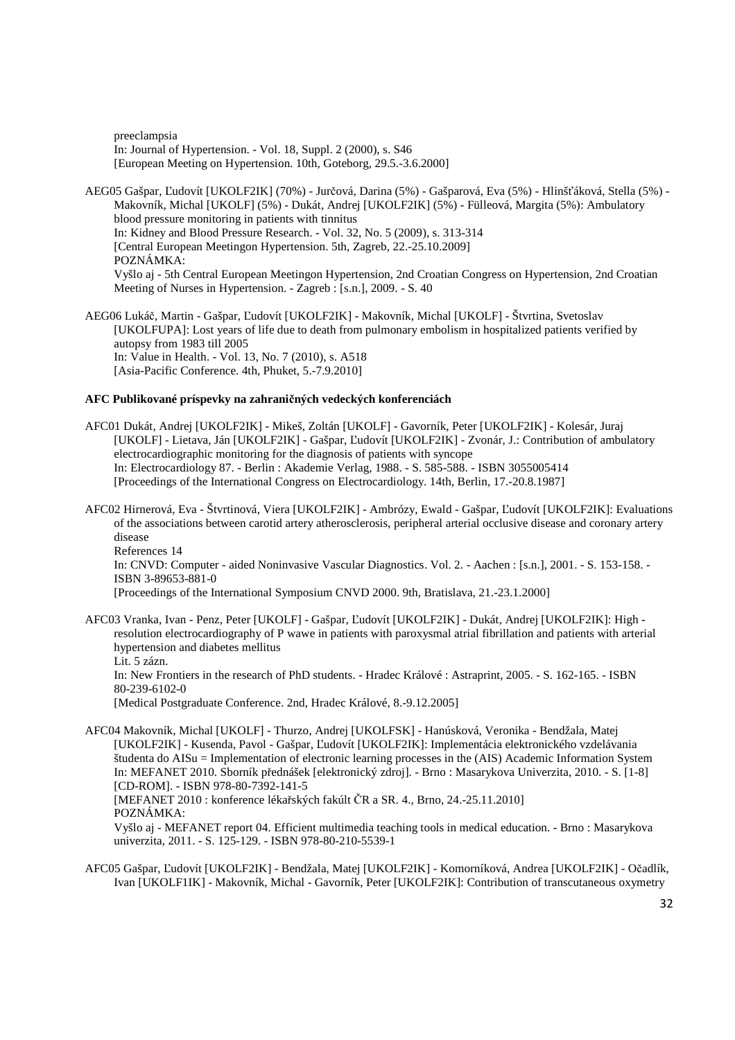preeclampsia In: Journal of Hypertension. - Vol. 18, Suppl. 2 (2000), s. S46 [European Meeting on Hypertension. 10th, Goteborg, 29.5.-3.6.2000]

AEG05 Gašpar, Ľudovít [UKOLF2IK] (70%) - Jurčová, Darina (5%) - Gašparová, Eva (5%) - Hlinšťáková, Stella (5%) - Makovník, Michal [UKOLF] (5%) - Dukát, Andrej [UKOLF2IK] (5%) - Fülleová, Margita (5%): Ambulatory blood pressure monitoring in patients with tinnitus In: Kidney and Blood Pressure Research. - Vol. 32, No. 5 (2009), s. 313-314 [Central European Meetingon Hypertension. 5th, Zagreb, 22.-25.10.2009] POZNÁMKA: Vyšlo aj - 5th Central European Meetingon Hypertension, 2nd Croatian Congress on Hypertension, 2nd Croatian Meeting of Nurses in Hypertension. - Zagreb : [s.n.], 2009. - S. 40

AEG06 Lukáč, Martin - Gašpar, Ľudovít [UKOLF2IK] - Makovník, Michal [UKOLF] - Štvrtina, Svetoslav [UKOLFUPA]: Lost years of life due to death from pulmonary embolism in hospitalized patients verified by autopsy from 1983 till 2005 In: Value in Health. - Vol. 13, No. 7 (2010), s. A518 [Asia-Pacific Conference. 4th, Phuket, 5.-7.9.2010]

## **AFC Publikované príspevky na zahraničných vedeckých konferenciách**

- AFC01 Dukát, Andrej [UKOLF2IK] Mikeš, Zoltán [UKOLF] Gavorník, Peter [UKOLF2IK] Kolesár, Juraj [UKOLF] - Lietava, Ján [UKOLF2IK] - Gašpar, Ľudovít [UKOLF2IK] - Zvonár, J.: Contribution of ambulatory electrocardiographic monitoring for the diagnosis of patients with syncope In: Electrocardiology 87. - Berlin : Akademie Verlag, 1988. - S. 585-588. - ISBN 3055005414 [Proceedings of the International Congress on Electrocardiology. 14th, Berlin, 17.-20.8.1987]
- AFC02 Hirnerová, Eva Štvrtinová, Viera [UKOLF2IK] Ambrózy, Ewald Gašpar, Ľudovít [UKOLF2IK]: Evaluations of the associations between carotid artery atherosclerosis, peripheral arterial occlusive disease and coronary artery disease References 14 In: CNVD: Computer - aided Noninvasive Vascular Diagnostics. Vol. 2. - Aachen : [s.n.], 2001. - S. 153-158. - ISBN 3-89653-881-0

[Proceedings of the International Symposium CNVD 2000. 9th, Bratislava, 21.-23.1.2000]

AFC03 Vranka, Ivan - Penz, Peter [UKOLF] - Gašpar, Ľudovít [UKOLF2IK] - Dukát, Andrej [UKOLF2IK]: High resolution electrocardiography of P wawe in patients with paroxysmal atrial fibrillation and patients with arterial hypertension and diabetes mellitus Lit. 5 zázn.

In: New Frontiers in the research of PhD students. - Hradec Králové : Astraprint, 2005. - S. 162-165. - ISBN 80-239-6102-0

[Medical Postgraduate Conference. 2nd, Hradec Králové, 8.-9.12.2005]

AFC04 Makovník, Michal [UKOLF] - Thurzo, Andrej [UKOLFSK] - Hanúsková, Veronika - Bendžala, Matej [UKOLF2IK] - Kusenda, Pavol - Gašpar, Ľudovít [UKOLF2IK]: Implementácia elektronického vzdelávania študenta do AISu = Implementation of electronic learning processes in the (AIS) Academic Information System In: MEFANET 2010. Sborník přednášek [elektronický zdroj]. - Brno : Masarykova Univerzita, 2010. - S. [1-8] [CD-ROM]. - ISBN 978-80-7392-141-5 [MEFANET 2010 : konference lékařských fakúlt ČR a SR. 4., Brno, 24.-25.11.2010]

POZNÁMKA:

Vyšlo aj - MEFANET report 04. Efficient multimedia teaching tools in medical education. - Brno : Masarykova univerzita, 2011. - S. 125-129. - ISBN 978-80-210-5539-1

AFC05 Gašpar, Ľudovít [UKOLF2IK] - Bendžala, Matej [UKOLF2IK] - Komorníková, Andrea [UKOLF2IK] - Očadlík, Ivan [UKOLF1IK] - Makovník, Michal - Gavorník, Peter [UKOLF2IK]: Contribution of transcutaneous oxymetry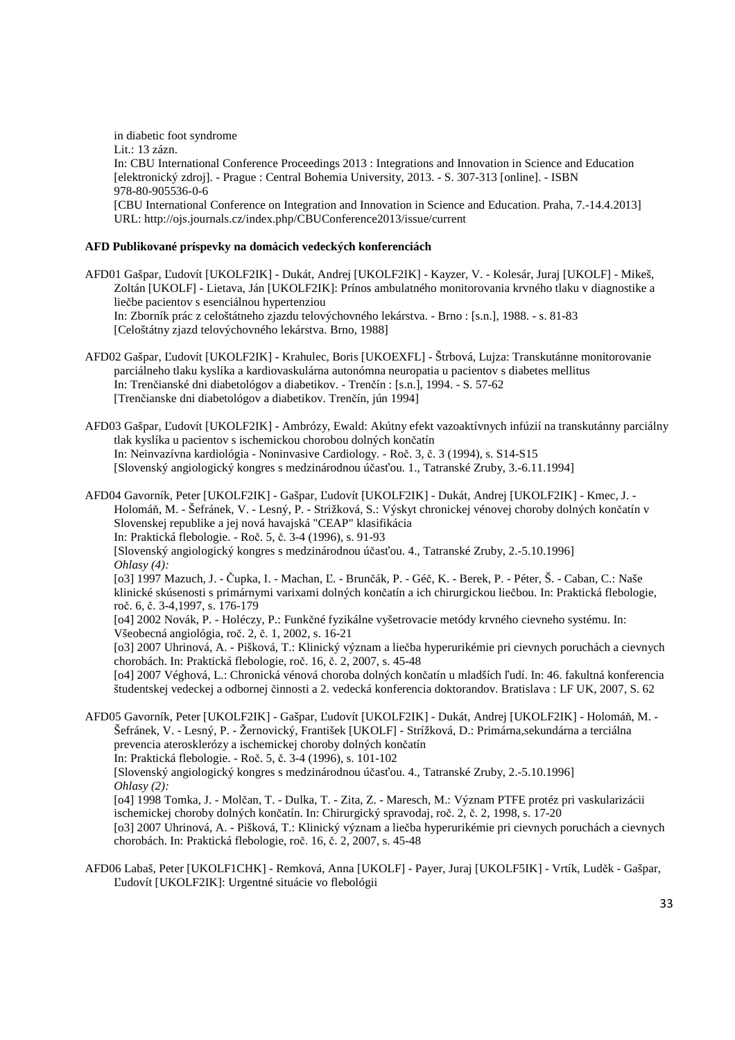in diabetic foot syndrome Lit.: 13 zázn. In: CBU International Conference Proceedings 2013 : Integrations and Innovation in Science and Education [elektronický zdroj]. - Prague : Central Bohemia University, 2013. - S. 307-313 [online]. - ISBN 978-80-905536-0-6 [CBU International Conference on Integration and Innovation in Science and Education. Praha, 7.-14.4.2013] URL: http://ojs.journals.cz/index.php/CBUConference2013/issue/current

## **AFD Publikované príspevky na domácich vedeckých konferenciách**

AFD01 Gašpar, Ľudovít [UKOLF2IK] - Dukát, Andrej [UKOLF2IK] - Kayzer, V. - Kolesár, Juraj [UKOLF] - Mikeš, Zoltán [UKOLF] - Lietava, Ján [UKOLF2IK]: Prínos ambulatného monitorovania krvného tlaku v diagnostike a liečbe pacientov s esenciálnou hypertenziou In: Zborník prác z celoštátneho zjazdu telovýchovného lekárstva. - Brno : [s.n.], 1988. - s. 81-83 [Celoštátny zjazd telovýchovného lekárstva. Brno, 1988]

- AFD02 Gašpar, Ľudovít [UKOLF2IK] Krahulec, Boris [UKOEXFL] Štrbová, Lujza: Transkutánne monitorovanie parciálneho tlaku kyslíka a kardiovaskulárna autonómna neuropatia u pacientov s diabetes mellitus In: Trenčianské dni diabetológov a diabetikov. - Trenčín : [s.n.], 1994. - S. 57-62 [Trenčianske dni diabetológov a diabetikov. Trenčín, jún 1994]
- AFD03 Gašpar, Ľudovít [UKOLF2IK] Ambrózy, Ewald: Akútny efekt vazoaktívnych infúzií na transkutánny parciálny tlak kyslíka u pacientov s ischemickou chorobou dolných končatín In: Neinvazívna kardiológia - Noninvasive Cardiology. - Roč. 3, č. 3 (1994), s. S14-S15 [Slovenský angiologický kongres s medzinárodnou účasťou. 1., Tatranské Zruby, 3.-6.11.1994]

AFD04 Gavorník, Peter [UKOLF2IK] - Gašpar, Ľudovít [UKOLF2IK] - Dukát, Andrej [UKOLF2IK] - Kmec, J. - Holomáň, M. - Šefránek, V. - Lesný, P. - Strižková, S.: Výskyt chronickej vénovej choroby dolných končatín v Slovenskej republike a jej nová havajská "CEAP" klasifikácia In: Praktická flebologie. - Roč. 5, č. 3-4 (1996), s. 91-93 [Slovenský angiologický kongres s medzinárodnou účasťou. 4., Tatranské Zruby, 2.-5.10.1996] *Ohlasy (4):* [o3] 1997 Mazuch, J. - Čupka, I. - Machan, Ľ. - Brunčák, P. - Géč, K. - Berek, P. - Péter, Š. - Caban, C.: Naše klinické skúsenosti s primárnymi varixami dolných končatín a ich chirurgickou liečbou. In: Praktická flebologie, roč. 6, č. 3-4,1997, s. 176-179 [o4] 2002 Novák, P. - Holéczy, P.: Funkčné fyzikálne vyšetrovacie metódy krvného cievneho systému. In: Všeobecná angiológia, roč. 2, č. 1, 2002, s. 16-21 [o3] 2007 Uhrinová, A. - Pišková, T.: Klinický význam a liečba hyperurikémie pri cievnych poruchách a cievnych chorobách. In: Praktická flebologie, roč. 16, č. 2, 2007, s. 45-48 [o4] 2007 Véghová, L.: Chronická vénová choroba dolných končatín u mladších ľudí. In: 46. fakultná konferencia

študentskej vedeckej a odbornej činnosti a 2. vedecká konferencia doktorandov. Bratislava : LF UK, 2007, S. 62

AFD05 Gavorník, Peter [UKOLF2IK] - Gašpar, Ľudovít [UKOLF2IK] - Dukát, Andrej [UKOLF2IK] - Holomáň, M. - Šefránek, V. - Lesný, P. - Žernovický, František [UKOLF] - Strížková, D.: Primárna,sekundárna a terciálna prevencia aterosklerózy a ischemickej choroby dolných končatín In: Praktická flebologie. - Roč. 5, č. 3-4 (1996), s. 101-102

[Slovenský angiologický kongres s medzinárodnou účasťou. 4., Tatranské Zruby, 2.-5.10.1996] *Ohlasy (2):*

[o4] 1998 Tomka, J. - Molčan, T. - Dulka, T. - Zita, Z. - Maresch, M.: Význam PTFE protéz pri vaskularizácii ischemickej choroby dolných končatín. In: Chirurgický spravodaj, roč. 2, č. 2, 1998, s. 17-20 [o3] 2007 Uhrinová, A. - Pišková, T.: Klinický význam a liečba hyperurikémie pri cievnych poruchách a cievnych chorobách. In: Praktická flebologie, roč. 16, č. 2, 2007, s. 45-48

AFD06 Labaš, Peter [UKOLF1CHK] - Remková, Anna [UKOLF] - Payer, Juraj [UKOLF5IK] - Vrtík, Luděk - Gašpar, Ľudovít [UKOLF2IK]: Urgentné situácie vo flebológii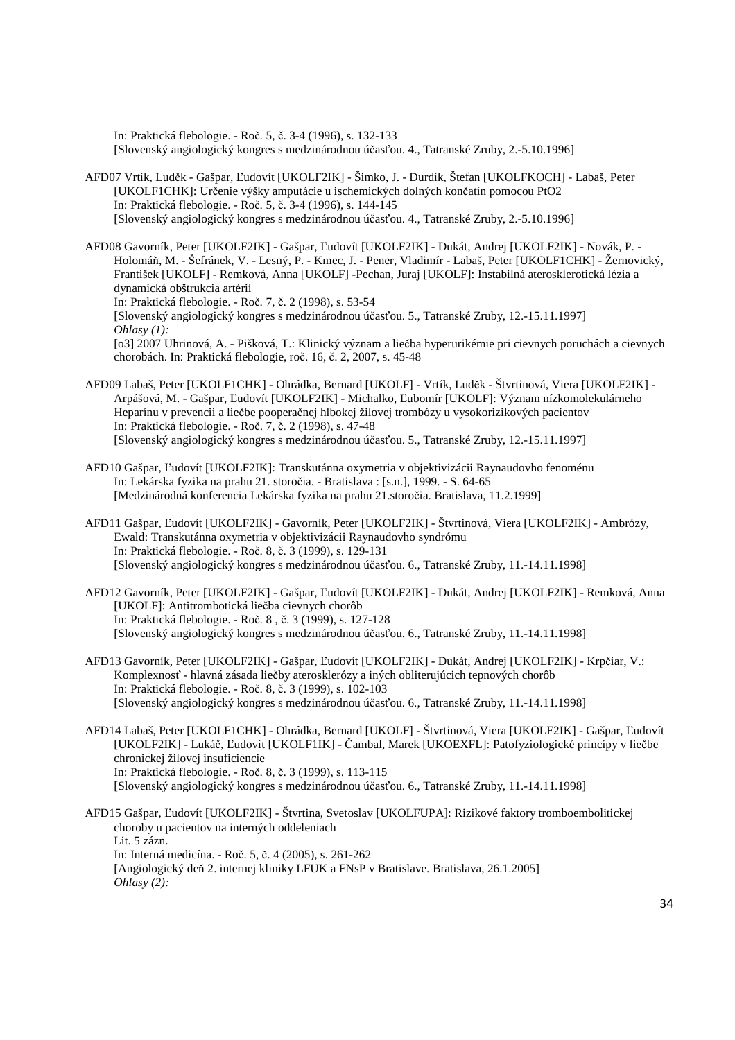In: Praktická flebologie. - Roč. 5, č. 3-4 (1996), s. 132-133 [Slovenský angiologický kongres s medzinárodnou účasťou. 4., Tatranské Zruby, 2.-5.10.1996]

AFD07 Vrtík, Luděk - Gašpar, Ľudovít [UKOLF2IK] - Šimko, J. - Durdík, Štefan [UKOLFKOCH] - Labaš, Peter [UKOLF1CHK]: Určenie výšky amputácie u ischemických dolných končatín pomocou PtO2 In: Praktická flebologie. - Roč. 5, č. 3-4 (1996), s. 144-145 [Slovenský angiologický kongres s medzinárodnou účasťou. 4., Tatranské Zruby, 2.-5.10.1996]

AFD08 Gavorník, Peter [UKOLF2IK] - Gašpar, Ľudovít [UKOLF2IK] - Dukát, Andrej [UKOLF2IK] - Novák, P. - Holomáň, M. - Šefránek, V. - Lesný, P. - Kmec, J. - Pener, Vladimír - Labaš, Peter [UKOLF1CHK] - Žernovický, František [UKOLF] - Remková, Anna [UKOLF] -Pechan, Juraj [UKOLF]: Instabilná aterosklerotická lézia a dynamická obštrukcia artérií In: Praktická flebologie. - Roč. 7, č. 2 (1998), s. 53-54 [Slovenský angiologický kongres s medzinárodnou účasťou. 5., Tatranské Zruby, 12.-15.11.1997]

*Ohlasy (1):* [o3] 2007 Uhrinová, A. - Pišková, T.: Klinický význam a liečba hyperurikémie pri cievnych poruchách a cievnych chorobách. In: Praktická flebologie, roč. 16, č. 2, 2007, s. 45-48

AFD09 Labaš, Peter [UKOLF1CHK] - Ohrádka, Bernard [UKOLF] - Vrtík, Luděk - Štvrtinová, Viera [UKOLF2IK] - Arpášová, M. - Gašpar, Ľudovít [UKOLF2IK] - Michalko, Ľubomír [UKOLF]: Význam nízkomolekulárneho Heparínu v prevencii a liečbe pooperačnej hlbokej žilovej trombózy u vysokorizikových pacientov In: Praktická flebologie. - Roč. 7, č. 2 (1998), s. 47-48 [Slovenský angiologický kongres s medzinárodnou účasťou. 5., Tatranské Zruby, 12.-15.11.1997]

- AFD10 Gašpar, Ľudovít [UKOLF2IK]: Transkutánna oxymetria v objektivizácii Raynaudovho fenoménu In: Lekárska fyzika na prahu 21. storočia. - Bratislava : [s.n.], 1999. - S. 64-65 [Medzinárodná konferencia Lekárska fyzika na prahu 21.storočia. Bratislava, 11.2.1999]
- AFD11 Gašpar, Ľudovít [UKOLF2IK] Gavorník, Peter [UKOLF2IK] Štvrtinová, Viera [UKOLF2IK] Ambrózy, Ewald: Transkutánna oxymetria v objektivizácii Raynaudovho syndrómu In: Praktická flebologie. - Roč. 8, č. 3 (1999), s. 129-131 [Slovenský angiologický kongres s medzinárodnou účasťou. 6., Tatranské Zruby, 11.-14.11.1998]
- AFD12 Gavorník, Peter [UKOLF2IK] Gašpar, Ľudovít [UKOLF2IK] Dukát, Andrej [UKOLF2IK] Remková, Anna [UKOLF]: Antitrombotická liečba cievnych chorôb In: Praktická flebologie. - Roč. 8 , č. 3 (1999), s. 127-128 [Slovenský angiologický kongres s medzinárodnou účasťou. 6., Tatranské Zruby, 11.-14.11.1998]
- AFD13 Gavorník, Peter [UKOLF2IK] Gašpar, Ľudovít [UKOLF2IK] Dukát, Andrej [UKOLF2IK] Krpčiar, V.: Komplexnosť - hlavná zásada liečby aterosklerózy a iných obliterujúcich tepnových chorôb In: Praktická flebologie. - Roč. 8, č. 3 (1999), s. 102-103 [Slovenský angiologický kongres s medzinárodnou účasťou. 6., Tatranské Zruby, 11.-14.11.1998]
- AFD14 Labaš, Peter [UKOLF1CHK] Ohrádka, Bernard [UKOLF] Štvrtinová, Viera [UKOLF2IK] Gašpar, Ľudovít [UKOLF2IK] - Lukáč, Ľudovít [UKOLF1IK] - Čambal, Marek [UKOEXFL]: Patofyziologické princípy v liečbe chronickej žilovej insuficiencie In: Praktická flebologie. - Roč. 8, č. 3 (1999), s. 113-115 [Slovenský angiologický kongres s medzinárodnou účasťou. 6., Tatranské Zruby, 11.-14.11.1998]
- AFD15 Gašpar, Ľudovít [UKOLF2IK] Štvrtina, Svetoslav [UKOLFUPA]: Rizikové faktory tromboembolitickej choroby u pacientov na interných oddeleniach Lit. 5 zázn. In: Interná medicína. - Roč. 5, č. 4 (2005), s. 261-262 [Angiologický deň 2. internej kliniky LFUK a FNsP v Bratislave. Bratislava, 26.1.2005] *Ohlasy (2):*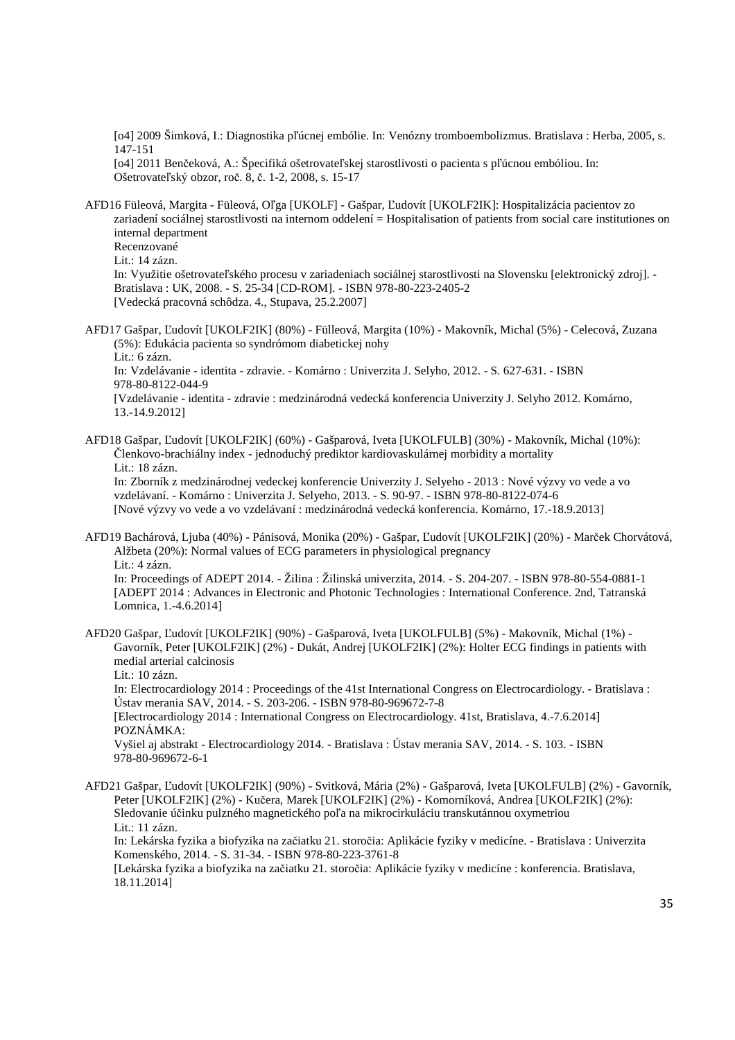[o4] 2009 Šimková, I.: Diagnostika pľúcnej embólie. In: Venózny tromboembolizmus. Bratislava : Herba, 2005, s. 147-151

[o4] 2011 Benčeková, A.: Špecifiká ošetrovateľskej starostlivosti o pacienta s pľúcnou embóliou. In: Ošetrovateľský obzor, roč. 8, č. 1-2, 2008, s. 15-17

AFD16 Füleová, Margita - Füleová, Oľga [UKOLF] - Gašpar, Ľudovít [UKOLF2IK]: Hospitalizácia pacientov zo zariadení sociálnej starostlivosti na internom oddelení = Hospitalisation of patients from social care institutiones on internal department Recenzované

Lit.: 14 zázn.

In: Využitie ošetrovateľského procesu v zariadeniach sociálnej starostlivosti na Slovensku [elektronický zdroj]. - Bratislava : UK, 2008. - S. 25-34 [CD-ROM]. - ISBN 978-80-223-2405-2 [Vedecká pracovná schôdza. 4., Stupava, 25.2.2007]

AFD17 Gašpar, Ľudovít [UKOLF2IK] (80%) - Fülleová, Margita (10%) - Makovník, Michal (5%) - Celecová, Zuzana (5%): Edukácia pacienta so syndrómom diabetickej nohy Lit.:  $6$  zázn.

In: Vzdelávanie - identita - zdravie. - Komárno : Univerzita J. Selyho, 2012. - S. 627-631. - ISBN 978-80-8122-044-9

[Vzdelávanie - identita - zdravie : medzinárodná vedecká konferencia Univerzity J. Selyho 2012. Komárno, 13.-14.9.2012]

AFD18 Gašpar, Ľudovít [UKOLF2IK] (60%) - Gašparová, Iveta [UKOLFULB] (30%) - Makovník, Michal (10%): Členkovo-brachiálny index - jednoduchý prediktor kardiovaskulárnej morbidity a mortality Lit.: 18 zázn. In: Zborník z medzinárodnej vedeckej konferencie Univerzity J. Selyeho - 2013 : Nové výzvy vo vede a vo

vzdelávaní. - Komárno : Univerzita J. Selyeho, 2013. - S. 90-97. - ISBN 978-80-8122-074-6 [Nové výzvy vo vede a vo vzdelávaní : medzinárodná vedecká konferencia. Komárno, 17.-18.9.2013]

AFD19 Bachárová, Ljuba (40%) - Pánisová, Monika (20%) - Gašpar, Ľudovít [UKOLF2IK] (20%) - Marček Chorvátová, Alžbeta (20%): Normal values of ECG parameters in physiological pregnancy Lit.: 4 zázn.

In: Proceedings of ADEPT 2014. - Žilina : Žilinská univerzita, 2014. - S. 204-207. - ISBN 978-80-554-0881-1 [ADEPT 2014 : Advances in Electronic and Photonic Technologies : International Conference. 2nd, Tatranská Lomnica, 1.-4.6.2014]

AFD20 Gašpar, Ľudovít [UKOLF2IK] (90%) - Gašparová, Iveta [UKOLFULB] (5%) - Makovník, Michal (1%) - Gavorník, Peter [UKOLF2IK] (2%) - Dukát, Andrej [UKOLF2IK] (2%): Holter ECG findings in patients with medial arterial calcinosis

Lit.: 10 zázn.

In: Electrocardiology 2014 : Proceedings of the 41st International Congress on Electrocardiology. - Bratislava : Ústav merania SAV, 2014. - S. 203-206. - ISBN 978-80-969672-7-8

[Electrocardiology 2014 : International Congress on Electrocardiology. 41st, Bratislava, 4.-7.6.2014] POZNÁMKA:

Vyšiel aj abstrakt - Electrocardiology 2014. - Bratislava : Ústav merania SAV, 2014. - S. 103. - ISBN 978-80-969672-6-1

AFD21 Gašpar, Ľudovít [UKOLF2IK] (90%) - Svitková, Mária (2%) - Gašparová, Iveta [UKOLFULB] (2%) - Gavorník, Peter [UKOLF2IK] (2%) - Kučera, Marek [UKOLF2IK] (2%) - Komorníková, Andrea [UKOLF2IK] (2%): Sledovanie účinku pulzného magnetického poľa na mikrocirkuláciu transkutánnou oxymetriou Lit.: 11 zázn.

In: Lekárska fyzika a biofyzika na začiatku 21. storočia: Aplikácie fyziky v medicíne. - Bratislava : Univerzita Komenského, 2014. - S. 31-34. - ISBN 978-80-223-3761-8

[Lekárska fyzika a biofyzika na začiatku 21. storočia: Aplikácie fyziky v medicíne : konferencia. Bratislava, 18.11.2014]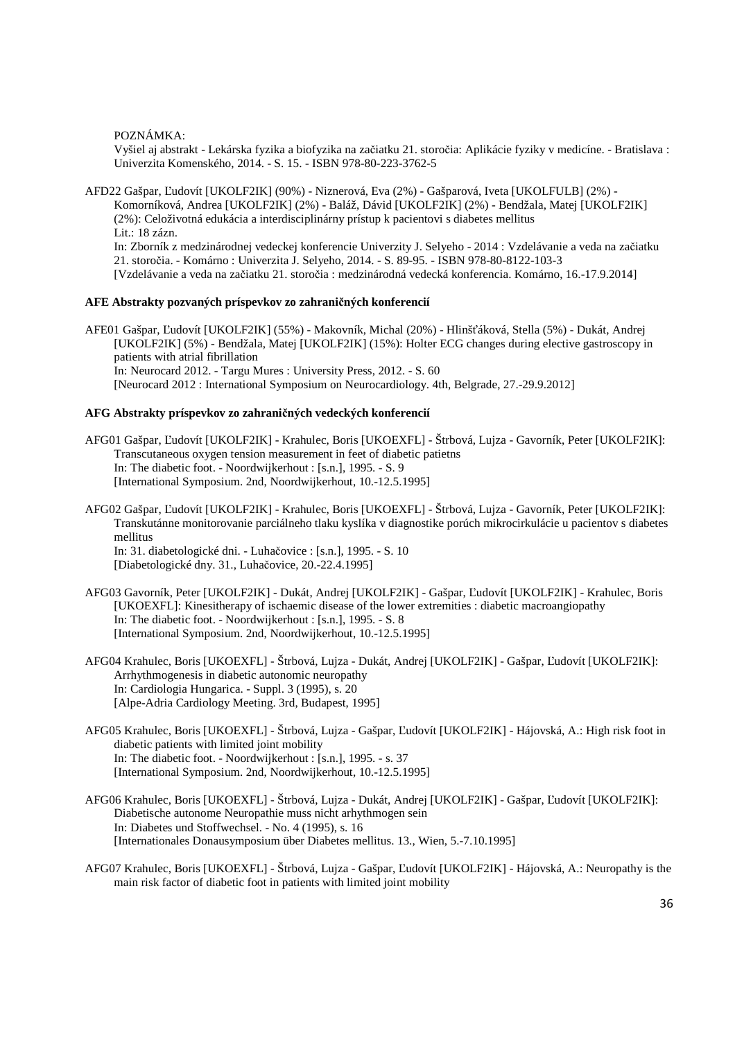POZNÁMKA:

Vyšiel aj abstrakt - Lekárska fyzika a biofyzika na začiatku 21. storočia: Aplikácie fyziky v medicíne. - Bratislava : Univerzita Komenského, 2014. - S. 15. - ISBN 978-80-223-3762-5

AFD22 Gašpar, Ľudovít [UKOLF2IK] (90%) - Niznerová, Eva (2%) - Gašparová, Iveta [UKOLFULB] (2%) - Komorníková, Andrea [UKOLF2IK] (2%) - Baláž, Dávid [UKOLF2IK] (2%) - Bendžala, Matej [UKOLF2IK] (2%): Celoživotná edukácia a interdisciplinárny prístup k pacientovi s diabetes mellitus Lit.: 18 zázn. In: Zborník z medzinárodnej vedeckej konferencie Univerzity J. Selyeho - 2014 : Vzdelávanie a veda na začiatku 21. storočia. - Komárno : Univerzita J. Selyeho, 2014. - S. 89-95. - ISBN 978-80-8122-103-3 [Vzdelávanie a veda na začiatku 21. storočia : medzinárodná vedecká konferencia. Komárno, 16.-17.9.2014]

## **AFE Abstrakty pozvaných príspevkov zo zahraničných konferencií**

AFE01 Gašpar, Ľudovít [UKOLF2IK] (55%) - Makovník, Michal (20%) - Hlinšťáková, Stella (5%) - Dukát, Andrej [UKOLF2IK] (5%) - Bendžala, Matej [UKOLF2IK] (15%): Holter ECG changes during elective gastroscopy in patients with atrial fibrillation In: Neurocard 2012. - Targu Mures : University Press, 2012. - S. 60 [Neurocard 2012 : International Symposium on Neurocardiology. 4th, Belgrade, 27.-29.9.2012]

## **AFG Abstrakty príspevkov zo zahraničných vedeckých konferencií**

- AFG01 Gašpar, Ľudovít [UKOLF2IK] Krahulec, Boris [UKOEXFL] Štrbová, Lujza Gavorník, Peter [UKOLF2IK]: Transcutaneous oxygen tension measurement in feet of diabetic patietns In: The diabetic foot. - Noordwijkerhout : [s.n.], 1995. - S. 9 [International Symposium. 2nd, Noordwijkerhout, 10.-12.5.1995]
- AFG02 Gašpar, Ľudovít [UKOLF2IK] Krahulec, Boris [UKOEXFL] Štrbová, Lujza Gavorník, Peter [UKOLF2IK]: Transkutánne monitorovanie parciálneho tlaku kyslíka v diagnostike porúch mikrocirkulácie u pacientov s diabetes mellitus In: 31. diabetologické dni. - Luhačovice : [s.n.], 1995. - S. 10 [Diabetologické dny. 31., Luhačovice, 20.-22.4.1995]
- AFG03 Gavorník, Peter [UKOLF2IK] Dukát, Andrej [UKOLF2IK] Gašpar, Ľudovít [UKOLF2IK] Krahulec, Boris [UKOEXFL]: Kinesitherapy of ischaemic disease of the lower extremities : diabetic macroangiopathy In: The diabetic foot. - Noordwijkerhout : [s.n.], 1995. - S. 8 [International Symposium. 2nd, Noordwijkerhout, 10.-12.5.1995]
- AFG04 Krahulec, Boris [UKOEXFL] Štrbová, Lujza Dukát, Andrej [UKOLF2IK] Gašpar, Ľudovít [UKOLF2IK]: Arrhythmogenesis in diabetic autonomic neuropathy In: Cardiologia Hungarica. - Suppl. 3 (1995), s. 20 [Alpe-Adria Cardiology Meeting. 3rd, Budapest, 1995]
- AFG05 Krahulec, Boris [UKOEXFL] Štrbová, Lujza Gašpar, Ľudovít [UKOLF2IK] Hájovská, A.: High risk foot in diabetic patients with limited joint mobility In: The diabetic foot. - Noordwijkerhout : [s.n.], 1995. - s. 37 [International Symposium. 2nd, Noordwijkerhout, 10.-12.5.1995]
- AFG06 Krahulec, Boris [UKOEXFL] Štrbová, Lujza Dukát, Andrej [UKOLF2IK] Gašpar, Ľudovít [UKOLF2IK]: Diabetische autonome Neuropathie muss nicht arhythmogen sein In: Diabetes und Stoffwechsel. - No. 4 (1995), s. 16 [Internationales Donausymposium über Diabetes mellitus. 13., Wien, 5.-7.10.1995]
- AFG07 Krahulec, Boris [UKOEXFL] Štrbová, Lujza Gašpar, Ľudovít [UKOLF2IK] Hájovská, A.: Neuropathy is the main risk factor of diabetic foot in patients with limited joint mobility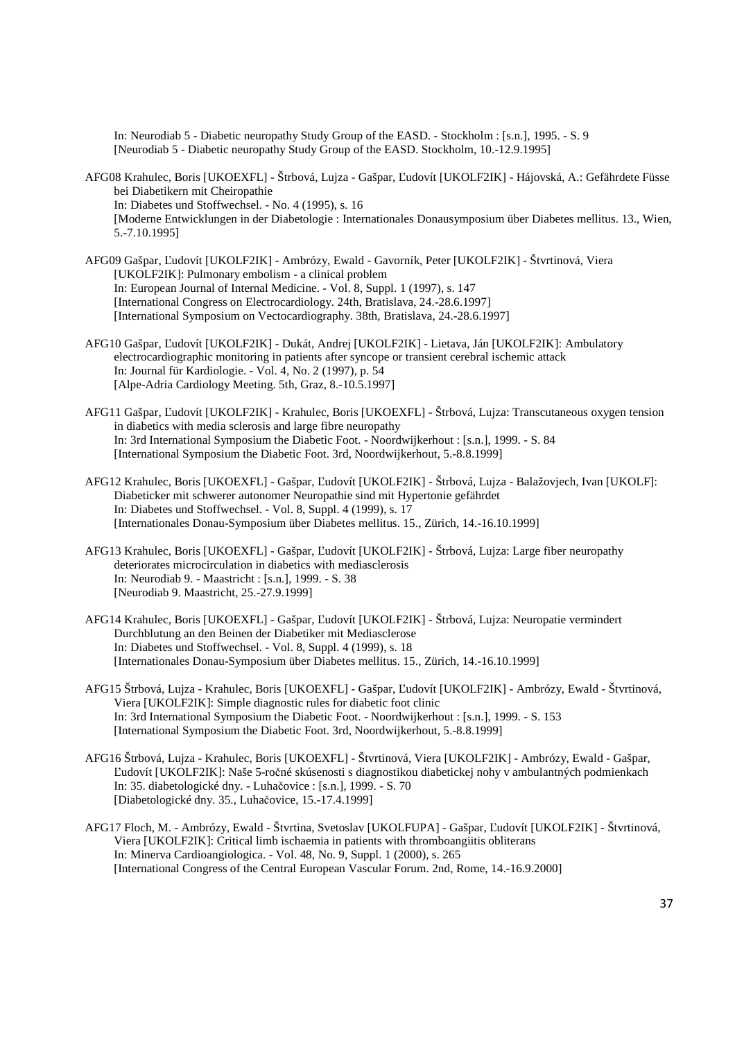In: Neurodiab 5 - Diabetic neuropathy Study Group of the EASD. - Stockholm : [s.n.], 1995. - S. 9 [Neurodiab 5 - Diabetic neuropathy Study Group of the EASD. Stockholm, 10.-12.9.1995]

- AFG08 Krahulec, Boris [UKOEXFL] Štrbová, Lujza Gašpar, Ľudovít [UKOLF2IK] Hájovská, A.: Gefährdete Füsse bei Diabetikern mit Cheiropathie In: Diabetes und Stoffwechsel. - No. 4 (1995), s. 16 [Moderne Entwicklungen in der Diabetologie : Internationales Donausymposium über Diabetes mellitus. 13., Wien, 5.-7.10.1995]
- AFG09 Gašpar, Ľudovít [UKOLF2IK] Ambrózy, Ewald Gavorník, Peter [UKOLF2IK] Štvrtinová, Viera [UKOLF2IK]: Pulmonary embolism - a clinical problem In: European Journal of Internal Medicine. - Vol. 8, Suppl. 1 (1997), s. 147 [International Congress on Electrocardiology. 24th, Bratislava, 24.-28.6.1997] [International Symposium on Vectocardiography. 38th, Bratislava, 24.-28.6.1997]
- AFG10 Gašpar, Ľudovít [UKOLF2IK] Dukát, Andrej [UKOLF2IK] Lietava, Ján [UKOLF2IK]: Ambulatory electrocardiographic monitoring in patients after syncope or transient cerebral ischemic attack In: Journal für Kardiologie. - Vol. 4, No. 2 (1997), p. 54 [Alpe-Adria Cardiology Meeting. 5th, Graz, 8.-10.5.1997]
- AFG11 Gašpar, Ľudovít [UKOLF2IK] Krahulec, Boris [UKOEXFL] Štrbová, Lujza: Transcutaneous oxygen tension in diabetics with media sclerosis and large fibre neuropathy In: 3rd International Symposium the Diabetic Foot. - Noordwijkerhout : [s.n.], 1999. - S. 84 [International Symposium the Diabetic Foot. 3rd, Noordwijkerhout, 5.-8.8.1999]
- AFG12 Krahulec, Boris [UKOEXFL] Gašpar, Ľudovít [UKOLF2IK] Štrbová, Lujza Balažovjech, Ivan [UKOLF]: Diabeticker mit schwerer autonomer Neuropathie sind mit Hypertonie gefährdet In: Diabetes und Stoffwechsel. - Vol. 8, Suppl. 4 (1999), s. 17 [Internationales Donau-Symposium über Diabetes mellitus. 15., Zürich, 14.-16.10.1999]
- AFG13 Krahulec, Boris [UKOEXFL] Gašpar, Ľudovít [UKOLF2IK] Štrbová, Lujza: Large fiber neuropathy deteriorates microcirculation in diabetics with mediasclerosis In: Neurodiab 9. - Maastricht : [s.n.], 1999. - S. 38 [Neurodiab 9. Maastricht, 25.-27.9.1999]
- AFG14 Krahulec, Boris [UKOEXFL] Gašpar, Ľudovít [UKOLF2IK] Štrbová, Lujza: Neuropatie vermindert Durchblutung an den Beinen der Diabetiker mit Mediasclerose In: Diabetes und Stoffwechsel. - Vol. 8, Suppl. 4 (1999), s. 18 [Internationales Donau-Symposium über Diabetes mellitus. 15., Zürich, 14.-16.10.1999]
- AFG15 Štrbová, Lujza Krahulec, Boris [UKOEXFL] Gašpar, Ľudovít [UKOLF2IK] Ambrózy, Ewald Štvrtinová, Viera [UKOLF2IK]: Simple diagnostic rules for diabetic foot clinic In: 3rd International Symposium the Diabetic Foot. - Noordwijkerhout : [s.n.], 1999. - S. 153 [International Symposium the Diabetic Foot. 3rd, Noordwijkerhout, 5.-8.8.1999]
- AFG16 Štrbová, Lujza Krahulec, Boris [UKOEXFL] Štvrtinová, Viera [UKOLF2IK] Ambrózy, Ewald Gašpar, Ľudovít [UKOLF2IK]: Naše 5-ročné skúsenosti s diagnostikou diabetickej nohy v ambulantných podmienkach In: 35. diabetologické dny. - Luhačovice : [s.n.], 1999. - S. 70 [Diabetologické dny. 35., Luhačovice, 15.-17.4.1999]
- AFG17 Floch, M. Ambrózy, Ewald Štvrtina, Svetoslav [UKOLFUPA] Gašpar, Ľudovít [UKOLF2IK] Štvrtinová, Viera [UKOLF2IK]: Critical limb ischaemia in patients with thromboangiitis obliterans In: Minerva Cardioangiologica. - Vol. 48, No. 9, Suppl. 1 (2000), s. 265 [International Congress of the Central European Vascular Forum. 2nd, Rome, 14.-16.9.2000]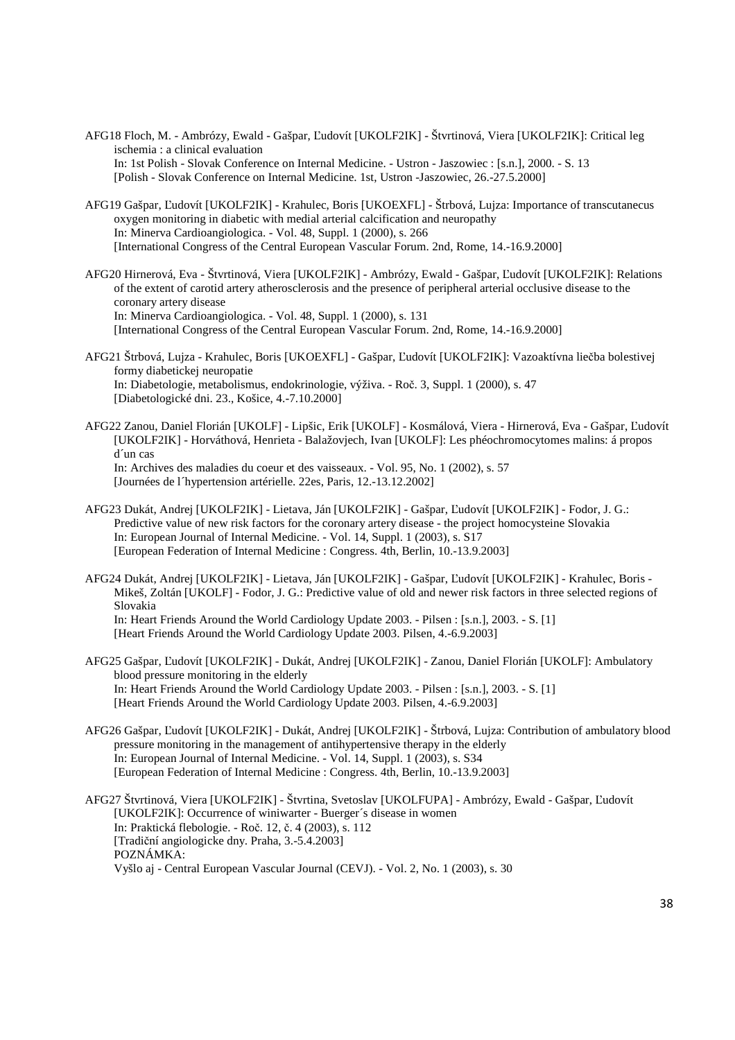AFG18 Floch, M. - Ambrózy, Ewald - Gašpar, Ľudovít [UKOLF2IK] - Štvrtinová, Viera [UKOLF2IK]: Critical leg ischemia : a clinical evaluation In: 1st Polish - Slovak Conference on Internal Medicine. - Ustron - Jaszowiec : [s.n.], 2000. - S. 13 [Polish - Slovak Conference on Internal Medicine. 1st, Ustron -Jaszowiec, 26.-27.5.2000]

- AFG19 Gašpar, Ľudovít [UKOLF2IK] Krahulec, Boris [UKOEXFL] Štrbová, Lujza: Importance of transcutanecus oxygen monitoring in diabetic with medial arterial calcification and neuropathy In: Minerva Cardioangiologica. - Vol. 48, Suppl. 1 (2000), s. 266 [International Congress of the Central European Vascular Forum. 2nd, Rome, 14.-16.9.2000]
- AFG20 Hirnerová, Eva Štvrtinová, Viera [UKOLF2IK] Ambrózy, Ewald Gašpar, Ľudovít [UKOLF2IK]: Relations of the extent of carotid artery atherosclerosis and the presence of peripheral arterial occlusive disease to the coronary artery disease In: Minerva Cardioangiologica. - Vol. 48, Suppl. 1 (2000), s. 131 [International Congress of the Central European Vascular Forum. 2nd, Rome, 14.-16.9.2000]
- AFG21 Štrbová, Lujza Krahulec, Boris [UKOEXFL] Gašpar, Ľudovít [UKOLF2IK]: Vazoaktívna liečba bolestivej formy diabetickej neuropatie In: Diabetologie, metabolismus, endokrinologie, výživa. - Roč. 3, Suppl. 1 (2000), s. 47 [Diabetologické dni. 23., Košice, 4.-7.10.2000]
- AFG22 Zanou, Daniel Florián [UKOLF] Lipšic, Erik [UKOLF] Kosmálová, Viera Hirnerová, Eva Gašpar, Ľudovít [UKOLF2IK] - Horváthová, Henrieta - Balažovjech, Ivan [UKOLF]: Les phéochromocytomes malins: á propos d´un cas In: Archives des maladies du coeur et des vaisseaux. - Vol. 95, No. 1 (2002), s. 57 [Journées de l´hypertension artérielle. 22es, Paris, 12.-13.12.2002]
- AFG23 Dukát, Andrej [UKOLF2IK] Lietava, Ján [UKOLF2IK] Gašpar, Ľudovít [UKOLF2IK] Fodor, J. G.: Predictive value of new risk factors for the coronary artery disease - the project homocysteine Slovakia In: European Journal of Internal Medicine. - Vol. 14, Suppl. 1 (2003), s. S17 [European Federation of Internal Medicine : Congress. 4th, Berlin, 10.-13.9.2003]
- AFG24 Dukát, Andrej [UKOLF2IK] Lietava, Ján [UKOLF2IK] Gašpar, Ľudovít [UKOLF2IK] Krahulec, Boris Mikeš, Zoltán [UKOLF] - Fodor, J. G.: Predictive value of old and newer risk factors in three selected regions of Slovakia

In: Heart Friends Around the World Cardiology Update 2003. - Pilsen : [s.n.], 2003. - S. [1] [Heart Friends Around the World Cardiology Update 2003. Pilsen, 4.-6.9.2003]

- AFG25 Gašpar, Ľudovít [UKOLF2IK] Dukát, Andrej [UKOLF2IK] Zanou, Daniel Florián [UKOLF]: Ambulatory blood pressure monitoring in the elderly In: Heart Friends Around the World Cardiology Update 2003. - Pilsen : [s.n.], 2003. - S. [1] [Heart Friends Around the World Cardiology Update 2003. Pilsen, 4.-6.9.2003]
- AFG26 Gašpar, Ľudovít [UKOLF2IK] Dukát, Andrej [UKOLF2IK] Štrbová, Lujza: Contribution of ambulatory blood pressure monitoring in the management of antihypertensive therapy in the elderly In: European Journal of Internal Medicine. - Vol. 14, Suppl. 1 (2003), s. S34 [European Federation of Internal Medicine : Congress. 4th, Berlin, 10.-13.9.2003]
- AFG27 Štvrtinová, Viera [UKOLF2IK] Štvrtina, Svetoslav [UKOLFUPA] Ambrózy, Ewald Gašpar, Ľudovít [UKOLF2IK]: Occurrence of winiwarter - Buerger´s disease in women In: Praktická flebologie. - Roč. 12, č. 4 (2003), s. 112 [Tradiční angiologicke dny. Praha, 3.-5.4.2003] POZNÁMKA: Vyšlo aj - Central European Vascular Journal (CEVJ). - Vol. 2, No. 1 (2003), s. 30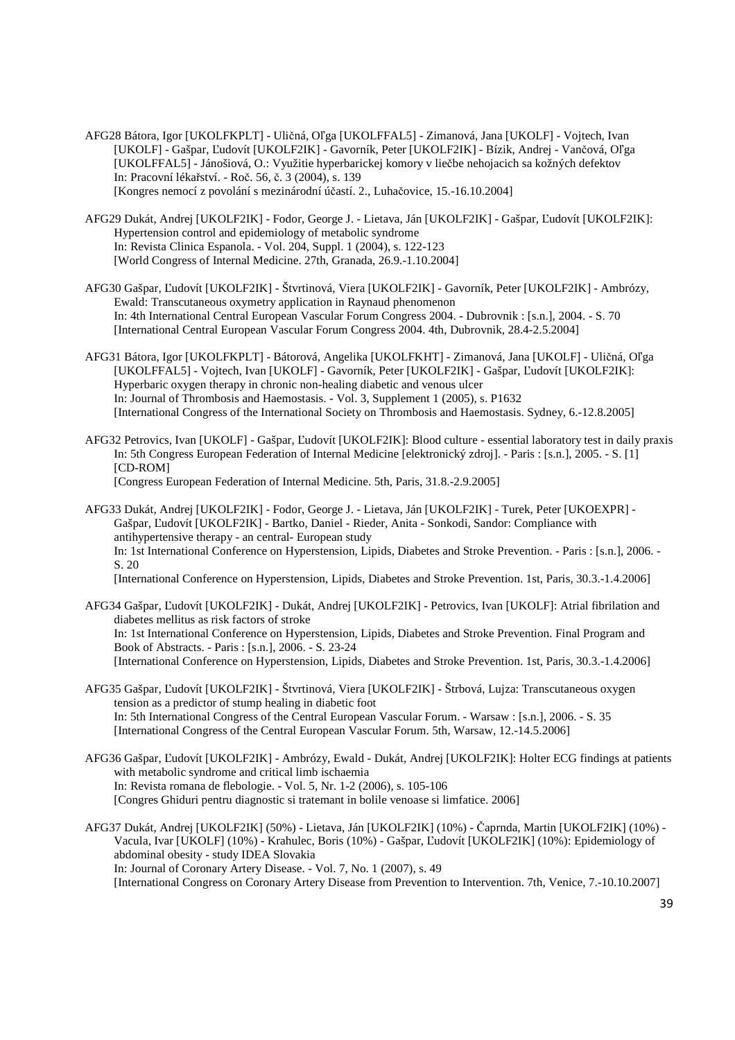- AFG28 Bátora, Igor [UKOLFKPLT] Uličná, Oľga [UKOLFFAL5] Zimanová, Jana [UKOLF] Vojtech, Ivan [UKOLF] - Gašpar, Ľudovít [UKOLF2IK] - Gavorník, Peter [UKOLF2IK] - Bízik, Andrej - Vančová, Oľga [UKOLFFAL5] - Jánošiová, O.: Využitie hyperbarickej komory v liečbe nehojacich sa kožných defektov In: Pracovní lékařství. - Roč. 56, č. 3 (2004), s. 139 [Kongres nemocí z povolání s mezinárodní účastí. 2., Luhačovice, 15.-16.10.2004]
- AFG29 Dukát, Andrej [UKOLF2IK] Fodor, George J. Lietava, Ján [UKOLF2IK] Gašpar, Ľudovít [UKOLF2IK]: Hypertension control and epidemiology of metabolic syndrome In: Revista Clinica Espanola. - Vol. 204, Suppl. 1 (2004), s. 122-123 [World Congress of Internal Medicine. 27th, Granada, 26.9.-1.10.2004]
- AFG30 Gašpar, Ľudovít [UKOLF2IK] Štvrtinová, Viera [UKOLF2IK] Gavorník, Peter [UKOLF2IK] Ambrózy, Ewald: Transcutaneous oxymetry application in Raynaud phenomenon In: 4th International Central European Vascular Forum Congress 2004. - Dubrovnik : [s.n.], 2004. - S. 70 [International Central European Vascular Forum Congress 2004. 4th, Dubrovnik, 28.4-2.5.2004]
- AFG31 Bátora, Igor [UKOLFKPLT] Bátorová, Angelika [UKOLFKHT] Zimanová, Jana [UKOLF] Uličná, Oľga [UKOLFFAL5] - Vojtech, Ivan [UKOLF] - Gavorník, Peter [UKOLF2IK] - Gašpar, Ľudovít [UKOLF2IK]: Hyperbaric oxygen therapy in chronic non-healing diabetic and venous ulcer In: Journal of Thrombosis and Haemostasis. - Vol. 3, Supplement 1 (2005), s. P1632 [International Congress of the International Society on Thrombosis and Haemostasis. Sydney, 6.-12.8.2005]
- AFG32 Petrovics, Ivan [UKOLF] Gašpar, Ľudovít [UKOLF2IK]: Blood culture essential laboratory test in daily praxis In: 5th Congress European Federation of Internal Medicine [elektronický zdroj]. - Paris : [s.n.], 2005. - S. [1] [CD-ROM] [Congress European Federation of Internal Medicine. 5th, Paris, 31.8.-2.9.2005]
- AFG33 Dukát, Andrej [UKOLF2IK] Fodor, George J. Lietava, Ján [UKOLF2IK] Turek, Peter [UKOEXPR] Gašpar, Ľudovít [UKOLF2IK] - Bartko, Daniel - Rieder, Anita - Sonkodi, Sandor: Compliance with antihypertensive therapy - an central- European study In: 1st International Conference on Hyperstension, Lipids, Diabetes and Stroke Prevention. - Paris : [s.n.], 2006. - S. 20

[International Conference on Hyperstension, Lipids, Diabetes and Stroke Prevention. 1st, Paris, 30.3.-1.4.2006]

- AFG34 Gašpar, Ľudovít [UKOLF2IK] Dukát, Andrej [UKOLF2IK] Petrovics, Ivan [UKOLF]: Atrial fibrilation and diabetes mellitus as risk factors of stroke In: 1st International Conference on Hyperstension, Lipids, Diabetes and Stroke Prevention. Final Program and Book of Abstracts. - Paris : [s.n.], 2006. - S. 23-24 [International Conference on Hyperstension, Lipids, Diabetes and Stroke Prevention. 1st, Paris, 30.3.-1.4.2006]
- AFG35 Gašpar, Ľudovít [UKOLF2IK] Štvrtinová, Viera [UKOLF2IK] Štrbová, Lujza: Transcutaneous oxygen tension as a predictor of stump healing in diabetic foot In: 5th International Congress of the Central European Vascular Forum. - Warsaw : [s.n.], 2006. - S. 35 [International Congress of the Central European Vascular Forum. 5th, Warsaw, 12.-14.5.2006]
- AFG36 Gašpar, Ľudovít [UKOLF2IK] Ambrózy, Ewald Dukát, Andrej [UKOLF2IK]: Holter ECG findings at patients with metabolic syndrome and critical limb ischaemia In: Revista romana de flebologie. - Vol. 5, Nr. 1-2 (2006), s. 105-106 [Congres Ghiduri pentru diagnostic si tratemant in bolile venoase si limfatice. 2006]
- AFG37 Dukát, Andrej [UKOLF2IK] (50%) Lietava, Ján [UKOLF2IK] (10%) Čaprnda, Martin [UKOLF2IK] (10%) Vacula, Ivar [UKOLF] (10%) - Krahulec, Boris (10%) - Gašpar, Ľudovít [UKOLF2IK] (10%): Epidemiology of abdominal obesity - study IDEA Slovakia In: Journal of Coronary Artery Disease. - Vol. 7, No. 1 (2007), s. 49 [International Congress on Coronary Artery Disease from Prevention to Intervention. 7th, Venice, 7.-10.10.2007]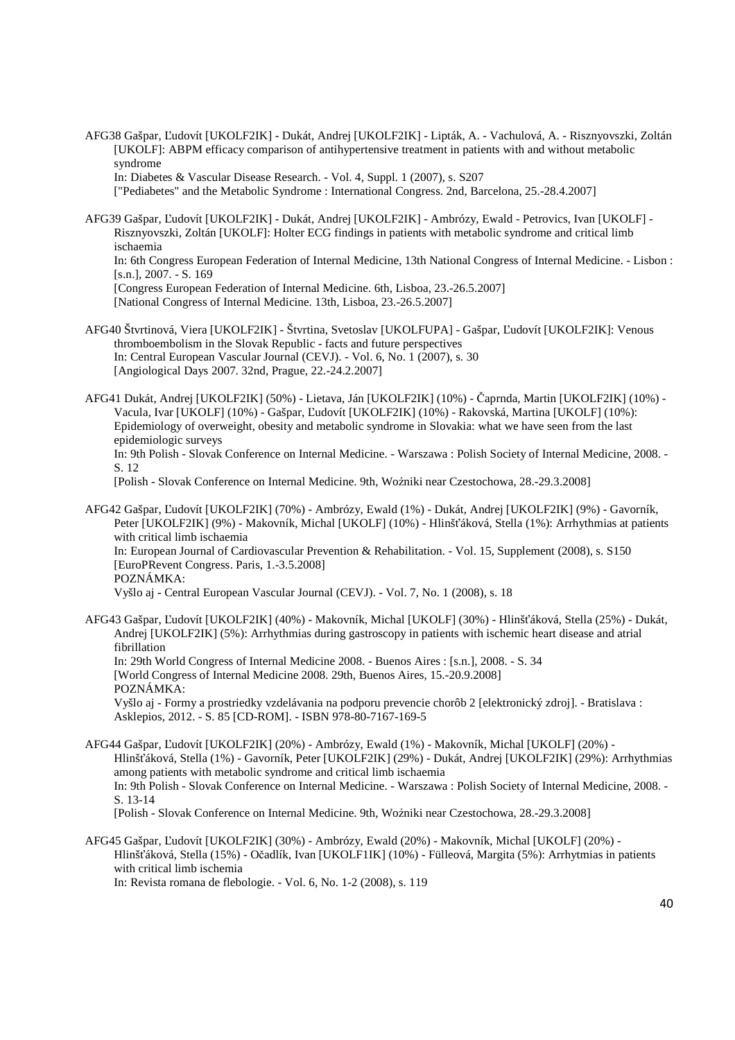AFG38 Gašpar, Ľudovít [UKOLF2IK] - Dukát, Andrej [UKOLF2IK] - Lipták, A. - Vachulová, A. - Risznyovszki, Zoltán [UKOLF]: ABPM efficacy comparison of antihypertensive treatment in patients with and without metabolic syndrome

In: Diabetes & Vascular Disease Research. - Vol. 4, Suppl. 1 (2007), s. S207 ["Pediabetes" and the Metabolic Syndrome : International Congress. 2nd, Barcelona, 25.-28.4.2007]

AFG39 Gašpar, Ľudovít [UKOLF2IK] - Dukát, Andrej [UKOLF2IK] - Ambrózy, Ewald - Petrovics, Ivan [UKOLF] - Risznyovszki, Zoltán [UKOLF]: Holter ECG findings in patients with metabolic syndrome and critical limb ischaemia In: 6th Congress European Federation of Internal Medicine, 13th National Congress of Internal Medicine. - Lisbon : [s.n.], 2007. - S. 169 [Congress European Federation of Internal Medicine. 6th, Lisboa, 23.-26.5.2007] [National Congress of Internal Medicine. 13th, Lisboa, 23.-26.5.2007]

AFG40 Štvrtinová, Viera [UKOLF2IK] - Štvrtina, Svetoslav [UKOLFUPA] - Gašpar, Ľudovít [UKOLF2IK]: Venous thromboembolism in the Slovak Republic - facts and future perspectives In: Central European Vascular Journal (CEVJ). - Vol. 6, No. 1 (2007), s. 30 [Angiological Days 2007. 32nd, Prague, 22.-24.2.2007]

AFG41 Dukát, Andrej [UKOLF2IK] (50%) - Lietava, Ján [UKOLF2IK] (10%) - Čaprnda, Martin [UKOLF2IK] (10%) - Vacula, Ivar [UKOLF] (10%) - Gašpar, Ľudovít [UKOLF2IK] (10%) - Rakovská, Martina [UKOLF] (10%): Epidemiology of overweight, obesity and metabolic syndrome in Slovakia: what we have seen from the last epidemiologic surveys In: 9th Polish - Slovak Conference on Internal Medicine. - Warszawa : Polish Society of Internal Medicine, 2008. - S. 12 [Polish - Slovak Conference on Internal Medicine. 9th, Woźniki near Czestochowa, 28.-29.3.2008]

- AFG42 Gašpar, Ľudovít [UKOLF2IK] (70%) Ambrózy, Ewald (1%) Dukát, Andrej [UKOLF2IK] (9%) Gavorník, Peter [UKOLF2IK] (9%) - Makovník, Michal [UKOLF] (10%) - Hlinšťáková, Stella (1%): Arrhythmias at patients with critical limb ischaemia In: European Journal of Cardiovascular Prevention & Rehabilitation. - Vol. 15, Supplement (2008), s. S150 [EuroPRevent Congress. Paris, 1.-3.5.2008] POZNÁMKA: Vyšlo aj - Central European Vascular Journal (CEVJ). - Vol. 7, No. 1 (2008), s. 18
- AFG43 Gašpar, Ľudovít [UKOLF2IK] (40%) Makovník, Michal [UKOLF] (30%) Hlinšťáková, Stella (25%) Dukát, Andrej [UKOLF2IK] (5%): Arrhythmias during gastroscopy in patients with ischemic heart disease and atrial fibrillation

In: 29th World Congress of Internal Medicine 2008. - Buenos Aires : [s.n.], 2008. - S. 34 [World Congress of Internal Medicine 2008. 29th, Buenos Aires, 15.-20.9.2008] POZNÁMKA:

Vyšlo aj - Formy a prostriedky vzdelávania na podporu prevencie chorôb 2 [elektronický zdroj]. - Bratislava : Asklepios, 2012. - S. 85 [CD-ROM]. - ISBN 978-80-7167-169-5

AFG44 Gašpar, Ľudovít [UKOLF2IK] (20%) - Ambrózy, Ewald (1%) - Makovník, Michal [UKOLF] (20%) - Hlinšťáková, Stella (1%) - Gavorník, Peter [UKOLF2IK] (29%) - Dukát, Andrej [UKOLF2IK] (29%): Arrhythmias among patients with metabolic syndrome and critical limb ischaemia In: 9th Polish - Slovak Conference on Internal Medicine. - Warszawa : Polish Society of Internal Medicine, 2008. - S. 13-14 [Polish - Slovak Conference on Internal Medicine. 9th, Woźniki near Czestochowa, 28.-29.3.2008]

AFG45 Gašpar, Ľudovít [UKOLF2IK] (30%) - Ambrózy, Ewald (20%) - Makovník, Michal [UKOLF] (20%) - Hlinšťáková, Stella (15%) - Očadlík, Ivan [UKOLF1IK] (10%) - Fülleová, Margita (5%): Arrhytmias in patients with critical limb ischemia In: Revista romana de flebologie. - Vol. 6, No. 1-2 (2008), s. 119

40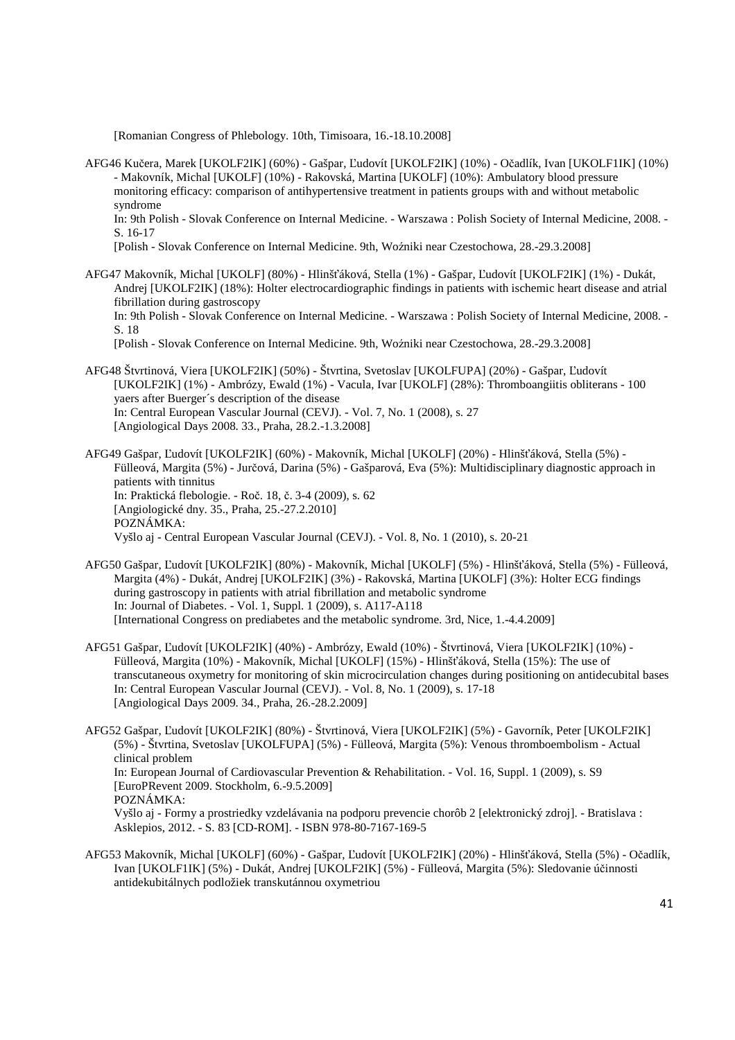[Romanian Congress of Phlebology. 10th, Timisoara, 16.-18.10.2008]

AFG46 Kučera, Marek [UKOLF2IK] (60%) - Gašpar, Ľudovít [UKOLF2IK] (10%) - Očadlík, Ivan [UKOLF1IK] (10%) - Makovník, Michal [UKOLF] (10%) - Rakovská, Martina [UKOLF] (10%): Ambulatory blood pressure monitoring efficacy: comparison of antihypertensive treatment in patients groups with and without metabolic syndrome

In: 9th Polish - Slovak Conference on Internal Medicine. - Warszawa : Polish Society of Internal Medicine, 2008. - S. 16-17

[Polish - Slovak Conference on Internal Medicine. 9th, Woźniki near Czestochowa, 28.-29.3.2008]

AFG47 Makovník, Michal [UKOLF] (80%) - Hlinšťáková, Stella (1%) - Gašpar, Ľudovít [UKOLF2IK] (1%) - Dukát, Andrej [UKOLF2IK] (18%): Holter electrocardiographic findings in patients with ischemic heart disease and atrial fibrillation during gastroscopy

In: 9th Polish - Slovak Conference on Internal Medicine. - Warszawa : Polish Society of Internal Medicine, 2008. - S. 18

[Polish - Slovak Conference on Internal Medicine. 9th, Woźniki near Czestochowa, 28.-29.3.2008]

AFG48 Štvrtinová, Viera [UKOLF2IK] (50%) - Štvrtina, Svetoslav [UKOLFUPA] (20%) - Gašpar, Ľudovít [UKOLF2IK] (1%) - Ambrózy, Ewald (1%) - Vacula, Ivar [UKOLF] (28%): Thromboangiitis obliterans - 100 yaers after Buerger´s description of the disease In: Central European Vascular Journal (CEVJ). - Vol. 7, No. 1 (2008), s. 27 [Angiological Days 2008. 33., Praha, 28.2.-1.3.2008]

AFG49 Gašpar, Ľudovít [UKOLF2IK] (60%) - Makovník, Michal [UKOLF] (20%) - Hlinšťáková, Stella (5%) - Fülleová, Margita (5%) - Jurčová, Darina (5%) - Gašparová, Eva (5%): Multidisciplinary diagnostic approach in patients with tinnitus In: Praktická flebologie. - Roč. 18, č. 3-4 (2009), s. 62 [Angiologické dny. 35., Praha, 25.-27.2.2010] POZNÁMKA: Vyšlo aj - Central European Vascular Journal (CEVJ). - Vol. 8, No. 1 (2010), s. 20-21

- AFG50 Gašpar, Ľudovít [UKOLF2IK] (80%) Makovník, Michal [UKOLF] (5%) Hlinšťáková, Stella (5%) Fülleová, Margita (4%) - Dukát, Andrej [UKOLF2IK] (3%) - Rakovská, Martina [UKOLF] (3%): Holter ECG findings during gastroscopy in patients with atrial fibrillation and metabolic syndrome In: Journal of Diabetes. - Vol. 1, Suppl. 1 (2009), s. A117-A118 [International Congress on prediabetes and the metabolic syndrome. 3rd, Nice, 1.-4.4.2009]
- AFG51 Gašpar, Ľudovít [UKOLF2IK] (40%) Ambrózy, Ewald (10%) Štvrtinová, Viera [UKOLF2IK] (10%) Fülleová, Margita (10%) - Makovník, Michal [UKOLF] (15%) - Hlinšťáková, Stella (15%): The use of transcutaneous oxymetry for monitoring of skin microcirculation changes during positioning on antidecubital bases In: Central European Vascular Journal (CEVJ). - Vol. 8, No. 1 (2009), s. 17-18 [Angiological Days 2009. 34., Praha, 26.-28.2.2009]

AFG52 Gašpar, Ľudovít [UKOLF2IK] (80%) - Štvrtinová, Viera [UKOLF2IK] (5%) - Gavorník, Peter [UKOLF2IK] (5%) - Štvrtina, Svetoslav [UKOLFUPA] (5%) - Fülleová, Margita (5%): Venous thromboembolism - Actual clinical problem In: European Journal of Cardiovascular Prevention & Rehabilitation. - Vol. 16, Suppl. 1 (2009), s. S9 [EuroPRevent 2009. Stockholm, 6.-9.5.2009] POZNÁMKA: Vyšlo aj - Formy a prostriedky vzdelávania na podporu prevencie chorôb 2 [elektronický zdroj]. - Bratislava : Asklepios, 2012. - S. 83 [CD-ROM]. - ISBN 978-80-7167-169-5

AFG53 Makovník, Michal [UKOLF] (60%) - Gašpar, Ľudovít [UKOLF2IK] (20%) - Hlinšťáková, Stella (5%) - Očadlík, Ivan [UKOLF1IK] (5%) - Dukát, Andrej [UKOLF2IK] (5%) - Fülleová, Margita (5%): Sledovanie účinnosti antidekubitálnych podložiek transkutánnou oxymetriou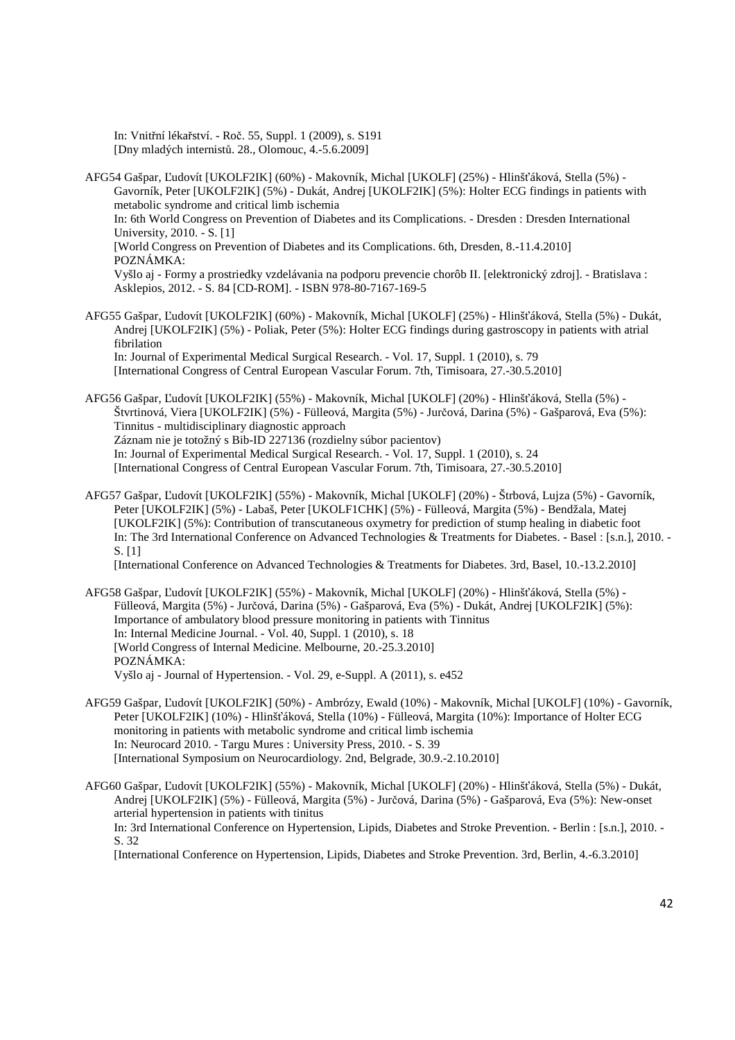In: Vnitřní lékařství. - Roč. 55, Suppl. 1 (2009), s. S191 [Dny mladých internistů. 28., Olomouc, 4.-5.6.2009]

AFG54 Gašpar, Ľudovít [UKOLF2IK] (60%) - Makovník, Michal [UKOLF] (25%) - Hlinšťáková, Stella (5%) - Gavorník, Peter [UKOLF2IK] (5%) - Dukát, Andrej [UKOLF2IK] (5%): Holter ECG findings in patients with metabolic syndrome and critical limb ischemia In: 6th World Congress on Prevention of Diabetes and its Complications. - Dresden : Dresden International University, 2010. - S. [1] [World Congress on Prevention of Diabetes and its Complications. 6th, Dresden, 8.-11.4.2010] POZNÁMKA: Vyšlo aj - Formy a prostriedky vzdelávania na podporu prevencie chorôb II. [elektronický zdroj]. - Bratislava : Asklepios, 2012. - S. 84 [CD-ROM]. - ISBN 978-80-7167-169-5

AFG55 Gašpar, Ľudovít [UKOLF2IK] (60%) - Makovník, Michal [UKOLF] (25%) - Hlinšťáková, Stella (5%) - Dukát, Andrej [UKOLF2IK] (5%) - Poliak, Peter (5%): Holter ECG findings during gastroscopy in patients with atrial fibrilation

In: Journal of Experimental Medical Surgical Research. - Vol. 17, Suppl. 1 (2010), s. 79 [International Congress of Central European Vascular Forum. 7th, Timisoara, 27.-30.5.2010]

AFG56 Gašpar, Ľudovít [UKOLF2IK] (55%) - Makovník, Michal [UKOLF] (20%) - Hlinšťáková, Stella (5%) - Štvrtinová, Viera [UKOLF2IK] (5%) - Fülleová, Margita (5%) - Jurčová, Darina (5%) - Gašparová, Eva (5%): Tinnitus - multidisciplinary diagnostic approach Záznam nie je totožný s Bib-ID 227136 (rozdielny súbor pacientov) In: Journal of Experimental Medical Surgical Research. - Vol. 17, Suppl. 1 (2010), s. 24 [International Congress of Central European Vascular Forum. 7th, Timisoara, 27.-30.5.2010]

AFG57 Gašpar, Ľudovít [UKOLF2IK] (55%) - Makovník, Michal [UKOLF] (20%) - Štrbová, Lujza (5%) - Gavorník, Peter [UKOLF2IK] (5%) - Labaš, Peter [UKOLF1CHK] (5%) - Fülleová, Margita (5%) - Bendžala, Matej [UKOLF2IK] (5%): Contribution of transcutaneous oxymetry for prediction of stump healing in diabetic foot In: The 3rd International Conference on Advanced Technologies & Treatments for Diabetes. - Basel : [s.n.], 2010. - S. [1]

[International Conference on Advanced Technologies & Treatments for Diabetes. 3rd, Basel, 10.-13.2.2010]

AFG58 Gašpar, Ľudovít [UKOLF2IK] (55%) - Makovník, Michal [UKOLF] (20%) - Hlinšťáková, Stella (5%) - Fülleová, Margita (5%) - Jurčová, Darina (5%) - Gašparová, Eva (5%) - Dukát, Andrej [UKOLF2IK] (5%): Importance of ambulatory blood pressure monitoring in patients with Tinnitus In: Internal Medicine Journal. - Vol. 40, Suppl. 1 (2010), s. 18 [World Congress of Internal Medicine. Melbourne, 20.-25.3.2010] POZNÁMKA: Vyšlo aj - Journal of Hypertension. - Vol. 29, e-Suppl. A (2011), s. e452

AFG59 Gašpar, Ľudovít [UKOLF2IK] (50%) - Ambrózy, Ewald (10%) - Makovník, Michal [UKOLF] (10%) - Gavorník, Peter [UKOLF2IK] (10%) - Hlinšťáková, Stella (10%) - Fülleová, Margita (10%): Importance of Holter ECG monitoring in patients with metabolic syndrome and critical limb ischemia In: Neurocard 2010. - Targu Mures : University Press, 2010. - S. 39 [International Symposium on Neurocardiology. 2nd, Belgrade, 30.9.-2.10.2010]

AFG60 Gašpar, Ľudovít [UKOLF2IK] (55%) - Makovník, Michal [UKOLF] (20%) - Hlinšťáková, Stella (5%) - Dukát, Andrej [UKOLF2IK] (5%) - Fülleová, Margita (5%) - Jurčová, Darina (5%) - Gašparová, Eva (5%): New-onset arterial hypertension in patients with tinitus In: 3rd International Conference on Hypertension, Lipids, Diabetes and Stroke Prevention. - Berlin : [s.n.], 2010. - S. 32

[International Conference on Hypertension, Lipids, Diabetes and Stroke Prevention. 3rd, Berlin, 4.-6.3.2010]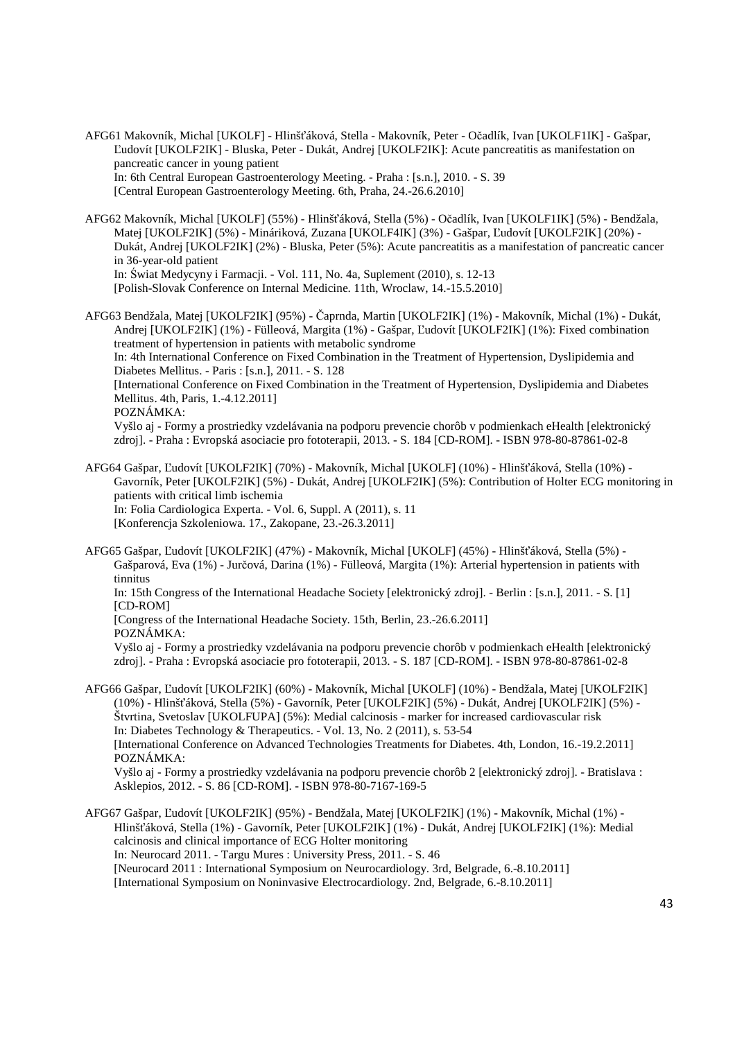AFG61 Makovník, Michal [UKOLF] - Hlinšťáková, Stella - Makovník, Peter - Očadlík, Ivan [UKOLF1IK] - Gašpar, Ľudovít [UKOLF2IK] - Bluska, Peter - Dukát, Andrej [UKOLF2IK]: Acute pancreatitis as manifestation on pancreatic cancer in young patient In: 6th Central European Gastroenterology Meeting. - Praha : [s.n.], 2010. - S. 39 [Central European Gastroenterology Meeting. 6th, Praha, 24.-26.6.2010]

AFG62 Makovník, Michal [UKOLF] (55%) - Hlinšťáková, Stella (5%) - Očadlík, Ivan [UKOLF1IK] (5%) - Bendžala, Matej [UKOLF2IK] (5%) - Mináriková, Zuzana [UKOLF4IK] (3%) - Gašpar, Ľudovít [UKOLF2IK] (20%) - Dukát, Andrej [UKOLF2IK] (2%) - Bluska, Peter (5%): Acute pancreatitis as a manifestation of pancreatic cancer in 36-year-old patient In: Świat Medycyny i Farmacji. - Vol. 111, No. 4a, Suplement (2010), s. 12-13

[Polish-Slovak Conference on Internal Medicine. 11th, Wroclaw, 14.-15.5.2010]

AFG63 Bendžala, Matej [UKOLF2IK] (95%) - Čaprnda, Martin [UKOLF2IK] (1%) - Makovník, Michal (1%) - Dukát, Andrej [UKOLF2IK] (1%) - Fülleová, Margita (1%) - Gašpar, Ľudovít [UKOLF2IK] (1%): Fixed combination treatment of hypertension in patients with metabolic syndrome

In: 4th International Conference on Fixed Combination in the Treatment of Hypertension, Dyslipidemia and Diabetes Mellitus. - Paris : [s.n.], 2011. - S. 128

[International Conference on Fixed Combination in the Treatment of Hypertension, Dyslipidemia and Diabetes Mellitus. 4th, Paris, 1.-4.12.2011]

POZNÁMKA:

Vyšlo aj - Formy a prostriedky vzdelávania na podporu prevencie chorôb v podmienkach eHealth [elektronický zdroj]. - Praha : Evropská asociacie pro fototerapii, 2013. - S. 184 [CD-ROM]. - ISBN 978-80-87861-02-8

- AFG64 Gašpar, Ľudovít [UKOLF2IK] (70%) Makovník, Michal [UKOLF] (10%) Hlinšťáková, Stella (10%) Gavorník, Peter [UKOLF2IK] (5%) - Dukát, Andrej [UKOLF2IK] (5%): Contribution of Holter ECG monitoring in patients with critical limb ischemia In: Folia Cardiologica Experta. - Vol. 6, Suppl. A (2011), s. 11 [Konferencja Szkoleniowa. 17., Zakopane, 23.-26.3.2011]
- AFG65 Gašpar, Ľudovít [UKOLF2IK] (47%) Makovník, Michal [UKOLF] (45%) Hlinšťáková, Stella (5%) Gašparová, Eva (1%) - Jurčová, Darina (1%) - Fülleová, Margita (1%): Arterial hypertension in patients with tinnitus

In: 15th Congress of the International Headache Society [elektronický zdroj]. - Berlin : [s.n.], 2011. - S. [1] [CD-ROM]

[Congress of the International Headache Society. 15th, Berlin, 23.-26.6.2011] POZNÁMKA:

Vyšlo aj - Formy a prostriedky vzdelávania na podporu prevencie chorôb v podmienkach eHealth [elektronický zdroj]. - Praha : Evropská asociacie pro fototerapii, 2013. - S. 187 [CD-ROM]. - ISBN 978-80-87861-02-8

AFG66 Gašpar, Ľudovít [UKOLF2IK] (60%) - Makovník, Michal [UKOLF] (10%) - Bendžala, Matej [UKOLF2IK] (10%) - Hlinšťáková, Stella (5%) - Gavorník, Peter [UKOLF2IK] (5%) - Dukát, Andrej [UKOLF2IK] (5%) - Štvrtina, Svetoslav [UKOLFUPA] (5%): Medial calcinosis - marker for increased cardiovascular risk In: Diabetes Technology & Therapeutics. - Vol. 13, No. 2 (2011), s. 53-54 [International Conference on Advanced Technologies Treatments for Diabetes. 4th, London, 16.-19.2.2011] POZNÁMKA: Vyšlo aj - Formy a prostriedky vzdelávania na podporu prevencie chorôb 2 [elektronický zdroj]. - Bratislava : Asklepios, 2012. - S. 86 [CD-ROM]. - ISBN 978-80-7167-169-5

AFG67 Gašpar, Ľudovít [UKOLF2IK] (95%) - Bendžala, Matej [UKOLF2IK] (1%) - Makovník, Michal (1%) - Hlinšťáková, Stella (1%) - Gavorník, Peter [UKOLF2IK] (1%) - Dukát, Andrej [UKOLF2IK] (1%): Medial calcinosis and clinical importance of ECG Holter monitoring In: Neurocard 2011. - Targu Mures : University Press, 2011. - S. 46 [Neurocard 2011 : International Symposium on Neurocardiology. 3rd, Belgrade, 6.-8.10.2011] [International Symposium on Noninvasive Electrocardiology. 2nd, Belgrade, 6.-8.10.2011]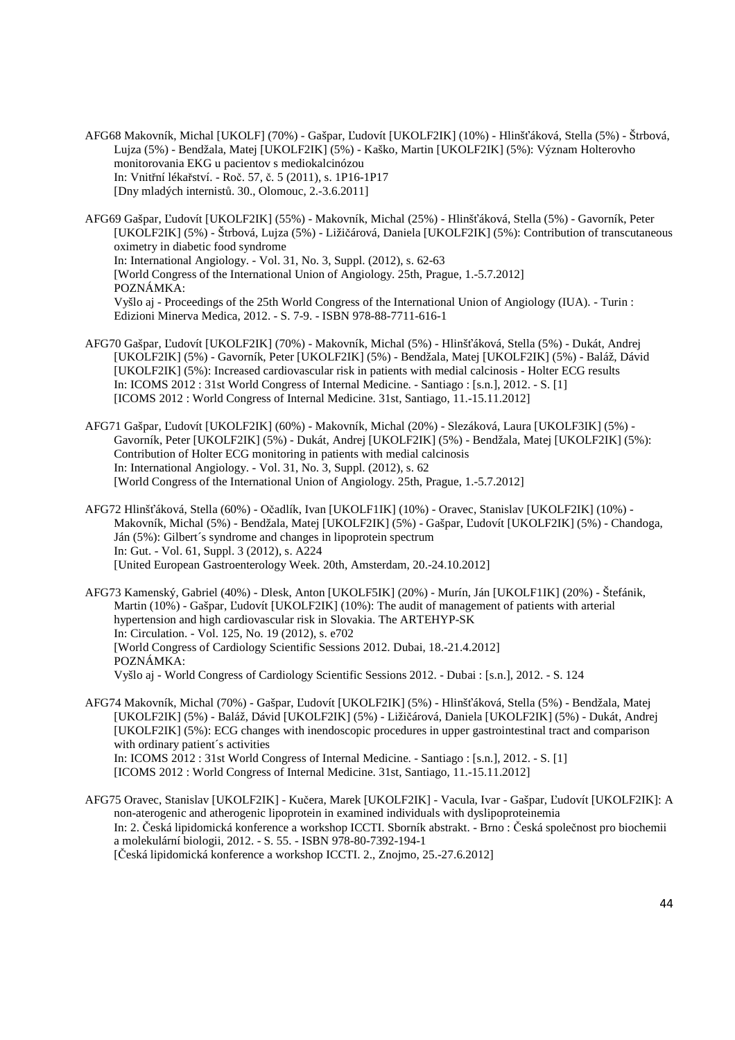AFG68 Makovník, Michal [UKOLF] (70%) - Gašpar, Ľudovít [UKOLF2IK] (10%) - Hlinšťáková, Stella (5%) - Štrbová, Lujza (5%) - Bendžala, Matej [UKOLF2IK] (5%) - Kaško, Martin [UKOLF2IK] (5%): Význam Holterovho monitorovania EKG u pacientov s mediokalcinózou In: Vnitřní lékařství. - Roč. 57, č. 5 (2011), s. 1P16-1P17 [Dny mladých internistů. 30., Olomouc, 2.-3.6.2011]

AFG69 Gašpar, Ľudovít [UKOLF2IK] (55%) - Makovník, Michal (25%) - Hlinšťáková, Stella (5%) - Gavorník, Peter [UKOLF2IK] (5%) - Štrbová, Lujza (5%) - Ližičárová, Daniela [UKOLF2IK] (5%): Contribution of transcutaneous oximetry in diabetic food syndrome In: International Angiology. - Vol. 31, No. 3, Suppl. (2012), s. 62-63 [World Congress of the International Union of Angiology. 25th, Prague, 1.-5.7.2012] POZNÁMKA: Vyšlo aj - Proceedings of the 25th World Congress of the International Union of Angiology (IUA). - Turin : Edizioni Minerva Medica, 2012. - S. 7-9. - ISBN 978-88-7711-616-1

- AFG70 Gašpar, Ľudovít [UKOLF2IK] (70%) Makovník, Michal (5%) Hlinšťáková, Stella (5%) Dukát, Andrej [UKOLF2IK] (5%) - Gavorník, Peter [UKOLF2IK] (5%) - Bendžala, Matej [UKOLF2IK] (5%) - Baláž, Dávid [UKOLF2IK] (5%): Increased cardiovascular risk in patients with medial calcinosis - Holter ECG results In: ICOMS 2012 : 31st World Congress of Internal Medicine. - Santiago : [s.n.], 2012. - S. [1] [ICOMS 2012 : World Congress of Internal Medicine. 31st, Santiago, 11.-15.11.2012]
- AFG71 Gašpar, Ľudovít [UKOLF2IK] (60%) Makovník, Michal (20%) Slezáková, Laura [UKOLF3IK] (5%) Gavorník, Peter [UKOLF2IK] (5%) - Dukát, Andrej [UKOLF2IK] (5%) - Bendžala, Matej [UKOLF2IK] (5%): Contribution of Holter ECG monitoring in patients with medial calcinosis In: International Angiology. - Vol. 31, No. 3, Suppl. (2012), s. 62 [World Congress of the International Union of Angiology. 25th, Prague, 1.-5.7.2012]
- AFG72 Hlinšťáková, Stella (60%) Očadlík, Ivan [UKOLF1IK] (10%) Oravec, Stanislav [UKOLF2IK] (10%) Makovník, Michal (5%) - Bendžala, Matej [UKOLF2IK] (5%) - Gašpar, Ľudovít [UKOLF2IK] (5%) - Chandoga, Ján (5%): Gilbert´s syndrome and changes in lipoprotein spectrum In: Gut. - Vol. 61, Suppl. 3 (2012), s. A224 [United European Gastroenterology Week. 20th, Amsterdam, 20.-24.10.2012]

AFG73 Kamenský, Gabriel (40%) - Dlesk, Anton [UKOLF5IK] (20%) - Murín, Ján [UKOLF1IK] (20%) - Štefánik, Martin (10%) - Gašpar, Ľudovít [UKOLF2IK] (10%): The audit of management of patients with arterial hypertension and high cardiovascular risk in Slovakia. The ARTEHYP-SK In: Circulation. - Vol. 125, No. 19 (2012), s. e702 [World Congress of Cardiology Scientific Sessions 2012. Dubai, 18.-21.4.2012] POZNÁMKA: Vyšlo aj - World Congress of Cardiology Scientific Sessions 2012. - Dubai : [s.n.], 2012. - S. 124

- AFG74 Makovník, Michal (70%) Gašpar, Ľudovít [UKOLF2IK] (5%) Hlinšťáková, Stella (5%) Bendžala, Matej [UKOLF2IK] (5%) - Baláž, Dávid [UKOLF2IK] (5%) - Ližičárová, Daniela [UKOLF2IK] (5%) - Dukát, Andrej [UKOLF2IK] (5%): ECG changes with inendoscopic procedures in upper gastrointestinal tract and comparison with ordinary patient´s activities In: ICOMS 2012 : 31st World Congress of Internal Medicine. - Santiago : [s.n.], 2012. - S. [1] [ICOMS 2012 : World Congress of Internal Medicine. 31st, Santiago, 11.-15.11.2012]
- AFG75 Oravec, Stanislav [UKOLF2IK] Kučera, Marek [UKOLF2IK] Vacula, Ivar Gašpar, Ľudovít [UKOLF2IK]: A non-aterogenic and atherogenic lipoprotein in examined individuals with dyslipoproteinemia In: 2. Česká lipidomická konference a workshop ICCTI. Sborník abstrakt. - Brno : Česká společnost pro biochemii a molekulární biologii, 2012. - S. 55. - ISBN 978-80-7392-194-1 [Česká lipidomická konference a workshop ICCTI. 2., Znojmo, 25.-27.6.2012]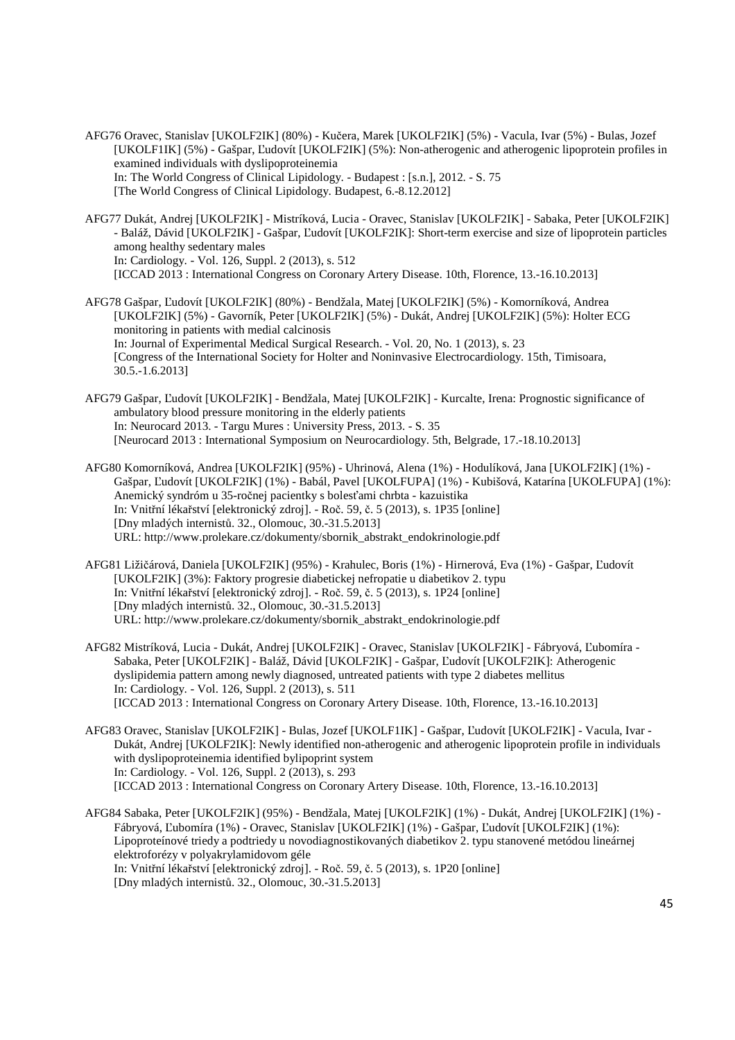- AFG76 Oravec, Stanislav [UKOLF2IK] (80%) Kučera, Marek [UKOLF2IK] (5%) Vacula, Ivar (5%) Bulas, Jozef [UKOLF1IK] (5%) - Gašpar, Ľudovít [UKOLF2IK] (5%): Non-atherogenic and atherogenic lipoprotein profiles in examined individuals with dyslipoproteinemia In: The World Congress of Clinical Lipidology. - Budapest : [s.n.], 2012. - S. 75 [The World Congress of Clinical Lipidology. Budapest, 6.-8.12.2012]
- AFG77 Dukát, Andrej [UKOLF2IK] Mistríková, Lucia Oravec, Stanislav [UKOLF2IK] Sabaka, Peter [UKOLF2IK] - Baláž, Dávid [UKOLF2IK] - Gašpar, Ľudovít [UKOLF2IK]: Short-term exercise and size of lipoprotein particles among healthy sedentary males In: Cardiology. - Vol. 126, Suppl. 2 (2013), s. 512 [ICCAD 2013 : International Congress on Coronary Artery Disease. 10th, Florence, 13.-16.10.2013]

AFG78 Gašpar, Ľudovít [UKOLF2IK] (80%) - Bendžala, Matej [UKOLF2IK] (5%) - Komorníková, Andrea [UKOLF2IK] (5%) - Gavorník, Peter [UKOLF2IK] (5%) - Dukát, Andrej [UKOLF2IK] (5%): Holter ECG monitoring in patients with medial calcinosis In: Journal of Experimental Medical Surgical Research. - Vol. 20, No. 1 (2013), s. 23 [Congress of the International Society for Holter and Noninvasive Electrocardiology. 15th, Timisoara, 30.5.-1.6.2013]

- AFG79 Gašpar, Ľudovít [UKOLF2IK] Bendžala, Matej [UKOLF2IK] Kurcalte, Irena: Prognostic significance of ambulatory blood pressure monitoring in the elderly patients In: Neurocard 2013. - Targu Mures : University Press, 2013. - S. 35 [Neurocard 2013 : International Symposium on Neurocardiology. 5th, Belgrade, 17.-18.10.2013]
- AFG80 Komorníková, Andrea [UKOLF2IK] (95%) Uhrinová, Alena (1%) Hodulíková, Jana [UKOLF2IK] (1%) Gašpar, Ľudovít [UKOLF2IK] (1%) - Babál, Pavel [UKOLFUPA] (1%) - Kubišová, Katarína [UKOLFUPA] (1%): Anemický syndróm u 35-ročnej pacientky s bolesťami chrbta - kazuistika In: Vnitřní lékařství [elektronický zdroj]. - Roč. 59, č. 5 (2013), s. 1P35 [online] [Dny mladých internistů. 32., Olomouc, 30.-31.5.2013] URL: http://www.prolekare.cz/dokumenty/sbornik\_abstrakt\_endokrinologie.pdf
- AFG81 Ližičárová, Daniela [UKOLF2IK] (95%) Krahulec, Boris (1%) Hirnerová, Eva (1%) Gašpar, Ľudovít [UKOLF2IK] (3%): Faktory progresie diabetickej nefropatie u diabetikov 2. typu In: Vnitřní lékařství [elektronický zdroj]. - Roč. 59, č. 5 (2013), s. 1P24 [online] [Dny mladých internistů. 32., Olomouc, 30.-31.5.2013] URL: http://www.prolekare.cz/dokumenty/sbornik\_abstrakt\_endokrinologie.pdf
- AFG82 Mistríková, Lucia Dukát, Andrej [UKOLF2IK] Oravec, Stanislav [UKOLF2IK] Fábryová, Ľubomíra Sabaka, Peter [UKOLF2IK] - Baláž, Dávid [UKOLF2IK] - Gašpar, Ľudovít [UKOLF2IK]: Atherogenic dyslipidemia pattern among newly diagnosed, untreated patients with type 2 diabetes mellitus In: Cardiology. - Vol. 126, Suppl. 2 (2013), s. 511 [ICCAD 2013 : International Congress on Coronary Artery Disease. 10th, Florence, 13.-16.10.2013]
- AFG83 Oravec, Stanislav [UKOLF2IK] Bulas, Jozef [UKOLF1IK] Gašpar, Ľudovít [UKOLF2IK] Vacula, Ivar Dukát, Andrej [UKOLF2IK]: Newly identified non-atherogenic and atherogenic lipoprotein profile in individuals with dyslipoproteinemia identified bylipoprint system In: Cardiology. - Vol. 126, Suppl. 2 (2013), s. 293 [ICCAD 2013 : International Congress on Coronary Artery Disease. 10th, Florence, 13.-16.10.2013]
- AFG84 Sabaka, Peter [UKOLF2IK] (95%) Bendžala, Matej [UKOLF2IK] (1%) Dukát, Andrej [UKOLF2IK] (1%) Fábryová, Ľubomíra (1%) - Oravec, Stanislav [UKOLF2IK] (1%) - Gašpar, Ľudovít [UKOLF2IK] (1%): Lipoproteínové triedy a podtriedy u novodiagnostikovaných diabetikov 2. typu stanovené metódou lineárnej elektroforézy v polyakrylamidovom géle In: Vnitřní lékařství [elektronický zdroj]. - Roč. 59, č. 5 (2013), s. 1P20 [online] [Dny mladých internistů. 32., Olomouc, 30.-31.5.2013]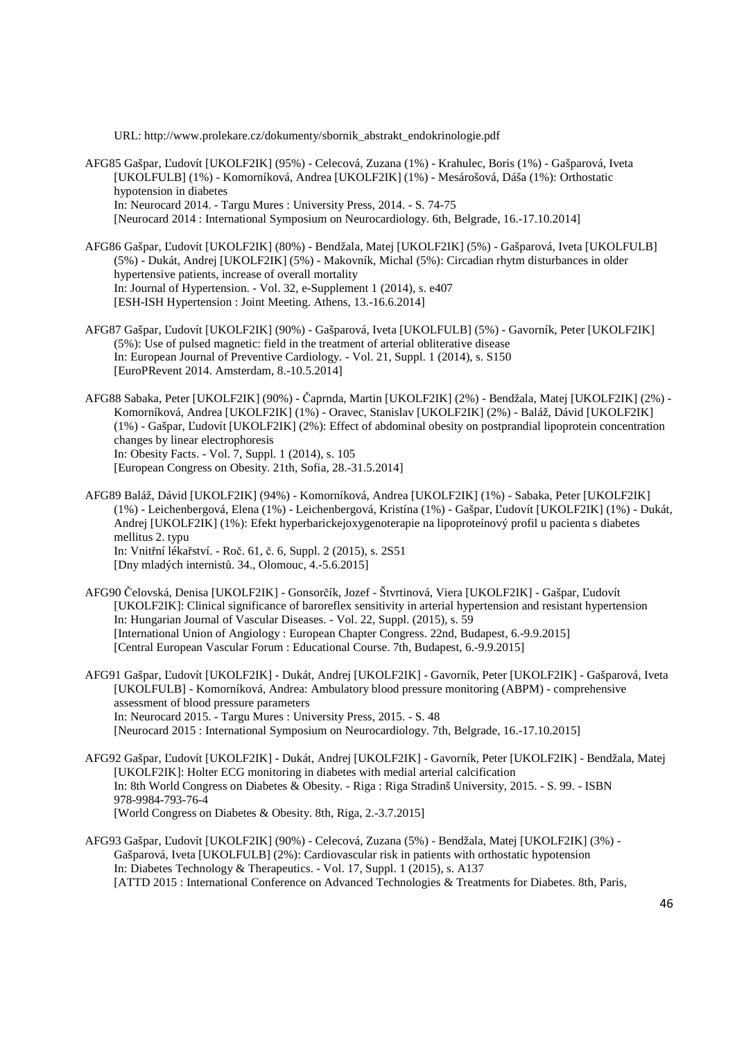URL: http://www.prolekare.cz/dokumenty/sbornik\_abstrakt\_endokrinologie.pdf

- AFG85 Gašpar, Ľudovít [UKOLF2IK] (95%) Celecová, Zuzana (1%) Krahulec, Boris (1%) Gašparová, Iveta [UKOLFULB] (1%) - Komorníková, Andrea [UKOLF2IK] (1%) - Mesárošová, Dáša (1%): Orthostatic hypotension in diabetes In: Neurocard 2014. - Targu Mures : University Press, 2014. - S. 74-75 [Neurocard 2014 : International Symposium on Neurocardiology. 6th, Belgrade, 16.-17.10.2014]
- AFG86 Gašpar, Ľudovít [UKOLF2IK] (80%) Bendžala, Matej [UKOLF2IK] (5%) Gašparová, Iveta [UKOLFULB] (5%) - Dukát, Andrej [UKOLF2IK] (5%) - Makovník, Michal (5%): Circadian rhytm disturbances in older hypertensive patients, increase of overall mortality In: Journal of Hypertension. - Vol. 32, e-Supplement 1 (2014), s. e407 [ESH-ISH Hypertension : Joint Meeting. Athens, 13.-16.6.2014]
- AFG87 Gašpar, Ľudovít [UKOLF2IK] (90%) Gašparová, Iveta [UKOLFULB] (5%) Gavorník, Peter [UKOLF2IK] (5%): Use of pulsed magnetic: field in the treatment of arterial obliterative disease In: European Journal of Preventive Cardiology. - Vol. 21, Suppl. 1 (2014), s. S150 [EuroPRevent 2014. Amsterdam, 8.-10.5.2014]
- AFG88 Sabaka, Peter [UKOLF2IK] (90%) Čaprnda, Martin [UKOLF2IK] (2%) Bendžala, Matej [UKOLF2IK] (2%) Komorníková, Andrea [UKOLF2IK] (1%) - Oravec, Stanislav [UKOLF2IK] (2%) - Baláž, Dávid [UKOLF2IK] (1%) - Gašpar, Ľudovít [UKOLF2IK] (2%): Effect of abdominal obesity on postprandial lipoprotein concentration changes by linear electrophoresis In: Obesity Facts. - Vol. 7, Suppl. 1 (2014), s. 105 [European Congress on Obesity. 21th, Sofia, 28.-31.5.2014]
- AFG89 Baláž, Dávid [UKOLF2IK] (94%) Komorníková, Andrea [UKOLF2IK] (1%) Sabaka, Peter [UKOLF2IK] (1%) - Leichenbergová, Elena (1%) - Leichenbergová, Kristína (1%) - Gašpar, Ľudovít [UKOLF2IK] (1%) - Dukát, Andrej [UKOLF2IK] (1%): Efekt hyperbarickejoxygenoterapie na lipoproteínový profil u pacienta s diabetes mellitus 2. typu In: Vnitřní lékařství. - Roč. 61, č. 6, Suppl. 2 (2015), s. 2S51 [Dny mladých internistů. 34., Olomouc, 4.-5.6.2015]
- AFG90 Čelovská, Denisa [UKOLF2IK] Gonsorčík, Jozef Štvrtinová, Viera [UKOLF2IK] Gašpar, Ľudovít [UKOLF2IK]: Clinical significance of baroreflex sensitivity in arterial hypertension and resistant hypertension In: Hungarian Journal of Vascular Diseases. - Vol. 22, Suppl. (2015), s. 59 [International Union of Angiology : European Chapter Congress. 22nd, Budapest, 6.-9.9.2015] [Central European Vascular Forum : Educational Course. 7th, Budapest, 6.-9.9.2015]
- AFG91 Gašpar, Ľudovít [UKOLF2IK] Dukát, Andrej [UKOLF2IK] Gavorník, Peter [UKOLF2IK] Gašparová, Iveta [UKOLFULB] - Komorníková, Andrea: Ambulatory blood pressure monitoring (ABPM) - comprehensive assessment of blood pressure parameters In: Neurocard 2015. - Targu Mures : University Press, 2015. - S. 48 [Neurocard 2015 : International Symposium on Neurocardiology. 7th, Belgrade, 16.-17.10.2015]
- AFG92 Gašpar, Ľudovít [UKOLF2IK] Dukát, Andrej [UKOLF2IK] Gavorník, Peter [UKOLF2IK] Bendžala, Matej [UKOLF2IK]: Holter ECG monitoring in diabetes with medial arterial calcification In: 8th World Congress on Diabetes & Obesity. - Riga : Riga Stradinš University, 2015. - S. 99. - ISBN 978-9984-793-76-4 [World Congress on Diabetes & Obesity. 8th, Riga, 2.-3.7.2015]
- AFG93 Gašpar, Ľudovít [UKOLF2IK] (90%) Celecová, Zuzana (5%) Bendžala, Matej [UKOLF2IK] (3%) Gašparová, Iveta [UKOLFULB] (2%): Cardiovascular risk in patients with orthostatic hypotension In: Diabetes Technology & Therapeutics. - Vol. 17, Suppl. 1 (2015), s. A137 [ATTD 2015 : International Conference on Advanced Technologies & Treatments for Diabetes. 8th, Paris,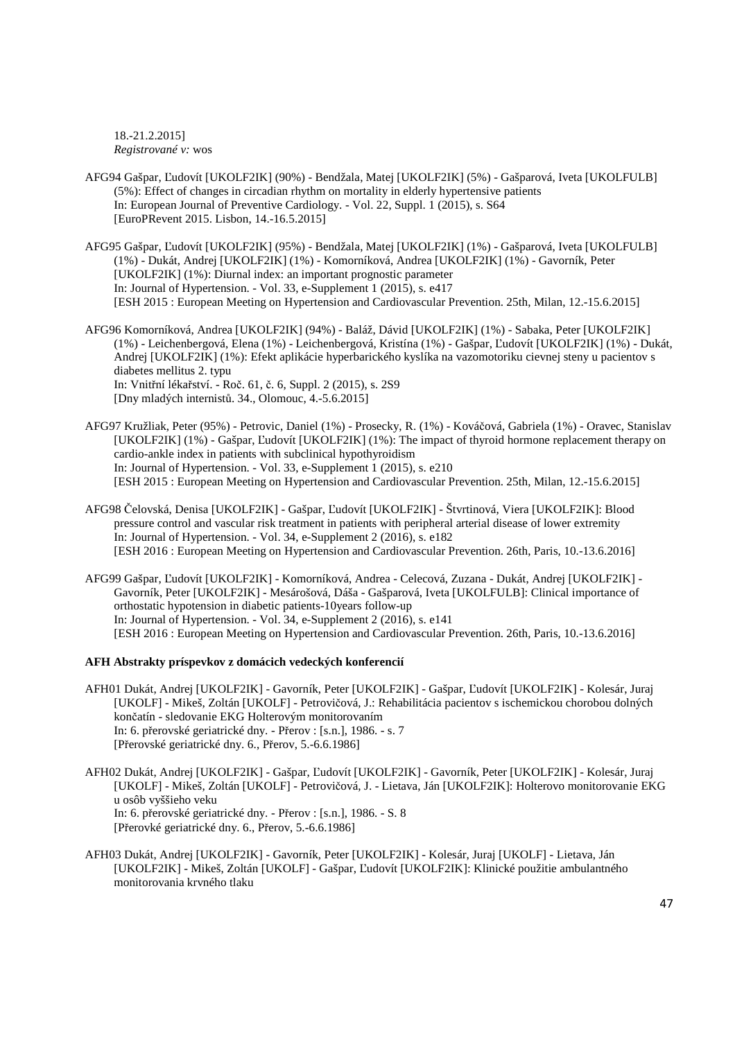18.-21.2.2015] *Registrované v:* wos

- AFG94 Gašpar, Ľudovít [UKOLF2IK] (90%) Bendžala, Matej [UKOLF2IK] (5%) Gašparová, Iveta [UKOLFULB] (5%): Effect of changes in circadian rhythm on mortality in elderly hypertensive patients In: European Journal of Preventive Cardiology. - Vol. 22, Suppl. 1 (2015), s. S64 [EuroPRevent 2015. Lisbon, 14.-16.5.2015]
- AFG95 Gašpar, Ľudovít [UKOLF2IK] (95%) Bendžala, Matej [UKOLF2IK] (1%) Gašparová, Iveta [UKOLFULB] (1%) - Dukát, Andrej [UKOLF2IK] (1%) - Komorníková, Andrea [UKOLF2IK] (1%) - Gavorník, Peter [UKOLF2IK] (1%): Diurnal index: an important prognostic parameter In: Journal of Hypertension. - Vol. 33, e-Supplement 1 (2015), s. e417 [ESH 2015 : European Meeting on Hypertension and Cardiovascular Prevention. 25th, Milan, 12.-15.6.2015]
- AFG96 Komorníková, Andrea [UKOLF2IK] (94%) Baláž, Dávid [UKOLF2IK] (1%) Sabaka, Peter [UKOLF2IK] (1%) - Leichenbergová, Elena (1%) - Leichenbergová, Kristína (1%) - Gašpar, Ľudovít [UKOLF2IK] (1%) - Dukát, Andrej [UKOLF2IK] (1%): Efekt aplikácie hyperbarického kyslíka na vazomotoriku cievnej steny u pacientov s diabetes mellitus 2. typu In: Vnitřní lékařství. - Roč. 61, č. 6, Suppl. 2 (2015), s. 2S9 [Dny mladých internistů. 34., Olomouc, 4.-5.6.2015]
- AFG97 Kružliak, Peter (95%) Petrovic, Daniel (1%) Prosecky, R. (1%) Kováčová, Gabriela (1%) Oravec, Stanislav [UKOLF2IK] (1%) - Gašpar, Ľudovít [UKOLF2IK] (1%): The impact of thyroid hormone replacement therapy on cardio-ankle index in patients with subclinical hypothyroidism In: Journal of Hypertension. - Vol. 33, e-Supplement 1 (2015), s. e210 [ESH 2015 : European Meeting on Hypertension and Cardiovascular Prevention. 25th, Milan, 12.-15.6.2015]
- AFG98 Čelovská, Denisa [UKOLF2IK] Gašpar, Ľudovít [UKOLF2IK] Štvrtinová, Viera [UKOLF2IK]: Blood pressure control and vascular risk treatment in patients with peripheral arterial disease of lower extremity In: Journal of Hypertension. - Vol. 34, e-Supplement 2 (2016), s. e182 [ESH 2016 : European Meeting on Hypertension and Cardiovascular Prevention. 26th, Paris, 10.-13.6.2016]
- AFG99 Gašpar, Ľudovít [UKOLF2IK] Komorníková, Andrea Celecová, Zuzana Dukát, Andrej [UKOLF2IK] Gavorník, Peter [UKOLF2IK] - Mesárošová, Dáša - Gašparová, Iveta [UKOLFULB]: Clinical importance of orthostatic hypotension in diabetic patients-10years follow-up In: Journal of Hypertension. - Vol. 34, e-Supplement 2 (2016), s. e141 [ESH 2016 : European Meeting on Hypertension and Cardiovascular Prevention. 26th, Paris, 10.-13.6.2016]

#### **AFH Abstrakty príspevkov z domácich vedeckých konferencií**

- AFH01 Dukát, Andrej [UKOLF2IK] Gavorník, Peter [UKOLF2IK] Gašpar, Ľudovít [UKOLF2IK] Kolesár, Juraj [UKOLF] - Mikeš, Zoltán [UKOLF] - Petrovičová, J.: Rehabilitácia pacientov s ischemickou chorobou dolných končatín - sledovanie EKG Holterovým monitorovaním In: 6. přerovské geriatrické dny. - Přerov : [s.n.], 1986. - s. 7 [Přerovské geriatrické dny. 6., Přerov, 5.-6.6.1986]
- AFH02 Dukát, Andrej [UKOLF2IK] Gašpar, Ľudovít [UKOLF2IK] Gavorník, Peter [UKOLF2IK] Kolesár, Juraj [UKOLF] - Mikeš, Zoltán [UKOLF] - Petrovičová, J. - Lietava, Ján [UKOLF2IK]: Holterovo monitorovanie EKG u osôb vyššieho veku In: 6. přerovské geriatrické dny. - Přerov : [s.n.], 1986. - S. 8 [Přerovké geriatrické dny. 6., Přerov, 5.-6.6.1986]
- AFH03 Dukát, Andrej [UKOLF2IK] Gavorník, Peter [UKOLF2IK] Kolesár, Juraj [UKOLF] Lietava, Ján [UKOLF2IK] - Mikeš, Zoltán [UKOLF] - Gašpar, Ľudovít [UKOLF2IK]: Klinické použitie ambulantného monitorovania krvného tlaku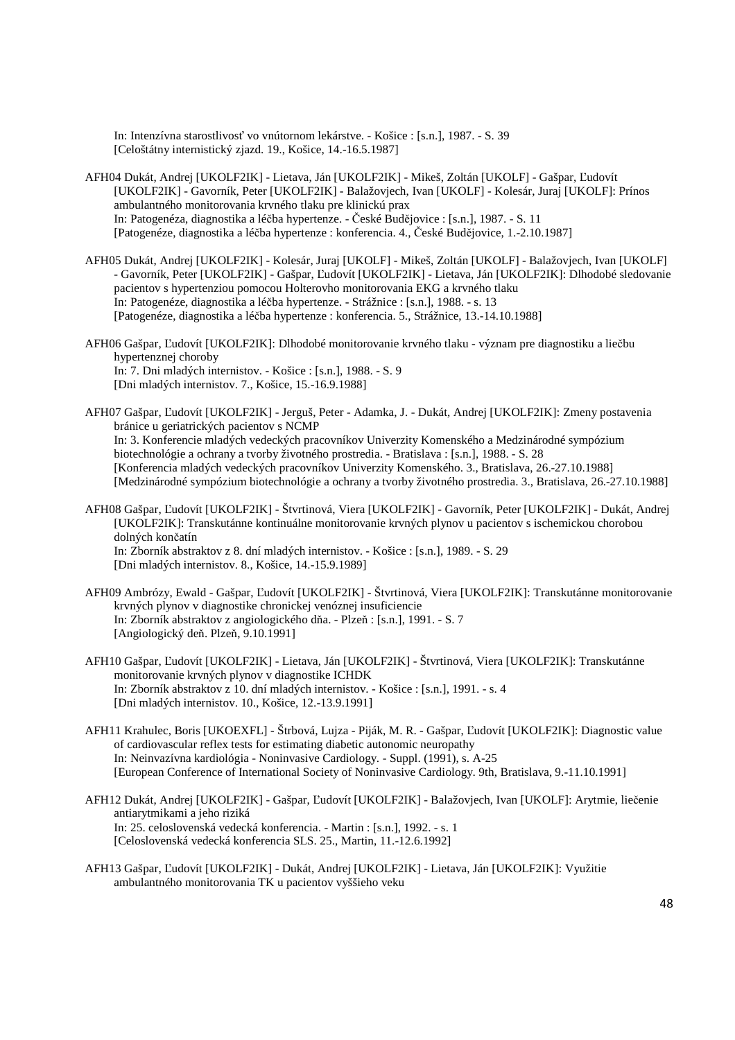In: Intenzívna starostlivosť vo vnútornom lekárstve. - Košice : [s.n.], 1987. - S. 39 [Celoštátny internistický zjazd. 19., Košice, 14.-16.5.1987]

- AFH04 Dukát, Andrej [UKOLF2IK] Lietava, Ján [UKOLF2IK] Mikeš, Zoltán [UKOLF] Gašpar, Ľudovít [UKOLF2IK] - Gavorník, Peter [UKOLF2IK] - Balažovjech, Ivan [UKOLF] - Kolesár, Juraj [UKOLF]: Prínos ambulantného monitorovania krvného tlaku pre klinickú prax In: Patogenéza, diagnostika a léčba hypertenze. - České Budějovice : [s.n.], 1987. - S. 11 [Patogenéze, diagnostika a léčba hypertenze : konferencia. 4., České Budějovice, 1.-2.10.1987]
- AFH05 Dukát, Andrej [UKOLF2IK] Kolesár, Juraj [UKOLF] Mikeš, Zoltán [UKOLF] Balažovjech, Ivan [UKOLF] - Gavorník, Peter [UKOLF2IK] - Gašpar, Ľudovít [UKOLF2IK] - Lietava, Ján [UKOLF2IK]: Dlhodobé sledovanie pacientov s hypertenziou pomocou Holterovho monitorovania EKG a krvného tlaku In: Patogenéze, diagnostika a léčba hypertenze. - Strážnice : [s.n.], 1988. - s. 13 [Patogenéze, diagnostika a léčba hypertenze : konferencia. 5., Strážnice, 13.-14.10.1988]
- AFH06 Gašpar, Ľudovít [UKOLF2IK]: Dlhodobé monitorovanie krvného tlaku význam pre diagnostiku a liečbu hypertenznej choroby In: 7. Dni mladých internistov. - Košice : [s.n.], 1988. - S. 9 [Dni mladých internistov. 7., Košice, 15.-16.9.1988]
- AFH07 Gašpar, Ľudovít [UKOLF2IK] Jerguš, Peter Adamka, J. Dukát, Andrej [UKOLF2IK]: Zmeny postavenia bránice u geriatrických pacientov s NCMP In: 3. Konferencie mladých vedeckých pracovníkov Univerzity Komenského a Medzinárodné sympózium biotechnológie a ochrany a tvorby životného prostredia. - Bratislava : [s.n.], 1988. - S. 28 [Konferencia mladých vedeckých pracovníkov Univerzity Komenského. 3., Bratislava, 26.-27.10.1988] [Medzinárodné sympózium biotechnológie a ochrany a tvorby životného prostredia. 3., Bratislava, 26.-27.10.1988]
- AFH08 Gašpar, Ľudovít [UKOLF2IK] Štvrtinová, Viera [UKOLF2IK] Gavorník, Peter [UKOLF2IK] Dukát, Andrej [UKOLF2IK]: Transkutánne kontinuálne monitorovanie krvných plynov u pacientov s ischemickou chorobou dolných končatín In: Zborník abstraktov z 8. dní mladých internistov. - Košice : [s.n.], 1989. - S. 29 [Dni mladých internistov. 8., Košice, 14.-15.9.1989]
- AFH09 Ambrózy, Ewald Gašpar, Ľudovít [UKOLF2IK] Štvrtinová, Viera [UKOLF2IK]: Transkutánne monitorovanie krvných plynov v diagnostike chronickej venóznej insuficiencie In: Zborník abstraktov z angiologického dňa. - Plzeň : [s.n.], 1991. - S. 7 [Angiologický deň. Plzeň, 9.10.1991]
- AFH10 Gašpar, Ľudovít [UKOLF2IK] Lietava, Ján [UKOLF2IK] Štvrtinová, Viera [UKOLF2IK]: Transkutánne monitorovanie krvných plynov v diagnostike ICHDK In: Zborník abstraktov z 10. dní mladých internistov. - Košice : [s.n.], 1991. - s. 4 [Dni mladých internistov. 10., Košice, 12.-13.9.1991]
- AFH11 Krahulec, Boris [UKOEXFL] Štrbová, Lujza Piják, M. R. Gašpar, Ľudovít [UKOLF2IK]: Diagnostic value of cardiovascular reflex tests for estimating diabetic autonomic neuropathy In: Neinvazívna kardiológia - Noninvasive Cardiology. - Suppl. (1991), s. A-25 [European Conference of International Society of Noninvasive Cardiology. 9th, Bratislava, 9.-11.10.1991]
- AFH12 Dukát, Andrej [UKOLF2IK] Gašpar, Ľudovít [UKOLF2IK] Balažovjech, Ivan [UKOLF]: Arytmie, liečenie antiarytmikami a jeho riziká In: 25. celoslovenská vedecká konferencia. - Martin : [s.n.], 1992. - s. 1 [Celoslovenská vedecká konferencia SLS. 25., Martin, 11.-12.6.1992]
- AFH13 Gašpar, Ľudovít [UKOLF2IK] Dukát, Andrej [UKOLF2IK] Lietava, Ján [UKOLF2IK]: Využitie ambulantného monitorovania TK u pacientov vyššieho veku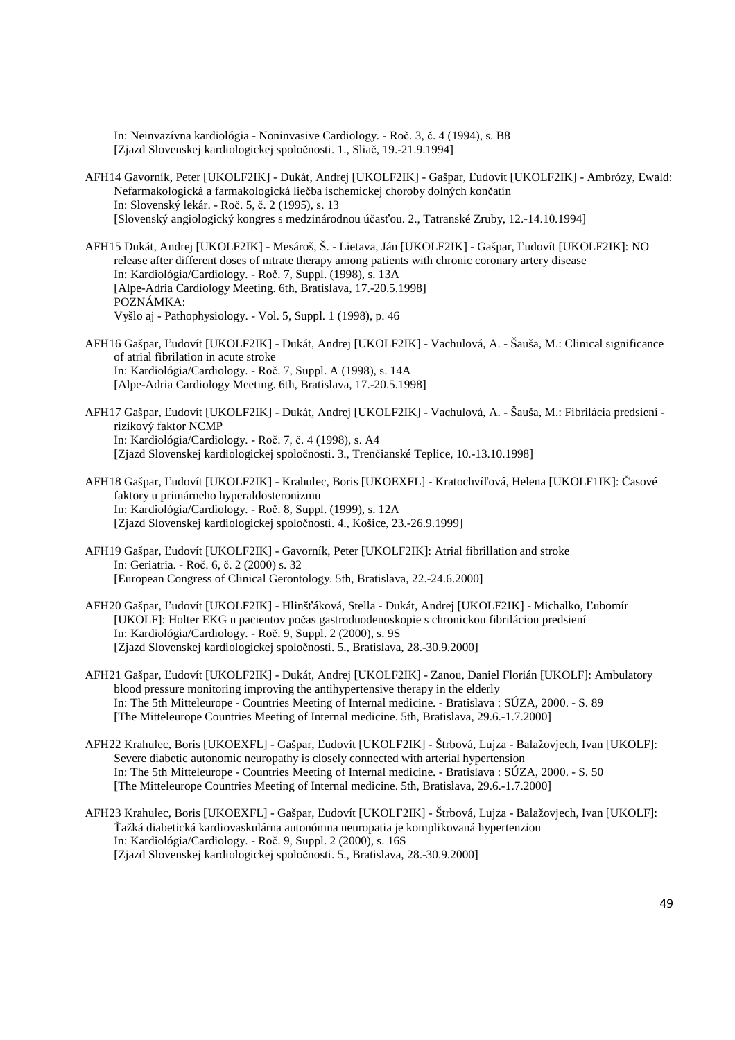In: Neinvazívna kardiológia - Noninvasive Cardiology. - Roč. 3, č. 4 (1994), s. B8 [Zjazd Slovenskej kardiologickej spoločnosti. 1., Sliač, 19.-21.9.1994]

- AFH14 Gavorník, Peter [UKOLF2IK] Dukát, Andrej [UKOLF2IK] Gašpar, Ľudovít [UKOLF2IK] Ambrózy, Ewald: Nefarmakologická a farmakologická liečba ischemickej choroby dolných končatín In: Slovenský lekár. - Roč. 5, č. 2 (1995), s. 13 [Slovenský angiologický kongres s medzinárodnou účasťou. 2., Tatranské Zruby, 12.-14.10.1994]
- AFH15 Dukát, Andrej [UKOLF2IK] Mesároš, Š. Lietava, Ján [UKOLF2IK] Gašpar, Ľudovít [UKOLF2IK]: NO release after different doses of nitrate therapy among patients with chronic coronary artery disease In: Kardiológia/Cardiology. - Roč. 7, Suppl. (1998), s. 13A [Alpe-Adria Cardiology Meeting. 6th, Bratislava, 17.-20.5.1998] POZNÁMKA: Vyšlo aj - Pathophysiology. - Vol. 5, Suppl. 1 (1998), p. 46
- AFH16 Gašpar, Ľudovít [UKOLF2IK] Dukát, Andrej [UKOLF2IK] Vachulová, A. Šauša, M.: Clinical significance of atrial fibrilation in acute stroke In: Kardiológia/Cardiology. - Roč. 7, Suppl. A (1998), s. 14A [Alpe-Adria Cardiology Meeting. 6th, Bratislava, 17.-20.5.1998]
- AFH17 Gašpar, Ľudovít [UKOLF2IK] Dukát, Andrej [UKOLF2IK] Vachulová, A. Šauša, M.: Fibrilácia predsiení rizikový faktor NCMP In: Kardiológia/Cardiology. - Roč. 7, č. 4 (1998), s. A4 [Zjazd Slovenskej kardiologickej spoločnosti. 3., Trenčianské Teplice, 10.-13.10.1998]
- AFH18 Gašpar, Ľudovít [UKOLF2IK] Krahulec, Boris [UKOEXFL] Kratochvíľová, Helena [UKOLF1IK]: Časové faktory u primárneho hyperaldosteronizmu In: Kardiológia/Cardiology. - Roč. 8, Suppl. (1999), s. 12A [Zjazd Slovenskej kardiologickej spoločnosti. 4., Košice, 23.-26.9.1999]
- AFH19 Gašpar, Ľudovít [UKOLF2IK] Gavorník, Peter [UKOLF2IK]: Atrial fibrillation and stroke In: Geriatria. - Roč. 6, č. 2 (2000) s. 32 [European Congress of Clinical Gerontology. 5th, Bratislava, 22.-24.6.2000]
- AFH20 Gašpar, Ľudovít [UKOLF2IK] Hlinšťáková, Stella Dukát, Andrej [UKOLF2IK] Michalko, Ľubomír [UKOLF]: Holter EKG u pacientov počas gastroduodenoskopie s chronickou fibriláciou predsiení In: Kardiológia/Cardiology. - Roč. 9, Suppl. 2 (2000), s. 9S [Zjazd Slovenskej kardiologickej spoločnosti. 5., Bratislava, 28.-30.9.2000]
- AFH21 Gašpar, Ľudovít [UKOLF2IK] Dukát, Andrej [UKOLF2IK] Zanou, Daniel Florián [UKOLF]: Ambulatory blood pressure monitoring improving the antihypertensive therapy in the elderly In: The 5th Mitteleurope - Countries Meeting of Internal medicine. - Bratislava : SÚZA, 2000. - S. 89 [The Mitteleurope Countries Meeting of Internal medicine. 5th, Bratislava, 29.6.-1.7.2000]
- AFH22 Krahulec, Boris [UKOEXFL] Gašpar, Ľudovít [UKOLF2IK] Štrbová, Lujza Balažovjech, Ivan [UKOLF]: Severe diabetic autonomic neuropathy is closely connected with arterial hypertension In: The 5th Mitteleurope - Countries Meeting of Internal medicine. - Bratislava : SÚZA, 2000. - S. 50 [The Mitteleurope Countries Meeting of Internal medicine. 5th, Bratislava, 29.6.-1.7.2000]
- AFH23 Krahulec, Boris [UKOEXFL] Gašpar, Ľudovít [UKOLF2IK] Štrbová, Lujza Balažovjech, Ivan [UKOLF]: Ťažká diabetická kardiovaskulárna autonómna neuropatia je komplikovaná hypertenziou In: Kardiológia/Cardiology. - Roč. 9, Suppl. 2 (2000), s. 16S [Zjazd Slovenskej kardiologickej spoločnosti. 5., Bratislava, 28.-30.9.2000]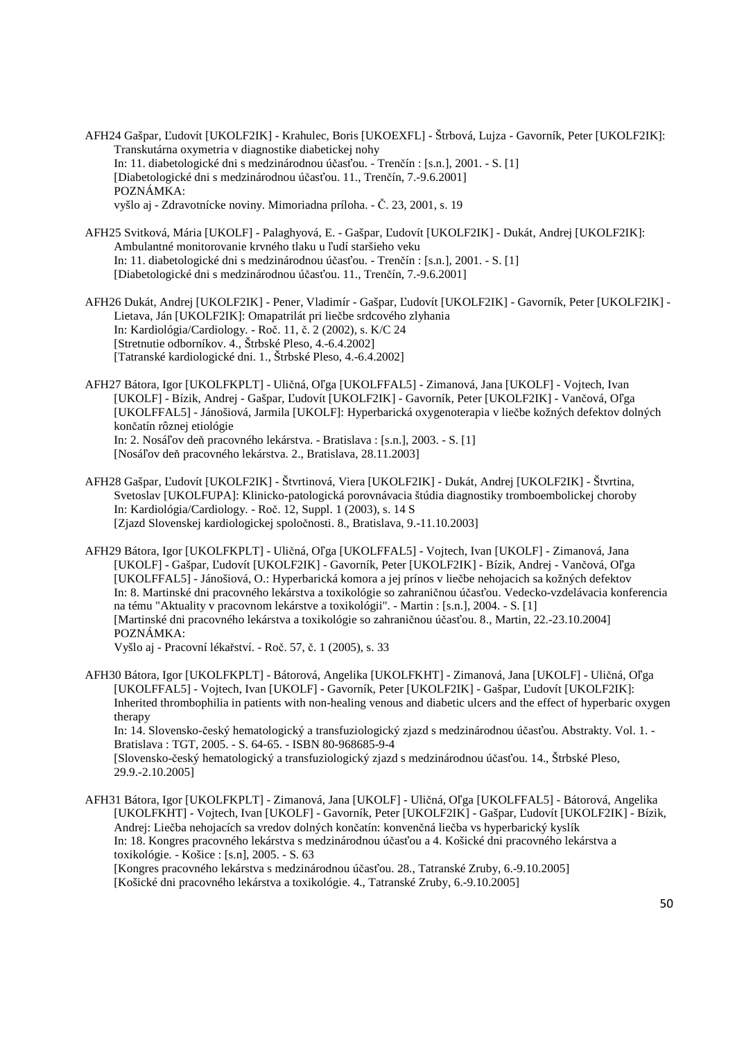AFH24 Gašpar, Ľudovít [UKOLF2IK] - Krahulec, Boris [UKOEXFL] - Štrbová, Lujza - Gavorník, Peter [UKOLF2IK]: Transkutárna oxymetria v diagnostike diabetickej nohy In: 11. diabetologické dni s medzinárodnou účasťou. - Trenčín : [s.n.], 2001. - S. [1] [Diabetologické dni s medzinárodnou účasťou. 11., Trenčín, 7.-9.6.2001] POZNÁMKA: vyšlo aj - Zdravotnícke noviny. Mimoriadna príloha. - Č. 23, 2001, s. 19

- AFH25 Svitková, Mária [UKOLF] Palaghyová, E. Gašpar, Ľudovít [UKOLF2IK] Dukát, Andrej [UKOLF2IK]: Ambulantné monitorovanie krvného tlaku u ľudí staršieho veku In: 11. diabetologické dni s medzinárodnou účasťou. - Trenčín : [s.n.], 2001. - S. [1] [Diabetologické dni s medzinárodnou účasťou. 11., Trenčín, 7.-9.6.2001]
- AFH26 Dukát, Andrej [UKOLF2IK] Pener, Vladimír Gašpar, Ľudovít [UKOLF2IK] Gavorník, Peter [UKOLF2IK] Lietava, Ján [UKOLF2IK]: Omapatrilát pri liečbe srdcového zlyhania In: Kardiológia/Cardiology. - Roč. 11, č. 2 (2002), s. K/C 24 [Stretnutie odborníkov. 4., Štrbské Pleso, 4.-6.4.2002] [Tatranské kardiologické dni. 1., Štrbské Pleso, 4.-6.4.2002]
- AFH27 Bátora, Igor [UKOLFKPLT] Uličná, Oľga [UKOLFFAL5] Zimanová, Jana [UKOLF] Vojtech, Ivan [UKOLF] - Bízik, Andrej - Gašpar, Ľudovít [UKOLF2IK] - Gavorník, Peter [UKOLF2IK] - Vančová, Oľga [UKOLFFAL5] - Jánošiová, Jarmila [UKOLF]: Hyperbarická oxygenoterapia v liečbe kožných defektov dolných končatín rôznej etiológie In: 2. Nosáľov deň pracovného lekárstva. - Bratislava : [s.n.], 2003. - S. [1] [Nosáľov deň pracovného lekárstva. 2., Bratislava, 28.11.2003]
- AFH28 Gašpar, Ľudovít [UKOLF2IK] Štvrtinová, Viera [UKOLF2IK] Dukát, Andrej [UKOLF2IK] Štvrtina, Svetoslav [UKOLFUPA]: Klinicko-patologická porovnávacia štúdia diagnostiky tromboembolickej choroby In: Kardiológia/Cardiology. - Roč. 12, Suppl. 1 (2003), s. 14 S [Zjazd Slovenskej kardiologickej spoločnosti. 8., Bratislava, 9.-11.10.2003]
- AFH29 Bátora, Igor [UKOLFKPLT] Uličná, Oľga [UKOLFFAL5] Vojtech, Ivan [UKOLF] Zimanová, Jana [UKOLF] - Gašpar, Ľudovít [UKOLF2IK] - Gavorník, Peter [UKOLF2IK] - Bízik, Andrej - Vančová, Oľga [UKOLFFAL5] - Jánošiová, O.: Hyperbarická komora a jej prínos v liečbe nehojacich sa kožných defektov In: 8. Martinské dni pracovného lekárstva a toxikológie so zahraničnou účasťou. Vedecko-vzdelávacia konferencia na tému "Aktuality v pracovnom lekárstve a toxikológii". - Martin : [s.n.], 2004. - S. [1] [Martinské dni pracovného lekárstva a toxikológie so zahraničnou účasťou. 8., Martin, 22.-23.10.2004] POZNÁMKA:

Vyšlo aj - Pracovní lékařství. - Roč. 57, č. 1 (2005), s. 33

AFH30 Bátora, Igor [UKOLFKPLT] - Bátorová, Angelika [UKOLFKHT] - Zimanová, Jana [UKOLF] - Uličná, Oľga [UKOLFFAL5] - Vojtech, Ivan [UKOLF] - Gavorník, Peter [UKOLF2IK] - Gašpar, Ľudovít [UKOLF2IK]: Inherited thrombophilia in patients with non-healing venous and diabetic ulcers and the effect of hyperbaric oxygen therapy

In: 14. Slovensko-český hematologický a transfuziologický zjazd s medzinárodnou účasťou. Abstrakty. Vol. 1. - Bratislava : TGT, 2005. - S. 64-65. - ISBN 80-968685-9-4

[Slovensko-český hematologický a transfuziologický zjazd s medzinárodnou účasťou. 14., Štrbské Pleso, 29.9.-2.10.2005]

AFH31 Bátora, Igor [UKOLFKPLT] - Zimanová, Jana [UKOLF] - Uličná, Oľga [UKOLFFAL5] - Bátorová, Angelika [UKOLFKHT] - Vojtech, Ivan [UKOLF] - Gavorník, Peter [UKOLF2IK] - Gašpar, Ľudovít [UKOLF2IK] - Bízik, Andrej: Liečba nehojacích sa vredov dolných končatín: konvenčná liečba vs hyperbarický kyslík In: 18. Kongres pracovného lekárstva s medzinárodnou účasťou a 4. Košické dni pracovného lekárstva a toxikológie. - Košice : [s.n], 2005. - S. 63 [Kongres pracovného lekárstva s medzinárodnou účasťou. 28., Tatranské Zruby, 6.-9.10.2005]

[Košické dni pracovného lekárstva a toxikológie. 4., Tatranské Zruby, 6.-9.10.2005]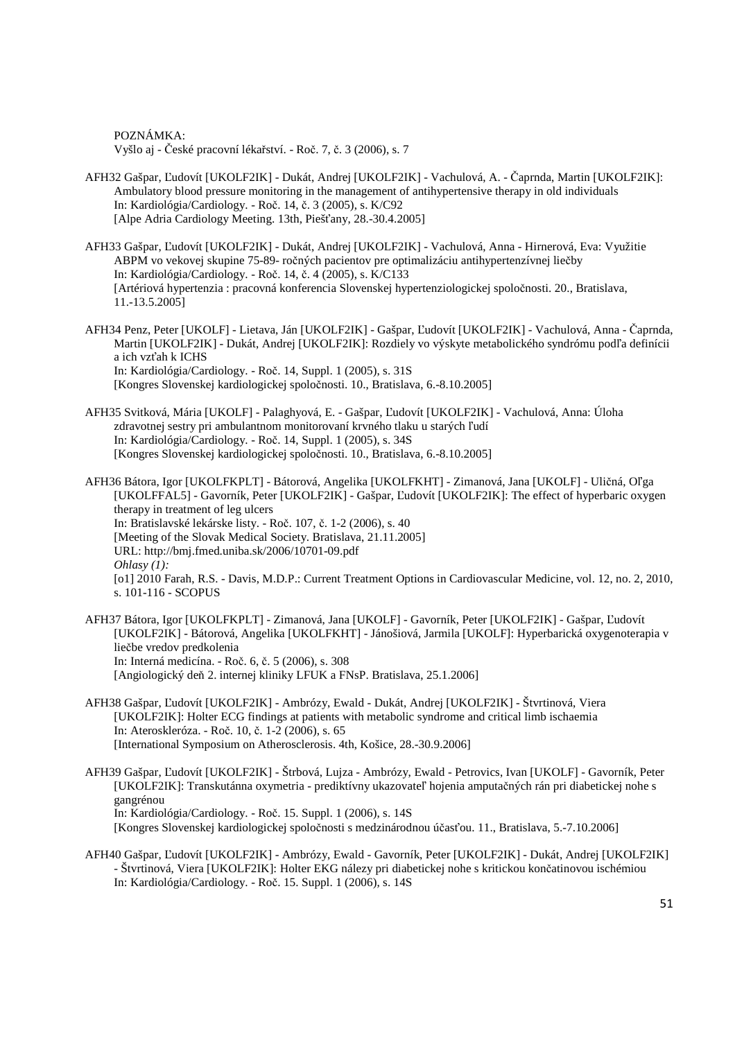POZNÁMKA:

Vyšlo aj - České pracovní lékařství. - Roč. 7, č. 3 (2006), s. 7

- AFH32 Gašpar, Ľudovít [UKOLF2IK] Dukát, Andrej [UKOLF2IK] Vachulová, A. Čaprnda, Martin [UKOLF2IK]: Ambulatory blood pressure monitoring in the management of antihypertensive therapy in old individuals In: Kardiológia/Cardiology. - Roč. 14, č. 3 (2005), s. K/C92 [Alpe Adria Cardiology Meeting. 13th, Piešťany, 28.-30.4.2005]
- AFH33 Gašpar, Ľudovít [UKOLF2IK] Dukát, Andrej [UKOLF2IK] Vachulová, Anna Hirnerová, Eva: Využitie ABPM vo vekovej skupine 75-89- ročných pacientov pre optimalizáciu antihypertenzívnej liečby In: Kardiológia/Cardiology. - Roč. 14, č. 4 (2005), s. K/C133 [Artériová hypertenzia : pracovná konferencia Slovenskej hypertenziologickej spoločnosti. 20., Bratislava, 11.-13.5.2005]
- AFH34 Penz, Peter [UKOLF] Lietava, Ján [UKOLF2IK] Gašpar, Ľudovít [UKOLF2IK] Vachulová, Anna Čaprnda, Martin [UKOLF2IK] - Dukát, Andrej [UKOLF2IK]: Rozdiely vo výskyte metabolického syndrómu podľa definícii a ich vzťah k ICHS In: Kardiológia/Cardiology. - Roč. 14, Suppl. 1 (2005), s. 31S [Kongres Slovenskej kardiologickej spoločnosti. 10., Bratislava, 6.-8.10.2005]
- AFH35 Svitková, Mária [UKOLF] Palaghyová, E. Gašpar, Ľudovít [UKOLF2IK] Vachulová, Anna: Úloha zdravotnej sestry pri ambulantnom monitorovaní krvného tlaku u starých ľudí In: Kardiológia/Cardiology. - Roč. 14, Suppl. 1 (2005), s. 34S [Kongres Slovenskej kardiologickej spoločnosti. 10., Bratislava, 6.-8.10.2005]
- AFH36 Bátora, Igor [UKOLFKPLT] Bátorová, Angelika [UKOLFKHT] Zimanová, Jana [UKOLF] Uličná, Oľga [UKOLFFAL5] - Gavorník, Peter [UKOLF2IK] - Gašpar, Ľudovít [UKOLF2IK]: The effect of hyperbaric oxygen therapy in treatment of leg ulcers In: Bratislavské lekárske listy. - Roč. 107, č. 1-2 (2006), s. 40 [Meeting of the Slovak Medical Society. Bratislava, 21.11.2005] URL: http://bmj.fmed.uniba.sk/2006/10701-09.pdf *Ohlasy (1):* [o1] 2010 Farah, R.S. - Davis, M.D.P.: Current Treatment Options in Cardiovascular Medicine, vol. 12, no. 2, 2010, s. 101-116 - SCOPUS
- AFH37 Bátora, Igor [UKOLFKPLT] Zimanová, Jana [UKOLF] Gavorník, Peter [UKOLF2IK] Gašpar, Ľudovít [UKOLF2IK] - Bátorová, Angelika [UKOLFKHT] - Jánošiová, Jarmila [UKOLF]: Hyperbarická oxygenoterapia v liečbe vredov predkolenia In: Interná medicína. - Roč. 6, č. 5 (2006), s. 308 [Angiologický deň 2. internej kliniky LFUK a FNsP. Bratislava, 25.1.2006]
- AFH38 Gašpar, Ľudovít [UKOLF2IK] Ambrózy, Ewald Dukát, Andrej [UKOLF2IK] Štvrtinová, Viera [UKOLF2IK]: Holter ECG findings at patients with metabolic syndrome and critical limb ischaemia In: Ateroskleróza. - Roč. 10, č. 1-2 (2006), s. 65 [International Symposium on Atherosclerosis. 4th, Košice, 28.-30.9.2006]
- AFH39 Gašpar, Ľudovít [UKOLF2IK] Štrbová, Lujza Ambrózy, Ewald Petrovics, Ivan [UKOLF] Gavorník, Peter [UKOLF2IK]: Transkutánna oxymetria - prediktívny ukazovateľ hojenia amputačných rán pri diabetickej nohe s gangrénou In: Kardiológia/Cardiology. - Roč. 15. Suppl. 1 (2006), s. 14S [Kongres Slovenskej kardiologickej spoločnosti s medzinárodnou účasťou. 11., Bratislava, 5.-7.10.2006]
- AFH40 Gašpar, Ľudovít [UKOLF2IK] Ambrózy, Ewald Gavorník, Peter [UKOLF2IK] Dukát, Andrej [UKOLF2IK] - Štvrtinová, Viera [UKOLF2IK]: Holter EKG nálezy pri diabetickej nohe s kritickou končatinovou ischémiou In: Kardiológia/Cardiology. - Roč. 15. Suppl. 1 (2006), s. 14S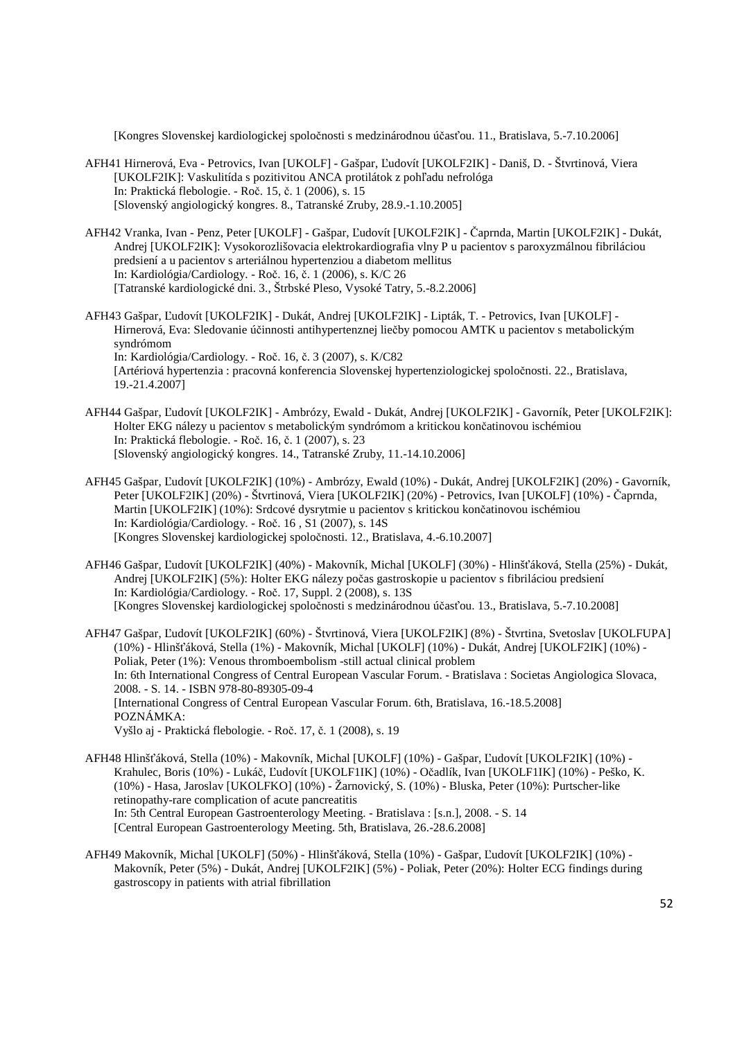[Kongres Slovenskej kardiologickej spoločnosti s medzinárodnou účasťou. 11., Bratislava, 5.-7.10.2006]

- AFH41 Hirnerová, Eva Petrovics, Ivan [UKOLF] Gašpar, Ľudovít [UKOLF2IK] Daniš, D. Štvrtinová, Viera [UKOLF2IK]: Vaskulitída s pozitivitou ANCA protilátok z pohľadu nefrológa In: Praktická flebologie. - Roč. 15, č. 1 (2006), s. 15 [Slovenský angiologický kongres. 8., Tatranské Zruby, 28.9.-1.10.2005]
- AFH42 Vranka, Ivan Penz, Peter [UKOLF] Gašpar, Ľudovít [UKOLF2IK] Čaprnda, Martin [UKOLF2IK] Dukát, Andrej [UKOLF2IK]: Vysokorozlišovacia elektrokardiografia vlny P u pacientov s paroxyzmálnou fibriláciou predsiení a u pacientov s arteriálnou hypertenziou a diabetom mellitus In: Kardiológia/Cardiology. - Roč. 16, č. 1 (2006), s. K/C 26 [Tatranské kardiologické dni. 3., Štrbské Pleso, Vysoké Tatry, 5.-8.2.2006]
- AFH43 Gašpar, Ľudovít [UKOLF2IK] Dukát, Andrej [UKOLF2IK] Lipták, T. Petrovics, Ivan [UKOLF] Hirnerová, Eva: Sledovanie účinnosti antihypertenznej liečby pomocou AMTK u pacientov s metabolickým syndrómom In: Kardiológia/Cardiology. - Roč. 16, č. 3 (2007), s. K/C82 [Artériová hypertenzia : pracovná konferencia Slovenskej hypertenziologickej spoločnosti. 22., Bratislava, 19.-21.4.2007]
- AFH44 Gašpar, Ľudovít [UKOLF2IK] Ambrózy, Ewald Dukát, Andrej [UKOLF2IK] Gavorník, Peter [UKOLF2IK]: Holter EKG nálezy u pacientov s metabolickým syndrómom a kritickou končatinovou ischémiou In: Praktická flebologie. - Roč. 16, č. 1 (2007), s. 23 [Slovenský angiologický kongres. 14., Tatranské Zruby, 11.-14.10.2006]
- AFH45 Gašpar, Ľudovít [UKOLF2IK] (10%) Ambrózy, Ewald (10%) Dukát, Andrej [UKOLF2IK] (20%) Gavorník, Peter [UKOLF2IK] (20%) - Štvrtinová, Viera [UKOLF2IK] (20%) - Petrovics, Ivan [UKOLF] (10%) - Čaprnda, Martin [UKOLF2IK] (10%): Srdcové dysrytmie u pacientov s kritickou končatinovou ischémiou In: Kardiológia/Cardiology. - Roč. 16 , S1 (2007), s. 14S [Kongres Slovenskej kardiologickej spoločnosti. 12., Bratislava, 4.-6.10.2007]
- AFH46 Gašpar, Ľudovít [UKOLF2IK] (40%) Makovník, Michal [UKOLF] (30%) Hlinšťáková, Stella (25%) Dukát, Andrej [UKOLF2IK] (5%): Holter EKG nálezy počas gastroskopie u pacientov s fibriláciou predsiení In: Kardiológia/Cardiology. - Roč. 17, Suppl. 2 (2008), s. 13S [Kongres Slovenskej kardiologickej spoločnosti s medzinárodnou účasťou. 13., Bratislava, 5.-7.10.2008]
- AFH47 Gašpar, Ľudovít [UKOLF2IK] (60%) Štvrtinová, Viera [UKOLF2IK] (8%) Štvrtina, Svetoslav [UKOLFUPA] (10%) - Hlinšťáková, Stella (1%) - Makovník, Michal [UKOLF] (10%) - Dukát, Andrej [UKOLF2IK] (10%) - Poliak, Peter (1%): Venous thromboembolism -still actual clinical problem In: 6th International Congress of Central European Vascular Forum. - Bratislava : Societas Angiologica Slovaca, 2008. - S. 14. - ISBN 978-80-89305-09-4 [International Congress of Central European Vascular Forum. 6th, Bratislava, 16.-18.5.2008] POZNÁMKA: Vyšlo aj - Praktická flebologie. - Roč. 17, č. 1 (2008), s. 19
- AFH48 Hlinšťáková, Stella (10%) Makovník, Michal [UKOLF] (10%) Gašpar, Ľudovít [UKOLF2IK] (10%) Krahulec, Boris (10%) - Lukáč, Ľudovít [UKOLF1IK] (10%) - Očadlík, Ivan [UKOLF1IK] (10%) - Peško, K. (10%) - Hasa, Jaroslav [UKOLFKO] (10%) - Žarnovický, S. (10%) - Bluska, Peter (10%): Purtscher-like retinopathy-rare complication of acute pancreatitis

In: 5th Central European Gastroenterology Meeting. - Bratislava : [s.n.], 2008. - S. 14 [Central European Gastroenterology Meeting. 5th, Bratislava, 26.-28.6.2008]

AFH49 Makovník, Michal [UKOLF] (50%) - Hlinšťáková, Stella (10%) - Gašpar, Ľudovít [UKOLF2IK] (10%) - Makovník, Peter (5%) - Dukát, Andrej [UKOLF2IK] (5%) - Poliak, Peter (20%): Holter ECG findings during gastroscopy in patients with atrial fibrillation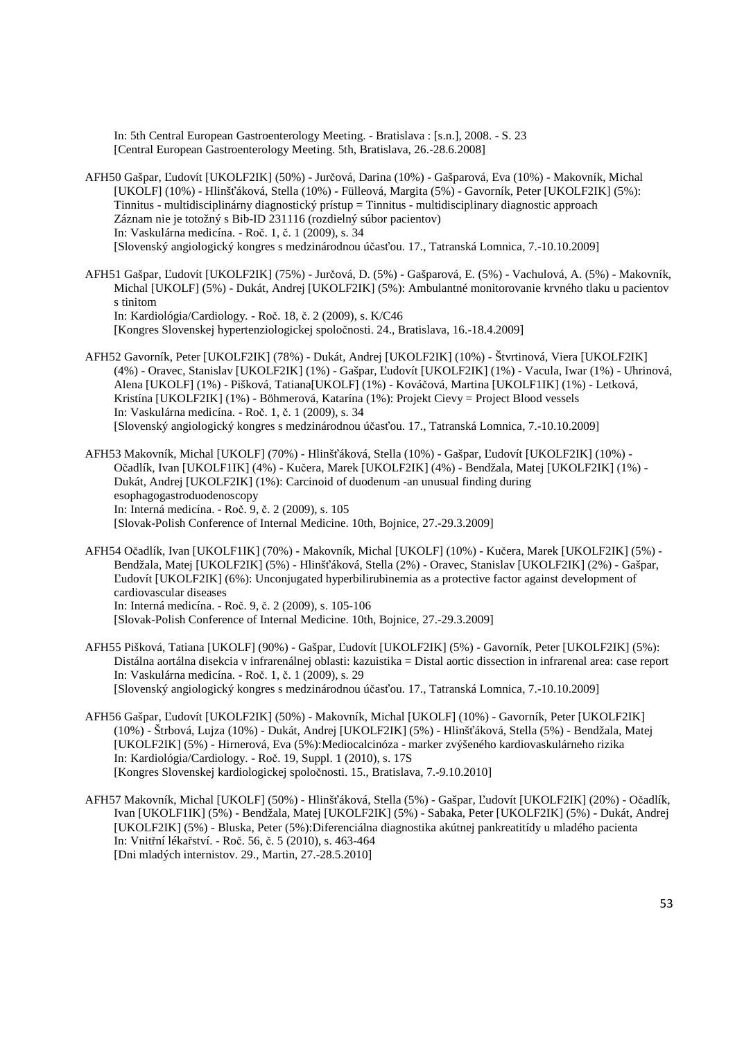In: 5th Central European Gastroenterology Meeting. - Bratislava : [s.n.], 2008. - S. 23 [Central European Gastroenterology Meeting. 5th, Bratislava, 26.-28.6.2008]

AFH50 Gašpar, Ľudovít [UKOLF2IK] (50%) - Jurčová, Darina (10%) - Gašparová, Eva (10%) - Makovník, Michal [UKOLF] (10%) - Hlinšťáková, Stella (10%) - Fülleová, Margita (5%) - Gavorník, Peter [UKOLF2IK] (5%): Tinnitus - multidisciplinárny diagnostický prístup = Tinnitus - multidisciplinary diagnostic approach Záznam nie je totožný s Bib-ID 231116 (rozdielný súbor pacientov) In: Vaskulárna medicína. - Roč. 1, č. 1 (2009), s. 34 [Slovenský angiologický kongres s medzinárodnou účasťou. 17., Tatranská Lomnica, 7.-10.10.2009]

AFH51 Gašpar, Ľudovít [UKOLF2IK] (75%) - Jurčová, D. (5%) - Gašparová, E. (5%) - Vachulová, A. (5%) - Makovník, Michal [UKOLF] (5%) - Dukát, Andrej [UKOLF2IK] (5%): Ambulantné monitorovanie krvného tlaku u pacientov s tinitom In: Kardiológia/Cardiology. - Roč. 18, č. 2 (2009), s. K/C46

[Kongres Slovenskej hypertenziologickej spoločnosti. 24., Bratislava, 16.-18.4.2009]

AFH52 Gavorník, Peter [UKOLF2IK] (78%) - Dukát, Andrej [UKOLF2IK] (10%) - Štvrtinová, Viera [UKOLF2IK] (4%) - Oravec, Stanislav [UKOLF2IK] (1%) - Gašpar, Ľudovít [UKOLF2IK] (1%) - Vacula, Iwar (1%) - Uhrinová, Alena [UKOLF] (1%) - Pišková, Tatiana[UKOLF] (1%) - Kováčová, Martina [UKOLF1IK] (1%) - Letková, Kristína [UKOLF2IK] (1%) - Böhmerová, Katarína (1%): Projekt Cievy = Project Blood vessels In: Vaskulárna medicína. - Roč. 1, č. 1 (2009), s. 34 [Slovenský angiologický kongres s medzinárodnou účasťou. 17., Tatranská Lomnica, 7.-10.10.2009]

AFH53 Makovník, Michal [UKOLF] (70%) - Hlinšťáková, Stella (10%) - Gašpar, Ľudovít [UKOLF2IK] (10%) - Očadlík, Ivan [UKOLF1IK] (4%) - Kučera, Marek [UKOLF2IK] (4%) - Bendžala, Matej [UKOLF2IK] (1%) - Dukát, Andrej [UKOLF2IK] (1%): Carcinoid of duodenum -an unusual finding during esophagogastroduodenoscopy In: Interná medicína. - Roč. 9, č. 2 (2009), s. 105 [Slovak-Polish Conference of Internal Medicine. 10th, Bojnice, 27.-29.3.2009]

- AFH54 Očadlík, Ivan [UKOLF1IK] (70%) Makovník, Michal [UKOLF] (10%) Kučera, Marek [UKOLF2IK] (5%) Bendžala, Matej [UKOLF2IK] (5%) - Hlinšťáková, Stella (2%) - Oravec, Stanislav [UKOLF2IK] (2%) - Gašpar, Ľudovít [UKOLF2IK] (6%): Unconjugated hyperbilirubinemia as a protective factor against development of cardiovascular diseases In: Interná medicína. - Roč. 9, č. 2 (2009), s. 105-106 [Slovak-Polish Conference of Internal Medicine. 10th, Bojnice, 27.-29.3.2009]
- AFH55 Pišková, Tatiana [UKOLF] (90%) Gašpar, Ľudovít [UKOLF2IK] (5%) Gavorník, Peter [UKOLF2IK] (5%): Distálna aortálna disekcia v infrarenálnej oblasti: kazuistika = Distal aortic dissection in infrarenal area: case report In: Vaskulárna medicína. - Roč. 1, č. 1 (2009), s. 29 [Slovenský angiologický kongres s medzinárodnou účasťou. 17., Tatranská Lomnica, 7.-10.10.2009]
- AFH56 Gašpar, Ľudovít [UKOLF2IK] (50%) Makovník, Michal [UKOLF] (10%) Gavorník, Peter [UKOLF2IK] (10%) - Štrbová, Lujza (10%) - Dukát, Andrej [UKOLF2IK] (5%) - Hlinšťáková, Stella (5%) - Bendžala, Matej [UKOLF2IK] (5%) - Hirnerová, Eva (5%):Mediocalcinóza - marker zvýšeného kardiovaskulárneho rizika In: Kardiológia/Cardiology. - Roč. 19, Suppl. 1 (2010), s. 17S [Kongres Slovenskej kardiologickej spoločnosti. 15., Bratislava, 7.-9.10.2010]
- AFH57 Makovník, Michal [UKOLF] (50%) Hlinšťáková, Stella (5%) Gašpar, Ľudovít [UKOLF2IK] (20%) Očadlík, Ivan [UKOLF1IK] (5%) - Bendžala, Matej [UKOLF2IK] (5%) - Sabaka, Peter [UKOLF2IK] (5%) - Dukát, Andrej [UKOLF2IK] (5%) - Bluska, Peter (5%):Diferenciálna diagnostika akútnej pankreatitídy u mladého pacienta In: Vnitřní lékařství. - Roč. 56, č. 5 (2010), s. 463-464 [Dni mladých internistov. 29., Martin, 27.-28.5.2010]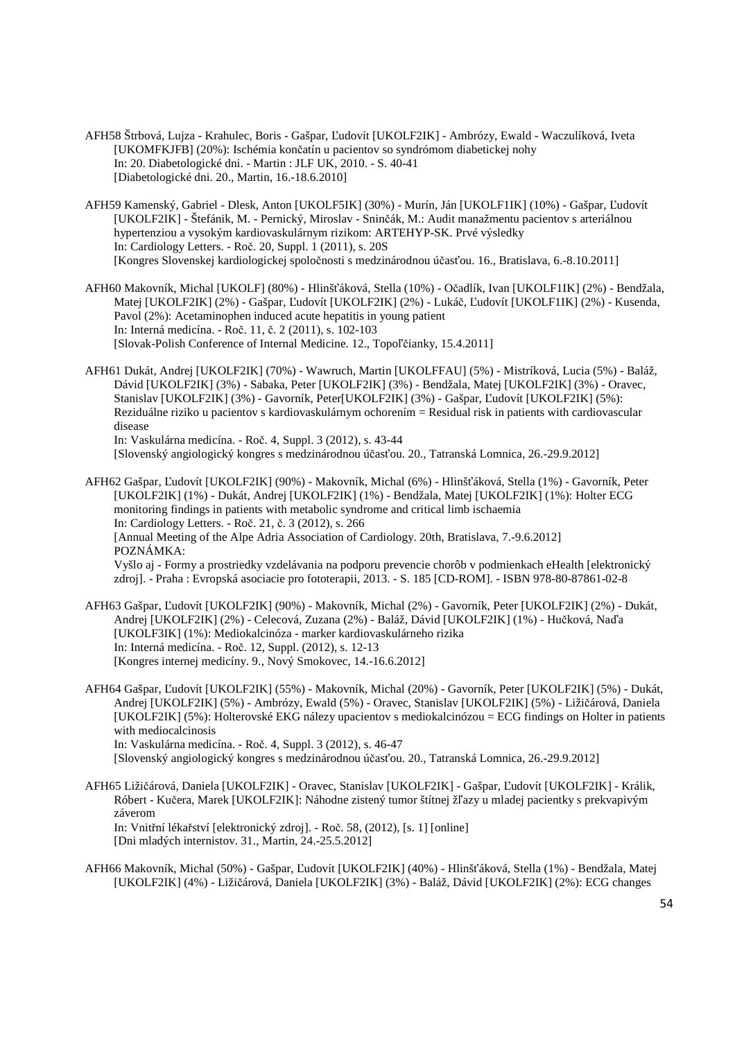- AFH58 Štrbová, Lujza Krahulec, Boris Gašpar, Ľudovít [UKOLF2IK] Ambrózy, Ewald Waczulíková, Iveta [UKOMFKJFB] (20%): Ischémia končatín u pacientov so syndrómom diabetickej nohy In: 20. Diabetologické dni. - Martin : JLF UK, 2010. - S. 40-41 [Diabetologické dni. 20., Martin, 16.-18.6.2010]
- AFH59 Kamenský, Gabriel Dlesk, Anton [UKOLF5IK] (30%) Murín, Ján [UKOLF1IK] (10%) Gašpar, Ľudovít [UKOLF2IK] - Štefánik, M. - Pernický, Miroslav - Sninčák, M.: Audit manažmentu pacientov s arteriálnou hypertenziou a vysokým kardiovaskulárnym rizikom: ARTEHYP-SK. Prvé výsledky In: Cardiology Letters. - Roč. 20, Suppl. 1 (2011), s. 20S [Kongres Slovenskej kardiologickej spoločnosti s medzinárodnou účasťou. 16., Bratislava, 6.-8.10.2011]
- AFH60 Makovník, Michal [UKOLF] (80%) Hlinšťáková, Stella (10%) Očadlík, Ivan [UKOLF1IK] (2%) Bendžala, Matej [UKOLF2IK] (2%) - Gašpar, Ľudovít [UKOLF2IK] (2%) - Lukáč, Ľudovít [UKOLF1IK] (2%) - Kusenda, Pavol (2%): Acetaminophen induced acute hepatitis in young patient In: Interná medicína. - Roč. 11, č. 2 (2011), s. 102-103 [Slovak-Polish Conference of Internal Medicine. 12., Topoľčianky, 15.4.2011]
- AFH61 Dukát, Andrej [UKOLF2IK] (70%) Wawruch, Martin [UKOLFFAU] (5%) Mistríková, Lucia (5%) Baláž, Dávid [UKOLF2IK] (3%) - Sabaka, Peter [UKOLF2IK] (3%) - Bendžala, Matej [UKOLF2IK] (3%) - Oravec, Stanislav [UKOLF2IK] (3%) - Gavorník, Peter[UKOLF2IK] (3%) - Gašpar, Ľudovít [UKOLF2IK] (5%): Reziduálne riziko u pacientov s kardiovaskulárnym ochorením = Residual risk in patients with cardiovascular disease

In: Vaskulárna medicína. - Roč. 4, Suppl. 3 (2012), s. 43-44 [Slovenský angiologický kongres s medzinárodnou účasťou. 20., Tatranská Lomnica, 26.-29.9.2012]

- AFH62 Gašpar, Ľudovít [UKOLF2IK] (90%) Makovník, Michal (6%) Hlinšťáková, Stella (1%) Gavorník, Peter [UKOLF2IK] (1%) - Dukát, Andrej [UKOLF2IK] (1%) - Bendžala, Matej [UKOLF2IK] (1%): Holter ECG monitoring findings in patients with metabolic syndrome and critical limb ischaemia In: Cardiology Letters. - Roč. 21, č. 3 (2012), s. 266 [Annual Meeting of the Alpe Adria Association of Cardiology. 20th, Bratislava, 7.-9.6.2012] POZNÁMKA: Vyšlo aj - Formy a prostriedky vzdelávania na podporu prevencie chorôb v podmienkach eHealth [elektronický zdroj]. - Praha : Evropská asociacie pro fototerapii, 2013. - S. 185 [CD-ROM]. - ISBN 978-80-87861-02-8
- AFH63 Gašpar, Ľudovít [UKOLF2IK] (90%) Makovník, Michal (2%) Gavorník, Peter [UKOLF2IK] (2%) Dukát, Andrej [UKOLF2IK] (2%) - Celecová, Zuzana (2%) - Baláž, Dávid [UKOLF2IK] (1%) - Hučková, Naďa [UKOLF3IK] (1%): Mediokalcinóza - marker kardiovaskulárneho rizika In: Interná medicína. - Roč. 12, Suppl. (2012), s. 12-13 [Kongres internej medicíny. 9., Nový Smokovec, 14.-16.6.2012]
- AFH64 Gašpar, Ľudovít [UKOLF2IK] (55%) Makovník, Michal (20%) Gavorník, Peter [UKOLF2IK] (5%) Dukát, Andrej [UKOLF2IK] (5%) - Ambrózy, Ewald (5%) - Oravec, Stanislav [UKOLF2IK] (5%) - Ližičárová, Daniela [UKOLF2IK] (5%): Holterovské EKG nálezy upacientov s mediokalcinózou = ECG findings on Holter in patients with mediocalcinosis In: Vaskulárna medicína. - Roč. 4, Suppl. 3 (2012), s. 46-47 [Slovenský angiologický kongres s medzinárodnou účasťou. 20., Tatranská Lomnica, 26.-29.9.2012]
- AFH65 Ližičárová, Daniela [UKOLF2IK] Oravec, Stanislav [UKOLF2IK] Gašpar, Ľudovít [UKOLF2IK] Králik, Róbert - Kučera, Marek [UKOLF2IK]: Náhodne zistený tumor štítnej žľazy u mladej pacientky s prekvapivým záverom In: Vnitřní lékařství [elektronický zdroj]. - Roč. 58, (2012), [s. 1] [online] [Dni mladých internistov. 31., Martin, 24.-25.5.2012]
- AFH66 Makovník, Michal (50%) Gašpar, Ľudovít [UKOLF2IK] (40%) Hlinšťáková, Stella (1%) Bendžala, Matej [UKOLF2IK] (4%) - Ližičárová, Daniela [UKOLF2IK] (3%) - Baláž, Dávid [UKOLF2IK] (2%): ECG changes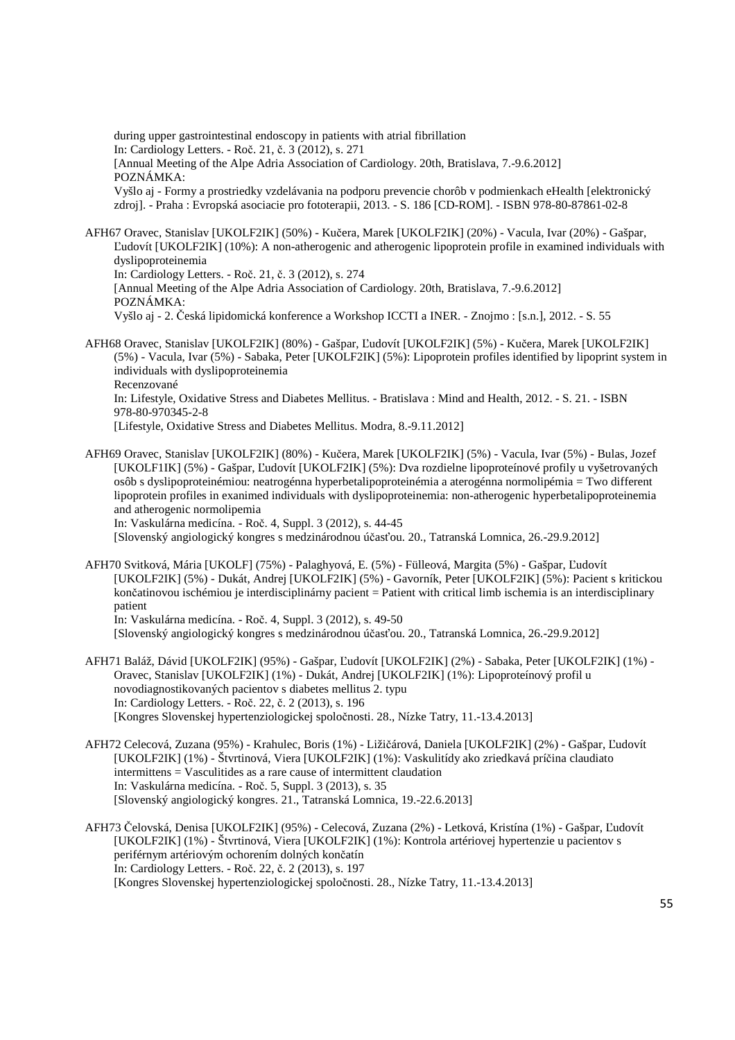during upper gastrointestinal endoscopy in patients with atrial fibrillation In: Cardiology Letters. - Roč. 21, č. 3 (2012), s. 271 [Annual Meeting of the Alpe Adria Association of Cardiology. 20th, Bratislava, 7.-9.6.2012] POZNÁMKA: Vyšlo aj - Formy a prostriedky vzdelávania na podporu prevencie chorôb v podmienkach eHealth [elektronický zdroj]. - Praha : Evropská asociacie pro fototerapii, 2013. - S. 186 [CD-ROM]. - ISBN 978-80-87861-02-8

AFH67 Oravec, Stanislav [UKOLF2IK] (50%) - Kučera, Marek [UKOLF2IK] (20%) - Vacula, Ivar (20%) - Gašpar, Ľudovít [UKOLF2IK] (10%): A non-atherogenic and atherogenic lipoprotein profile in examined individuals with dyslipoproteinemia

In: Cardiology Letters. - Roč. 21, č. 3 (2012), s. 274

[Annual Meeting of the Alpe Adria Association of Cardiology. 20th, Bratislava, 7.-9.6.2012] POZNÁMKA:

Vyšlo aj - 2. Česká lipidomická konference a Workshop ICCTI a INER. - Znojmo : [s.n.], 2012. - S. 55

AFH68 Oravec, Stanislav [UKOLF2IK] (80%) - Gašpar, Ľudovít [UKOLF2IK] (5%) - Kučera, Marek [UKOLF2IK] (5%) - Vacula, Ivar (5%) - Sabaka, Peter [UKOLF2IK] (5%): Lipoprotein profiles identified by lipoprint system in individuals with dyslipoproteinemia Recenzované In: Lifestyle, Oxidative Stress and Diabetes Mellitus. - Bratislava : Mind and Health, 2012. - S. 21. - ISBN 978-80-970345-2-8

[Lifestyle, Oxidative Stress and Diabetes Mellitus. Modra, 8.-9.11.2012]

AFH69 Oravec, Stanislav [UKOLF2IK] (80%) - Kučera, Marek [UKOLF2IK] (5%) - Vacula, Ivar (5%) - Bulas, Jozef [UKOLF1IK] (5%) - Gašpar, Ľudovít [UKOLF2IK] (5%): Dva rozdielne lipoproteínové profily u vyšetrovaných osôb s dyslipoproteinémiou: neatrogénna hyperbetalipoproteinémia a aterogénna normolipémia = Two different lipoprotein profiles in exanimed individuals with dyslipoproteinemia: non-atherogenic hyperbetalipoproteinemia and atherogenic normolipemia

In: Vaskulárna medicína. - Roč. 4, Suppl. 3 (2012), s. 44-45

[Slovenský angiologický kongres s medzinárodnou účasťou. 20., Tatranská Lomnica, 26.-29.9.2012]

AFH70 Svitková, Mária [UKOLF] (75%) - Palaghyová, E. (5%) - Fülleová, Margita (5%) - Gašpar, Ľudovít [UKOLF2IK] (5%) - Dukát, Andrej [UKOLF2IK] (5%) - Gavorník, Peter [UKOLF2IK] (5%): Pacient s kritickou končatinovou ischémiou je interdisciplinárny pacient = Patient with critical limb ischemia is an interdisciplinary patient

In: Vaskulárna medicína. - Roč. 4, Suppl. 3 (2012), s. 49-50 [Slovenský angiologický kongres s medzinárodnou účasťou. 20., Tatranská Lomnica, 26.-29.9.2012]

- AFH71 Baláž, Dávid [UKOLF2IK] (95%) Gašpar, Ľudovít [UKOLF2IK] (2%) Sabaka, Peter [UKOLF2IK] (1%) Oravec, Stanislav [UKOLF2IK] (1%) - Dukát, Andrej [UKOLF2IK] (1%): Lipoproteínový profil u novodiagnostikovaných pacientov s diabetes mellitus 2. typu In: Cardiology Letters. - Roč. 22, č. 2 (2013), s. 196 [Kongres Slovenskej hypertenziologickej spoločnosti. 28., Nízke Tatry, 11.-13.4.2013]
- AFH72 Celecová, Zuzana (95%) Krahulec, Boris (1%) Ližičárová, Daniela [UKOLF2IK] (2%) Gašpar, Ľudovít [UKOLF2IK] (1%) - Štvrtinová, Viera [UKOLF2IK] (1%): Vaskulitídy ako zriedkavá príčina claudiato intermittens = Vasculitides as a rare cause of intermittent claudation In: Vaskulárna medicína. - Roč. 5, Suppl. 3 (2013), s. 35 [Slovenský angiologický kongres. 21., Tatranská Lomnica, 19.-22.6.2013]
- AFH73 Čelovská, Denisa [UKOLF2IK] (95%) Celecová, Zuzana (2%) Letková, Kristína (1%) Gašpar, Ľudovít [UKOLF2IK] (1%) - Štvrtinová, Viera [UKOLF2IK] (1%): Kontrola artériovej hypertenzie u pacientov s periférnym artériovým ochorením dolných končatín In: Cardiology Letters. - Roč. 22, č. 2 (2013), s. 197 [Kongres Slovenskej hypertenziologickej spoločnosti. 28., Nízke Tatry, 11.-13.4.2013]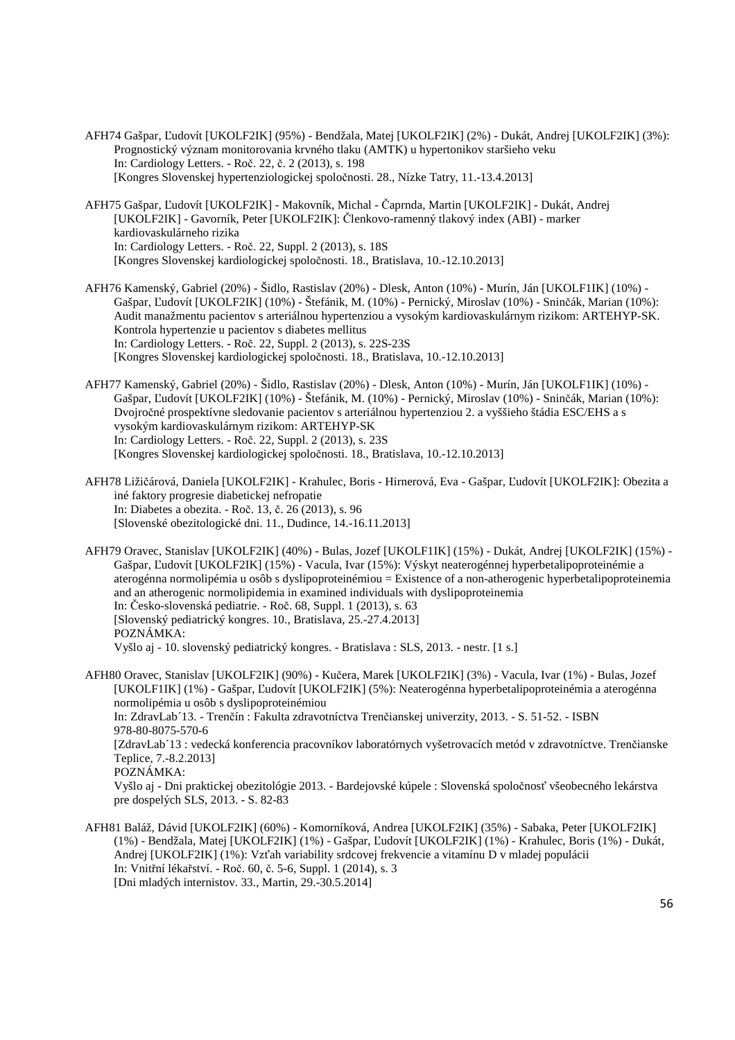- AFH74 Gašpar, Ľudovít [UKOLF2IK] (95%) Bendžala, Matej [UKOLF2IK] (2%) Dukát, Andrej [UKOLF2IK] (3%): Prognostický význam monitorovania krvného tlaku (AMTK) u hypertonikov staršieho veku In: Cardiology Letters. - Roč. 22, č. 2 (2013), s. 198 [Kongres Slovenskej hypertenziologickej spoločnosti. 28., Nízke Tatry, 11.-13.4.2013]
- AFH75 Gašpar, Ľudovít [UKOLF2IK] Makovník, Michal Čaprnda, Martin [UKOLF2IK] Dukát, Andrej [UKOLF2IK] - Gavorník, Peter [UKOLF2IK]: Členkovo-ramenný tlakový index (ABI) - marker kardiovaskulárneho rizika In: Cardiology Letters. - Roč. 22, Suppl. 2 (2013), s. 18S [Kongres Slovenskej kardiologickej spoločnosti. 18., Bratislava, 10.-12.10.2013]
- AFH76 Kamenský, Gabriel (20%) Šidlo, Rastislav (20%) Dlesk, Anton (10%) Murín, Ján [UKOLF1IK] (10%) Gašpar, Ľudovít [UKOLF2IK] (10%) - Štefánik, M. (10%) - Pernický, Miroslav (10%) - Sninčák, Marian (10%): Audit manažmentu pacientov s arteriálnou hypertenziou a vysokým kardiovaskulárnym rizikom: ARTEHYP-SK. Kontrola hypertenzie u pacientov s diabetes mellitus In: Cardiology Letters. - Roč. 22, Suppl. 2 (2013), s. 22S-23S [Kongres Slovenskej kardiologickej spoločnosti. 18., Bratislava, 10.-12.10.2013]
- AFH77 Kamenský, Gabriel (20%) Šidlo, Rastislav (20%) Dlesk, Anton (10%) Murín, Ján [UKOLF1IK] (10%) Gašpar, Ľudovít [UKOLF2IK] (10%) - Štefánik, M. (10%) - Pernický, Miroslav (10%) - Sninčák, Marian (10%): Dvojročné prospektívne sledovanie pacientov s arteriálnou hypertenziou 2. a vyššieho štádia ESC/EHS a s vysokým kardiovaskulárnym rizikom: ARTEHYP-SK In: Cardiology Letters. - Roč. 22, Suppl. 2 (2013), s. 23S [Kongres Slovenskej kardiologickej spoločnosti. 18., Bratislava, 10.-12.10.2013]
- AFH78 Ližičárová, Daniela [UKOLF2IK] Krahulec, Boris Hirnerová, Eva Gašpar, Ľudovít [UKOLF2IK]: Obezita a iné faktory progresie diabetickej nefropatie In: Diabetes a obezita. - Roč. 13, č. 26 (2013), s. 96 [Slovenské obezitologické dni. 11., Dudince, 14.-16.11.2013]
- AFH79 Oravec, Stanislav [UKOLF2IK] (40%) Bulas, Jozef [UKOLF1IK] (15%) Dukát, Andrej [UKOLF2IK] (15%) Gašpar, Ľudovít [UKOLF2IK] (15%) - Vacula, Ivar (15%): Výskyt neaterogénnej hyperbetalipoproteinémie a aterogénna normolipémia u osôb s dyslipoproteinémiou = Existence of a non-atherogenic hyperbetalipoproteinemia and an atherogenic normolipidemia in examined individuals with dyslipoproteinemia In: Česko-slovenská pediatrie. - Roč. 68, Suppl. 1 (2013), s. 63 [Slovenský pediatrický kongres. 10., Bratislava, 25.-27.4.2013] POZNÁMKA: Vyšlo aj - 10. slovenský pediatrický kongres. - Bratislava : SLS, 2013. - nestr. [1 s.]
- AFH80 Oravec, Stanislav [UKOLF2IK] (90%) Kučera, Marek [UKOLF2IK] (3%) Vacula, Ivar (1%) Bulas, Jozef [UKOLF1IK] (1%) - Gašpar, Ľudovít [UKOLF2IK] (5%): Neaterogénna hyperbetalipoproteinémia a aterogénna normolipémia u osôb s dyslipoproteinémiou In: ZdravLab´13. - Trenčín : Fakulta zdravotníctva Trenčianskej univerzity, 2013. - S. 51-52. - ISBN 978-80-8075-570-6 [ZdravLab´13 : vedecká konferencia pracovníkov laboratórnych vyšetrovacích metód v zdravotníctve. Trenčianske Teplice, 7.-8.2.2013] POZNÁMKA:

Vyšlo aj - Dni praktickej obezitológie 2013. - Bardejovské kúpele : Slovenská spoločnosť všeobecného lekárstva pre dospelých SLS, 2013. - S. 82-83

AFH81 Baláž, Dávid [UKOLF2IK] (60%) - Komorníková, Andrea [UKOLF2IK] (35%) - Sabaka, Peter [UKOLF2IK] (1%) - Bendžala, Matej [UKOLF2IK] (1%) - Gašpar, Ľudovít [UKOLF2IK] (1%) - Krahulec, Boris (1%) - Dukát, Andrej [UKOLF2IK] (1%): Vzťah variability srdcovej frekvencie a vitamínu D v mladej populácii In: Vnitřní lékařství. - Roč. 60, č. 5-6, Suppl. 1 (2014), s. 3 [Dni mladých internistov. 33., Martin, 29.-30.5.2014]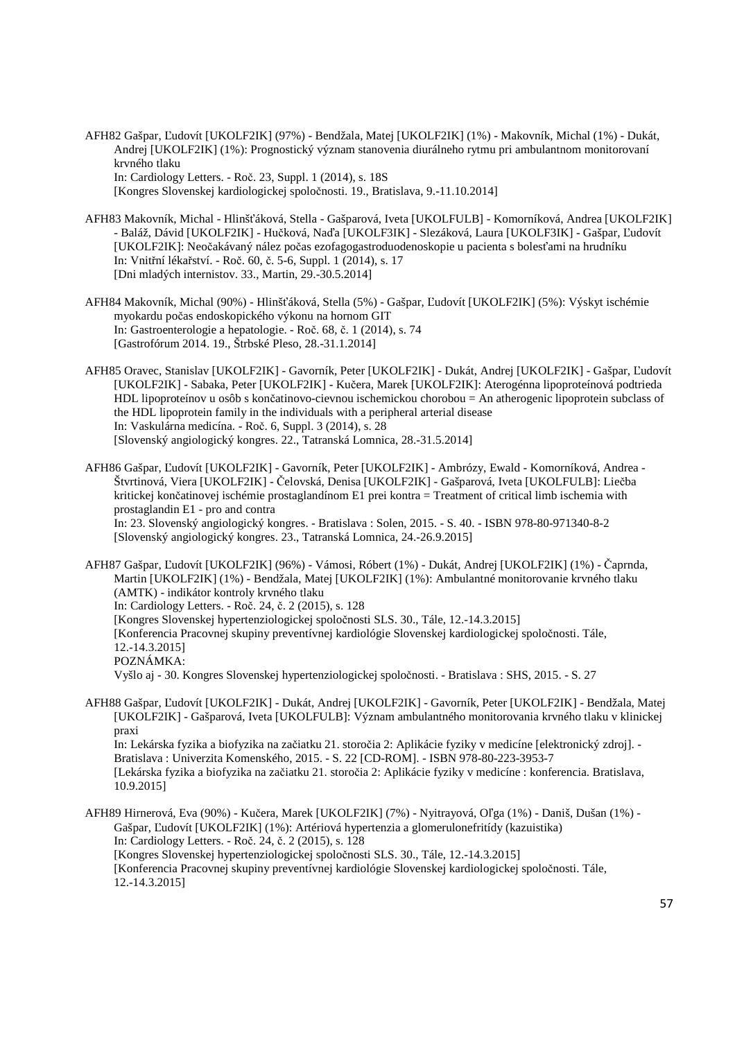AFH82 Gašpar, Ľudovít [UKOLF2IK] (97%) - Bendžala, Matej [UKOLF2IK] (1%) - Makovník, Michal (1%) - Dukát, Andrej [UKOLF2IK] (1%): Prognostický význam stanovenia diurálneho rytmu pri ambulantnom monitorovaní krvného tlaku In: Cardiology Letters. - Roč. 23, Suppl. 1 (2014), s. 18S [Kongres Slovenskej kardiologickej spoločnosti. 19., Bratislava, 9.-11.10.2014]

- AFH83 Makovník, Michal Hlinšťáková, Stella Gašparová, Iveta [UKOLFULB] Komorníková, Andrea [UKOLF2IK] - Baláž, Dávid [UKOLF2IK] - Hučková, Naďa [UKOLF3IK] - Slezáková, Laura [UKOLF3IK] - Gašpar, Ľudovít [UKOLF2IK]: Neočakávaný nález počas ezofagogastroduodenoskopie u pacienta s bolesťami na hrudníku In: Vnitřní lékařství. - Roč. 60, č. 5-6, Suppl. 1 (2014), s. 17 [Dni mladých internistov. 33., Martin, 29.-30.5.2014]
- AFH84 Makovník, Michal (90%) Hlinšťáková, Stella (5%) Gašpar, Ľudovít [UKOLF2IK] (5%): Výskyt ischémie myokardu počas endoskopického výkonu na hornom GIT In: Gastroenterologie a hepatologie. - Roč. 68, č. 1 (2014), s. 74 [Gastrofórum 2014. 19., Štrbské Pleso, 28.-31.1.2014]
- AFH85 Oravec, Stanislav [UKOLF2IK] Gavorník, Peter [UKOLF2IK] Dukát, Andrej [UKOLF2IK] Gašpar, Ľudovít [UKOLF2IK] - Sabaka, Peter [UKOLF2IK] - Kučera, Marek [UKOLF2IK]: Aterogénna lipoproteínová podtrieda HDL lipoproteínov u osôb s končatinovo-cievnou ischemickou chorobou = An atherogenic lipoprotein subclass of the HDL lipoprotein family in the individuals with a peripheral arterial disease In: Vaskulárna medicína. - Roč. 6, Suppl. 3 (2014), s. 28 [Slovenský angiologický kongres. 22., Tatranská Lomnica, 28.-31.5.2014]
- AFH86 Gašpar, Ľudovít [UKOLF2IK] Gavorník, Peter [UKOLF2IK] Ambrózy, Ewald Komorníková, Andrea Štvrtinová, Viera [UKOLF2IK] - Čelovská, Denisa [UKOLF2IK] - Gašparová, Iveta [UKOLFULB]: Liečba kritickej končatinovej ischémie prostaglandínom E1 prei kontra = Treatment of critical limb ischemia with prostaglandin E1 - pro and contra In: 23. Slovenský angiologický kongres. - Bratislava : Solen, 2015. - S. 40. - ISBN 978-80-971340-8-2 [Slovenský angiologický kongres. 23., Tatranská Lomnica, 24.-26.9.2015]

AFH87 Gašpar, Ľudovít [UKOLF2IK] (96%) - Vámosi, Róbert (1%) - Dukát, Andrej [UKOLF2IK] (1%) - Čaprnda, Martin [UKOLF2IK] (1%) - Bendžala, Matej [UKOLF2IK] (1%): Ambulantné monitorovanie krvného tlaku (AMTK) - indikátor kontroly krvného tlaku In: Cardiology Letters. - Roč. 24, č. 2 (2015), s. 128 [Kongres Slovenskej hypertenziologickej spoločnosti SLS. 30., Tále, 12.-14.3.2015] [Konferencia Pracovnej skupiny preventívnej kardiológie Slovenskej kardiologickej spoločnosti. Tále, 12.-14.3.2015] POZNÁMKA: Vyšlo aj - 30. Kongres Slovenskej hypertenziologickej spoločnosti. - Bratislava : SHS, 2015. - S. 27

- AFH88 Gašpar, Ľudovít [UKOLF2IK] Dukát, Andrej [UKOLF2IK] Gavorník, Peter [UKOLF2IK] Bendžala, Matej [UKOLF2IK] - Gašparová, Iveta [UKOLFULB]: Význam ambulantného monitorovania krvného tlaku v klinickej praxi In: Lekárska fyzika a biofyzika na začiatku 21. storočia 2: Aplikácie fyziky v medicíne [elektronický zdroj]. - Bratislava : Univerzita Komenského, 2015. - S. 22 [CD-ROM]. - ISBN 978-80-223-3953-7 [Lekárska fyzika a biofyzika na začiatku 21. storočia 2: Aplikácie fyziky v medicíne : konferencia. Bratislava, 10.9.2015]
- AFH89 Hirnerová, Eva (90%) Kučera, Marek [UKOLF2IK] (7%) Nyitrayová, Oľga (1%) Daniš, Dušan (1%) Gašpar, Ľudovít [UKOLF2IK] (1%): Artériová hypertenzia a glomerulonefritídy (kazuistika) In: Cardiology Letters. - Roč. 24, č. 2 (2015), s. 128 [Kongres Slovenskej hypertenziologickej spoločnosti SLS. 30., Tále, 12.-14.3.2015] [Konferencia Pracovnej skupiny preventívnej kardiológie Slovenskej kardiologickej spoločnosti. Tále, 12.-14.3.2015]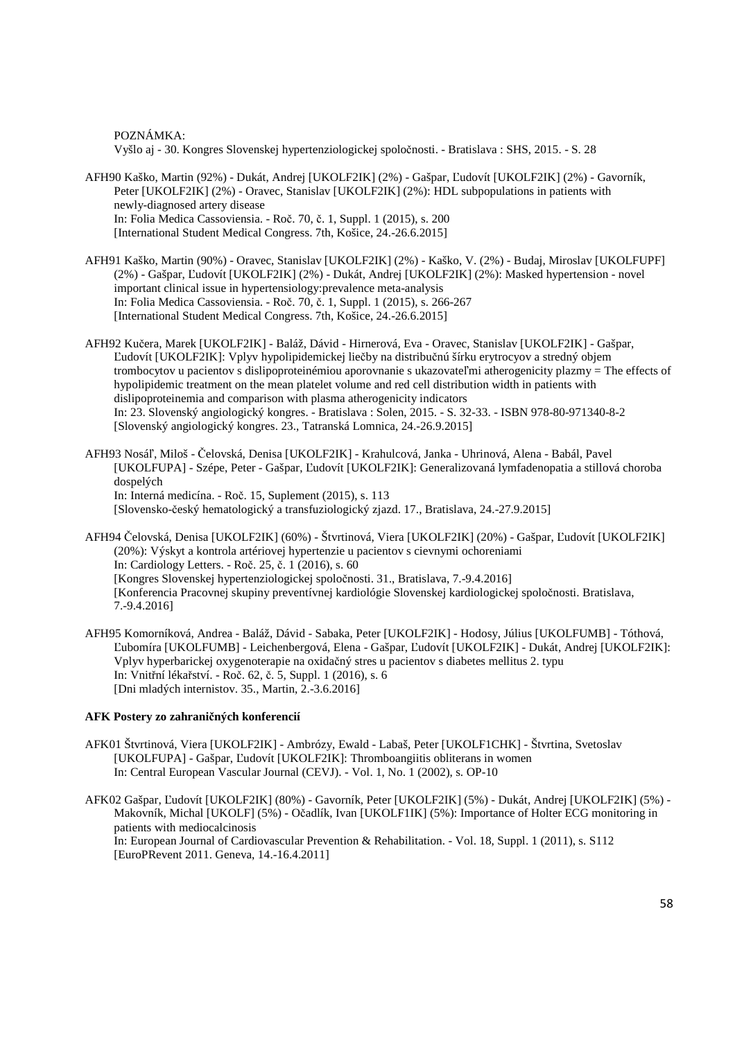POZNÁMKA:

Vyšlo aj - 30. Kongres Slovenskej hypertenziologickej spoločnosti. - Bratislava : SHS, 2015. - S. 28

- AFH90 Kaško, Martin (92%) Dukát, Andrej [UKOLF2IK] (2%) Gašpar, Ľudovít [UKOLF2IK] (2%) Gavorník, Peter [UKOLF2IK] (2%) - Oravec, Stanislav [UKOLF2IK] (2%): HDL subpopulations in patients with newly-diagnosed artery disease In: Folia Medica Cassoviensia. - Roč. 70, č. 1, Suppl. 1 (2015), s. 200 [International Student Medical Congress. 7th, Košice, 24.-26.6.2015]
- AFH91 Kaško, Martin (90%) Oravec, Stanislav [UKOLF2IK] (2%) Kaško, V. (2%) Budaj, Miroslav [UKOLFUPF] (2%) - Gašpar, Ľudovít [UKOLF2IK] (2%) - Dukát, Andrej [UKOLF2IK] (2%): Masked hypertension - novel important clinical issue in hypertensiology:prevalence meta-analysis In: Folia Medica Cassoviensia. - Roč. 70, č. 1, Suppl. 1 (2015), s. 266-267 [International Student Medical Congress. 7th, Košice, 24.-26.6.2015]
- AFH92 Kučera, Marek [UKOLF2IK] Baláž, Dávid Hirnerová, Eva Oravec, Stanislav [UKOLF2IK] Gašpar, Ľudovít [UKOLF2IK]: Vplyv hypolipidemickej liečby na distribučnú šírku erytrocyov a stredný objem trombocytov u pacientov s dislipoproteinémiou aporovnanie s ukazovateľmi atherogenicity plazmy = The effects of hypolipidemic treatment on the mean platelet volume and red cell distribution width in patients with dislipoproteinemia and comparison with plasma atherogenicity indicators In: 23. Slovenský angiologický kongres. - Bratislava : Solen, 2015. - S. 32-33. - ISBN 978-80-971340-8-2 [Slovenský angiologický kongres. 23., Tatranská Lomnica, 24.-26.9.2015]
- AFH93 Nosáľ, Miloš Čelovská, Denisa [UKOLF2IK] Krahulcová, Janka Uhrinová, Alena Babál, Pavel [UKOLFUPA] - Szépe, Peter - Gašpar, Ľudovít [UKOLF2IK]: Generalizovaná lymfadenopatia a stillová choroba dospelých In: Interná medicína. - Roč. 15, Suplement (2015), s. 113 [Slovensko-český hematologický a transfuziologický zjazd. 17., Bratislava, 24.-27.9.2015]
- AFH94 Čelovská, Denisa [UKOLF2IK] (60%) Štvrtinová, Viera [UKOLF2IK] (20%) Gašpar, Ľudovít [UKOLF2IK] (20%): Výskyt a kontrola artériovej hypertenzie u pacientov s cievnymi ochoreniami In: Cardiology Letters. - Roč. 25, č. 1 (2016), s. 60 [Kongres Slovenskej hypertenziologickej spoločnosti. 31., Bratislava, 7.-9.4.2016] [Konferencia Pracovnej skupiny preventívnej kardiológie Slovenskej kardiologickej spoločnosti. Bratislava, 7.-9.4.2016]
- AFH95 Komorníková, Andrea Baláž, Dávid Sabaka, Peter [UKOLF2IK] Hodosy, Július [UKOLFUMB] Tóthová, Ľubomíra [UKOLFUMB] - Leichenbergová, Elena - Gašpar, Ľudovít [UKOLF2IK] - Dukát, Andrej [UKOLF2IK]: Vplyv hyperbarickej oxygenoterapie na oxidačný stres u pacientov s diabetes mellitus 2. typu In: Vnitřní lékařství. - Roč. 62, č. 5, Suppl. 1 (2016), s. 6 [Dni mladých internistov. 35., Martin, 2.-3.6.2016]

#### **AFK Postery zo zahraničných konferencií**

- AFK01 Štvrtinová, Viera [UKOLF2IK] Ambrózy, Ewald Labaš, Peter [UKOLF1CHK] Štvrtina, Svetoslav [UKOLFUPA] - Gašpar, Ľudovít [UKOLF2IK]: Thromboangiitis obliterans in women In: Central European Vascular Journal (CEVJ). - Vol. 1, No. 1 (2002), s. OP-10
- AFK02 Gašpar, Ľudovít [UKOLF2IK] (80%) Gavorník, Peter [UKOLF2IK] (5%) Dukát, Andrej [UKOLF2IK] (5%) Makovník, Michal [UKOLF] (5%) - Očadlík, Ivan [UKOLF1IK] (5%): Importance of Holter ECG monitoring in patients with mediocalcinosis In: European Journal of Cardiovascular Prevention & Rehabilitation. - Vol. 18, Suppl. 1 (2011), s. S112 [EuroPRevent 2011. Geneva, 14.-16.4.2011]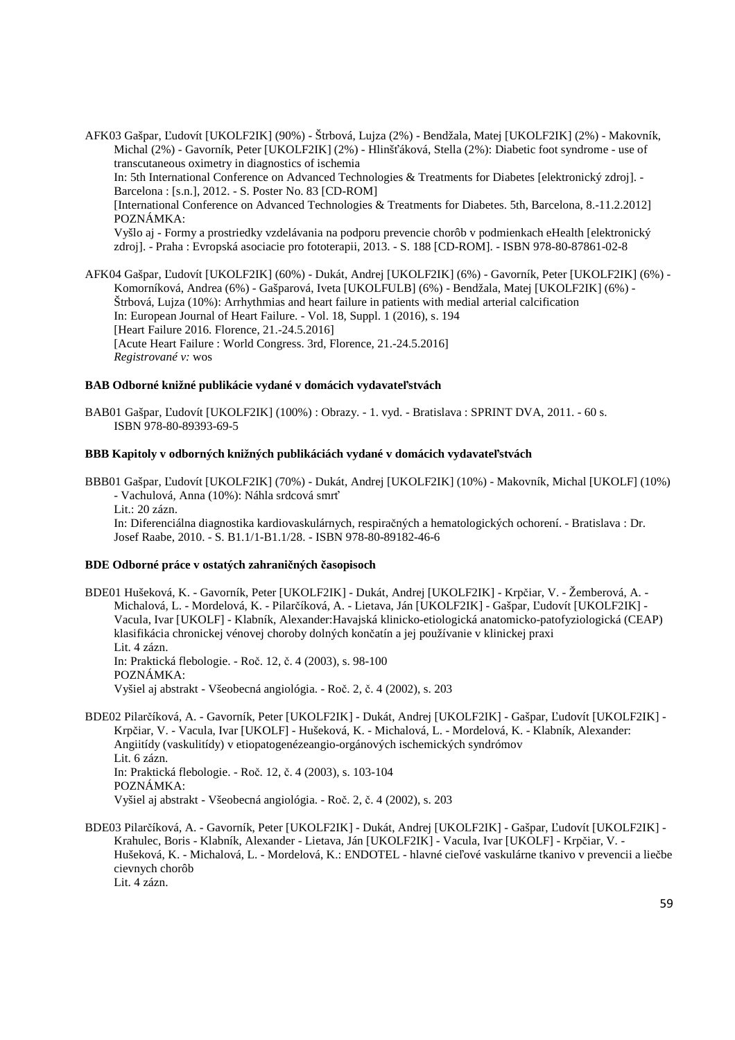AFK03 Gašpar, Ľudovít [UKOLF2IK] (90%) - Štrbová, Lujza (2%) - Bendžala, Matej [UKOLF2IK] (2%) - Makovník, Michal (2%) - Gavorník, Peter [UKOLF2IK] (2%) - Hlinšťáková, Stella (2%): Diabetic foot syndrome - use of transcutaneous oximetry in diagnostics of ischemia In: 5th International Conference on Advanced Technologies & Treatments for Diabetes [elektronický zdroj]. - Barcelona : [s.n.], 2012. - S. Poster No. 83 [CD-ROM] [International Conference on Advanced Technologies & Treatments for Diabetes. 5th, Barcelona, 8.-11.2.2012] POZNÁMKA: Vyšlo aj - Formy a prostriedky vzdelávania na podporu prevencie chorôb v podmienkach eHealth [elektronický zdroj]. - Praha : Evropská asociacie pro fototerapii, 2013. - S. 188 [CD-ROM]. - ISBN 978-80-87861-02-8

AFK04 Gašpar, Ľudovít [UKOLF2IK] (60%) - Dukát, Andrej [UKOLF2IK] (6%) - Gavorník, Peter [UKOLF2IK] (6%) - Komorníková, Andrea (6%) - Gašparová, Iveta [UKOLFULB] (6%) - Bendžala, Matej [UKOLF2IK] (6%) - Štrbová, Lujza (10%): Arrhythmias and heart failure in patients with medial arterial calcification In: European Journal of Heart Failure. - Vol. 18, Suppl. 1 (2016), s. 194 [Heart Failure 2016. Florence, 21.-24.5.2016] [Acute Heart Failure : World Congress. 3rd, Florence, 21.-24.5.2016] *Registrované v:* wos

#### **BAB Odborné knižné publikácie vydané v domácich vydavateľstvách**

BAB01 Gašpar, Ľudovít [UKOLF2IK] (100%) : Obrazy. - 1. vyd. - Bratislava : SPRINT DVA, 2011. - 60 s. ISBN 978-80-89393-69-5

## **BBB Kapitoly v odborných knižných publikáciách vydané v domácich vydavateľstvách**

BBB01 Gašpar, Ľudovít [UKOLF2IK] (70%) - Dukát, Andrej [UKOLF2IK] (10%) - Makovník, Michal [UKOLF] (10%) - Vachulová, Anna (10%): Náhla srdcová smrť Lit.: 20 zázn. In: Diferenciálna diagnostika kardiovaskulárnych, respiračných a hematologických ochorení. - Bratislava : Dr. Josef Raabe, 2010. - S. B1.1/1-B1.1/28. - ISBN 978-80-89182-46-6

## **BDE Odborné práce v ostatých zahraničných časopisoch**

BDE01 Hušeková, K. - Gavorník, Peter [UKOLF2IK] - Dukát, Andrej [UKOLF2IK] - Krpčiar, V. - Žemberová, A. - Michalová, L. - Mordelová, K. - Pilarčíková, A. - Lietava, Ján [UKOLF2IK] - Gašpar, Ľudovít [UKOLF2IK] - Vacula, Ivar [UKOLF] - Klabník, Alexander:Havajská klinicko-etiologická anatomicko-patofyziologická (CEAP) klasifikácia chronickej vénovej choroby dolných končatín a jej používanie v klinickej praxi Lit. 4 zázn. In: Praktická flebologie. - Roč. 12, č. 4 (2003), s. 98-100 POZNÁMKA: Vyšiel aj abstrakt - Všeobecná angiológia. - Roč. 2, č. 4 (2002), s. 203

- BDE02 Pilarčíková, A. Gavorník, Peter [UKOLF2IK] Dukát, Andrej [UKOLF2IK] Gašpar, Ľudovít [UKOLF2IK] Krpčiar, V. - Vacula, Ivar [UKOLF] - Hušeková, K. - Michalová, L. - Mordelová, K. - Klabník, Alexander: Angiitídy (vaskulitídy) v etiopatogenézeangio-orgánových ischemických syndrómov Lit. 6 zázn. In: Praktická flebologie. - Roč. 12, č. 4 (2003), s. 103-104 POZNÁMKA: Vyšiel aj abstrakt - Všeobecná angiológia. - Roč. 2, č. 4 (2002), s. 203
- BDE03 Pilarčíková, A. Gavorník, Peter [UKOLF2IK] Dukát, Andrej [UKOLF2IK] Gašpar, Ľudovít [UKOLF2IK] Krahulec, Boris - Klabník, Alexander - Lietava, Ján [UKOLF2IK] - Vacula, Ivar [UKOLF] - Krpčiar, V. - Hušeková, K. - Michalová, L. - Mordelová, K.: ENDOTEL - hlavné cieľové vaskulárne tkanivo v prevencii a liečbe cievnych chorôb Lit. 4 zázn.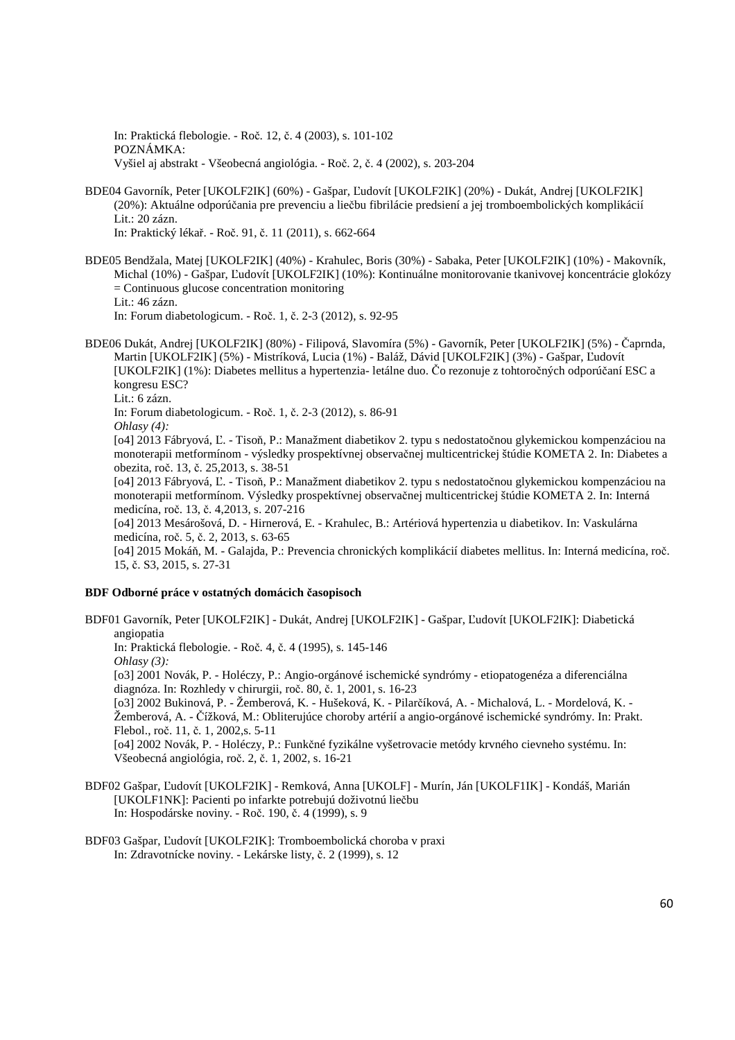In: Praktická flebologie. - Roč. 12, č. 4 (2003), s. 101-102 POZNÁMKA: Vyšiel aj abstrakt - Všeobecná angiológia. - Roč. 2, č. 4 (2002), s. 203-204

BDE04 Gavorník, Peter [UKOLF2IK] (60%) - Gašpar, Ľudovít [UKOLF2IK] (20%) - Dukát, Andrej [UKOLF2IK] (20%): Aktuálne odporúčania pre prevenciu a liečbu fibrilácie predsiení a jej tromboembolických komplikácií Lit.: 20 zázn. In: Praktický lékař. - Roč. 91, č. 11 (2011), s. 662-664

BDE05 Bendžala, Matej [UKOLF2IK] (40%) - Krahulec, Boris (30%) - Sabaka, Peter [UKOLF2IK] (10%) - Makovník, Michal (10%) - Gašpar, Ľudovít [UKOLF2IK] (10%): Kontinuálne monitorovanie tkanivovej koncentrácie glokózy = Continuous glucose concentration monitoring Lit.: 46 zázn.

In: Forum diabetologicum. - Roč. 1, č. 2-3 (2012), s. 92-95

BDE06 Dukát, Andrej [UKOLF2IK] (80%) - Filipová, Slavomíra (5%) - Gavorník, Peter [UKOLF2IK] (5%) - Čaprnda, Martin [UKOLF2IK] (5%) - Mistríková, Lucia (1%) - Baláž, Dávid [UKOLF2IK] (3%) - Gašpar, Ľudovít [UKOLF2IK] (1%): Diabetes mellitus a hypertenzia- letálne duo. Čo rezonuje z tohtoročných odporúčaní ESC a kongresu ESC? Lit.: 6 zázn.

In: Forum diabetologicum. - Roč. 1, č. 2-3 (2012), s. 86-91

*Ohlasy (4):*

[o4] 2013 Fábryová, Ľ. - Tisoň, P.: Manažment diabetikov 2. typu s nedostatočnou glykemickou kompenzáciou na monoterapii metformínom - výsledky prospektívnej observačnej multicentrickej štúdie KOMETA 2. In: Diabetes a obezita, roč. 13, č. 25,2013, s. 38-51

[o4] 2013 Fábryová, Ľ. - Tisoň, P.: Manažment diabetikov 2. typu s nedostatočnou glykemickou kompenzáciou na monoterapii metformínom. Výsledky prospektívnej observačnej multicentrickej štúdie KOMETA 2. In: Interná medicína, roč. 13, č. 4,2013, s. 207-216

[o4] 2013 Mesárošová, D. - Hirnerová, E. - Krahulec, B.: Artériová hypertenzia u diabetikov. In: Vaskulárna medicína, roč. 5, č. 2, 2013, s. 63-65

[o4] 2015 Mokáň, M. - Galajda, P.: Prevencia chronických komplikácií diabetes mellitus. In: Interná medicína, roč. 15, č. S3, 2015, s. 27-31

## **BDF Odborné práce v ostatných domácich časopisoch**

- BDF01 Gavorník, Peter [UKOLF2IK] Dukát, Andrej [UKOLF2IK] Gašpar, Ľudovít [UKOLF2IK]: Diabetická angiopatia In: Praktická flebologie. - Roč. 4, č. 4 (1995), s. 145-146 *Ohlasy (3):* [o3] 2001 Novák, P. - Holéczy, P.: Angio-orgánové ischemické syndrómy - etiopatogenéza a diferenciálna diagnóza. In: Rozhledy v chirurgii, roč. 80, č. 1, 2001, s. 16-23 [o3] 2002 Bukinová, P. - Žemberová, K. - Hušeková, K. - Pilarčíková, A. - Michalová, L. - Mordelová, K. - Žemberová, A. - Čížková, M.: Obliterujúce choroby artérií a angio-orgánové ischemické syndrómy. In: Prakt. Flebol., roč. 11, č. 1, 2002,s. 5-11 [o4] 2002 Novák, P. - Holéczy, P.: Funkčné fyzikálne vyšetrovacie metódy krvného cievneho systému. In: Všeobecná angiológia, roč. 2, č. 1, 2002, s. 16-21 BDF02 Gašpar, Ľudovít [UKOLF2IK] - Remková, Anna [UKOLF] - Murín, Ján [UKOLF1IK] - Kondáš, Marián
- [UKOLF1NK]: Pacienti po infarkte potrebujú doživotnú liečbu In: Hospodárske noviny. - Roč. 190, č. 4 (1999), s. 9
- BDF03 Gašpar, Ľudovít [UKOLF2IK]: Tromboembolická choroba v praxi In: Zdravotnícke noviny. - Lekárske listy, č. 2 (1999), s. 12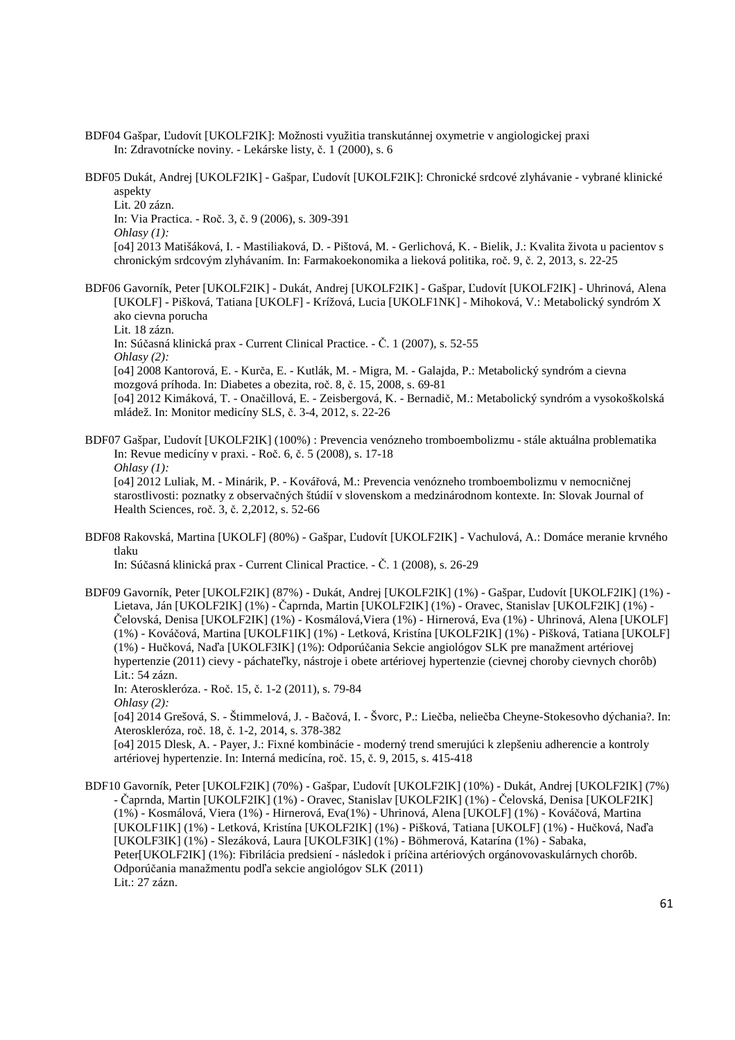- BDF04 Gašpar, Ľudovít [UKOLF2IK]: Možnosti využitia transkutánnej oxymetrie v angiologickej praxi In: Zdravotnícke noviny. - Lekárske listy, č. 1 (2000), s. 6
- BDF05 Dukát, Andrej [UKOLF2IK] Gašpar, Ľudovít [UKOLF2IK]: Chronické srdcové zlyhávanie vybrané klinické aspekty

Lit. 20 zázn.

In: Via Practica. - Roč. 3, č. 9 (2006), s. 309-391

*Ohlasy (1):*

[o4] 2013 Matišáková, I. - Mastiliaková, D. - Pištová, M. - Gerlichová, K. - Bielik, J.: Kvalita života u pacientov s chronickým srdcovým zlyhávaním. In: Farmakoekonomika a lieková politika, roč. 9, č. 2, 2013, s. 22-25

BDF06 Gavorník, Peter [UKOLF2IK] - Dukát, Andrej [UKOLF2IK] - Gašpar, Ľudovít [UKOLF2IK] - Uhrinová, Alena [UKOLF] - Pišková, Tatiana [UKOLF] - Krížová, Lucia [UKOLF1NK] - Mihoková, V.: Metabolický syndróm X ako cievna porucha

Lit. 18 zázn.

In: Súčasná klinická prax - Current Clinical Practice. - Č. 1 (2007), s. 52-55 *Ohlasy (2):*

[o4] 2008 Kantorová, E. - Kurča, E. - Kutlák, M. - Migra, M. - Galajda, P.: Metabolický syndróm a cievna mozgová príhoda. In: Diabetes a obezita, roč. 8, č. 15, 2008, s. 69-81

[o4] 2012 Kimáková, T. - Onačillová, E. - Zeisbergová, K. - Bernadič, M.: Metabolický syndróm a vysokoškolská mládež. In: Monitor medicíny SLS, č. 3-4, 2012, s. 22-26

- BDF07 Gašpar, Ľudovít [UKOLF2IK] (100%) : Prevencia venózneho tromboembolizmu stále aktuálna problematika In: Revue medicíny v praxi. - Roč. 6, č. 5 (2008), s. 17-18 *Ohlasy (1):* [o4] 2012 Luliak, M. - Minárik, P. - Kovářová, M.: Prevencia venózneho tromboembolizmu v nemocničnej starostlivosti: poznatky z observačných štúdií v slovenskom a medzinárodnom kontexte. In: Slovak Journal of Health Sciences, roč. 3, č. 2,2012, s. 52-66
- BDF08 Rakovská, Martina [UKOLF] (80%) Gašpar, Ľudovít [UKOLF2IK] Vachulová, A.: Domáce meranie krvného tlaku

In: Súčasná klinická prax - Current Clinical Practice. - Č. 1 (2008), s. 26-29

BDF09 Gavorník, Peter [UKOLF2IK] (87%) - Dukát, Andrej [UKOLF2IK] (1%) - Gašpar, Ľudovít [UKOLF2IK] (1%) - Lietava, Ján [UKOLF2IK] (1%) - Čaprnda, Martin [UKOLF2IK] (1%) - Oravec, Stanislav [UKOLF2IK] (1%) - Čelovská, Denisa [UKOLF2IK] (1%) - Kosmálová,Viera (1%) - Hirnerová, Eva (1%) - Uhrinová, Alena [UKOLF] (1%) - Kováčová, Martina [UKOLF1IK] (1%) - Letková, Kristína [UKOLF2IK] (1%) - Pišková, Tatiana [UKOLF] (1%) - Hučková, Naďa [UKOLF3IK] (1%): Odporúčania Sekcie angiológov SLK pre manažment artériovej hypertenzie (2011) cievy - páchateľky, nástroje i obete artériovej hypertenzie (cievnej choroby cievnych chorôb) Lit.: 54 zázn.

In: Ateroskleróza. - Roč. 15, č. 1-2 (2011), s. 79-84

*Ohlasy (2):*

[o4] 2014 Grešová, S. - Štimmelová, J. - Bačová, I. - Švorc, P.: Liečba, neliečba Cheyne-Stokesovho dýchania?. In: Ateroskleróza, roč. 18, č. 1-2, 2014, s. 378-382

[o4] 2015 Dlesk, A. - Payer, J.: Fixné kombinácie - moderný trend smerujúci k zlepšeniu adherencie a kontroly artériovej hypertenzie. In: Interná medicína, roč. 15, č. 9, 2015, s. 415-418

BDF10 Gavorník, Peter [UKOLF2IK] (70%) - Gašpar, Ľudovít [UKOLF2IK] (10%) - Dukát, Andrej [UKOLF2IK] (7%) - Čaprnda, Martin [UKOLF2IK] (1%) - Oravec, Stanislav [UKOLF2IK] (1%) - Čelovská, Denisa [UKOLF2IK] (1%) - Kosmálová, Viera (1%) - Hirnerová, Eva(1%) - Uhrinová, Alena [UKOLF] (1%) - Kováčová, Martina [UKOLF1IK] (1%) - Letková, Kristína [UKOLF2IK] (1%) - Pišková, Tatiana [UKOLF] (1%) - Hučková, Naďa [UKOLF3IK] (1%) - Slezáková, Laura [UKOLF3IK] (1%) - Böhmerová, Katarína (1%) - Sabaka, Peter[UKOLF2IK] (1%): Fibrilácia predsiení - následok i príčina artériových orgánovovaskulárnych chorôb. Odporúčania manažmentu podľa sekcie angiológov SLK (2011) Lit.: 27 zázn.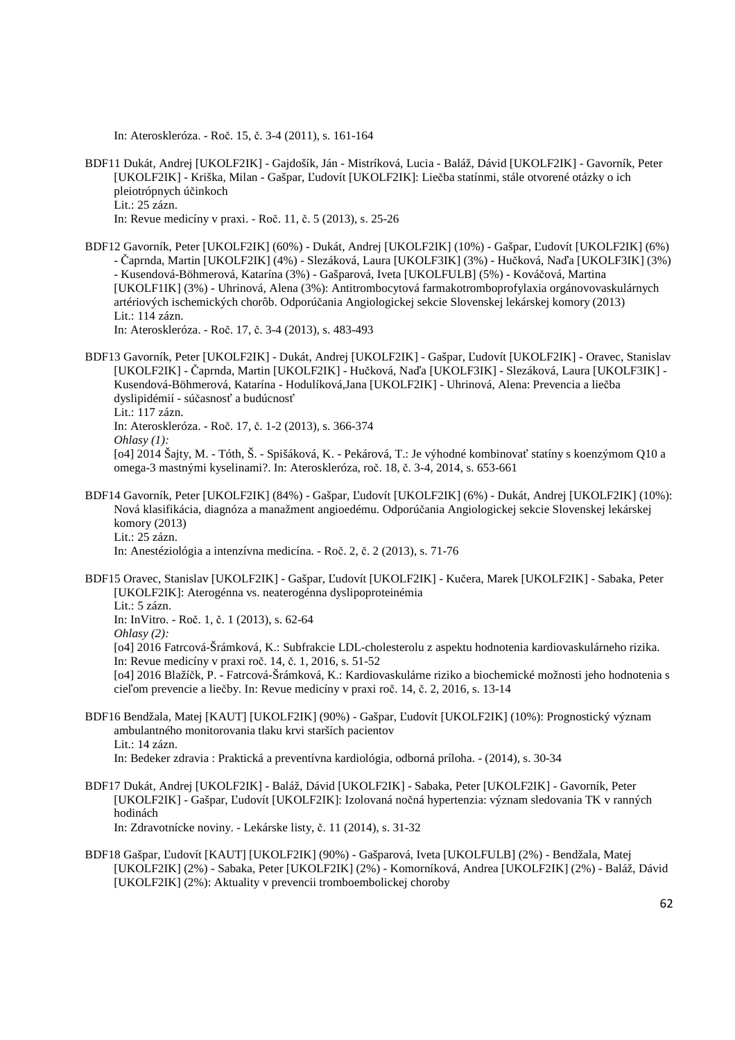In: Ateroskleróza. - Roč. 15, č. 3-4 (2011), s. 161-164

BDF11 Dukát, Andrej [UKOLF2IK] - Gajdošík, Ján - Mistríková, Lucia - Baláž, Dávid [UKOLF2IK] - Gavorník, Peter [UKOLF2IK] - Kriška, Milan - Gašpar, Ľudovít [UKOLF2IK]: Liečba statínmi, stále otvorené otázky o ich pleiotrópnych účinkoch Lit.: 25 zázn.

In: Revue medicíny v praxi. - Roč. 11, č. 5 (2013), s. 25-26

BDF12 Gavorník, Peter [UKOLF2IK] (60%) - Dukát, Andrej [UKOLF2IK] (10%) - Gašpar, Ľudovít [UKOLF2IK] (6%) - Čaprnda, Martin [UKOLF2IK] (4%) - Slezáková, Laura [UKOLF3IK] (3%) - Hučková, Naďa [UKOLF3IK] (3%) - Kusendová-Böhmerová, Katarína (3%) - Gašparová, Iveta [UKOLFULB] (5%) - Kováčová, Martina [UKOLF1IK] (3%) - Uhrinová, Alena (3%): Antitrombocytová farmakotromboprofylaxia orgánovovaskulárnych artériových ischemických chorôb. Odporúčania Angiologickej sekcie Slovenskej lekárskej komory (2013) Lit.: 114 zázn.

In: Ateroskleróza. - Roč. 17, č. 3-4 (2013), s. 483-493

BDF13 Gavorník, Peter [UKOLF2IK] - Dukát, Andrej [UKOLF2IK] - Gašpar, Ľudovít [UKOLF2IK] - Oravec, Stanislav [UKOLF2IK] - Čaprnda, Martin [UKOLF2IK] - Hučková, Naďa [UKOLF3IK] - Slezáková, Laura [UKOLF3IK] - Kusendová-Böhmerová, Katarína - Hodulíková,Jana [UKOLF2IK] - Uhrinová, Alena: Prevencia a liečba dyslipidémií - súčasnosť a budúcnosť Lit.: 117 zázn. In: Ateroskleróza. - Roč. 17, č. 1-2 (2013), s. 366-374

*Ohlasy (1):*

[o4] 2014 Šajty, M. - Tóth, Š. - Spišáková, K. - Pekárová, T.: Je výhodné kombinovať statíny s koenzýmom Q10 a omega-3 mastnými kyselinami?. In: Ateroskleróza, roč. 18, č. 3-4, 2014, s. 653-661

BDF14 Gavorník, Peter [UKOLF2IK] (84%) - Gašpar, Ľudovít [UKOLF2IK] (6%) - Dukát, Andrej [UKOLF2IK] (10%): Nová klasifikácia, diagnóza a manažment angioedému. Odporúčania Angiologickej sekcie Slovenskej lekárskej komory (2013) Lit.: 25 zázn.

In: Anestéziológia a intenzívna medicína. - Roč. 2, č. 2 (2013), s. 71-76

BDF15 Oravec, Stanislav [UKOLF2IK] - Gašpar, Ľudovít [UKOLF2IK] - Kučera, Marek [UKOLF2IK] - Sabaka, Peter [UKOLF2IK]: Aterogénna vs. neaterogénna dyslipoproteinémia Lit.: 5 zázn. In: InVitro. - Roč. 1, č. 1 (2013), s. 62-64 *Ohlasy (2):* [o4] 2016 Fatrcová-Šrámková, K.: Subfrakcie LDL-cholesterolu z aspektu hodnotenia kardiovaskulárneho rizika. In: Revue medicíny v praxi roč. 14, č. 1, 2016, s. 51-52 [o4] 2016 Blažíčk, P. - Fatrcová-Šrámková, K.: Kardiovaskulárne riziko a biochemické možnosti jeho hodnotenia s

cieľom prevencie a liečby. In: Revue medicíny v praxi roč. 14, č. 2, 2016, s. 13-14 BDF16 Bendžala, Matej [KAUT] [UKOLF2IK] (90%) - Gašpar, Ľudovít [UKOLF2IK] (10%): Prognostický význam ambulantného monitorovania tlaku krvi starších pacientov

Lit.:  $14$  zázn.

In: Bedeker zdravia : Praktická a preventívna kardiológia, odborná príloha. - (2014), s. 30-34

BDF17 Dukát, Andrej [UKOLF2IK] - Baláž, Dávid [UKOLF2IK] - Sabaka, Peter [UKOLF2IK] - Gavorník, Peter [UKOLF2IK] - Gašpar, Ľudovít [UKOLF2IK]: Izolovaná nočná hypertenzia: význam sledovania TK v ranných hodinách

In: Zdravotnícke noviny. - Lekárske listy, č. 11 (2014), s. 31-32

BDF18 Gašpar, Ľudovít [KAUT] [UKOLF2IK] (90%) - Gašparová, Iveta [UKOLFULB] (2%) - Bendžala, Matej [UKOLF2IK] (2%) - Sabaka, Peter [UKOLF2IK] (2%) - Komorníková, Andrea [UKOLF2IK] (2%) - Baláž, Dávid [UKOLF2IK] (2%): Aktuality v prevencii tromboembolickej choroby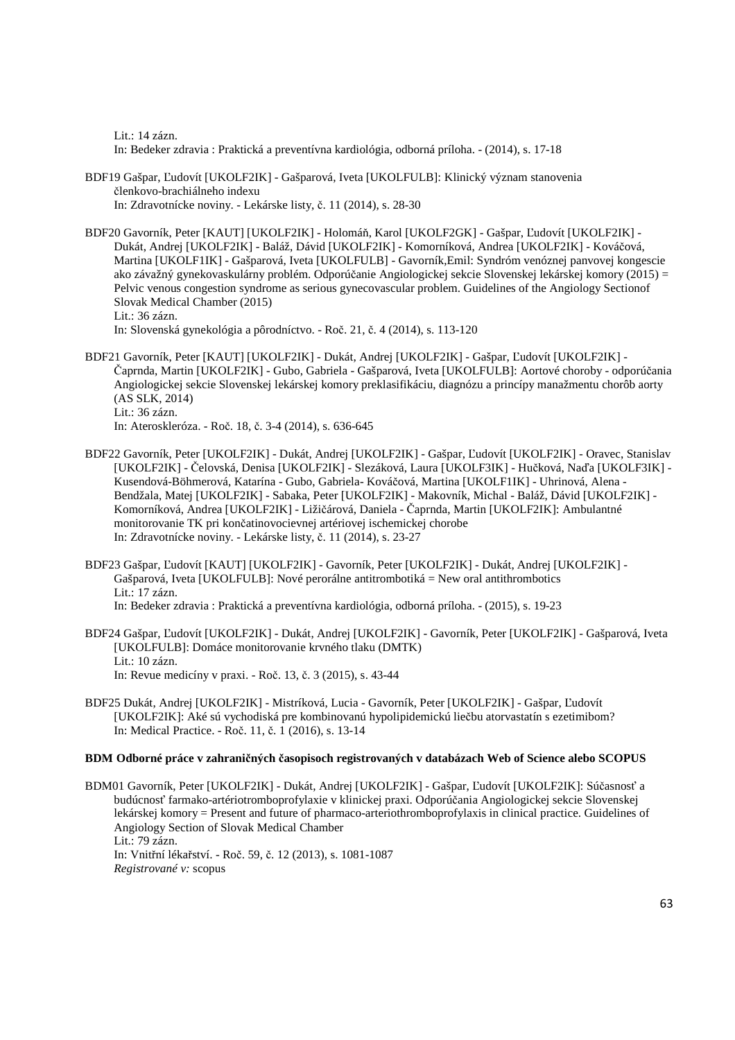Lit.: 14 zázn. In: Bedeker zdravia : Praktická a preventívna kardiológia, odborná príloha. - (2014), s. 17-18

- BDF19 Gašpar, Ľudovít [UKOLF2IK] Gašparová, Iveta [UKOLFULB]: Klinický význam stanovenia členkovo-brachiálneho indexu In: Zdravotnícke noviny. - Lekárske listy, č. 11 (2014), s. 28-30
- BDF20 Gavorník, Peter [KAUT] [UKOLF2IK] Holomáň, Karol [UKOLF2GK] Gašpar, Ľudovít [UKOLF2IK] Dukát, Andrej [UKOLF2IK] - Baláž, Dávid [UKOLF2IK] - Komorníková, Andrea [UKOLF2IK] - Kováčová, Martina [UKOLF1IK] - Gašparová, Iveta [UKOLFULB] - Gavorník,Emil: Syndróm venóznej panvovej kongescie ako závažný gynekovaskulárny problém. Odporúčanie Angiologickej sekcie Slovenskej lekárskej komory (2015) = Pelvic venous congestion syndrome as serious gynecovascular problem. Guidelines of the Angiology Sectionof Slovak Medical Chamber (2015) Lit.: 36 zázn. In: Slovenská gynekológia a pôrodníctvo. - Roč. 21, č. 4 (2014), s. 113-120
- BDF21 Gavorník, Peter [KAUT] [UKOLF2IK] Dukát, Andrej [UKOLF2IK] Gašpar, Ľudovít [UKOLF2IK] Čaprnda, Martin [UKOLF2IK] - Gubo, Gabriela - Gašparová, Iveta [UKOLFULB]: Aortové choroby - odporúčania Angiologickej sekcie Slovenskej lekárskej komory preklasifikáciu, diagnózu a princípy manažmentu chorôb aorty (AS SLK, 2014) Lit.: 36 zázn.

In: Ateroskleróza. - Roč. 18, č. 3-4 (2014), s. 636-645

- BDF22 Gavorník, Peter [UKOLF2IK] Dukát, Andrej [UKOLF2IK] Gašpar, Ľudovít [UKOLF2IK] Oravec, Stanislav [UKOLF2IK] - Čelovská, Denisa [UKOLF2IK] - Slezáková, Laura [UKOLF3IK] - Hučková, Naďa [UKOLF3IK] - Kusendová-Böhmerová, Katarína - Gubo, Gabriela- Kováčová, Martina [UKOLF1IK] - Uhrinová, Alena - Bendžala, Matej [UKOLF2IK] - Sabaka, Peter [UKOLF2IK] - Makovník, Michal - Baláž, Dávid [UKOLF2IK] - Komorníková, Andrea [UKOLF2IK] - Ližičárová, Daniela - Čaprnda, Martin [UKOLF2IK]: Ambulantné monitorovanie TK pri končatinovocievnej artériovej ischemickej chorobe In: Zdravotnícke noviny. - Lekárske listy, č. 11 (2014), s. 23-27
- BDF23 Gašpar, Ľudovít [KAUT] [UKOLF2IK] Gavorník, Peter [UKOLF2IK] Dukát, Andrej [UKOLF2IK] Gašparová, Iveta [UKOLFULB]: Nové perorálne antitrombotiká = New oral antithrombotics Lit.: 17 zázn. In: Bedeker zdravia : Praktická a preventívna kardiológia, odborná príloha. - (2015), s. 19-23
- BDF24 Gašpar, Ľudovít [UKOLF2IK] Dukát, Andrej [UKOLF2IK] Gavorník, Peter [UKOLF2IK] Gašparová, Iveta [UKOLFULB]: Domáce monitorovanie krvného tlaku (DMTK) Lit.: 10 zázn. In: Revue medicíny v praxi. - Roč. 13, č. 3 (2015), s. 43-44
- BDF25 Dukát, Andrej [UKOLF2IK] Mistríková, Lucia Gavorník, Peter [UKOLF2IK] Gašpar, Ľudovít [UKOLF2IK]: Aké sú vychodiská pre kombinovanú hypolipidemickú liečbu atorvastatín s ezetimibom? In: Medical Practice. - Roč. 11, č. 1 (2016), s. 13-14

### **BDM Odborné práce v zahraničných časopisoch registrovaných v databázach Web of Science alebo SCOPUS**

BDM01 Gavorník, Peter [UKOLF2IK] - Dukát, Andrej [UKOLF2IK] - Gašpar, Ľudovít [UKOLF2IK]: Súčasnosť a budúcnosť farmako-artériotromboprofylaxie v klinickej praxi. Odporúčania Angiologickej sekcie Slovenskej lekárskej komory = Present and future of pharmaco-arteriothromboprofylaxis in clinical practice. Guidelines of Angiology Section of Slovak Medical Chamber Lit.: 79 zázn. In: Vnitřní lékařství. - Roč. 59, č. 12 (2013), s. 1081-1087 *Registrované v:* scopus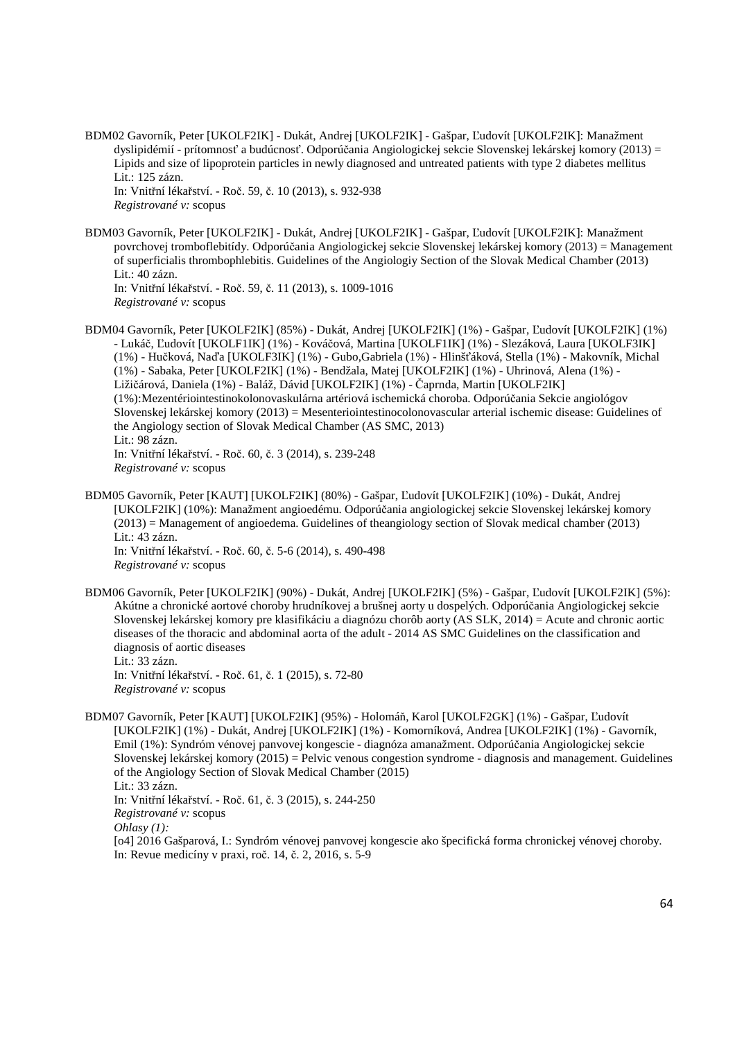BDM02 Gavorník, Peter [UKOLF2IK] - Dukát, Andrej [UKOLF2IK] - Gašpar, Ľudovít [UKOLF2IK]: Manažment dyslipidémií - prítomnosť a budúcnosť. Odporúčania Angiologickej sekcie Slovenskej lekárskej komory (2013) = Lipids and size of lipoprotein particles in newly diagnosed and untreated patients with type 2 diabetes mellitus Lit.: 125 zázn. In: Vnitřní lékařství. - Roč. 59, č. 10 (2013), s. 932-938

*Registrované v:* scopus

BDM03 Gavorník, Peter [UKOLF2IK] - Dukát, Andrej [UKOLF2IK] - Gašpar, Ľudovít [UKOLF2IK]: Manažment povrchovej tromboflebitídy. Odporúčania Angiologickej sekcie Slovenskej lekárskej komory (2013) = Management of superficialis thrombophlebitis. Guidelines of the Angiologiy Section of the Slovak Medical Chamber (2013) Lit.: 40 zázn. In: Vnitřní lékařství. - Roč. 59, č. 11 (2013), s. 1009-1016

*Registrované v:* scopus

BDM04 Gavorník, Peter [UKOLF2IK] (85%) - Dukát, Andrej [UKOLF2IK] (1%) - Gašpar, Ľudovít [UKOLF2IK] (1%) - Lukáč, Ľudovít [UKOLF1IK] (1%) - Kováčová, Martina [UKOLF1IK] (1%) - Slezáková, Laura [UKOLF3IK] (1%) - Hučková, Naďa [UKOLF3IK] (1%) - Gubo,Gabriela (1%) - Hlinšťáková, Stella (1%) - Makovník, Michal (1%) - Sabaka, Peter [UKOLF2IK] (1%) - Bendžala, Matej [UKOLF2IK] (1%) - Uhrinová, Alena (1%) - Ližičárová, Daniela (1%) - Baláž, Dávid [UKOLF2IK] (1%) - Čaprnda, Martin [UKOLF2IK] (1%):Mezentériointestinokolonovaskulárna artériová ischemická choroba. Odporúčania Sekcie angiológov Slovenskej lekárskej komory (2013) = Mesenteriointestinocolonovascular arterial ischemic disease: Guidelines of the Angiology section of Slovak Medical Chamber (AS SMC, 2013) Lit.: 98 zázn. In: Vnitřní lékařství. - Roč. 60, č. 3 (2014), s. 239-248 *Registrované v:* scopus

BDM05 Gavorník, Peter [KAUT] [UKOLF2IK] (80%) - Gašpar, Ľudovít [UKOLF2IK] (10%) - Dukát, Andrej [UKOLF2IK] (10%): Manažment angioedému. Odporúčania angiologickej sekcie Slovenskej lekárskej komory (2013) = Management of angioedema. Guidelines of theangiology section of Slovak medical chamber (2013) Lit.: 43 zázn. In: Vnitřní lékařství. - Roč. 60, č. 5-6 (2014), s. 490-498

*Registrované v:* scopus

BDM06 Gavorník, Peter [UKOLF2IK] (90%) - Dukát, Andrej [UKOLF2IK] (5%) - Gašpar, Ľudovít [UKOLF2IK] (5%): Akútne a chronické aortové choroby hrudníkovej a brušnej aorty u dospelých. Odporúčania Angiologickej sekcie Slovenskej lekárskej komory pre klasifikáciu a diagnózu chorôb aorty (AS SLK, 2014) = Acute and chronic aortic diseases of the thoracic and abdominal aorta of the adult - 2014 AS SMC Guidelines on the classification and diagnosis of aortic diseases Lit $\cdot$  33 zázn.

In: Vnitřní lékařství. - Roč. 61, č. 1 (2015), s. 72-80 *Registrované v:* scopus

BDM07 Gavorník, Peter [KAUT] [UKOLF2IK] (95%) - Holomáň, Karol [UKOLF2GK] (1%) - Gašpar, Ľudovít [UKOLF2IK] (1%) - Dukát, Andrej [UKOLF2IK] (1%) - Komorníková, Andrea [UKOLF2IK] (1%) - Gavorník, Emil (1%): Syndróm vénovej panvovej kongescie - diagnóza amanažment. Odporúčania Angiologickej sekcie Slovenskej lekárskej komory (2015) = Pelvic venous congestion syndrome - diagnosis and management. Guidelines of the Angiology Section of Slovak Medical Chamber (2015) Lit.: 33 zázn.

In: Vnitřní lékařství. - Roč. 61, č. 3 (2015), s. 244-250

*Registrované v:* scopus

*Ohlasy (1):*

[o4] 2016 Gašparová, I.: Syndróm vénovej panvovej kongescie ako špecifická forma chronickej vénovej choroby. In: Revue medicíny v praxi, roč. 14, č. 2, 2016, s. 5-9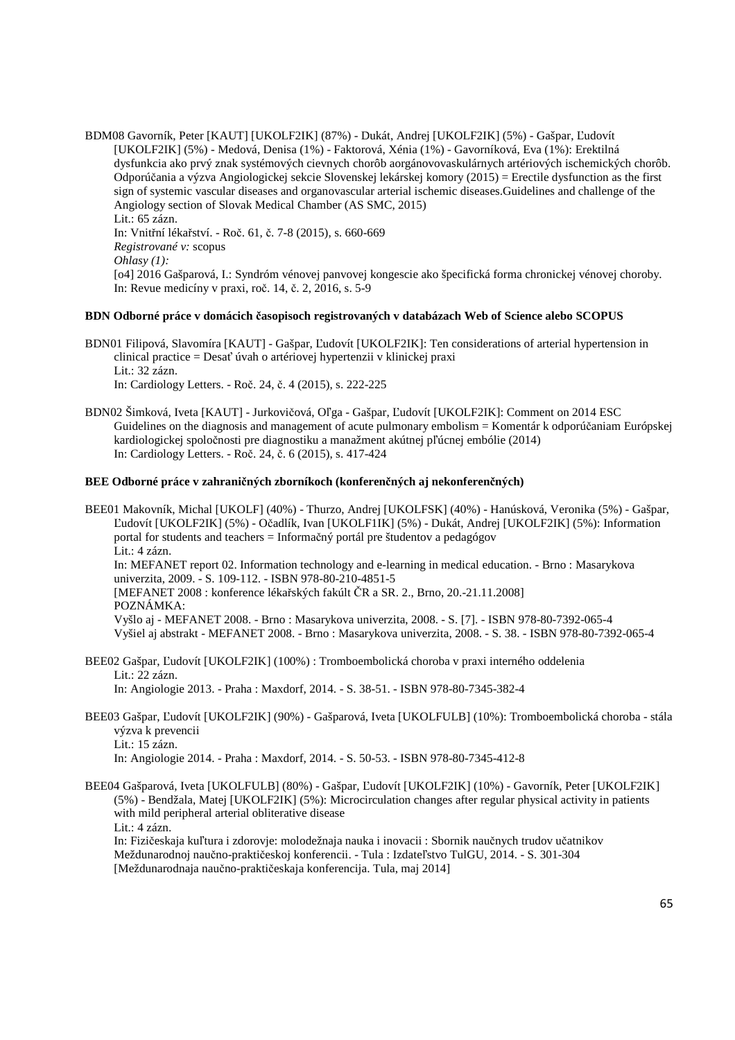BDM08 Gavorník, Peter [KAUT] [UKOLF2IK] (87%) - Dukát, Andrej [UKOLF2IK] (5%) - Gašpar, Ľudovít [UKOLF2IK] (5%) - Medová, Denisa (1%) - Faktorová, Xénia (1%) - Gavorníková, Eva (1%): Erektilná dysfunkcia ako prvý znak systémových cievnych chorôb aorgánovovaskulárnych artériových ischemických chorôb. Odporúčania a výzva Angiologickej sekcie Slovenskej lekárskej komory (2015) = Erectile dysfunction as the first sign of systemic vascular diseases and organovascular arterial ischemic diseases.Guidelines and challenge of the Angiology section of Slovak Medical Chamber (AS SMC, 2015) Lit.: 65 zázn. In: Vnitřní lékařství. - Roč. 61, č. 7-8 (2015), s. 660-669 *Registrované v:* scopus *Ohlasy (1):* [o4] 2016 Gašparová, I.: Syndróm vénovej panvovej kongescie ako špecifická forma chronickej vénovej choroby. In: Revue medicíny v praxi, roč. 14, č. 2, 2016, s. 5-9

#### **BDN Odborné práce v domácich časopisoch registrovaných v databázach Web of Science alebo SCOPUS**

BDN01 Filipová, Slavomíra [KAUT] - Gašpar, Ľudovít [UKOLF2IK]: Ten considerations of arterial hypertension in clinical practice = Desať úvah o artériovej hypertenzii v klinickej praxi Lit.: 32 zázn. In: Cardiology Letters. - Roč. 24, č. 4 (2015), s. 222-225

BDN02 Šimková, Iveta [KAUT] - Jurkovičová, Oľga - Gašpar, Ľudovít [UKOLF2IK]: Comment on 2014 ESC Guidelines on the diagnosis and management of acute pulmonary embolism = Komentár k odporúčaniam Európskej kardiologickej spoločnosti pre diagnostiku a manažment akútnej pľúcnej embólie (2014) In: Cardiology Letters. - Roč. 24, č. 6 (2015), s. 417-424

## **BEE Odborné práce v zahraničných zborníkoch (konferenčných aj nekonferenčných)**

BEE01 Makovník, Michal [UKOLF] (40%) - Thurzo, Andrej [UKOLFSK] (40%) - Hanúsková, Veronika (5%) - Gašpar, Ľudovít [UKOLF2IK] (5%) - Očadlík, Ivan [UKOLF1IK] (5%) - Dukát, Andrej [UKOLF2IK] (5%): Information portal for students and teachers = Informačný portál pre študentov a pedagógov Lit.: 4 zázn. In: MEFANET report 02. Information technology and e-learning in medical education. - Brno : Masarykova univerzita, 2009. - S. 109-112. - ISBN 978-80-210-4851-5 [MEFANET 2008 : konference lékařských fakúlt ČR a SR. 2., Brno, 20.-21.11.2008] POZNÁMKA: Vyšlo aj - MEFANET 2008. - Brno : Masarykova univerzita, 2008. - S. [7]. - ISBN 978-80-7392-065-4 Vyšiel aj abstrakt - MEFANET 2008. - Brno : Masarykova univerzita, 2008. - S. 38. - ISBN 978-80-7392-065-4 BEE02 Gašpar, Ľudovít [UKOLF2IK] (100%) : Tromboembolická choroba v praxi interného oddelenia Lit.: 22 zázn.

In: Angiologie 2013. - Praha : Maxdorf, 2014. - S. 38-51. - ISBN 978-80-7345-382-4

- BEE03 Gašpar, Ľudovít [UKOLF2IK] (90%) Gašparová, Iveta [UKOLFULB] (10%): Tromboembolická choroba stála výzva k prevencii
	- Lit.: 15 zázn.

In: Angiologie 2014. - Praha : Maxdorf, 2014. - S. 50-53. - ISBN 978-80-7345-412-8

BEE04 Gašparová, Iveta [UKOLFULB] (80%) - Gašpar, Ľudovít [UKOLF2IK] (10%) - Gavorník, Peter [UKOLF2IK] (5%) - Bendžala, Matej [UKOLF2IK] (5%): Microcirculation changes after regular physical activity in patients with mild peripheral arterial obliterative disease Lit.: 4 zázn.

In: Fizičeskaja kuľtura i zdorovje: molodežnaja nauka i inovacii : Sbornik naučnych trudov učatnikov Meždunarodnoj naučno-praktičeskoj konferencii. - Tula : Izdateľstvo TulGU, 2014. - S. 301-304 [Meždunarodnaja naučno-praktičeskaja konferencija. Tula, maj 2014]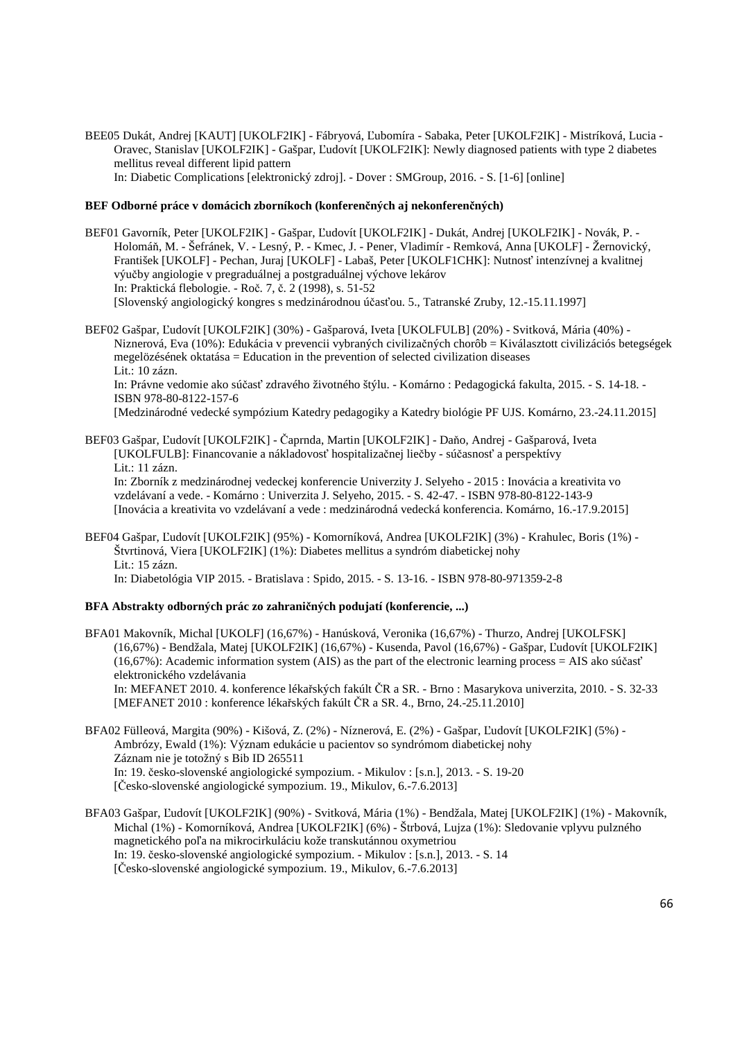BEE05 Dukát, Andrej [KAUT] [UKOLF2IK] - Fábryová, Ľubomíra - Sabaka, Peter [UKOLF2IK] - Mistríková, Lucia - Oravec, Stanislav [UKOLF2IK] - Gašpar, Ľudovít [UKOLF2IK]: Newly diagnosed patients with type 2 diabetes mellitus reveal different lipid pattern In: Diabetic Complications [elektronický zdroj]. - Dover : SMGroup, 2016. - S. [1-6] [online]

#### **BEF Odborné práce v domácich zborníkoch (konferenčných aj nekonferenčných)**

BEF01 Gavorník, Peter [UKOLF2IK] - Gašpar, Ľudovít [UKOLF2IK] - Dukát, Andrej [UKOLF2IK] - Novák, P. - Holomáň, M. - Šefránek, V. - Lesný, P. - Kmec, J. - Pener, Vladimír - Remková, Anna [UKOLF] - Žernovický, František [UKOLF] - Pechan, Juraj [UKOLF] - Labaš, Peter [UKOLF1CHK]: Nutnosť intenzívnej a kvalitnej výučby angiologie v pregraduálnej a postgraduálnej výchove lekárov In: Praktická flebologie. - Roč. 7, č. 2 (1998), s. 51-52 [Slovenský angiologický kongres s medzinárodnou účasťou. 5., Tatranské Zruby, 12.-15.11.1997]

BEF02 Gašpar, Ľudovít [UKOLF2IK] (30%) - Gašparová, Iveta [UKOLFULB] (20%) - Svitková, Mária (40%) - Niznerová, Eva (10%): Edukácia v prevencii vybraných civilizačných chorôb = Kiválasztott civilizációs betegségek megelözésének oktatása = Education in the prevention of selected civilization diseases Lit.: 10 zázn.

In: Právne vedomie ako súčasť zdravého životného štýlu. - Komárno : Pedagogická fakulta, 2015. - S. 14-18. - ISBN 978-80-8122-157-6

[Medzinárodné vedecké sympózium Katedry pedagogiky a Katedry biológie PF UJS. Komárno, 23.-24.11.2015]

- BEF03 Gašpar, Ľudovít [UKOLF2IK] Čaprnda, Martin [UKOLF2IK] Daňo, Andrej Gašparová, Iveta [UKOLFULB]: Financovanie a nákladovosť hospitalizačnej liečby - súčasnosť a perspektívy Lit.: 11 zázn. In: Zborník z medzinárodnej vedeckej konferencie Univerzity J. Selyeho - 2015 : Inovácia a kreativita vo vzdelávaní a vede. - Komárno : Univerzita J. Selyeho, 2015. - S. 42-47. - ISBN 978-80-8122-143-9 [Inovácia a kreativita vo vzdelávaní a vede : medzinárodná vedecká konferencia. Komárno, 16.-17.9.2015]
- BEF04 Gašpar, Ľudovít [UKOLF2IK] (95%) Komorníková, Andrea [UKOLF2IK] (3%) Krahulec, Boris (1%) Štvrtinová, Viera [UKOLF2IK] (1%): Diabetes mellitus a syndróm diabetickej nohy Lit.: 15 zázn.

In: Diabetológia VIP 2015. - Bratislava : Spido, 2015. - S. 13-16. - ISBN 978-80-971359-2-8

## **BFA Abstrakty odborných prác zo zahraničných podujatí (konferencie, ...)**

- BFA01 Makovník, Michal [UKOLF] (16,67%) Hanúsková, Veronika (16,67%) Thurzo, Andrej [UKOLFSK] (16,67%) - Bendžala, Matej [UKOLF2IK] (16,67%) - Kusenda, Pavol (16,67%) - Gašpar, Ľudovít [UKOLF2IK] (16,67%): Academic information system (AIS) as the part of the electronic learning process = AIS ako súčasť elektronického vzdelávania In: MEFANET 2010. 4. konference lékařských fakúlt ČR a SR. - Brno : Masarykova univerzita, 2010. - S. 32-33 [MEFANET 2010 : konference lékařských fakúlt ČR a SR. 4., Brno, 24.-25.11.2010]
- BFA02 Fülleová, Margita (90%) Kišová, Z. (2%) Níznerová, E. (2%) Gašpar, Ľudovít [UKOLF2IK] (5%) Ambrózy, Ewald (1%): Význam edukácie u pacientov so syndrómom diabetickej nohy Záznam nie je totožný s Bib ID 265511 In: 19. česko-slovenské angiologické sympozium. - Mikulov : [s.n.], 2013. - S. 19-20 [Česko-slovenské angiologické sympozium. 19., Mikulov, 6.-7.6.2013]
- BFA03 Gašpar, Ľudovít [UKOLF2IK] (90%) Svitková, Mária (1%) Bendžala, Matej [UKOLF2IK] (1%) Makovník, Michal (1%) - Komorníková, Andrea [UKOLF2IK] (6%) - Štrbová, Lujza (1%): Sledovanie vplyvu pulzného magnetického poľa na mikrocirkuláciu kože transkutánnou oxymetriou In: 19. česko-slovenské angiologické sympozium. - Mikulov : [s.n.], 2013. - S. 14 [Česko-slovenské angiologické sympozium. 19., Mikulov, 6.-7.6.2013]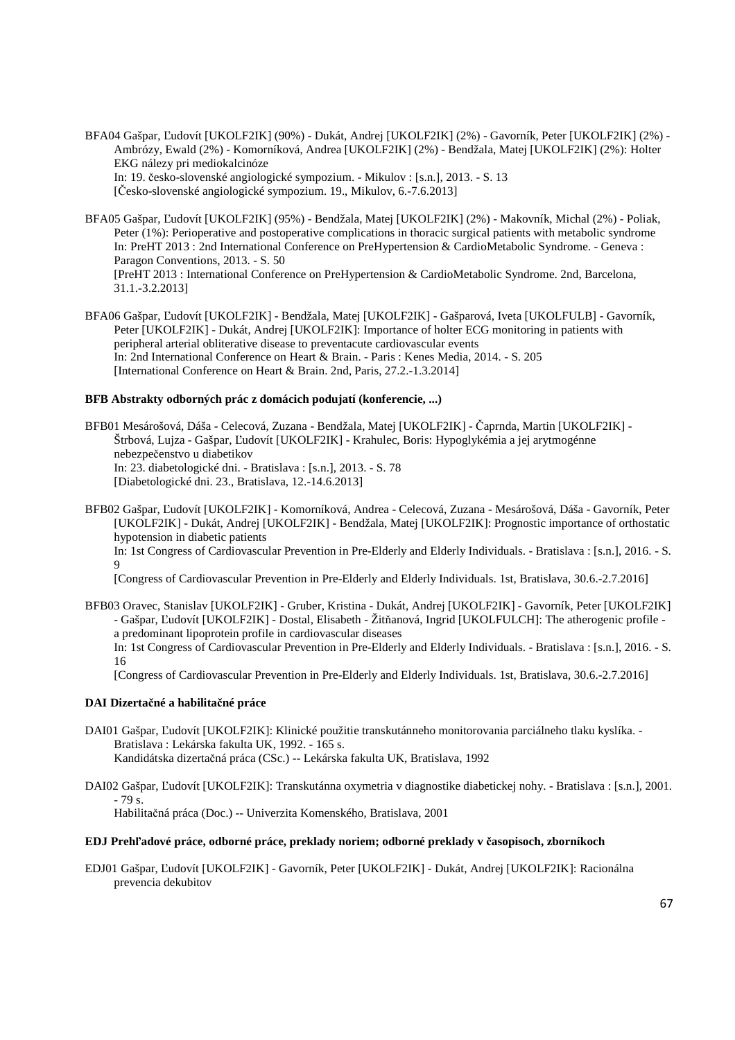BFA04 Gašpar, Ľudovít [UKOLF2IK] (90%) - Dukát, Andrej [UKOLF2IK] (2%) - Gavorník, Peter [UKOLF2IK] (2%) - Ambrózy, Ewald (2%) - Komorníková, Andrea [UKOLF2IK] (2%) - Bendžala, Matej [UKOLF2IK] (2%): Holter EKG nálezy pri mediokalcinóze In: 19. česko-slovenské angiologické sympozium. - Mikulov : [s.n.], 2013. - S. 13 [Česko-slovenské angiologické sympozium. 19., Mikulov, 6.-7.6.2013]

BFA05 Gašpar, Ľudovít [UKOLF2IK] (95%) - Bendžala, Matej [UKOLF2IK] (2%) - Makovník, Michal (2%) - Poliak, Peter (1%): Perioperative and postoperative complications in thoracic surgical patients with metabolic syndrome In: PreHT 2013 : 2nd International Conference on PreHypertension & CardioMetabolic Syndrome. - Geneva : Paragon Conventions, 2013. - S. 50 [PreHT 2013 : International Conference on PreHypertension & CardioMetabolic Syndrome. 2nd, Barcelona, 31.1.-3.2.2013]

BFA06 Gašpar, Ľudovít [UKOLF2IK] - Bendžala, Matej [UKOLF2IK] - Gašparová, Iveta [UKOLFULB] - Gavorník, Peter [UKOLF2IK] - Dukát, Andrej [UKOLF2IK]: Importance of holter ECG monitoring in patients with peripheral arterial obliterative disease to preventacute cardiovascular events In: 2nd International Conference on Heart & Brain. - Paris : Kenes Media, 2014. - S. 205 [International Conference on Heart & Brain. 2nd, Paris, 27.2.-1.3.2014]

## **BFB Abstrakty odborných prác z domácich podujatí (konferencie, ...)**

BFB01 Mesárošová, Dáša - Celecová, Zuzana - Bendžala, Matej [UKOLF2IK] - Čaprnda, Martin [UKOLF2IK] - Štrbová, Lujza - Gašpar, Ľudovít [UKOLF2IK] - Krahulec, Boris: Hypoglykémia a jej arytmogénne nebezpečenstvo u diabetikov In: 23. diabetologické dni. - Bratislava : [s.n.], 2013. - S. 78 [Diabetologické dni. 23., Bratislava, 12.-14.6.2013]

BFB02 Gašpar, Ľudovít [UKOLF2IK] - Komorníková, Andrea - Celecová, Zuzana - Mesárošová, Dáša - Gavorník, Peter [UKOLF2IK] - Dukát, Andrej [UKOLF2IK] - Bendžala, Matej [UKOLF2IK]: Prognostic importance of orthostatic hypotension in diabetic patients In: 1st Congress of Cardiovascular Prevention in Pre-Elderly and Elderly Individuals. - Bratislava : [s.n.], 2016. - S.

[Congress of Cardiovascular Prevention in Pre-Elderly and Elderly Individuals. 1st, Bratislava, 30.6.-2.7.2016]

BFB03 Oravec, Stanislav [UKOLF2IK] - Gruber, Kristina - Dukát, Andrej [UKOLF2IK] - Gavorník, Peter [UKOLF2IK] - Gašpar, Ľudovít [UKOLF2IK] - Dostal, Elisabeth - Žitňanová, Ingrid [UKOLFULCH]: The atherogenic profile a predominant lipoprotein profile in cardiovascular diseases

In: 1st Congress of Cardiovascular Prevention in Pre-Elderly and Elderly Individuals. - Bratislava : [s.n.], 2016. - S. 16

[Congress of Cardiovascular Prevention in Pre-Elderly and Elderly Individuals. 1st, Bratislava, 30.6.-2.7.2016]

#### **DAI Dizertačné a habilitačné práce**

 $\mathbf Q$ 

- DAI01 Gašpar, Ľudovít [UKOLF2IK]: Klinické použitie transkutánneho monitorovania parciálneho tlaku kyslíka. Bratislava : Lekárska fakulta UK, 1992. - 165 s. Kandidátska dizertačná práca (CSc.) -- Lekárska fakulta UK, Bratislava, 1992
- DAI02 Gašpar, Ľudovít [UKOLF2IK]: Transkutánna oxymetria v diagnostike diabetickej nohy. Bratislava : [s.n.], 2001. - 79 s.

Habilitačná práca (Doc.) -- Univerzita Komenského, Bratislava, 2001

#### **EDJ Prehľadové práce, odborné práce, preklady noriem; odborné preklady v časopisoch, zborníkoch**

EDJ01 Gašpar, Ľudovít [UKOLF2IK] - Gavorník, Peter [UKOLF2IK] - Dukát, Andrej [UKOLF2IK]: Racionálna prevencia dekubitov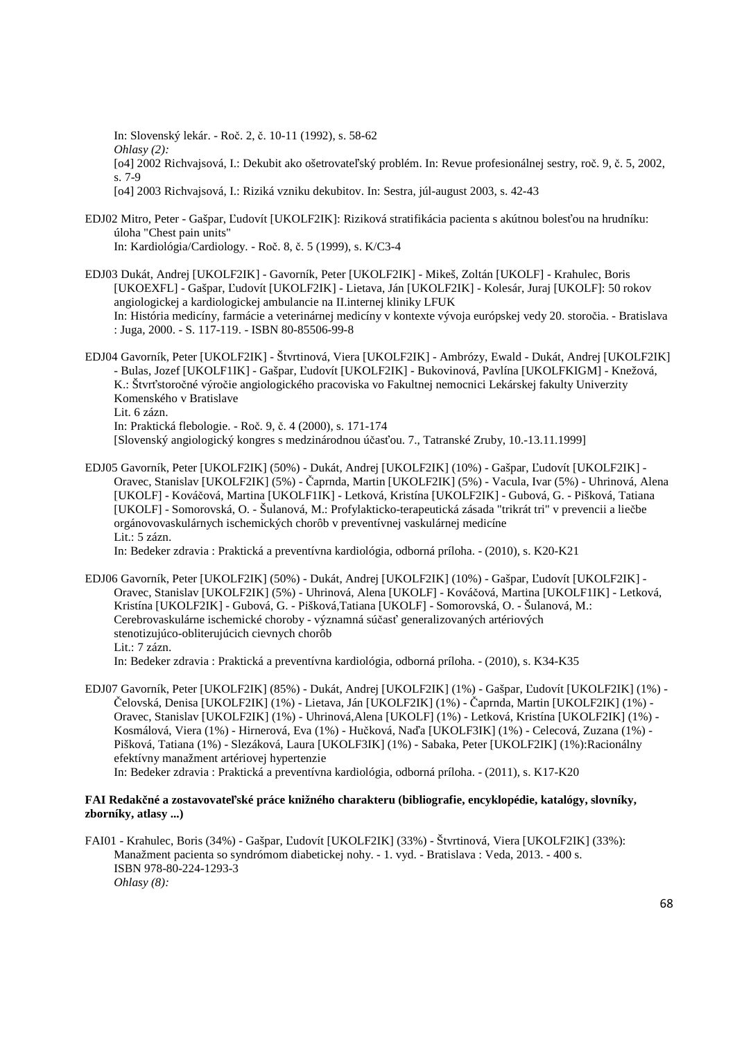In: Slovenský lekár. - Roč. 2, č. 10-11 (1992), s. 58-62 *Ohlasy (2):* [o4] 2002 Richvajsová, I.: Dekubit ako ošetrovateľský problém. In: Revue profesionálnej sestry, roč. 9, č. 5, 2002, s. 7-9 [o4] 2003 Richvajsová, I.: Riziká vzniku dekubitov. In: Sestra, júl-august 2003, s. 42-43

- EDJ02 Mitro, Peter Gašpar, Ľudovít [UKOLF2IK]: Riziková stratifikácia pacienta s akútnou bolesťou na hrudníku: úloha "Chest pain units" In: Kardiológia/Cardiology. - Roč. 8, č. 5 (1999), s. K/C3-4
- EDJ03 Dukát, Andrej [UKOLF2IK] Gavorník, Peter [UKOLF2IK] Mikeš, Zoltán [UKOLF] Krahulec, Boris [UKOEXFL] - Gašpar, Ľudovít [UKOLF2IK] - Lietava, Ján [UKOLF2IK] - Kolesár, Juraj [UKOLF]: 50 rokov angiologickej a kardiologickej ambulancie na II.internej kliniky LFUK In: História medicíny, farmácie a veterinárnej medicíny v kontexte vývoja európskej vedy 20. storočia. - Bratislava : Juga, 2000. - S. 117-119. - ISBN 80-85506-99-8
- EDJ04 Gavorník, Peter [UKOLF2IK] Štvrtinová, Viera [UKOLF2IK] Ambrózy, Ewald Dukát, Andrej [UKOLF2IK] - Bulas, Jozef [UKOLF1IK] - Gašpar, Ľudovít [UKOLF2IK] - Bukovinová, Pavlína [UKOLFKIGM] - Knežová, K.: Štvrťstoročné výročie angiologického pracoviska vo Fakultnej nemocnici Lekárskej fakulty Univerzity Komenského v Bratislave Lit. 6 zázn.

In: Praktická flebologie. - Roč. 9, č. 4 (2000), s. 171-174 [Slovenský angiologický kongres s medzinárodnou účasťou. 7., Tatranské Zruby, 10.-13.11.1999]

EDJ05 Gavorník, Peter [UKOLF2IK] (50%) - Dukát, Andrej [UKOLF2IK] (10%) - Gašpar, Ľudovít [UKOLF2IK] - Oravec, Stanislav [UKOLF2IK] (5%) - Čaprnda, Martin [UKOLF2IK] (5%) - Vacula, Ivar (5%) - Uhrinová, Alena [UKOLF] - Kováčová, Martina [UKOLF1IK] - Letková, Kristína [UKOLF2IK] - Gubová, G. - Pišková, Tatiana [UKOLF] - Somorovská, O. - Šulanová, M.: Profylakticko-terapeutická zásada "trikrát tri" v prevencii a liečbe orgánovovaskulárnych ischemických chorôb v preventívnej vaskulárnej medicíne Lit.: 5 zázn.

In: Bedeker zdravia : Praktická a preventívna kardiológia, odborná príloha. - (2010), s. K20-K21

- EDJ06 Gavorník, Peter [UKOLF2IK] (50%) Dukát, Andrej [UKOLF2IK] (10%) Gašpar, Ľudovít [UKOLF2IK] Oravec, Stanislav [UKOLF2IK] (5%) - Uhrinová, Alena [UKOLF] - Kováčová, Martina [UKOLF1IK] - Letková, Kristína [UKOLF2IK] - Gubová, G. - Pišková,Tatiana [UKOLF] - Somorovská, O. - Šulanová, M.: Cerebrovaskulárne ischemické choroby - významná súčasť generalizovaných artériových stenotizujúco-obliterujúcich cievnych chorôb Lit.: 7 zázn. In: Bedeker zdravia : Praktická a preventívna kardiológia, odborná príloha. - (2010), s. K34-K35
- EDJ07 Gavorník, Peter [UKOLF2IK] (85%) Dukát, Andrej [UKOLF2IK] (1%) Gašpar, Ľudovít [UKOLF2IK] (1%) Čelovská, Denisa [UKOLF2IK] (1%) - Lietava, Ján [UKOLF2IK] (1%) - Čaprnda, Martin [UKOLF2IK] (1%) - Oravec, Stanislav [UKOLF2IK] (1%) - Uhrinová,Alena [UKOLF] (1%) - Letková, Kristína [UKOLF2IK] (1%) - Kosmálová, Viera (1%) - Hirnerová, Eva (1%) - Hučková, Naďa [UKOLF3IK] (1%) - Celecová, Zuzana (1%) - Pišková, Tatiana (1%) - Slezáková, Laura [UKOLF3IK] (1%) - Sabaka, Peter [UKOLF2IK] (1%):Racionálny efektívny manažment artériovej hypertenzie

In: Bedeker zdravia : Praktická a preventívna kardiológia, odborná príloha. - (2011), s. K17-K20

## **FAI Redakčné a zostavovateľské práce knižného charakteru (bibliografie, encyklopédie, katalógy, slovníky, zborníky, atlasy ...)**

FAI01 - Krahulec, Boris (34%) - Gašpar, Ľudovít [UKOLF2IK] (33%) - Štvrtinová, Viera [UKOLF2IK] (33%): Manažment pacienta so syndrómom diabetickej nohy. - 1. vyd. - Bratislava : Veda, 2013. - 400 s. ISBN 978-80-224-1293-3 *Ohlasy (8):*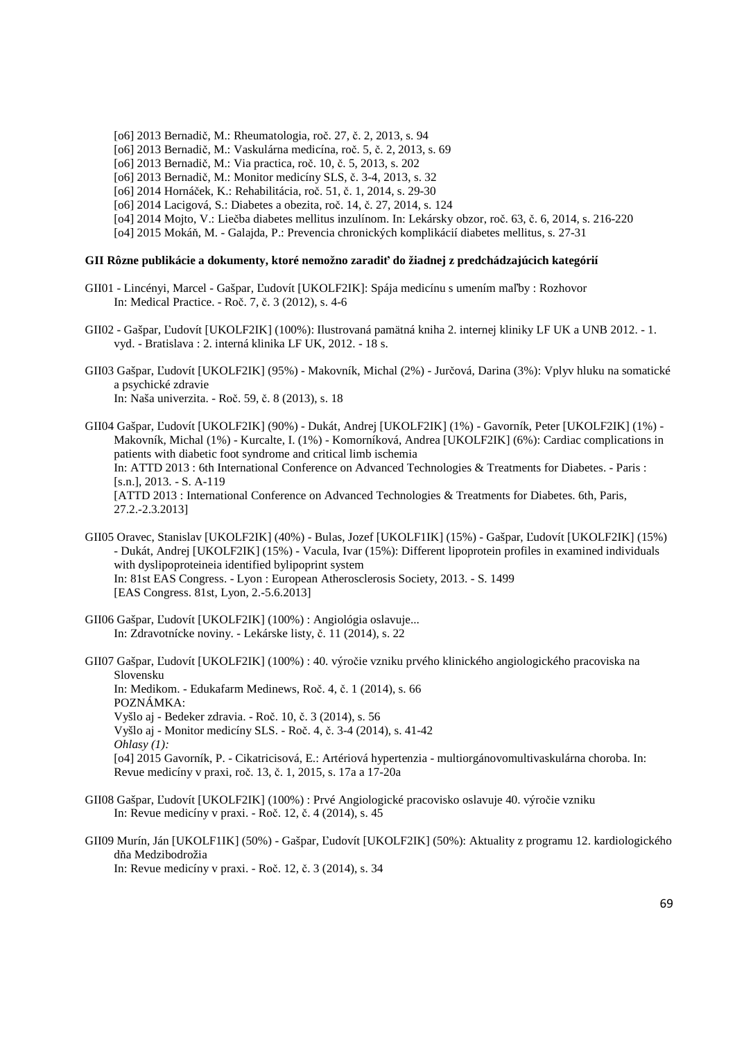[o6] 2013 Bernadič, M.: Rheumatologia, roč. 27, č. 2, 2013, s. 94

- [o6] 2013 Bernadič, M.: Vaskulárna medicína, roč. 5, č. 2, 2013, s. 69
- [o6] 2013 Bernadič, M.: Via practica, roč. 10, č. 5, 2013, s. 202
- [o6] 2013 Bernadič, M.: Monitor medicíny SLS, č. 3-4, 2013, s. 32
- [o6] 2014 Hornáček, K.: Rehabilitácia, roč. 51, č. 1, 2014, s. 29-30
- [o6] 2014 Lacigová, S.: Diabetes a obezita, roč. 14, č. 27, 2014, s. 124
- [o4] 2014 Mojto, V.: Liečba diabetes mellitus inzulínom. In: Lekársky obzor, roč. 63, č. 6, 2014, s. 216-220
- [o4] 2015 Mokáň, M. Galajda, P.: Prevencia chronických komplikácií diabetes mellitus, s. 27-31

#### **GII Rôzne publikácie a dokumenty, ktoré nemožno zaradiť do žiadnej z predchádzajúcich kategórií**

- GII01 Lincényi, Marcel Gašpar, Ľudovít [UKOLF2IK]: Spája medicínu s umením maľby : Rozhovor In: Medical Practice. - Roč. 7, č. 3 (2012), s. 4-6
- GII02 Gašpar, Ľudovít [UKOLF2IK] (100%): Ilustrovaná pamätná kniha 2. internej kliniky LF UK a UNB 2012. 1. vyd. - Bratislava : 2. interná klinika LF UK, 2012. - 18 s.
- GII03 Gašpar, Ľudovít [UKOLF2IK] (95%) Makovník, Michal (2%) Jurčová, Darina (3%): Vplyv hluku na somatické a psychické zdravie In: Naša univerzita. - Roč. 59, č. 8 (2013), s. 18
- GII04 Gašpar, Ľudovít [UKOLF2IK] (90%) Dukát, Andrej [UKOLF2IK] (1%) Gavorník, Peter [UKOLF2IK] (1%) Makovník, Michal (1%) - Kurcalte, I. (1%) - Komorníková, Andrea [UKOLF2IK] (6%): Cardiac complications in patients with diabetic foot syndrome and critical limb ischemia In: ATTD 2013 : 6th International Conference on Advanced Technologies & Treatments for Diabetes. - Paris : [s.n.], 2013. - S. A-119 [ATTD 2013 : International Conference on Advanced Technologies & Treatments for Diabetes. 6th, Paris, 27.2.-2.3.2013]
- GII05 Oravec, Stanislav [UKOLF2IK] (40%) Bulas, Jozef [UKOLF1IK] (15%) Gašpar, Ľudovít [UKOLF2IK] (15%) - Dukát, Andrej [UKOLF2IK] (15%) - Vacula, Ivar (15%): Different lipoprotein profiles in examined individuals with dyslipoproteineia identified bylipoprint system In: 81st EAS Congress. - Lyon : European Atherosclerosis Society, 2013. - S. 1499 [EAS Congress. 81st, Lyon, 2.-5.6.2013]
- GII06 Gašpar, Ľudovít [UKOLF2IK] (100%) : Angiológia oslavuje... In: Zdravotnícke noviny. - Lekárske listy, č. 11 (2014), s. 22

GII07 Gašpar, Ľudovít [UKOLF2IK] (100%) : 40. výročie vzniku prvého klinického angiologického pracoviska na Slovensku In: Medikom. - Edukafarm Medinews, Roč. 4, č. 1 (2014), s. 66 POZNÁMKA: Vyšlo aj - Bedeker zdravia. - Roč. 10, č. 3 (2014), s. 56 Vyšlo aj - Monitor medicíny SLS. - Roč. 4, č. 3-4 (2014), s. 41-42 *Ohlasy (1):* [o4] 2015 Gavorník, P. - Cikatricisová, E.: Artériová hypertenzia - multiorgánovomultivaskulárna choroba. In: Revue medicíny v praxi, roč. 13, č. 1, 2015, s. 17a a 17-20a

- GII08 Gašpar, Ľudovít [UKOLF2IK] (100%) : Prvé Angiologické pracovisko oslavuje 40. výročie vzniku In: Revue medicíny v praxi. - Roč. 12, č. 4 (2014), s. 45
- GII09 Murín, Ján [UKOLF1IK] (50%) Gašpar, Ľudovít [UKOLF2IK] (50%): Aktuality z programu 12. kardiologického dňa Medzibodrožia In: Revue medicíny v praxi. - Roč. 12, č. 3 (2014), s. 34